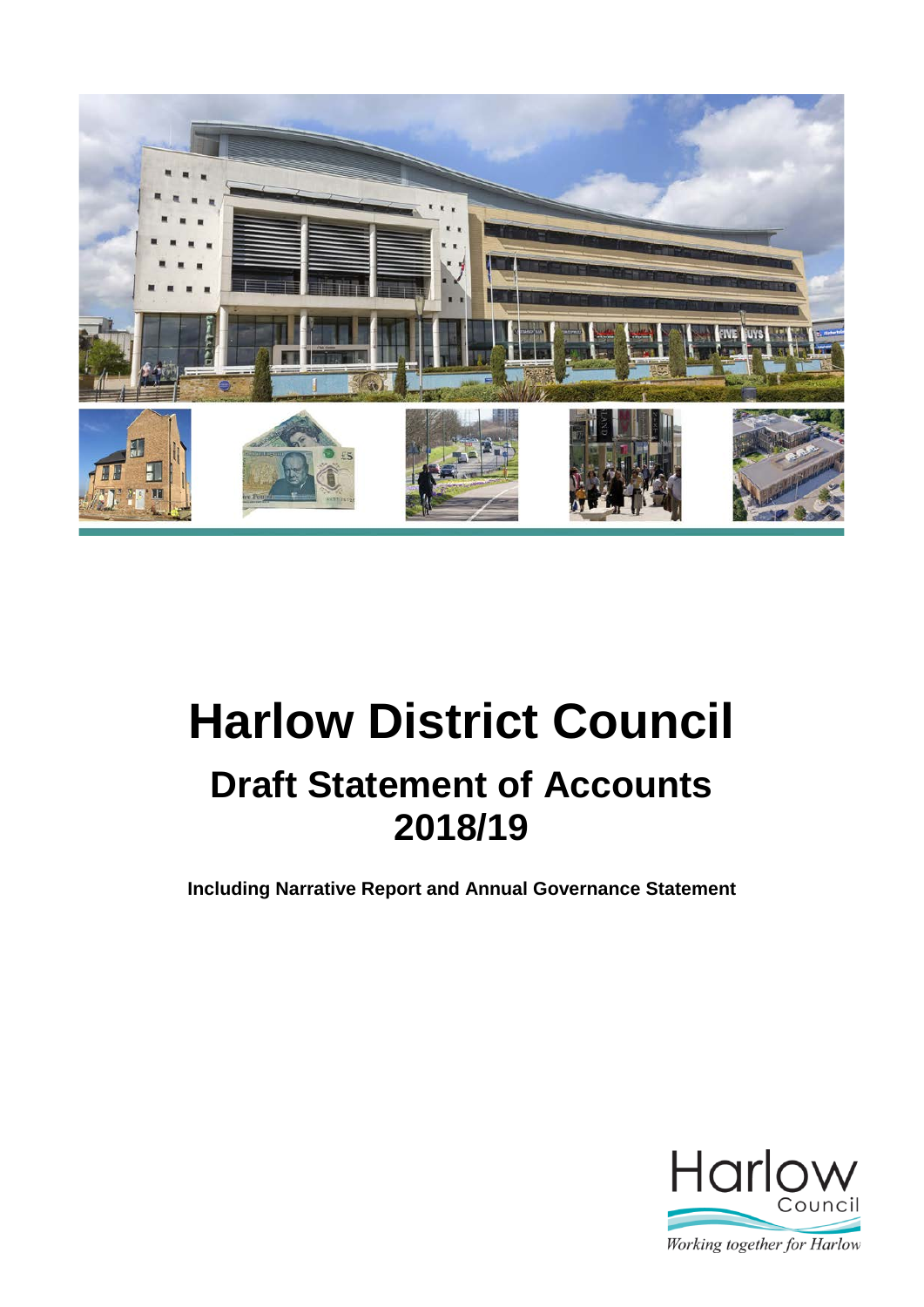

## **Harlow District Council Draft Statement of Accounts 2018/19**

**Including Narrative Report and Annual Governance Statement**



Working together for Harlow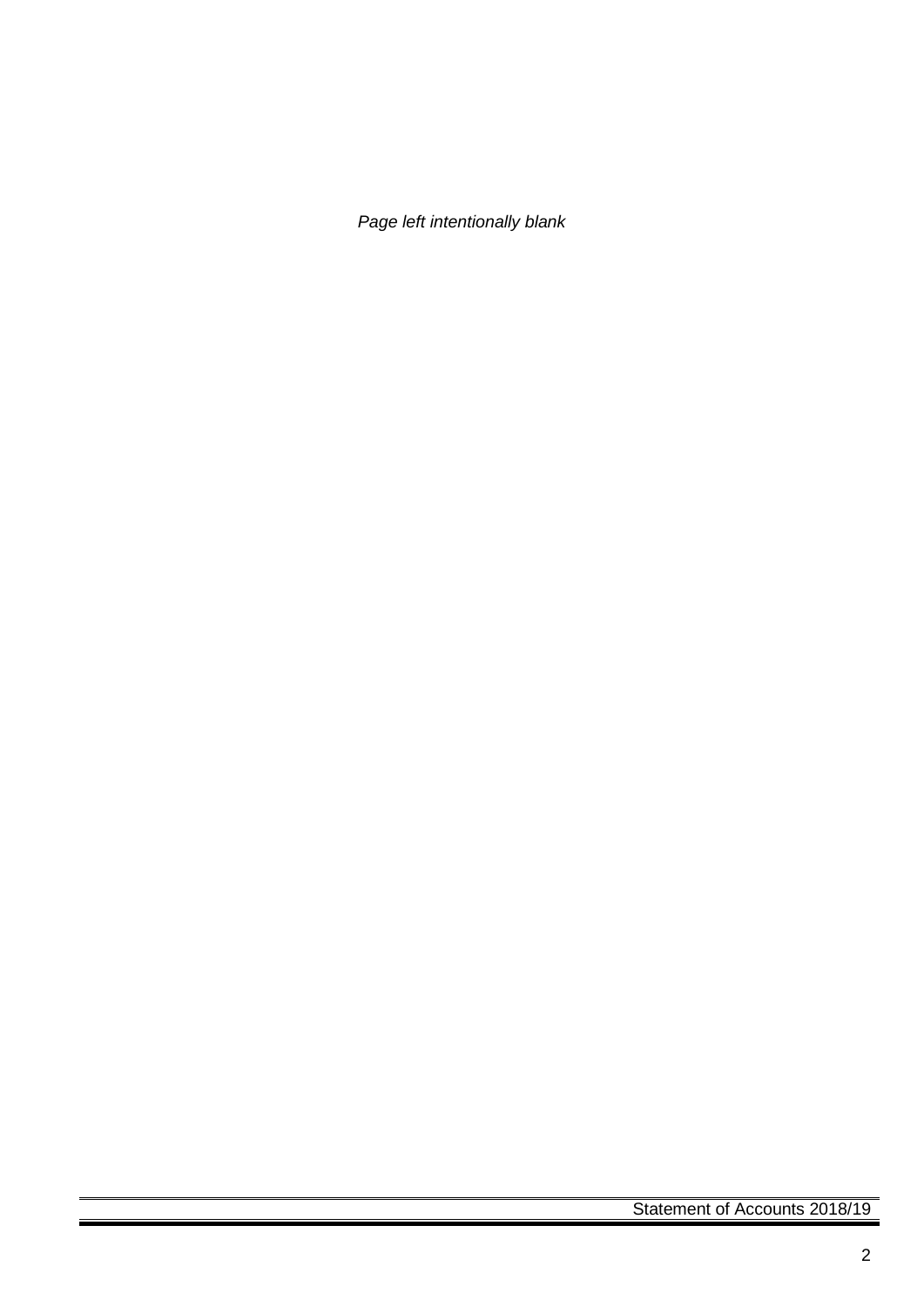*Page left intentionally blank*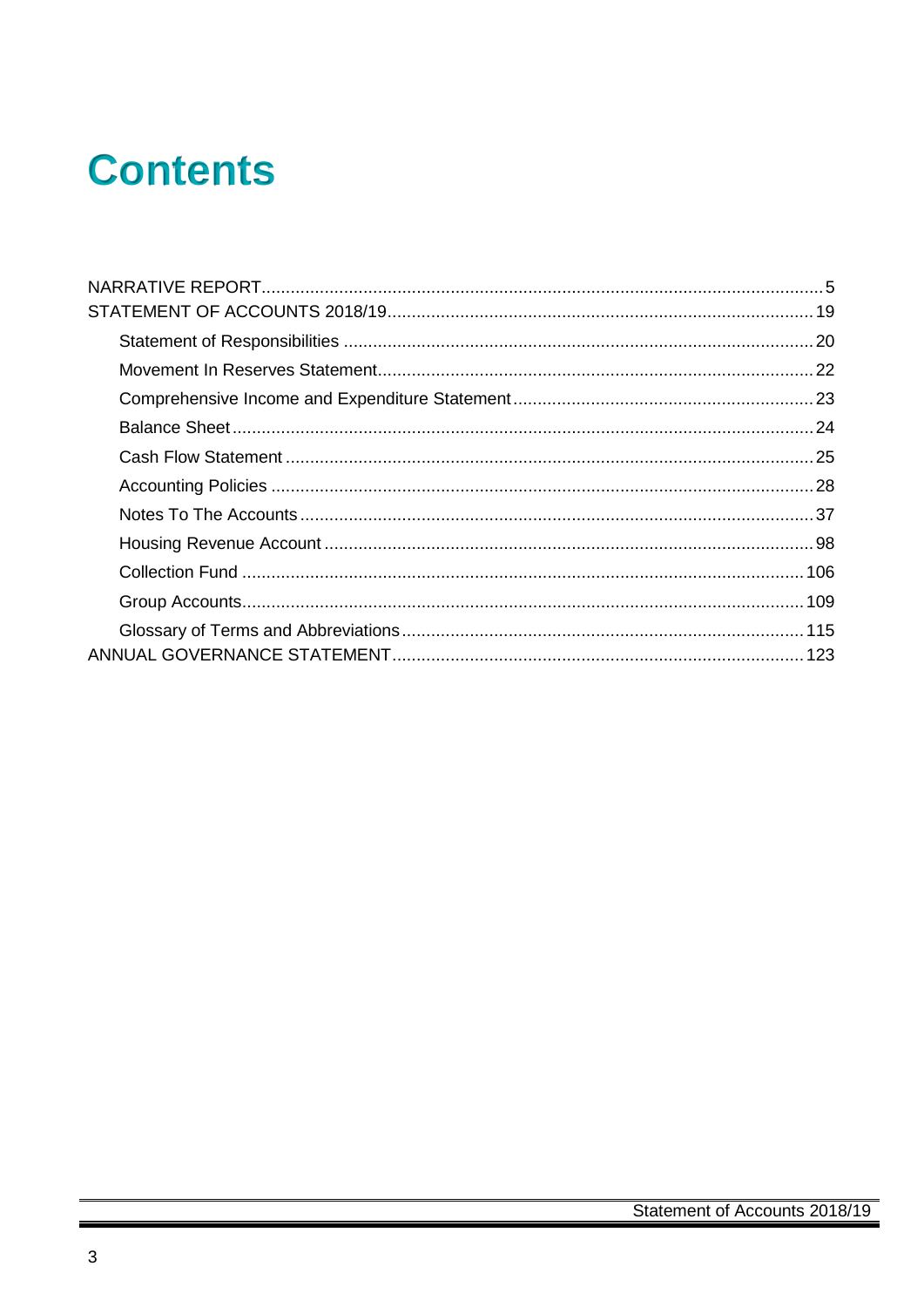## **Contents**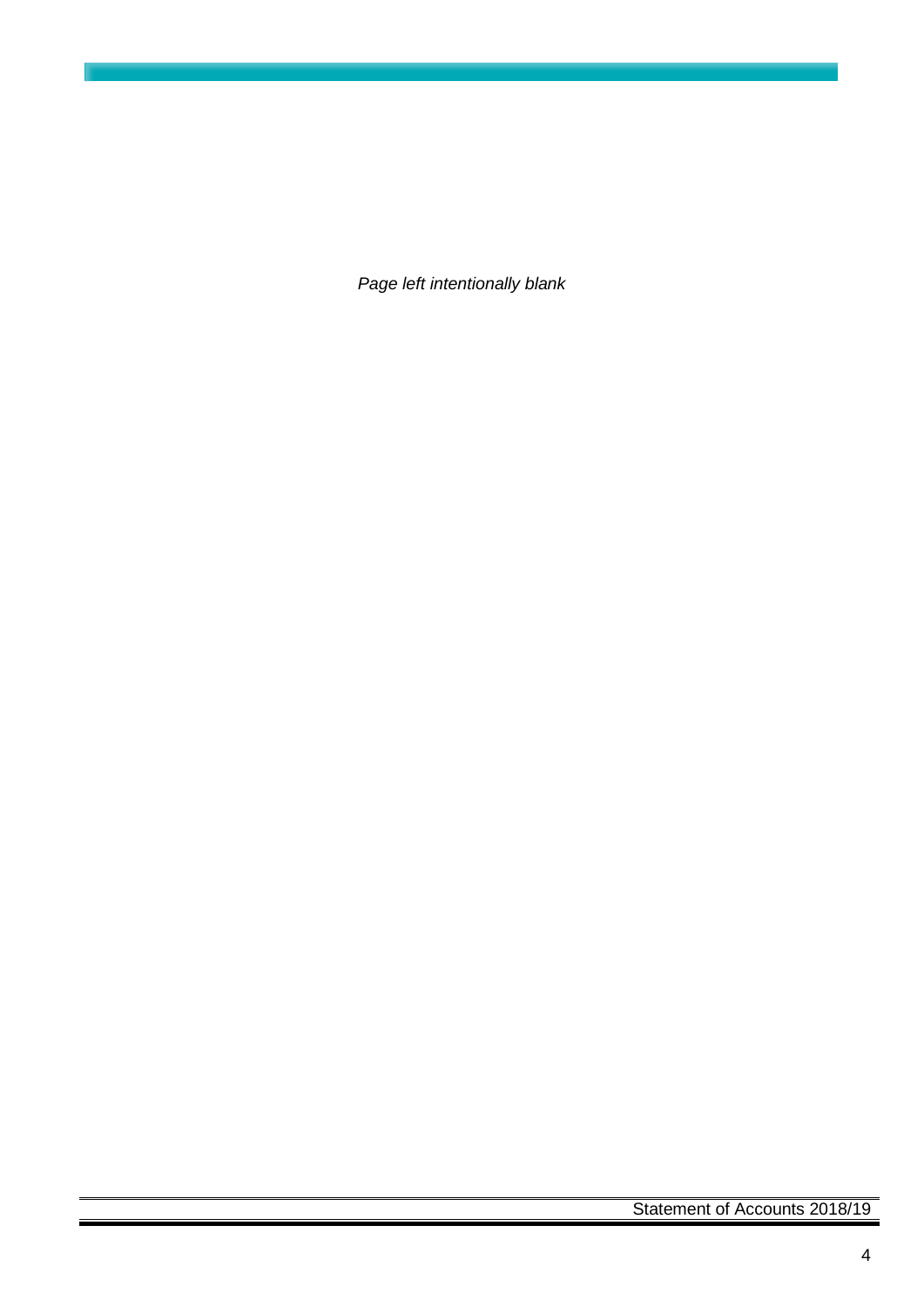*Page left intentionally blank*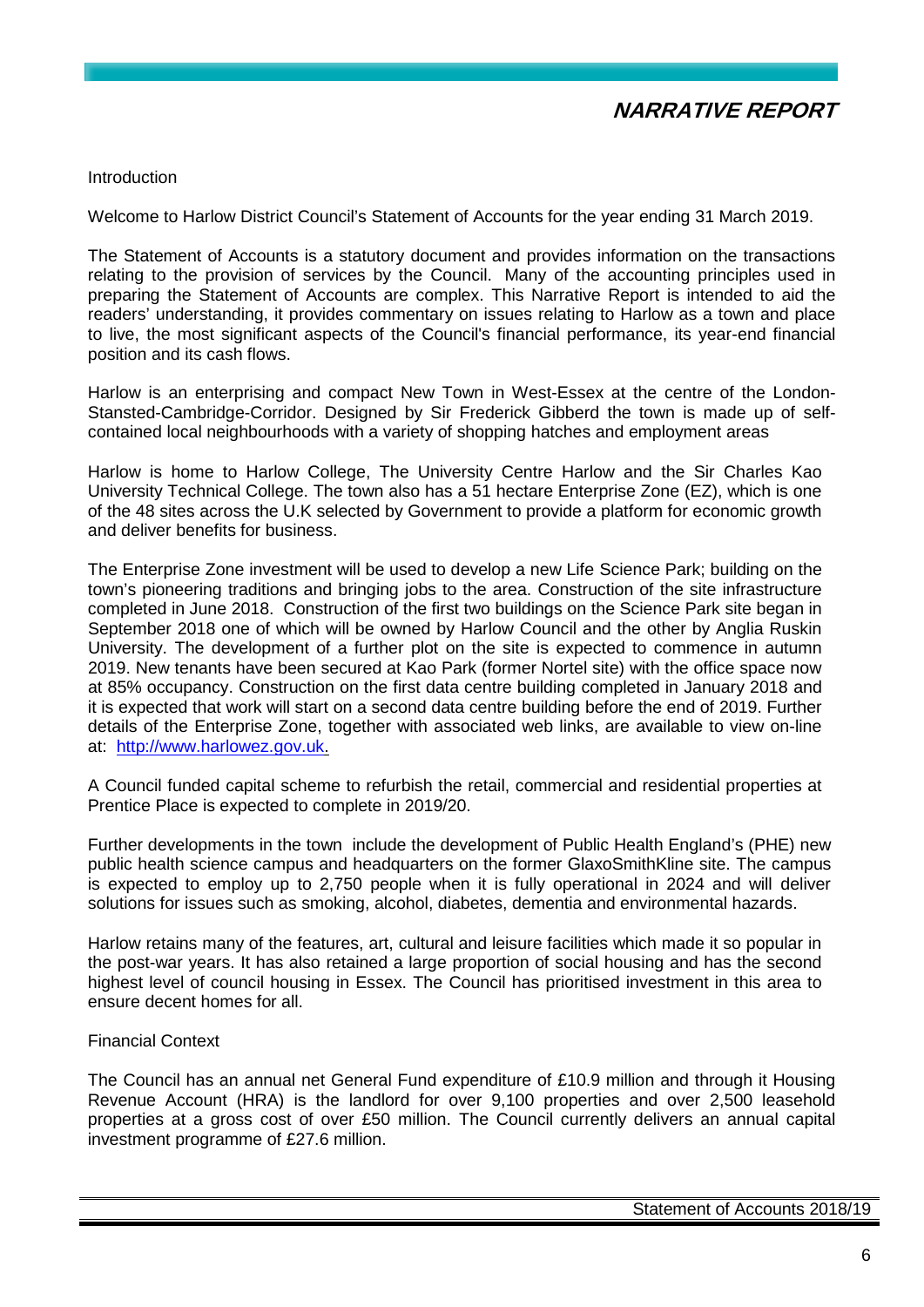## Introduction

Welcome to Harlow District Council's Statement of Accounts for the year ending 31 March 2019.

The Statement of Accounts is a statutory document and provides information on the transactions relating to the provision of services by the Council. Many of the accounting principles used in preparing the Statement of Accounts are complex. This Narrative Report is intended to aid the readers' understanding, it provides commentary on issues relating to Harlow as a town and place to live, the most significant aspects of the Council's financial performance, its year-end financial position and its cash flows.

Harlow is an enterprising and compact New Town in West-Essex at the centre of the London-Stansted-Cambridge-Corridor. Designed by Sir Frederick Gibberd the town is made up of selfcontained local neighbourhoods with a variety of shopping hatches and employment areas

Harlow is home to Harlow College, The University Centre Harlow and the Sir Charles Kao University Technical College. The town also has a 51 hectare Enterprise Zone (EZ), which is one of the 48 sites across the U.K selected by Government to provide a platform for economic growth and deliver benefits for business.

The Enterprise Zone investment will be used to develop a new Life Science Park; building on the town's pioneering traditions and bringing jobs to the area. Construction of the site infrastructure completed in June 2018. Construction of the first two buildings on the Science Park site began in September 2018 one of which will be owned by Harlow Council and the other by Anglia Ruskin University. The development of a further plot on the site is expected to commence in autumn 2019. New tenants have been secured at Kao Park (former Nortel site) with the office space now at 85% occupancy. Construction on the first data centre building completed in January 2018 and it is expected that work will start on a second data centre building before the end of 2019. Further details of the Enterprise Zone, together with associated web links, are available to view on-line at: [http://www.harlowez.gov.uk.](http://www.harlowez.gov.uk/)

A Council funded capital scheme to refurbish the retail, commercial and residential properties at Prentice Place is expected to complete in 2019/20.

Further developments in the town include the development of Public Health England's (PHE) new public health science campus and headquarters on the former GlaxoSmithKline site. The campus is expected to employ up to 2,750 people when it is fully operational in 2024 and will deliver solutions for issues such as smoking, alcohol, diabetes, dementia and environmental hazards.

Harlow retains many of the features, art, cultural and leisure facilities which made it so popular in the post-war years. It has also retained a large proportion of social housing and has the second highest level of council housing in Essex. The Council has prioritised investment in this area to ensure decent homes for all.

## Financial Context

The Council has an annual net General Fund expenditure of £10.9 million and through it Housing Revenue Account (HRA) is the landlord for over 9,100 properties and over 2,500 leasehold properties at a gross cost of over £50 million. The Council currently delivers an annual capital investment programme of £27.6 million.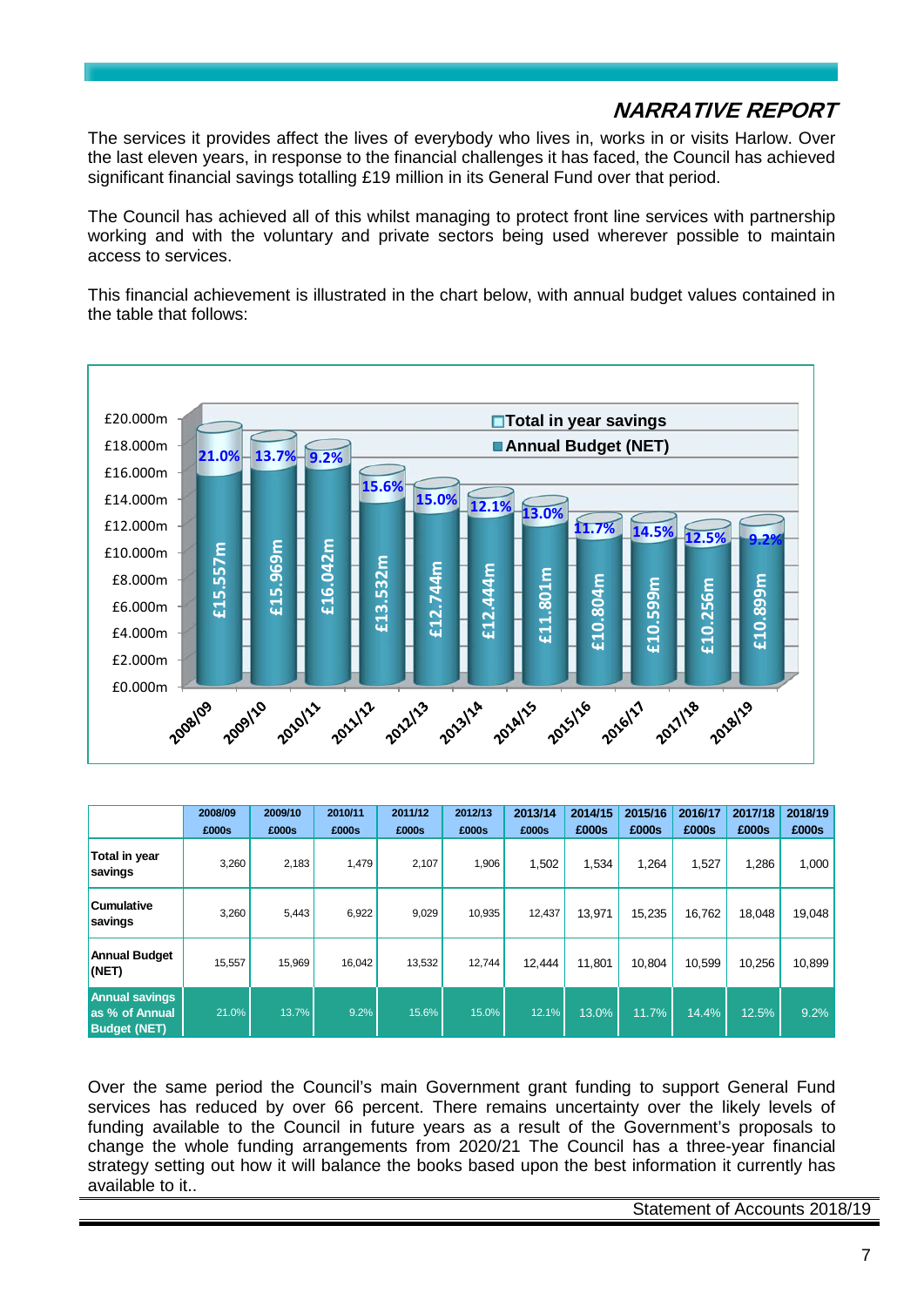The services it provides affect the lives of everybody who lives in, works in or visits Harlow. Over the last eleven years, in response to the financial challenges it has faced, the Council has achieved significant financial savings totalling £19 million in its General Fund over that period.

The Council has achieved all of this whilst managing to protect front line services with partnership working and with the voluntary and private sectors being used wherever possible to maintain access to services.

This financial achievement is illustrated in the chart below, with annual budget values contained in the table that follows:



|                                                                | 2008/09 | 2009/10 | 2010/11 | 2011/12 | 2012/13 | 2013/14 | 2014/15 | 2015/16 | 2016/17 | 2017/18 | 2018/19 |
|----------------------------------------------------------------|---------|---------|---------|---------|---------|---------|---------|---------|---------|---------|---------|
|                                                                | £000s   | £000s   | £000s   | £000s   | £000s   | £000s   | £000s   | £000s   | £000s   | £000s   | £000s   |
| Total in year<br>savings                                       | 3,260   | 2,183   | 1,479   | 2,107   | 1,906   | 1,502   | 1,534   | 1,264   | 1,527   | 1,286   | 1,000   |
| <b>Cumulative</b><br>savings                                   | 3,260   | 5,443   | 6,922   | 9,029   | 10,935  | 12,437  | 13.971  | 15.235  | 16,762  | 18,048  | 19,048  |
| <b>Annual Budget</b><br>(NET)                                  | 15,557  | 15,969  | 16,042  | 13,532  | 12.744  | 12.444  | 11,801  | 10,804  | 10,599  | 10,256  | 10,899  |
| <b>Annual savings</b><br>as % of Annual<br><b>Budget (NET)</b> | 21.0%   | 13.7%   | 9.2%    | 15.6%   | 15.0%   | 12.1%   | 13.0%   | 11.7%   | 14.4%   | 12.5%   | 9.2%    |

Over the same period the Council's main Government grant funding to support General Fund services has reduced by over 66 percent. There remains uncertainty over the likely levels of funding available to the Council in future years as a result of the Government's proposals to change the whole funding arrangements from 2020/21 The Council has a three-year financial strategy setting out how it will balance the books based upon the best information it currently has available to it..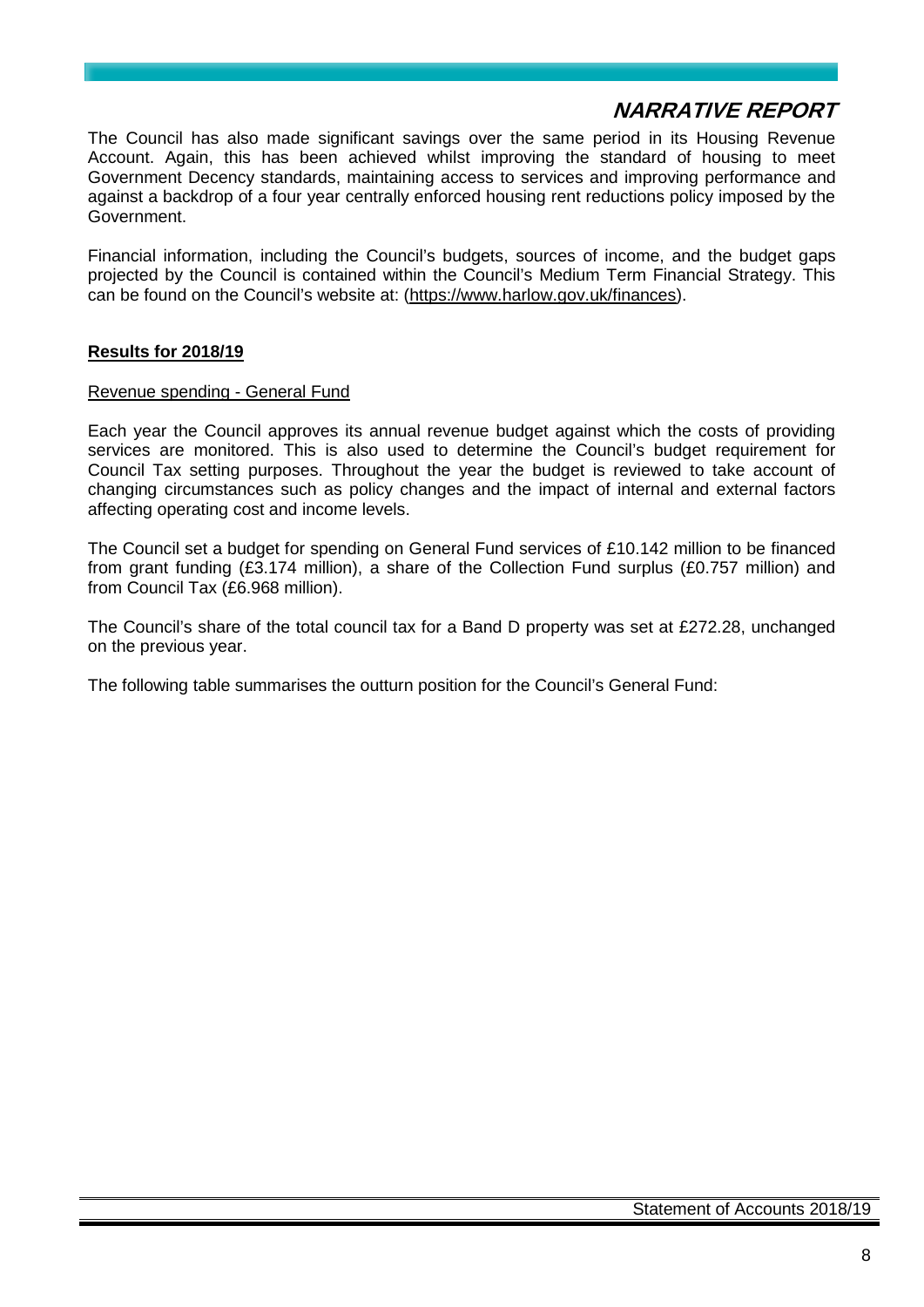The Council has also made significant savings over the same period in its Housing Revenue Account. Again, this has been achieved whilst improving the standard of housing to meet Government Decency standards, maintaining access to services and improving performance and against a backdrop of a four year centrally enforced housing rent reductions policy imposed by the Government.

Financial information, including the Council's budgets, sources of income, and the budget gaps projected by the Council is contained within the Council's Medium Term Financial Strategy. This can be found on the Council's website at: [\(https://www.harlow.gov.uk/finances\)](https://www.harlow.gov.uk/finances).

## **Results for 2018/19**

#### Revenue spending - General Fund

Each year the Council approves its annual revenue budget against which the costs of providing services are monitored. This is also used to determine the Council's budget requirement for Council Tax setting purposes. Throughout the year the budget is reviewed to take account of changing circumstances such as policy changes and the impact of internal and external factors affecting operating cost and income levels.

The Council set a budget for spending on General Fund services of £10.142 million to be financed from grant funding (£3.174 million), a share of the Collection Fund surplus (£0.757 million) and from Council Tax (£6.968 million).

The Council's share of the total council tax for a Band D property was set at £272.28, unchanged on the previous year.

The following table summarises the outturn position for the Council's General Fund: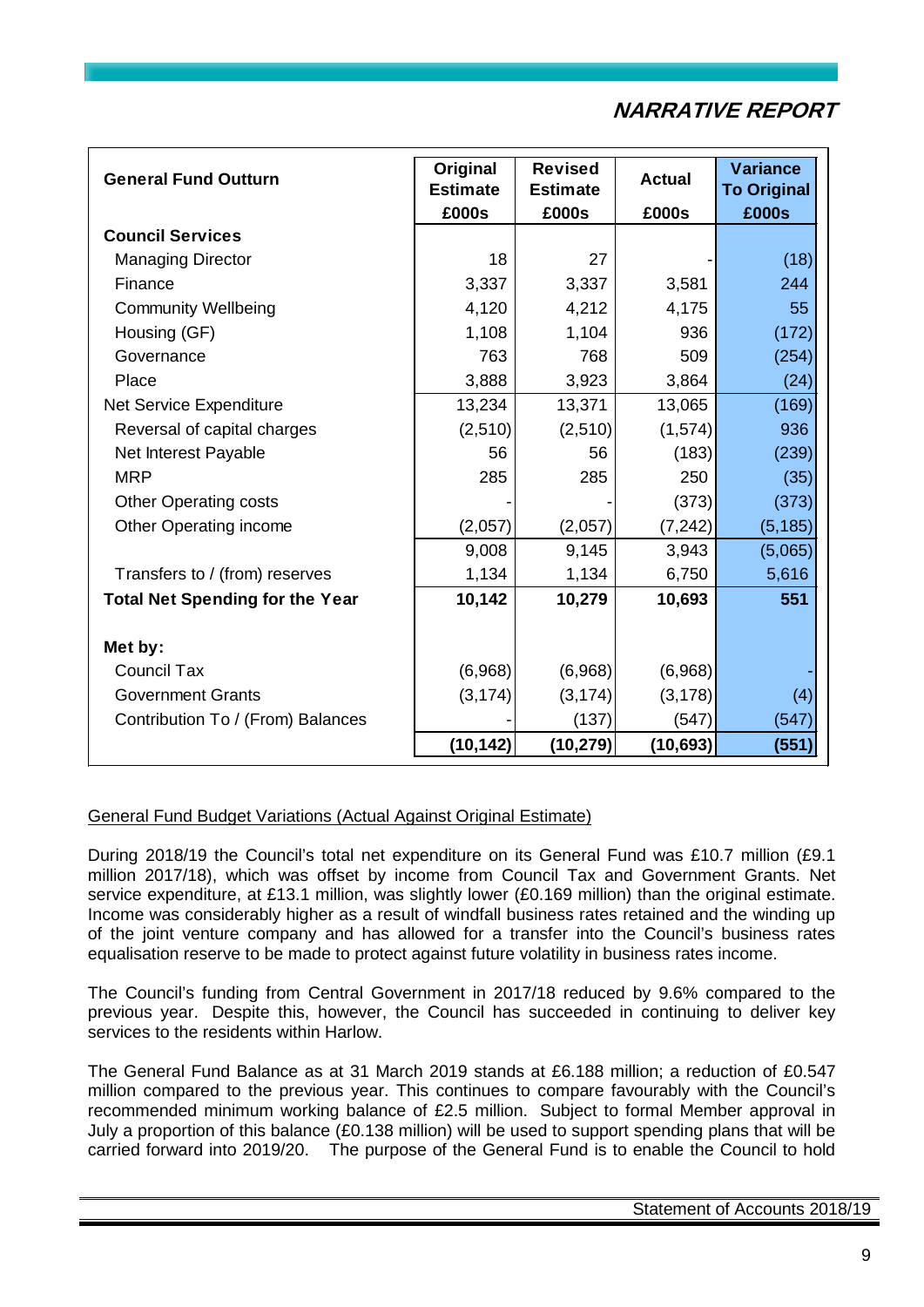| <b>General Fund Outturn</b>            | Original<br><b>Estimate</b> | <b>Revised</b><br><b>Estimate</b> | <b>Actual</b> | <b>Variance</b><br><b>To Original</b> |  |
|----------------------------------------|-----------------------------|-----------------------------------|---------------|---------------------------------------|--|
|                                        | £000s                       | £000s                             | £000s         | £000s                                 |  |
| <b>Council Services</b>                |                             |                                   |               |                                       |  |
| <b>Managing Director</b>               | 18                          | 27                                |               | (18)                                  |  |
| Finance                                | 3,337                       | 3,337                             | 3,581         | 244                                   |  |
| <b>Community Wellbeing</b>             | 4,120                       | 4,212                             | 4,175         | 55                                    |  |
| Housing (GF)                           | 1,108                       | 1,104                             | 936           | (172)                                 |  |
| Governance                             | 763                         | 768                               | 509           | (254)                                 |  |
| Place                                  | 3,888                       | 3,923                             | 3,864         | (24)                                  |  |
| Net Service Expenditure                | 13,234                      | 13,371                            | 13,065        | (169)                                 |  |
| Reversal of capital charges            | (2,510)                     | (2,510)                           | (1, 574)      | 936                                   |  |
| Net Interest Payable                   | 56                          | 56                                | (183)         | (239)                                 |  |
| <b>MRP</b>                             | 285                         | 285                               | 250           | (35)                                  |  |
| <b>Other Operating costs</b>           |                             |                                   | (373)         | (373)                                 |  |
| Other Operating income                 | (2,057)                     | (2,057)                           | (7, 242)      | (5, 185)                              |  |
|                                        | 9,008                       | 9,145                             | 3,943         | (5,065)                               |  |
| Transfers to / (from) reserves         | 1,134                       | 1,134                             | 6,750         | 5,616                                 |  |
| <b>Total Net Spending for the Year</b> | 10,142                      | 10,279                            | 10,693        | 551                                   |  |
|                                        |                             |                                   |               |                                       |  |
| Met by:                                |                             |                                   |               |                                       |  |
| <b>Council Tax</b>                     | (6,968)                     | (6,968)                           | (6,968)       |                                       |  |
| <b>Government Grants</b>               | (3, 174)                    | (3, 174)                          | (3, 178)      | (4)                                   |  |
| Contribution To / (From) Balances      |                             | (137)                             | (547)         | (547)                                 |  |
|                                        | (10, 142)                   | (10, 279)                         | (10, 693)     | (551)                                 |  |

## General Fund Budget Variations (Actual Against Original Estimate)

During 2018/19 the Council's total net expenditure on its General Fund was £10.7 million (£9.1 million 2017/18), which was offset by income from Council Tax and Government Grants. Net service expenditure, at £13.1 million, was slightly lower (£0.169 million) than the original estimate. Income was considerably higher as a result of windfall business rates retained and the winding up of the joint venture company and has allowed for a transfer into the Council's business rates equalisation reserve to be made to protect against future volatility in business rates income.

The Council's funding from Central Government in 2017/18 reduced by 9.6% compared to the previous year. Despite this, however, the Council has succeeded in continuing to deliver key services to the residents within Harlow.

The General Fund Balance as at 31 March 2019 stands at £6.188 million; a reduction of £0.547 million compared to the previous year. This continues to compare favourably with the Council's recommended minimum working balance of £2.5 million. Subject to formal Member approval in July a proportion of this balance (£0.138 million) will be used to support spending plans that will be carried forward into 2019/20. The purpose of the General Fund is to enable the Council to hold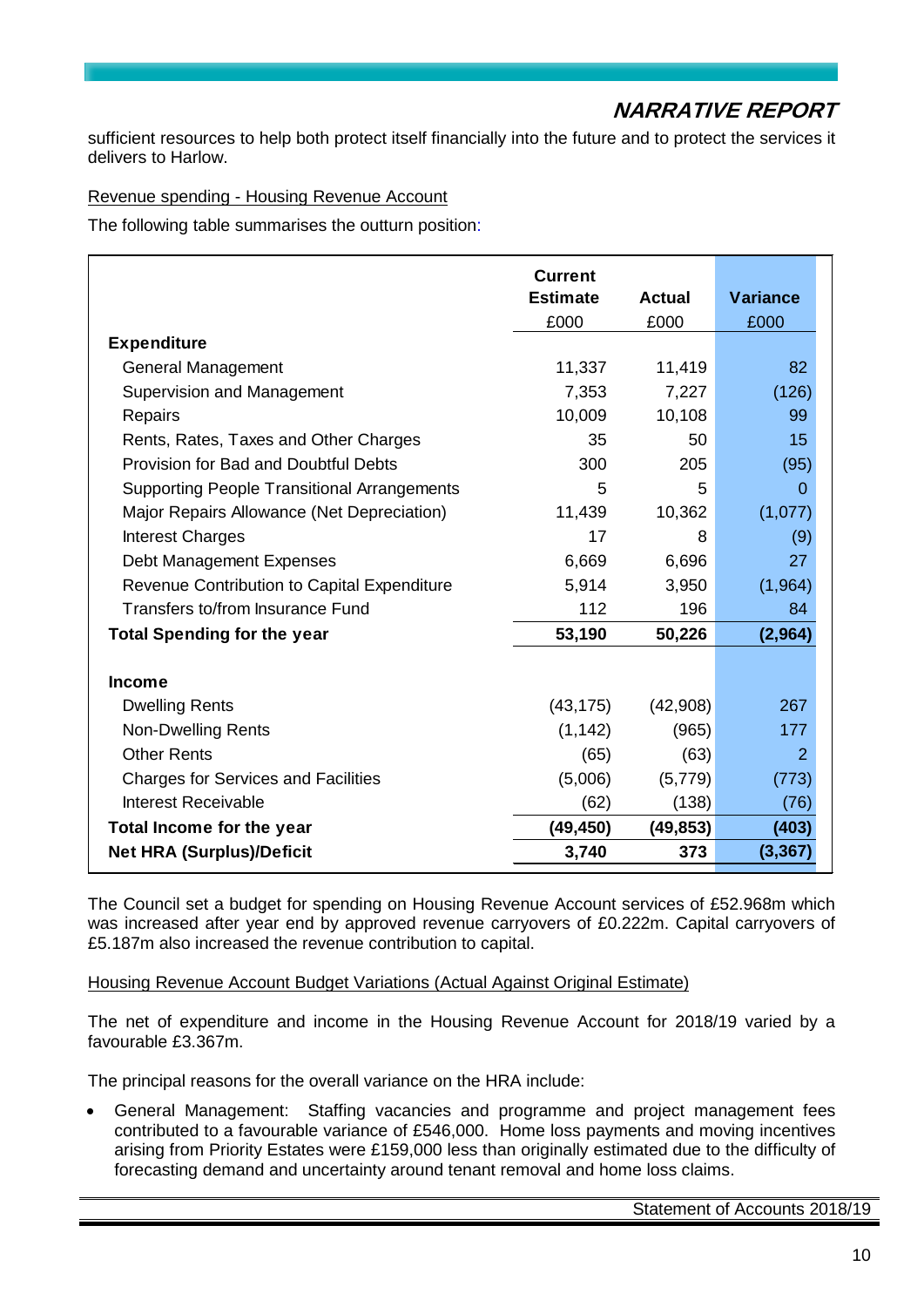sufficient resources to help both protect itself financially into the future and to protect the services it delivers to Harlow.

## Revenue spending - Housing Revenue Account

The following table summarises the outturn position:

|                                                    | <b>Current</b>  |               |                 |
|----------------------------------------------------|-----------------|---------------|-----------------|
|                                                    | <b>Estimate</b> | <b>Actual</b> | <b>Variance</b> |
|                                                    | £000            | £000          | £000            |
| <b>Expenditure</b>                                 |                 |               |                 |
| <b>General Management</b>                          | 11,337          | 11,419        | 82              |
| Supervision and Management                         | 7,353           | 7,227         | (126)           |
| Repairs                                            | 10,009          | 10,108        | 99              |
| Rents, Rates, Taxes and Other Charges              | 35              | 50            | 15              |
| Provision for Bad and Doubtful Debts               | 300             | 205           | (95)            |
| <b>Supporting People Transitional Arrangements</b> | 5               | 5             | 0               |
| Major Repairs Allowance (Net Depreciation)         | 11,439          | 10,362        | (1,077)         |
| <b>Interest Charges</b>                            | 17              | 8             | (9)             |
| Debt Management Expenses                           | 6,669           | 6,696         | 27              |
| Revenue Contribution to Capital Expenditure        | 5,914           | 3,950         | (1, 964)        |
| Transfers to/from Insurance Fund                   | 112             | 196           | 84              |
| <b>Total Spending for the year</b>                 | 53,190          | 50,226        | (2,964)         |
| <b>Income</b>                                      |                 |               |                 |
| <b>Dwelling Rents</b>                              | (43, 175)       | (42,908)      | 267             |
| <b>Non-Dwelling Rents</b>                          | (1, 142)        | (965)         | 177             |
| <b>Other Rents</b>                                 | (65)            | (63)          | $\overline{2}$  |
| <b>Charges for Services and Facilities</b>         | (5,006)         | (5,779)       | (773)           |
| <b>Interest Receivable</b>                         | (62)            | (138)         | (76)            |
| Total Income for the year                          | (49, 450)       | (49, 853)     | (403)           |
| <b>Net HRA (Surplus)/Deficit</b>                   | 3,740           | 373           | (3, 367)        |

The Council set a budget for spending on Housing Revenue Account services of £52.968m which was increased after year end by approved revenue carryovers of £0.222m. Capital carryovers of £5.187m also increased the revenue contribution to capital.

Housing Revenue Account Budget Variations (Actual Against Original Estimate)

The net of expenditure and income in the Housing Revenue Account for 2018/19 varied by a favourable £3.367m.

The principal reasons for the overall variance on the HRA include:

• General Management: Staffing vacancies and programme and project management fees contributed to a favourable variance of £546,000. Home loss payments and moving incentives arising from Priority Estates were £159,000 less than originally estimated due to the difficulty of forecasting demand and uncertainty around tenant removal and home loss claims.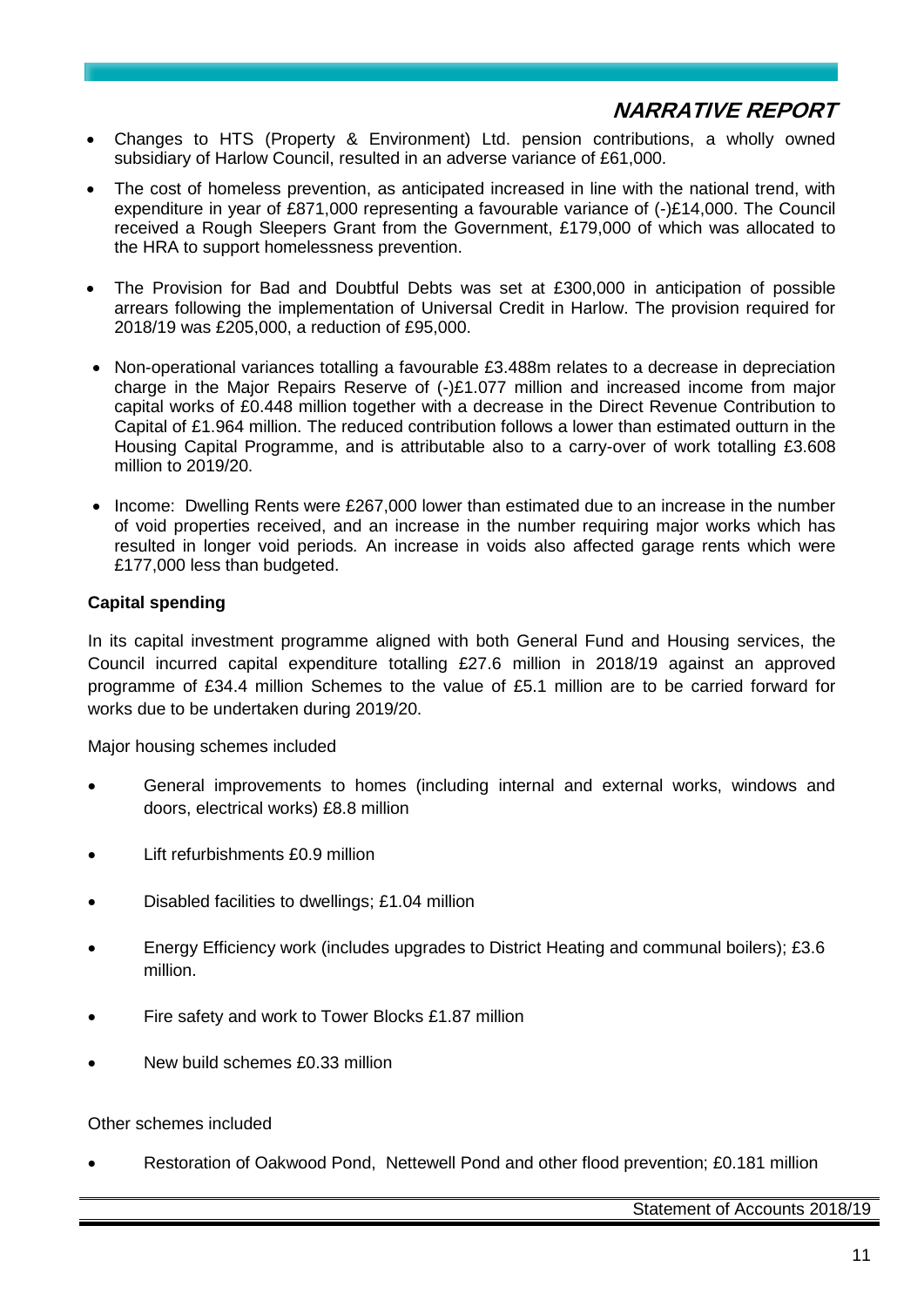- Changes to HTS (Property & Environment) Ltd. pension contributions, a wholly owned subsidiary of Harlow Council, resulted in an adverse variance of £61,000.
- The cost of homeless prevention, as anticipated increased in line with the national trend, with expenditure in year of £871,000 representing a favourable variance of (-)£14,000. The Council received a Rough Sleepers Grant from the Government, £179,000 of which was allocated to the HRA to support homelessness prevention.
- The Provision for Bad and Doubtful Debts was set at £300,000 in anticipation of possible arrears following the implementation of Universal Credit in Harlow. The provision required for 2018/19 was £205,000, a reduction of £95,000.
- Non-operational variances totalling a favourable £3.488m relates to a decrease in depreciation charge in the Major Repairs Reserve of (-)£1.077 million and increased income from major capital works of £0.448 million together with a decrease in the Direct Revenue Contribution to Capital of £1.964 million. The reduced contribution follows a lower than estimated outturn in the Housing Capital Programme, and is attributable also to a carry-over of work totalling £3.608 million to 2019/20.
- Income: Dwelling Rents were £267,000 lower than estimated due to an increase in the number of void properties received, and an increase in the number requiring major works which has resulted in longer void periods*.* An increase in voids also affected garage rents which were £177,000 less than budgeted.

## **Capital spending**

In its capital investment programme aligned with both General Fund and Housing services, the Council incurred capital expenditure totalling £27.6 million in 2018/19 against an approved programme of £34.4 million Schemes to the value of £5.1 million are to be carried forward for works due to be undertaken during 2019/20.

Major housing schemes included

- General improvements to homes (including internal and external works, windows and doors, electrical works) £8.8 million
- Lift refurbishments £0.9 million
- Disabled facilities to dwellings; £1.04 million
- Energy Efficiency work (includes upgrades to District Heating and communal boilers); £3.6 million.
- Fire safety and work to Tower Blocks £1.87 million
- New build schemes £0.33 million

## Other schemes included

• Restoration of Oakwood Pond, Nettewell Pond and other flood prevention; £0.181 million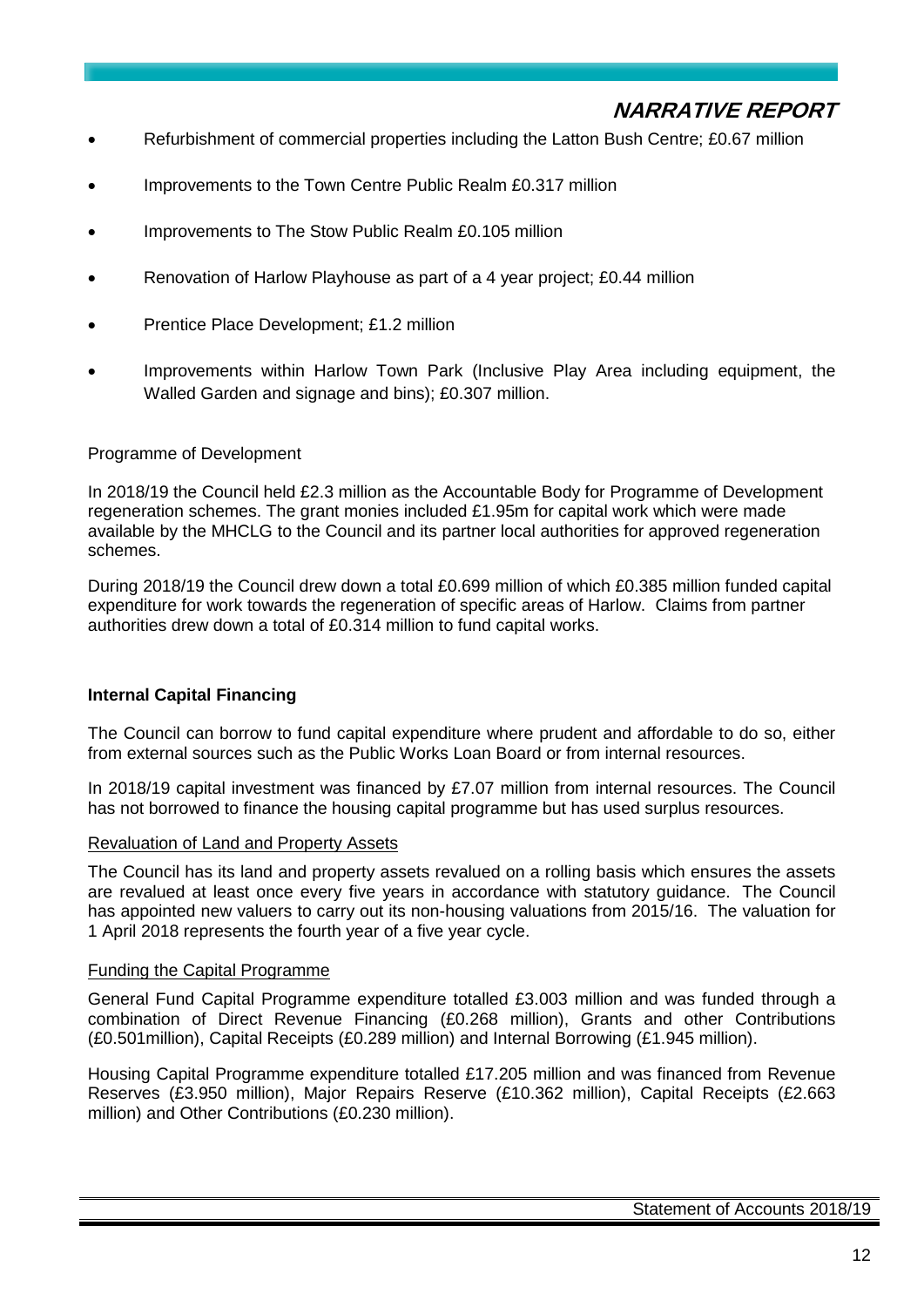- Refurbishment of commercial properties including the Latton Bush Centre; £0.67 million
- Improvements to the Town Centre Public Realm £0.317 million
- Improvements to The Stow Public Realm £0.105 million
- Renovation of Harlow Playhouse as part of a 4 year project; £0.44 million
- Prentice Place Development; £1.2 million
- Improvements within Harlow Town Park (Inclusive Play Area including equipment, the Walled Garden and signage and bins); £0.307 million.

## Programme of Development

In 2018/19 the Council held £2.3 million as the Accountable Body for Programme of Development regeneration schemes. The grant monies included £1.95m for capital work which were made available by the MHCLG to the Council and its partner local authorities for approved regeneration schemes.

During 2018/19 the Council drew down a total £0.699 million of which £0.385 million funded capital expenditure for work towards the regeneration of specific areas of Harlow. Claims from partner authorities drew down a total of £0.314 million to fund capital works.

## **Internal Capital Financing**

The Council can borrow to fund capital expenditure where prudent and affordable to do so, either from external sources such as the Public Works Loan Board or from internal resources.

In 2018/19 capital investment was financed by £7.07 million from internal resources. The Council has not borrowed to finance the housing capital programme but has used surplus resources.

#### Revaluation of Land and Property Assets

The Council has its land and property assets revalued on a rolling basis which ensures the assets are revalued at least once every five years in accordance with statutory guidance. The Council has appointed new valuers to carry out its non-housing valuations from 2015/16. The valuation for 1 April 2018 represents the fourth year of a five year cycle.

#### Funding the Capital Programme

General Fund Capital Programme expenditure totalled £3.003 million and was funded through a combination of Direct Revenue Financing (£0.268 million), Grants and other Contributions (£0.501million), Capital Receipts (£0.289 million) and Internal Borrowing (£1.945 million).

Housing Capital Programme expenditure totalled £17.205 million and was financed from Revenue Reserves (£3.950 million), Major Repairs Reserve (£10.362 million), Capital Receipts (£2.663 million) and Other Contributions (£0.230 million).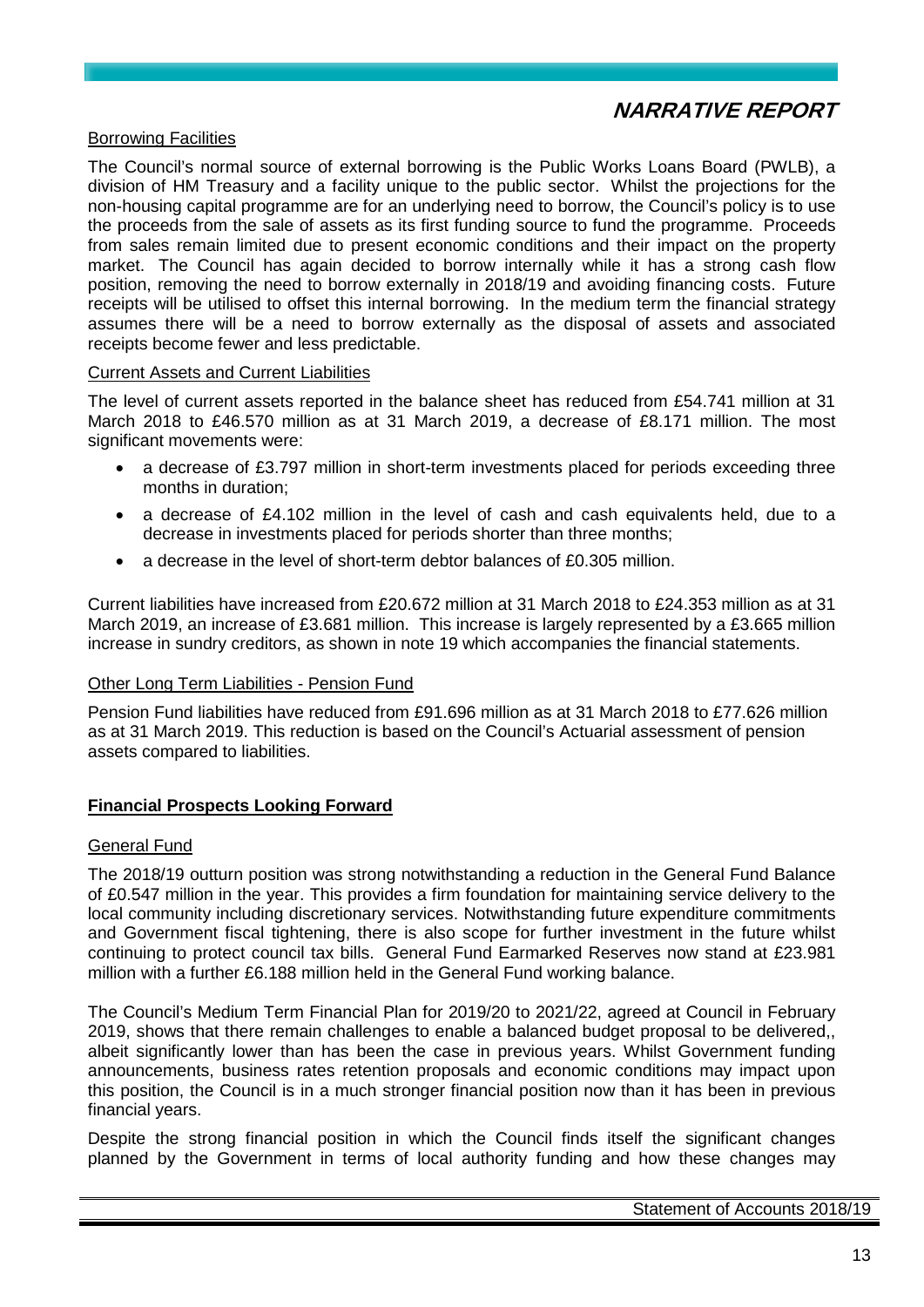## Borrowing Facilities

The Council's normal source of external borrowing is the Public Works Loans Board (PWLB), a division of HM Treasury and a facility unique to the public sector. Whilst the projections for the non-housing capital programme are for an underlying need to borrow, the Council's policy is to use the proceeds from the sale of assets as its first funding source to fund the programme. Proceeds from sales remain limited due to present economic conditions and their impact on the property market. The Council has again decided to borrow internally while it has a strong cash flow position, removing the need to borrow externally in 2018/19 and avoiding financing costs. Future receipts will be utilised to offset this internal borrowing. In the medium term the financial strategy assumes there will be a need to borrow externally as the disposal of assets and associated receipts become fewer and less predictable.

#### Current Assets and Current Liabilities

The level of current assets reported in the balance sheet has reduced from £54.741 million at 31 March 2018 to £46.570 million as at 31 March 2019, a decrease of £8.171 million. The most significant movements were:

- a decrease of £3.797 million in short-term investments placed for periods exceeding three months in duration;
- a decrease of £4.102 million in the level of cash and cash equivalents held, due to a decrease in investments placed for periods shorter than three months;
- a decrease in the level of short-term debtor balances of £0.305 million.

Current liabilities have increased from £20.672 million at 31 March 2018 to £24.353 million as at 31 March 2019, an increase of £3.681 million. This increase is largely represented by a £3.665 million increase in sundry creditors, as shown in note 19 which accompanies the financial statements.

## Other Long Term Liabilities - Pension Fund

Pension Fund liabilities have reduced from £91.696 million as at 31 March 2018 to £77.626 million as at 31 March 2019. This reduction is based on the Council's Actuarial assessment of pension assets compared to liabilities.

## **Financial Prospects Looking Forward**

## General Fund

The 2018/19 outturn position was strong notwithstanding a reduction in the General Fund Balance of £0.547 million in the year. This provides a firm foundation for maintaining service delivery to the local community including discretionary services. Notwithstanding future expenditure commitments and Government fiscal tightening, there is also scope for further investment in the future whilst continuing to protect council tax bills. General Fund Earmarked Reserves now stand at £23.981 million with a further £6.188 million held in the General Fund working balance.

The Council's Medium Term Financial Plan for 2019/20 to 2021/22, agreed at Council in February 2019, shows that there remain challenges to enable a balanced budget proposal to be delivered,, albeit significantly lower than has been the case in previous years. Whilst Government funding announcements, business rates retention proposals and economic conditions may impact upon this position, the Council is in a much stronger financial position now than it has been in previous financial years.

Despite the strong financial position in which the Council finds itself the significant changes planned by the Government in terms of local authority funding and how these changes may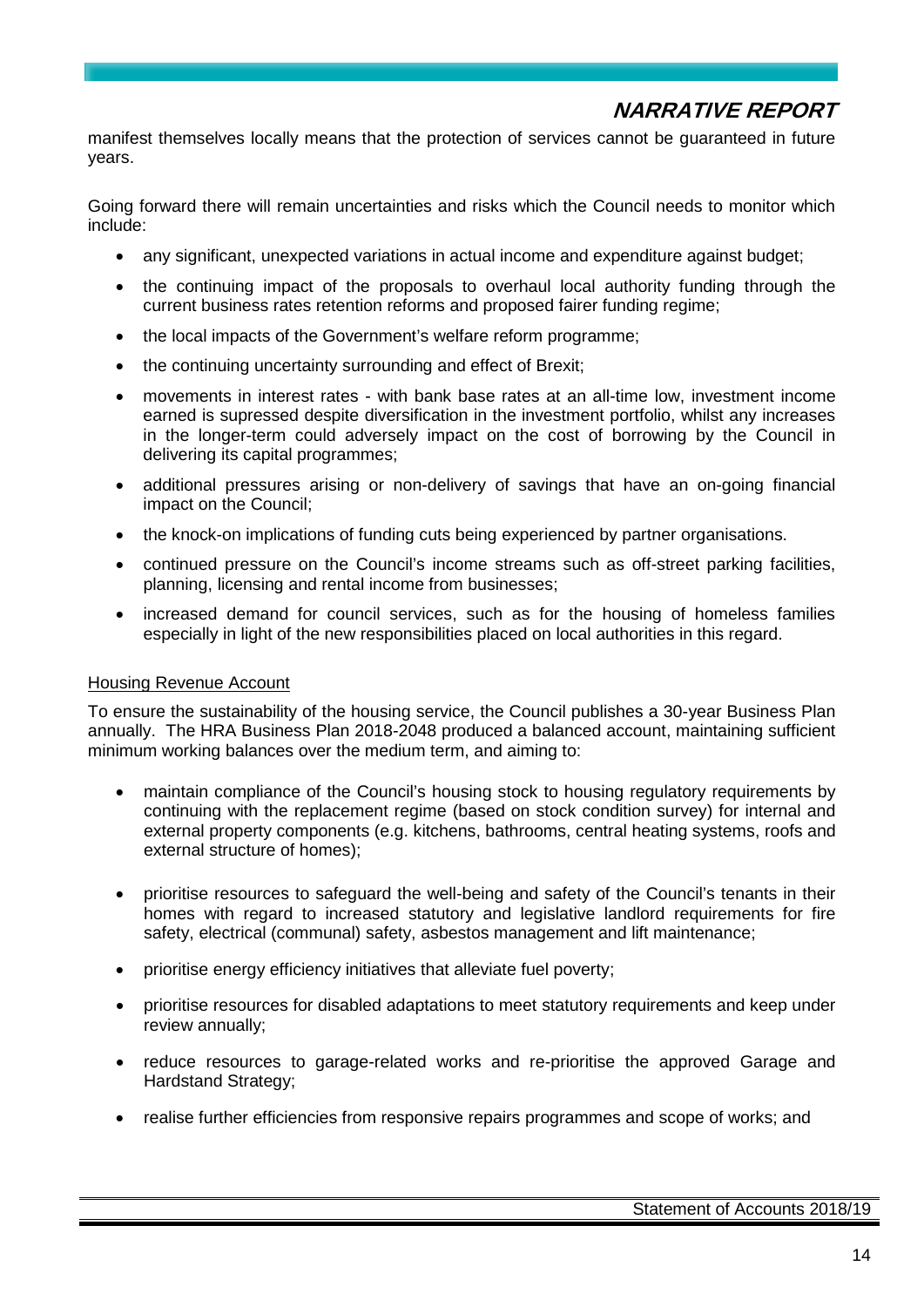manifest themselves locally means that the protection of services cannot be guaranteed in future years.

Going forward there will remain uncertainties and risks which the Council needs to monitor which include:

- any significant, unexpected variations in actual income and expenditure against budget;
- the continuing impact of the proposals to overhaul local authority funding through the current business rates retention reforms and proposed fairer funding regime;
- the local impacts of the Government's welfare reform programme;
- the continuing uncertainty surrounding and effect of Brexit:
- movements in interest rates with bank base rates at an all-time low, investment income earned is supressed despite diversification in the investment portfolio, whilst any increases in the longer-term could adversely impact on the cost of borrowing by the Council in delivering its capital programmes;
- additional pressures arising or non-delivery of savings that have an on-going financial impact on the Council;
- the knock-on implications of funding cuts being experienced by partner organisations.
- continued pressure on the Council's income streams such as off-street parking facilities, planning, licensing and rental income from businesses;
- increased demand for council services, such as for the housing of homeless families especially in light of the new responsibilities placed on local authorities in this regard.

## Housing Revenue Account

To ensure the sustainability of the housing service, the Council publishes a 30-year Business Plan annually. The HRA Business Plan 2018-2048 produced a balanced account, maintaining sufficient minimum working balances over the medium term, and aiming to:

- maintain compliance of the Council's housing stock to housing regulatory requirements by continuing with the replacement regime (based on stock condition survey) for internal and external property components (e.g. kitchens, bathrooms, central heating systems, roofs and external structure of homes);
- prioritise resources to safeguard the well-being and safety of the Council's tenants in their homes with regard to increased statutory and legislative landlord requirements for fire safety, electrical (communal) safety, asbestos management and lift maintenance;
- prioritise energy efficiency initiatives that alleviate fuel poverty;
- prioritise resources for disabled adaptations to meet statutory requirements and keep under review annually;
- reduce resources to garage-related works and re-prioritise the approved Garage and Hardstand Strategy;
- realise further efficiencies from responsive repairs programmes and scope of works; and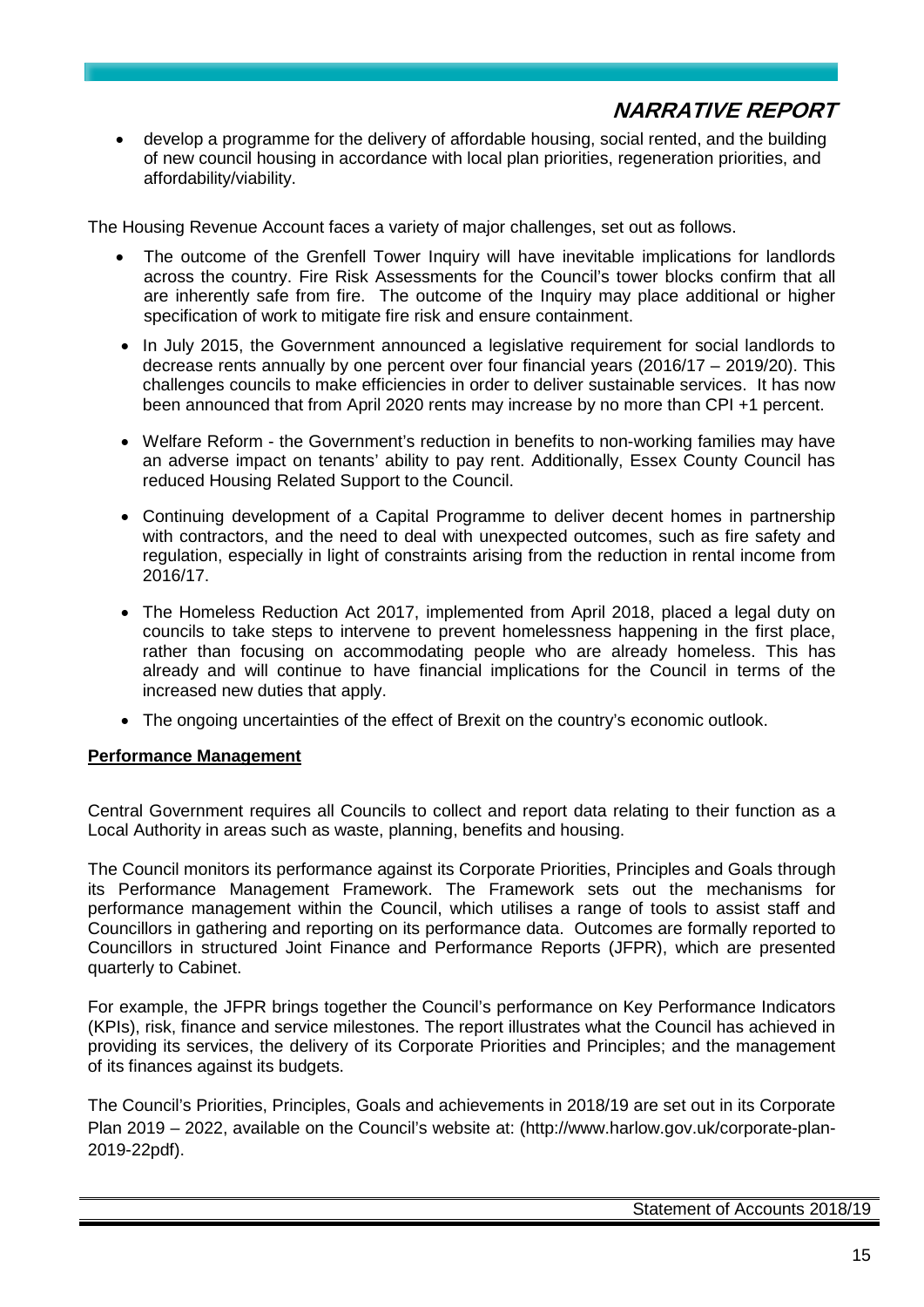• develop a programme for the delivery of affordable housing, social rented, and the building of new council housing in accordance with local plan priorities, regeneration priorities, and affordability/viability.

The Housing Revenue Account faces a variety of major challenges, set out as follows.

- The outcome of the Grenfell Tower Inquiry will have inevitable implications for landlords across the country. Fire Risk Assessments for the Council's tower blocks confirm that all are inherently safe from fire. The outcome of the Inquiry may place additional or higher specification of work to mitigate fire risk and ensure containment.
- In July 2015, the Government announced a legislative requirement for social landlords to decrease rents annually by one percent over four financial years (2016/17 – 2019/20). This challenges councils to make efficiencies in order to deliver sustainable services. It has now been announced that from April 2020 rents may increase by no more than CPI +1 percent.
- Welfare Reform the Government's reduction in benefits to non-working families may have an adverse impact on tenants' ability to pay rent. Additionally, Essex County Council has reduced Housing Related Support to the Council.
- Continuing development of a Capital Programme to deliver decent homes in partnership with contractors, and the need to deal with unexpected outcomes, such as fire safety and regulation, especially in light of constraints arising from the reduction in rental income from 2016/17.
- The Homeless Reduction Act 2017, implemented from April 2018, placed a legal duty on councils to take steps to intervene to prevent homelessness happening in the first place, rather than focusing on accommodating people who are already homeless. This has already and will continue to have financial implications for the Council in terms of the increased new duties that apply.
- The ongoing uncertainties of the effect of Brexit on the country's economic outlook.

## **Performance Management**

Central Government requires all Councils to collect and report data relating to their function as a Local Authority in areas such as waste, planning, benefits and housing.

The Council monitors its performance against its Corporate Priorities, Principles and Goals through its Performance Management Framework. The Framework sets out the mechanisms for performance management within the Council, which utilises a range of tools to assist staff and Councillors in gathering and reporting on its performance data. Outcomes are formally reported to Councillors in structured Joint Finance and Performance Reports (JFPR), which are presented quarterly to Cabinet.

For example, the JFPR brings together the Council's performance on Key Performance Indicators (KPIs), risk, finance and service milestones. The report illustrates what the Council has achieved in providing its services, the delivery of its Corporate Priorities and Principles; and the management of its finances against its budgets.

The Council's Priorities, Principles, Goals and achievements in 2018/19 are set out in its Corporate Plan 2019 – 2022, available on the Council's website at: [\(http://www.harlow.gov.uk/corporate-plan-](http://www.harlow.gov.uk/corporate-plan-2019-22pdf)[2019-22pdf\)](http://www.harlow.gov.uk/corporate-plan-2019-22pdf).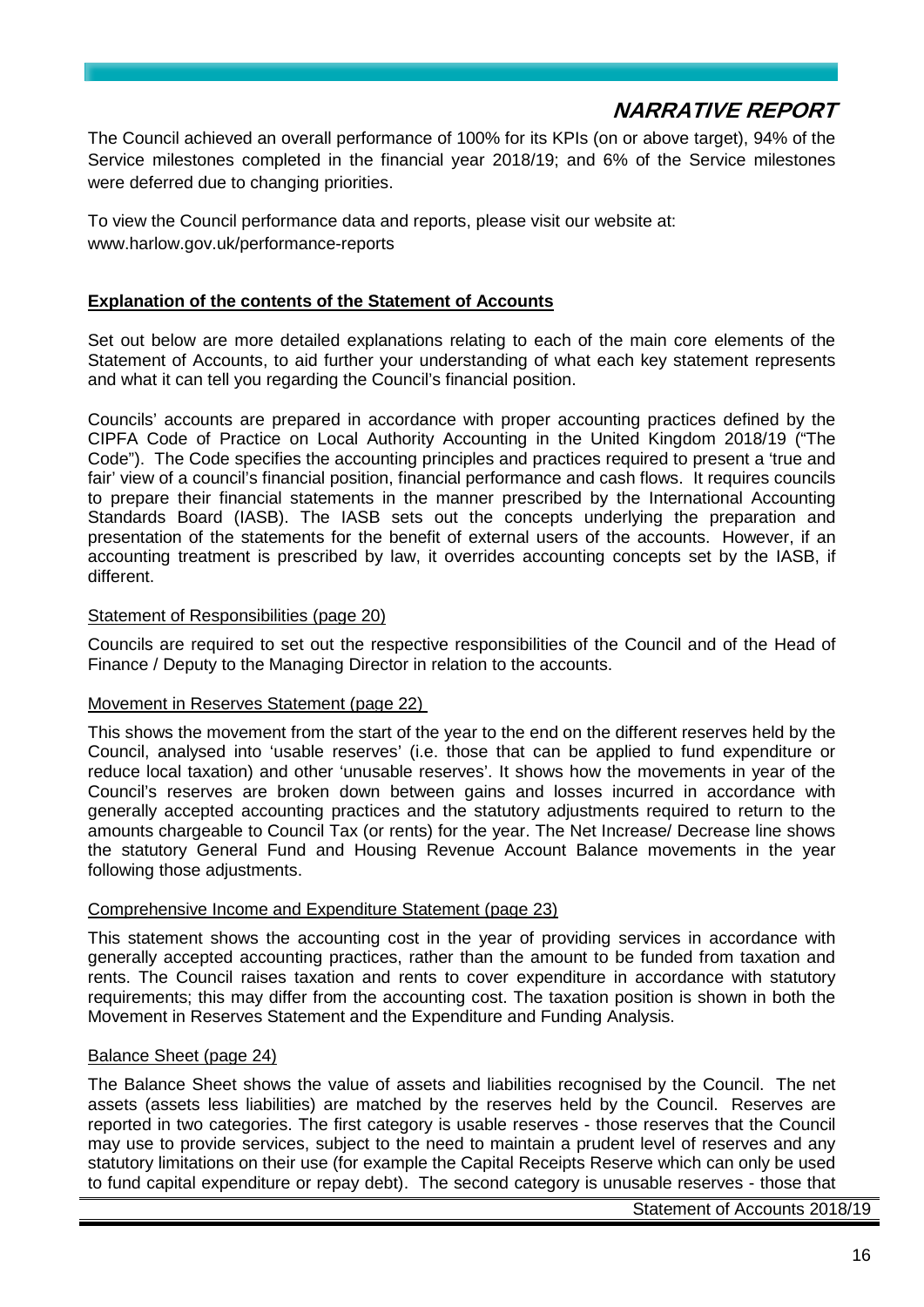The Council achieved an overall performance of 100% for its KPIs (on or above target), 94% of the Service milestones completed in the financial year 2018/19; and 6% of the Service milestones were deferred due to changing priorities.

To view the Council performance data and reports, please visit our website at: [www.harlow.gov.uk/performance-reports](http://www.harlow.gov.uk/performance-reports)

## **Explanation of the contents of the Statement of Accounts**

Set out below are more detailed explanations relating to each of the main core elements of the Statement of Accounts, to aid further your understanding of what each key statement represents and what it can tell you regarding the Council's financial position.

Councils' accounts are prepared in accordance with proper accounting practices defined by the CIPFA Code of Practice on Local Authority Accounting in the United Kingdom 2018/19 ("The Code"). The Code specifies the accounting principles and practices required to present a 'true and fair' view of a council's financial position, financial performance and cash flows. It requires councils to prepare their financial statements in the manner prescribed by the International Accounting Standards Board (IASB). The IASB sets out the concepts underlying the preparation and presentation of the statements for the benefit of external users of the accounts. However, if an accounting treatment is prescribed by law, it overrides accounting concepts set by the IASB, if different.

#### Statement of Responsibilities (page 20)

Councils are required to set out the respective responsibilities of the Council and of the Head of Finance / Deputy to the Managing Director in relation to the accounts.

#### Movement in Reserves Statement (page 22)

This shows the movement from the start of the year to the end on the different reserves held by the Council, analysed into 'usable reserves' (i.e. those that can be applied to fund expenditure or reduce local taxation) and other 'unusable reserves'. It shows how the movements in year of the Council's reserves are broken down between gains and losses incurred in accordance with generally accepted accounting practices and the statutory adjustments required to return to the amounts chargeable to Council Tax (or rents) for the year. The Net Increase/ Decrease line shows the statutory General Fund and Housing Revenue Account Balance movements in the year following those adjustments.

#### Comprehensive Income and Expenditure Statement (page 23)

This statement shows the accounting cost in the year of providing services in accordance with generally accepted accounting practices, rather than the amount to be funded from taxation and rents. The Council raises taxation and rents to cover expenditure in accordance with statutory requirements; this may differ from the accounting cost. The taxation position is shown in both the Movement in Reserves Statement and the Expenditure and Funding Analysis.

#### Balance Sheet (page 24)

The Balance Sheet shows the value of assets and liabilities recognised by the Council. The net assets (assets less liabilities) are matched by the reserves held by the Council. Reserves are reported in two categories. The first category is usable reserves - those reserves that the Council may use to provide services, subject to the need to maintain a prudent level of reserves and any statutory limitations on their use (for example the Capital Receipts Reserve which can only be used to fund capital expenditure or repay debt). The second category is unusable reserves - those that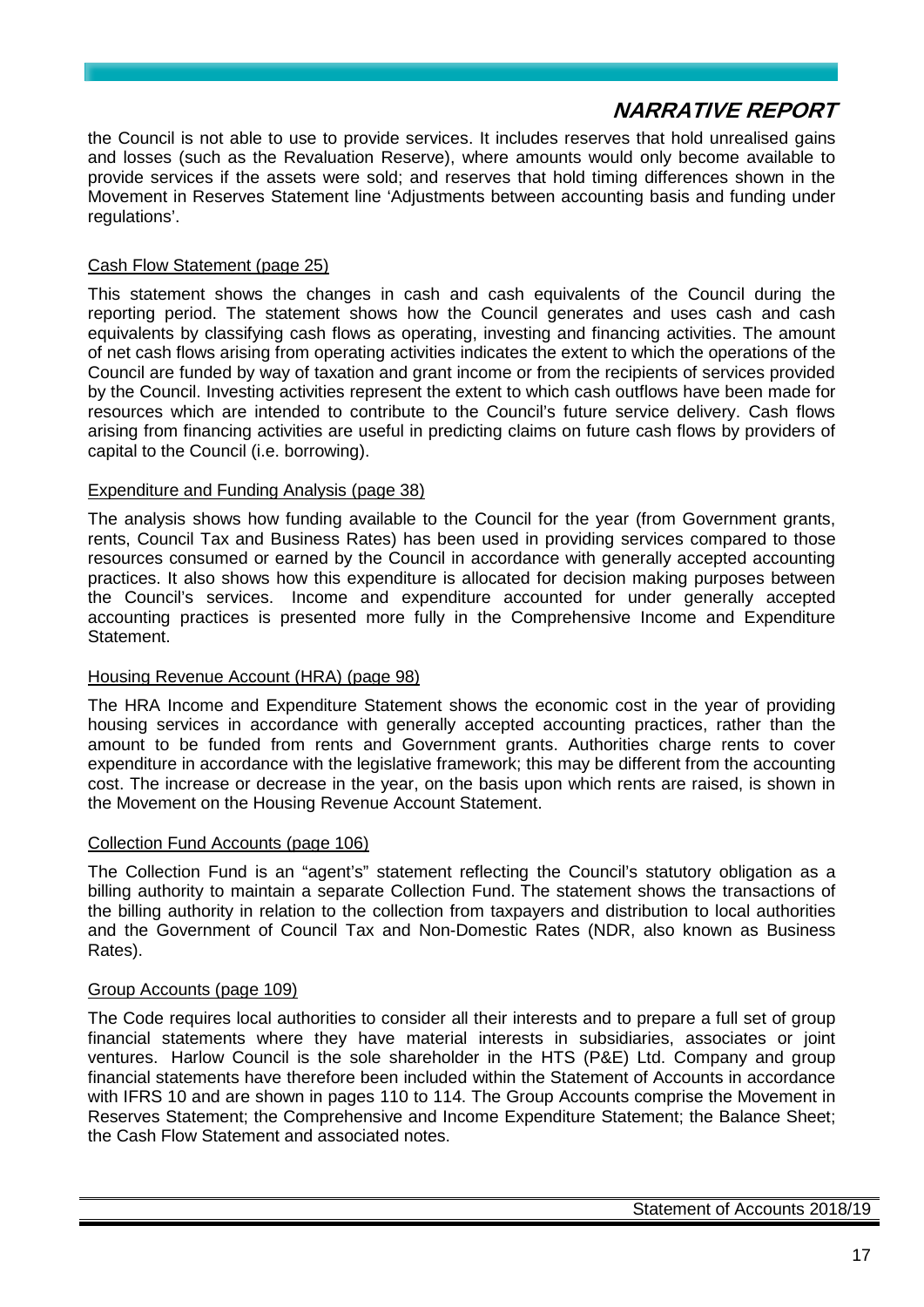the Council is not able to use to provide services. It includes reserves that hold unrealised gains and losses (such as the Revaluation Reserve), where amounts would only become available to provide services if the assets were sold; and reserves that hold timing differences shown in the Movement in Reserves Statement line 'Adjustments between accounting basis and funding under regulations'.

## Cash Flow Statement (page 25)

This statement shows the changes in cash and cash equivalents of the Council during the reporting period. The statement shows how the Council generates and uses cash and cash equivalents by classifying cash flows as operating, investing and financing activities. The amount of net cash flows arising from operating activities indicates the extent to which the operations of the Council are funded by way of taxation and grant income or from the recipients of services provided by the Council. Investing activities represent the extent to which cash outflows have been made for resources which are intended to contribute to the Council's future service delivery. Cash flows arising from financing activities are useful in predicting claims on future cash flows by providers of capital to the Council (i.e. borrowing).

## Expenditure and Funding Analysis (page 38)

The analysis shows how funding available to the Council for the year (from Government grants, rents, Council Tax and Business Rates) has been used in providing services compared to those resources consumed or earned by the Council in accordance with generally accepted accounting practices. It also shows how this expenditure is allocated for decision making purposes between the Council's services. Income and expenditure accounted for under generally accepted accounting practices is presented more fully in the Comprehensive Income and Expenditure Statement.

## Housing Revenue Account (HRA) (page 98)

The HRA Income and Expenditure Statement shows the economic cost in the year of providing housing services in accordance with generally accepted accounting practices, rather than the amount to be funded from rents and Government grants. Authorities charge rents to cover expenditure in accordance with the legislative framework; this may be different from the accounting cost. The increase or decrease in the year, on the basis upon which rents are raised, is shown in the Movement on the Housing Revenue Account Statement.

## Collection Fund Accounts (page 106)

The Collection Fund is an "agent's" statement reflecting the Council's statutory obligation as a billing authority to maintain a separate Collection Fund. The statement shows the transactions of the billing authority in relation to the collection from taxpayers and distribution to local authorities and the Government of Council Tax and Non-Domestic Rates (NDR, also known as Business Rates).

## Group Accounts (page 109)

The Code requires local authorities to consider all their interests and to prepare a full set of group financial statements where they have material interests in subsidiaries, associates or joint ventures. Harlow Council is the sole shareholder in the HTS (P&E) Ltd. Company and group financial statements have therefore been included within the Statement of Accounts in accordance with IFRS 10 and are shown in pages 110 to 114. The Group Accounts comprise the Movement in Reserves Statement; the Comprehensive and Income Expenditure Statement; the Balance Sheet; the Cash Flow Statement and associated notes.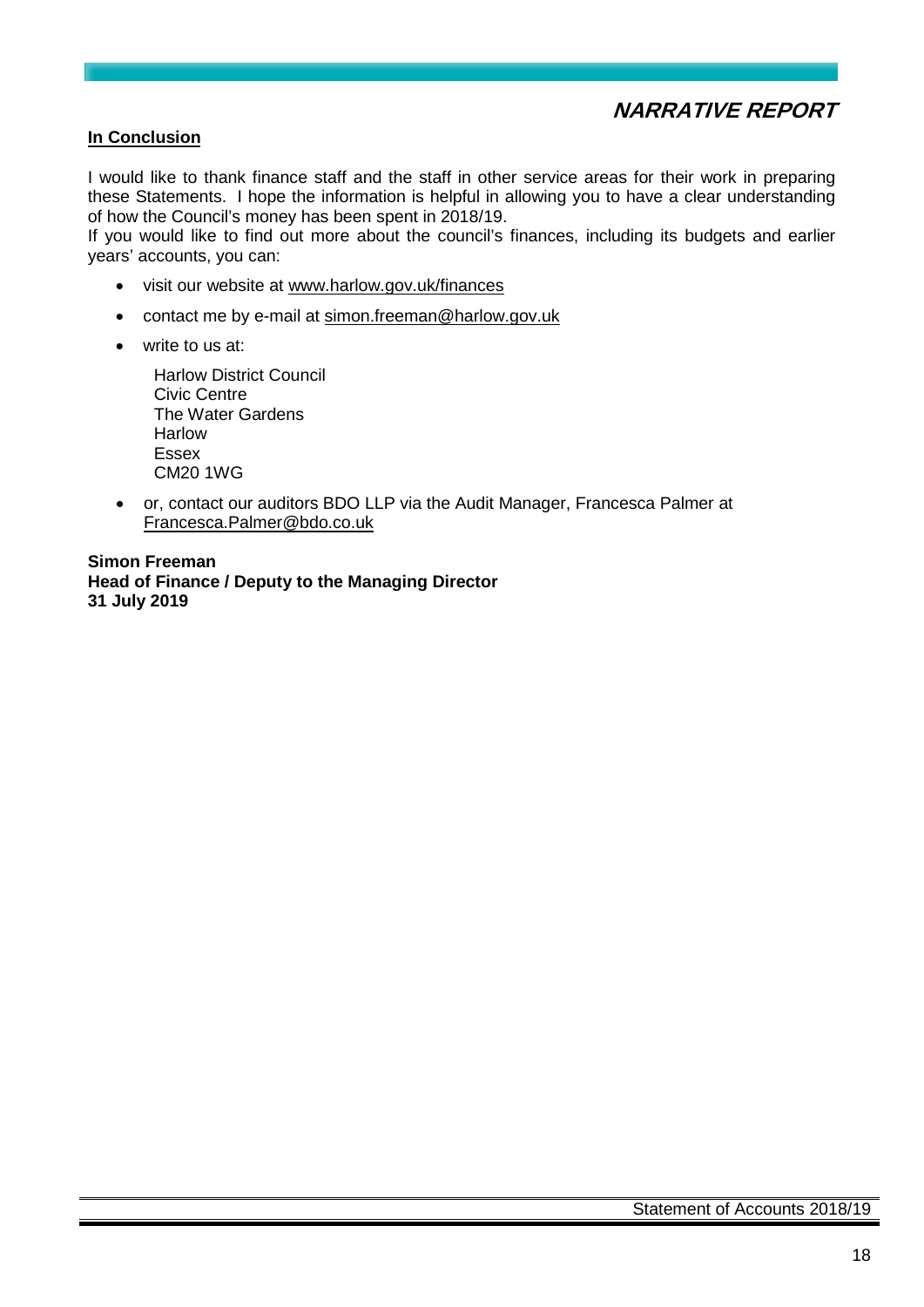## **In Conclusion**

I would like to thank finance staff and the staff in other service areas for their work in preparing these Statements. I hope the information is helpful in allowing you to have a clear understanding of how the Council's money has been spent in 2018/19.

If you would like to find out more about the council's finances, including its budgets and earlier years' accounts, you can:

- visit our website at [www.harlow.gov.uk/finances](http://www.harlow.gov.uk/finances)
- contact me by e-mail at [simon.freeman@harlow.gov.uk](mailto:simon.freeman@harlow.gov.uk)
- write to us at:

| <b>Harlow District Council</b> |
|--------------------------------|
| Civic Centre                   |
| The Water Gardens              |
| Harlow                         |
| Essex                          |
| <b>CM20 1WG</b>                |

• or, contact our auditors BDO LLP via the Audit Manager, Francesca Palmer at [Francesca.Palmer@bdo.co.uk](mailto:Francesca.Palmer@bdo.co.uk)

### **Simon Freeman Head of Finance / Deputy to the Managing Director 31 July 2019**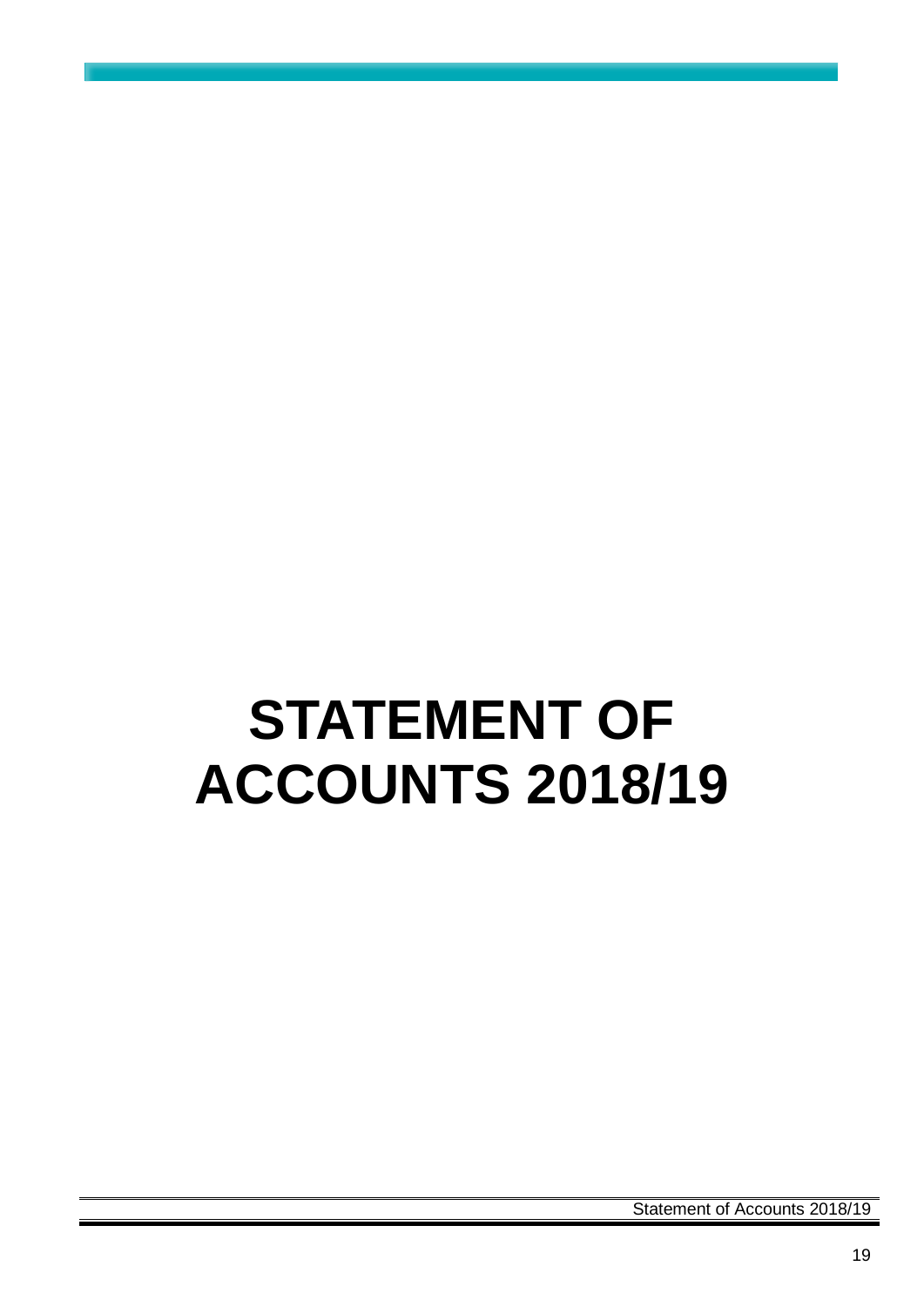## <span id="page-18-0"></span>**STATEMENT OF ACCOUNTS 2018/19**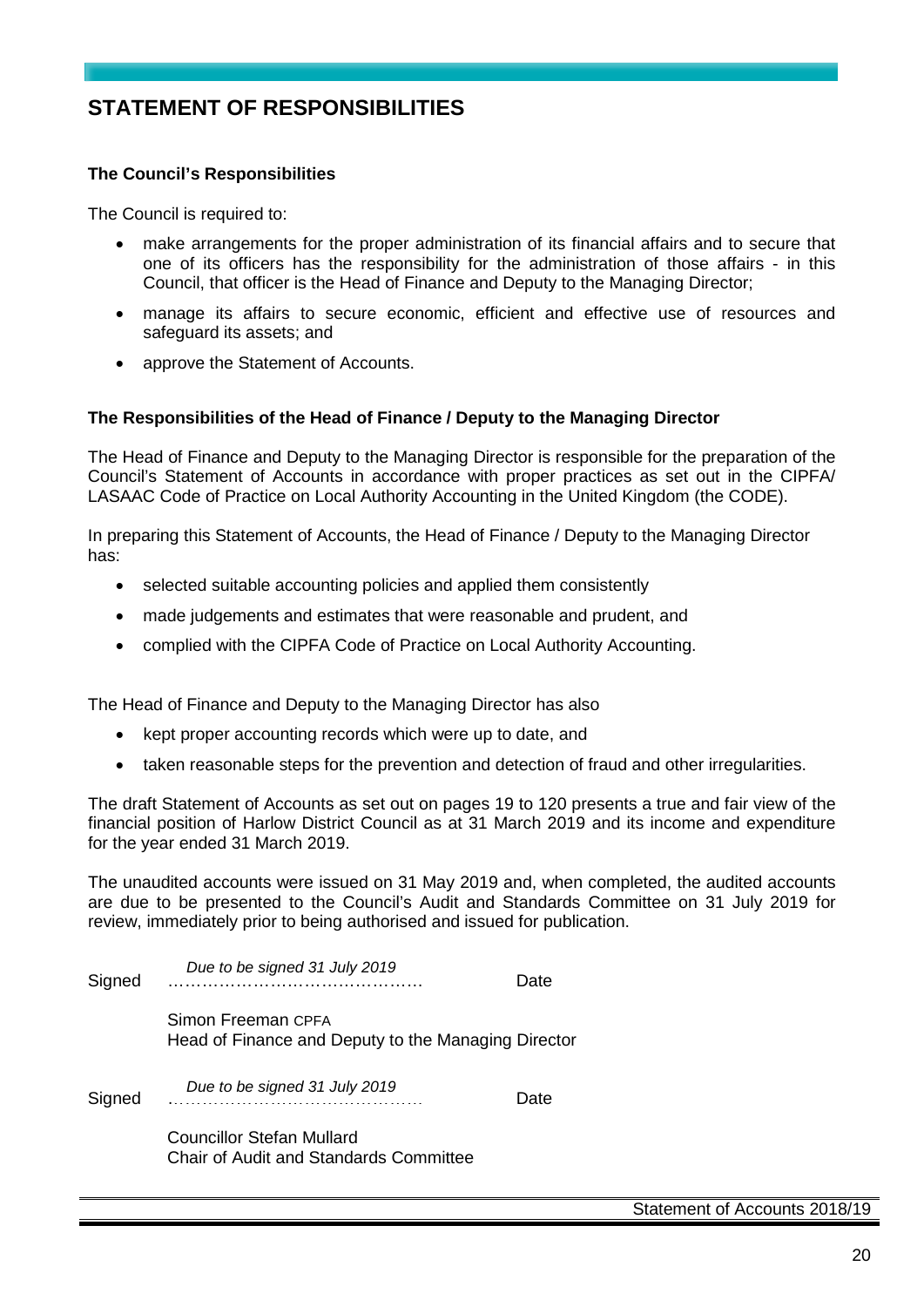## <span id="page-19-0"></span>**STATEMENT OF RESPONSIBILITIES**

## **The Council's Responsibilities**

The Council is required to:

- make arrangements for the proper administration of its financial affairs and to secure that one of its officers has the responsibility for the administration of those affairs - in this Council, that officer is the Head of Finance and Deputy to the Managing Director;
- manage its affairs to secure economic, efficient and effective use of resources and safeguard its assets; and
- approve the Statement of Accounts.

## **The Responsibilities of the Head of Finance / Deputy to the Managing Director**

The Head of Finance and Deputy to the Managing Director is responsible for the preparation of the Council's Statement of Accounts in accordance with proper practices as set out in the CIPFA/ LASAAC Code of Practice on Local Authority Accounting in the United Kingdom (the CODE).

In preparing this Statement of Accounts, the Head of Finance / Deputy to the Managing Director has:

- selected suitable accounting policies and applied them consistently
- made judgements and estimates that were reasonable and prudent, and
- complied with the CIPFA Code of Practice on Local Authority Accounting.

The Head of Finance and Deputy to the Managing Director has also

- kept proper accounting records which were up to date, and
- taken reasonable steps for the prevention and detection of fraud and other irregularities.

The draft Statement of Accounts as set out on pages 19 to 120 presents a true and fair view of the financial position of Harlow District Council as at 31 March 2019 and its income and expenditure for the year ended 31 March 2019.

The unaudited accounts were issued on 31 May 2019 and, when completed, the audited accounts are due to be presented to the Council's Audit and Standards Committee on 31 July 2019 for review, immediately prior to being authorised and issued for publication.

Signed ……………………………………… Date Simon Freeman CPFA Head of Finance and Deputy to the Managing Director Signed Euclide Signed Strom European Date Councillor Stefan Mullard Chair of Audit and Standards Committee *Due to be signed 31 July 2019 Due to be signed 31 July 2019*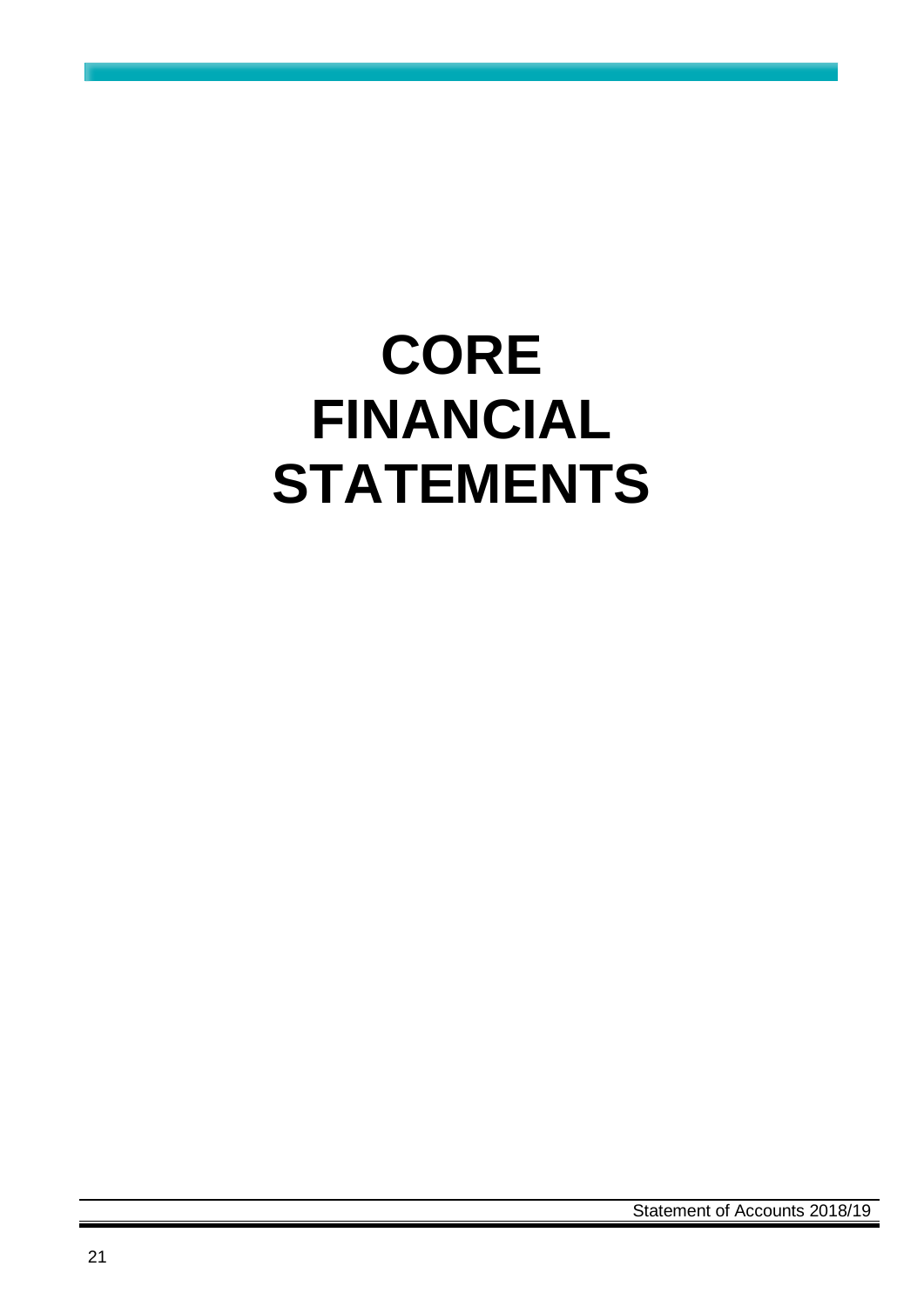# **CORE FINANCIAL STATEMENTS**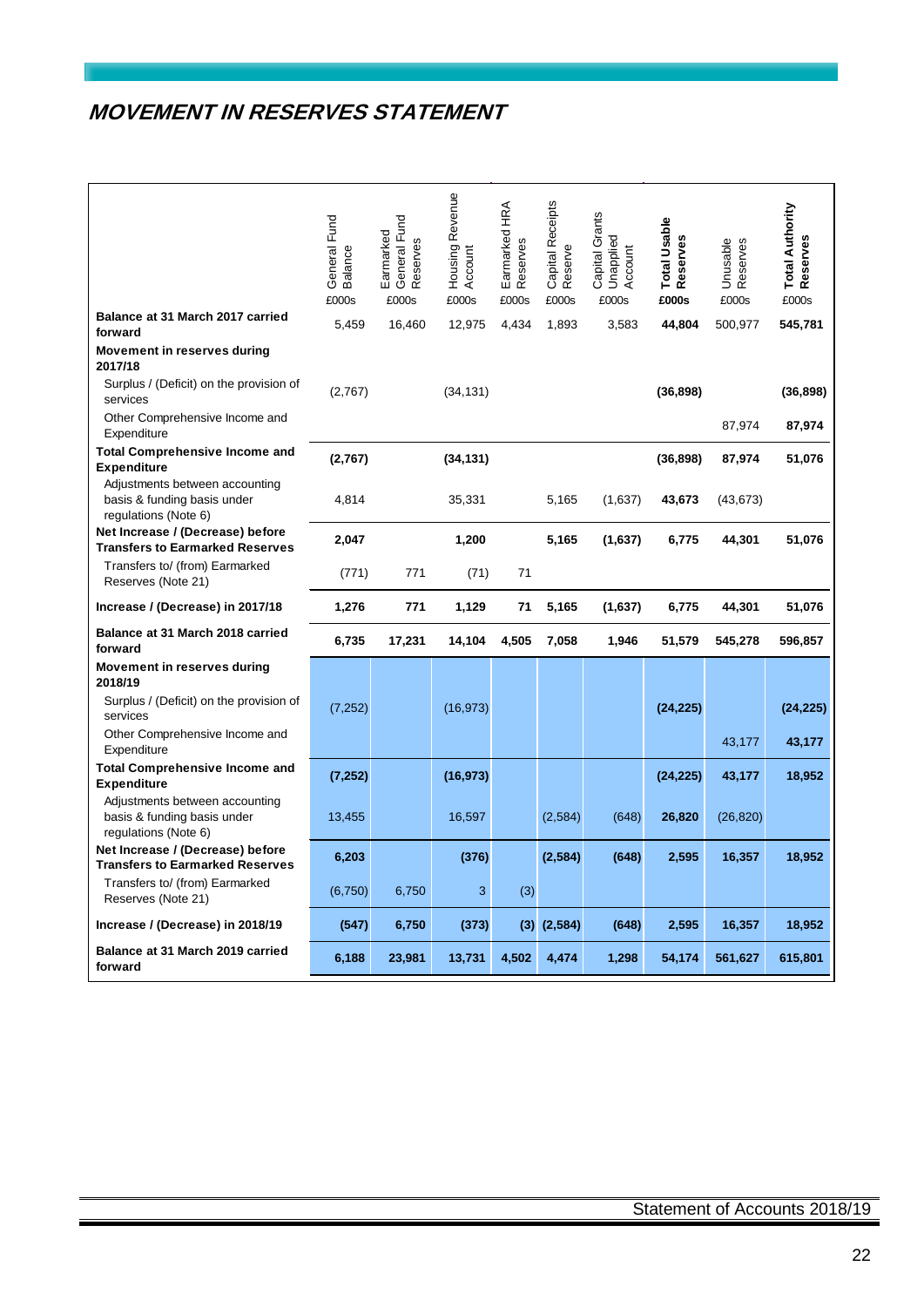## <span id="page-21-0"></span>**MOVEMENT IN RESERVES STATEMENT**

|                                                                                       | General Fund<br><b>Balance</b><br>£000s | General Fund<br>Earmarked<br>Reserves<br>£000s | Housing Revenue<br>Account<br>£000s | Earmarked HRA<br>Reserves<br>£000s | Capital Receipts<br>Reserve<br>£000s | Capital Grants<br>Unapplied<br>Account<br>£000s | <b>Total Usable</b><br>Reserves<br>£000s | Unusable<br>Reserves<br>£000s | <b>Total Authority</b><br>Reserves<br>£000s |
|---------------------------------------------------------------------------------------|-----------------------------------------|------------------------------------------------|-------------------------------------|------------------------------------|--------------------------------------|-------------------------------------------------|------------------------------------------|-------------------------------|---------------------------------------------|
| Balance at 31 March 2017 carried<br>forward                                           | 5,459                                   | 16,460                                         | 12,975                              | 4,434                              | 1,893                                | 3,583                                           | 44,804                                   | 500,977                       | 545,781                                     |
| Movement in reserves during<br>2017/18                                                |                                         |                                                |                                     |                                    |                                      |                                                 |                                          |                               |                                             |
| Surplus / (Deficit) on the provision of<br>services                                   | (2,767)                                 |                                                | (34, 131)                           |                                    |                                      |                                                 | (36, 898)                                |                               | (36, 898)                                   |
| Other Comprehensive Income and<br>Expenditure                                         |                                         |                                                |                                     |                                    |                                      |                                                 |                                          | 87,974                        | 87,974                                      |
| <b>Total Comprehensive Income and</b><br><b>Expenditure</b>                           | (2,767)                                 |                                                | (34, 131)                           |                                    |                                      |                                                 | (36, 898)                                | 87,974                        | 51,076                                      |
| Adjustments between accounting<br>basis & funding basis under<br>regulations (Note 6) | 4,814                                   |                                                | 35,331                              |                                    | 5,165                                | (1,637)                                         | 43,673                                   | (43, 673)                     |                                             |
| Net Increase / (Decrease) before<br><b>Transfers to Earmarked Reserves</b>            | 2,047                                   |                                                | 1,200                               |                                    | 5,165                                | (1,637)                                         | 6,775                                    | 44,301                        | 51,076                                      |
| Transfers to/ (from) Earmarked<br>Reserves (Note 21)                                  | (771)                                   | 771                                            | (71)                                | 71                                 |                                      |                                                 |                                          |                               |                                             |
| Increase / (Decrease) in 2017/18                                                      | 1,276                                   | 771                                            | 1,129                               | 71                                 | 5,165                                | (1,637)                                         | 6,775                                    | 44,301                        | 51,076                                      |
| Balance at 31 March 2018 carried<br>forward                                           | 6,735                                   | 17,231                                         | 14,104                              | 4,505                              | 7,058                                | 1,946                                           | 51,579                                   | 545,278                       | 596,857                                     |
| <b>Movement in reserves during</b><br>2018/19                                         |                                         |                                                |                                     |                                    |                                      |                                                 |                                          |                               |                                             |
| Surplus / (Deficit) on the provision of<br>services                                   | (7,252)                                 |                                                | (16, 973)                           |                                    |                                      |                                                 | (24, 225)                                |                               | (24, 225)                                   |
| Other Comprehensive Income and<br>Expenditure                                         |                                         |                                                |                                     |                                    |                                      |                                                 |                                          | 43,177                        | 43,177                                      |
| <b>Total Comprehensive Income and</b><br><b>Expenditure</b>                           | (7, 252)                                |                                                | (16, 973)                           |                                    |                                      |                                                 | (24, 225)                                | 43,177                        | 18,952                                      |
| Adjustments between accounting<br>basis & funding basis under<br>regulations (Note 6) | 13,455                                  |                                                | 16,597                              |                                    | (2,584)                              | (648)                                           | 26,820                                   | (26, 820)                     |                                             |
| Net Increase / (Decrease) before<br><b>Transfers to Earmarked Reserves</b>            | 6,203                                   |                                                | (376)                               |                                    | (2, 584)                             | (648)                                           | 2,595                                    | 16,357                        | 18,952                                      |
| Transfers to/ (from) Earmarked<br>Reserves (Note 21)                                  | (6,750)                                 | 6,750                                          | 3                                   | (3)                                |                                      |                                                 |                                          |                               |                                             |
| Increase / (Decrease) in 2018/19                                                      | (547)                                   | 6,750                                          | (373)                               | (3)                                | (2, 584)                             | (648)                                           | 2,595                                    | 16,357                        | 18,952                                      |
| Balance at 31 March 2019 carried<br>forward                                           | 6,188                                   | 23,981                                         | 13,731                              | 4,502                              | 4,474                                | 1,298                                           | 54,174                                   | 561,627                       | 615,801                                     |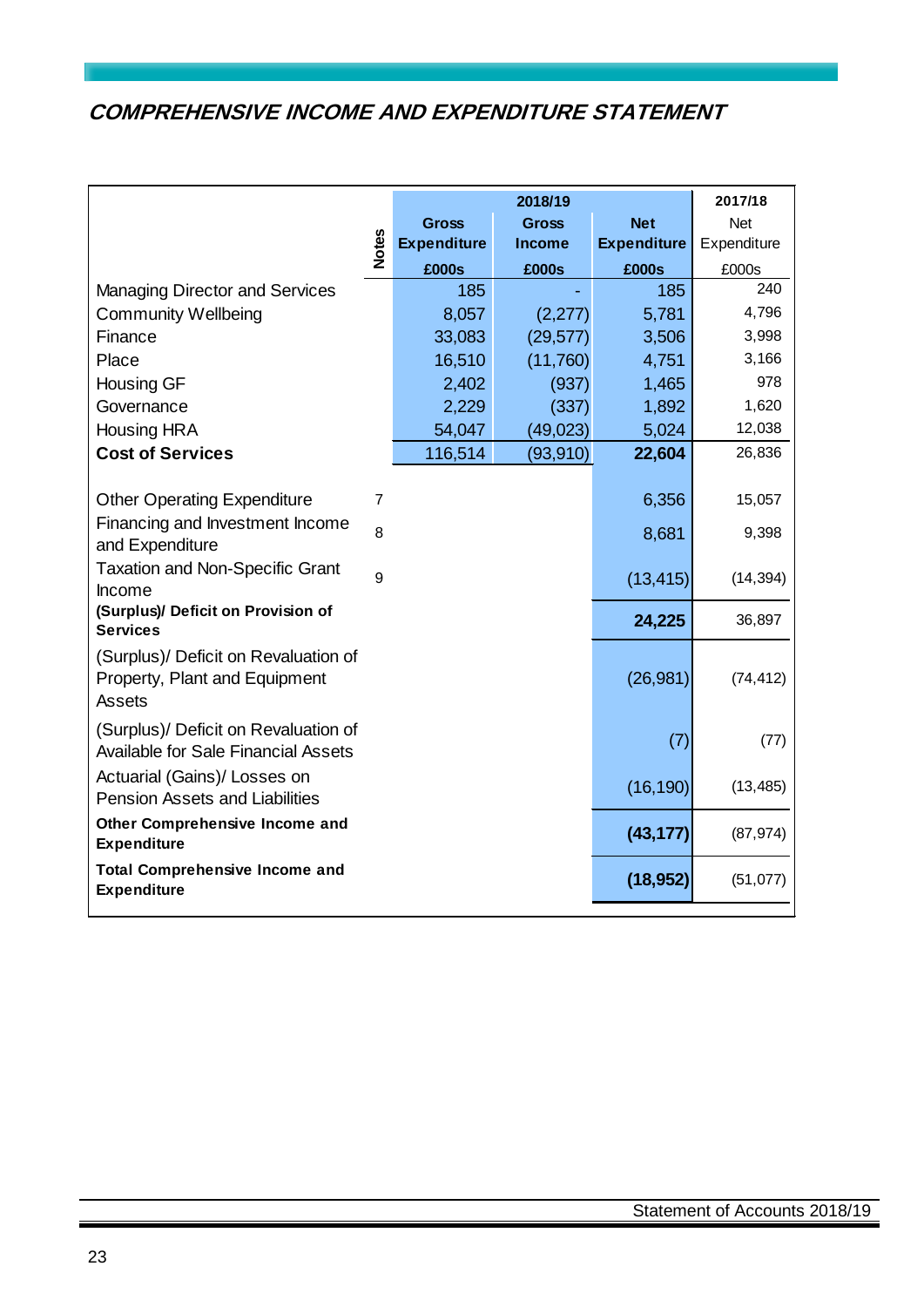## <span id="page-22-0"></span>**COMPREHENSIVE INCOME AND EXPENDITURE STATEMENT**

|   |                    | 2018/19       |                                       | 2017/18                                                                        |
|---|--------------------|---------------|---------------------------------------|--------------------------------------------------------------------------------|
|   | <b>Gross</b>       | <b>Gross</b>  | <b>Net</b>                            | <b>Net</b>                                                                     |
|   | <b>Expenditure</b> | <b>Income</b> | <b>Expenditure</b>                    | Expenditure                                                                    |
|   | £000s              | £000s         | £000s                                 | £000s                                                                          |
|   | 185                |               | 185                                   | 240                                                                            |
|   | 8,057              |               | 5,781                                 | 4,796                                                                          |
|   | 33,083             | (29, 577)     | 3,506                                 | 3,998                                                                          |
|   | 16,510             |               | 4,751                                 | 3,166                                                                          |
|   | 2,402              |               | 1,465                                 | 978                                                                            |
|   | 2,229              |               | 1,892                                 | 1,620                                                                          |
|   | 54,047             |               | 5,024                                 | 12,038                                                                         |
|   | 116,514            |               | 22,604                                | 26,836                                                                         |
|   |                    |               |                                       |                                                                                |
| 7 |                    |               | 6,356                                 | 15,057                                                                         |
| 8 |                    |               | 8,681                                 | 9,398                                                                          |
|   |                    |               |                                       |                                                                                |
| 9 |                    |               | (13, 415)                             | (14, 394)                                                                      |
|   |                    |               |                                       |                                                                                |
|   |                    |               |                                       | 36,897                                                                         |
|   |                    |               |                                       |                                                                                |
|   |                    |               |                                       | (74, 412)                                                                      |
|   |                    |               |                                       |                                                                                |
|   |                    |               |                                       | (77)                                                                           |
|   |                    |               |                                       |                                                                                |
|   |                    |               |                                       | (13, 485)                                                                      |
|   |                    |               |                                       |                                                                                |
|   |                    |               | (43, 177)                             | (87, 974)                                                                      |
|   |                    |               |                                       |                                                                                |
|   |                    |               |                                       | (51, 077)                                                                      |
|   | <b>Notes</b>       |               | (2,277)<br>(11,760)<br>(937)<br>(337) | (49, 023)<br>(93, 910)<br>24,225<br>(26, 981)<br>(7)<br>(16, 190)<br>(18, 952) |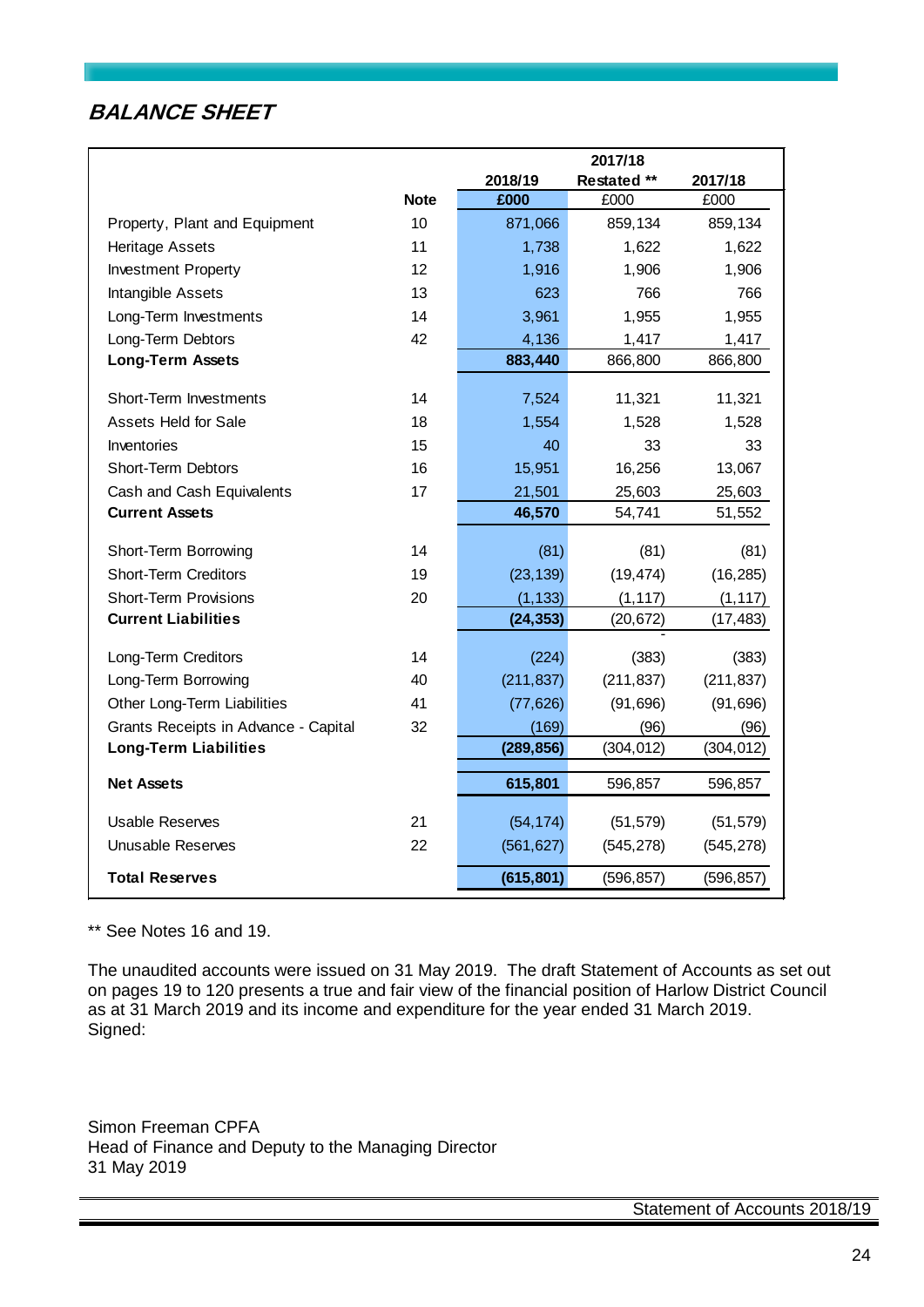## <span id="page-23-0"></span>**BALANCE SHEET**

|                                      |             |            | 2017/18     |            |
|--------------------------------------|-------------|------------|-------------|------------|
|                                      |             | 2018/19    | Restated ** | 2017/18    |
|                                      | <b>Note</b> | £000       | £000        | £000       |
| Property, Plant and Equipment        | 10          | 871,066    | 859,134     | 859,134    |
| Heritage Assets                      | 11          | 1,738      | 1,622       | 1,622      |
| <b>Investment Property</b>           | 12          | 1,916      | 1,906       | 1,906      |
| Intangible Assets                    | 13          | 623        | 766         | 766        |
| Long-Term Investments                | 14          | 3,961      | 1,955       | 1,955      |
| Long-Term Debtors                    | 42          | 4,136      | 1,417       | 1,417      |
| <b>Long-Term Assets</b>              |             | 883,440    | 866,800     | 866,800    |
| Short-Term Investments               | 14          | 7,524      | 11,321      | 11,321     |
| Assets Held for Sale                 | 18          | 1,554      | 1,528       | 1,528      |
| Inventories                          | 15          | 40         | 33          | 33         |
| Short-Term Debtors                   | 16          | 15,951     | 16,256      | 13,067     |
| Cash and Cash Equivalents            | 17          | 21,501     | 25,603      | 25,603     |
| <b>Current Assets</b>                |             | 46,570     | 54,741      | 51,552     |
| Short-Term Borrowing                 | 14          | (81)       | (81)        | (81)       |
| <b>Short-Term Creditors</b>          | 19          | (23, 139)  | (19, 474)   | (16, 285)  |
| <b>Short-Term Provisions</b>         | 20          | (1, 133)   | (1, 117)    | (1, 117)   |
| <b>Current Liabilities</b>           |             | (24, 353)  | (20, 672)   | (17, 483)  |
|                                      |             |            |             |            |
| Long-Term Creditors                  | 14          | (224)      | (383)       | (383)      |
| Long-Term Borrowing                  | 40          | (211, 837) | (211, 837)  | (211, 837) |
| Other Long-Term Liabilities          | 41          | (77, 626)  | (91, 696)   | (91, 696)  |
| Grants Receipts in Advance - Capital | 32          | (169)      | (96)        | (96)       |
| <b>Long-Term Liabilities</b>         |             | (289, 856) | (304, 012)  | (304, 012) |
| <b>Net Assets</b>                    |             | 615,801    | 596,857     | 596,857    |
| <b>Usable Reserves</b>               | 21          | (54, 174)  | (51, 579)   | (51, 579)  |
| Unusable Reserves                    | 22          | (561, 627) | (545, 278)  | (545, 278) |
| <b>Total Reserves</b>                |             | (615, 801) | (596, 857)  | (596, 857) |

\*\* See Notes 16 and 19.

The unaudited accounts were issued on 31 May 2019. The draft Statement of Accounts as set out on pages 19 to 120 presents a true and fair view of the financial position of Harlow District Council as at 31 March 2019 and its income and expenditure for the year ended 31 March 2019. Signed:

Simon Freeman CPFA Head of Finance and Deputy to the Managing Director 31 May 2019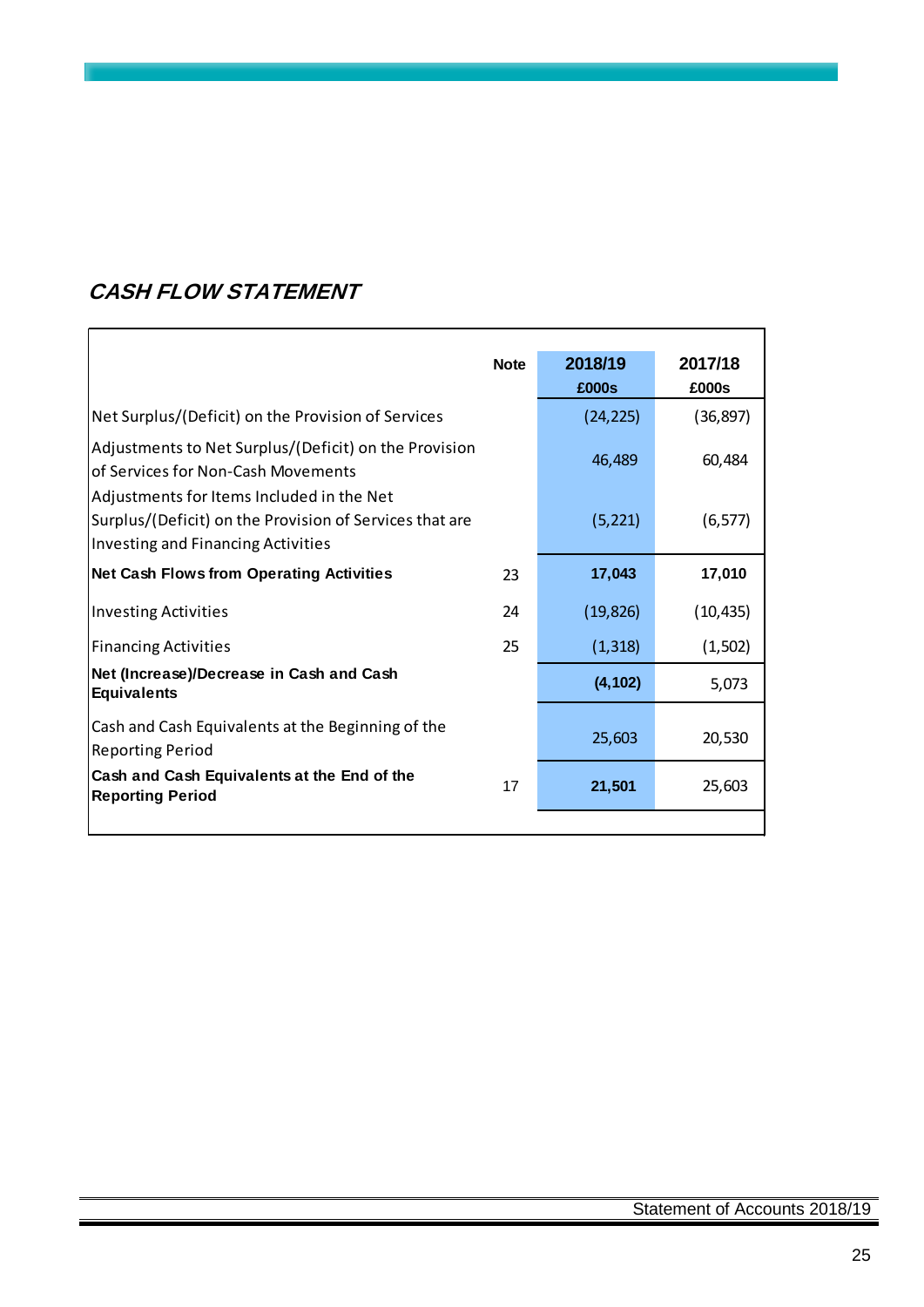|                                                                                                                                            | <b>Note</b> | 2018/19<br>£000s | 2017/18<br>£000s |
|--------------------------------------------------------------------------------------------------------------------------------------------|-------------|------------------|------------------|
| Net Surplus/(Deficit) on the Provision of Services                                                                                         |             | (24, 225)        | (36, 897)        |
| Adjustments to Net Surplus/(Deficit) on the Provision<br>of Services for Non-Cash Movements                                                |             | 46,489           | 60,484           |
| Adjustments for Items Included in the Net<br>Surplus/(Deficit) on the Provision of Services that are<br>Investing and Financing Activities |             | (5, 221)         | (6, 577)         |
| <b>Net Cash Flows from Operating Activities</b>                                                                                            | 23          | 17,043           | 17,010           |
| <b>Investing Activities</b>                                                                                                                | 24          | (19, 826)        | (10, 435)        |
| <b>Financing Activities</b>                                                                                                                | 25          | (1, 318)         | (1,502)          |
| Net (Increase)/Decrease in Cash and Cash<br><b>Equivalents</b>                                                                             |             | (4, 102)         | 5,073            |
| Cash and Cash Equivalents at the Beginning of the<br><b>Reporting Period</b>                                                               |             | 25,603           | 20,530           |
| Cash and Cash Equivalents at the End of the<br><b>Reporting Period</b>                                                                     | 17          | 21,501           | 25,603           |
|                                                                                                                                            |             |                  |                  |

## <span id="page-24-0"></span>**CASH FLOW STATEMENT**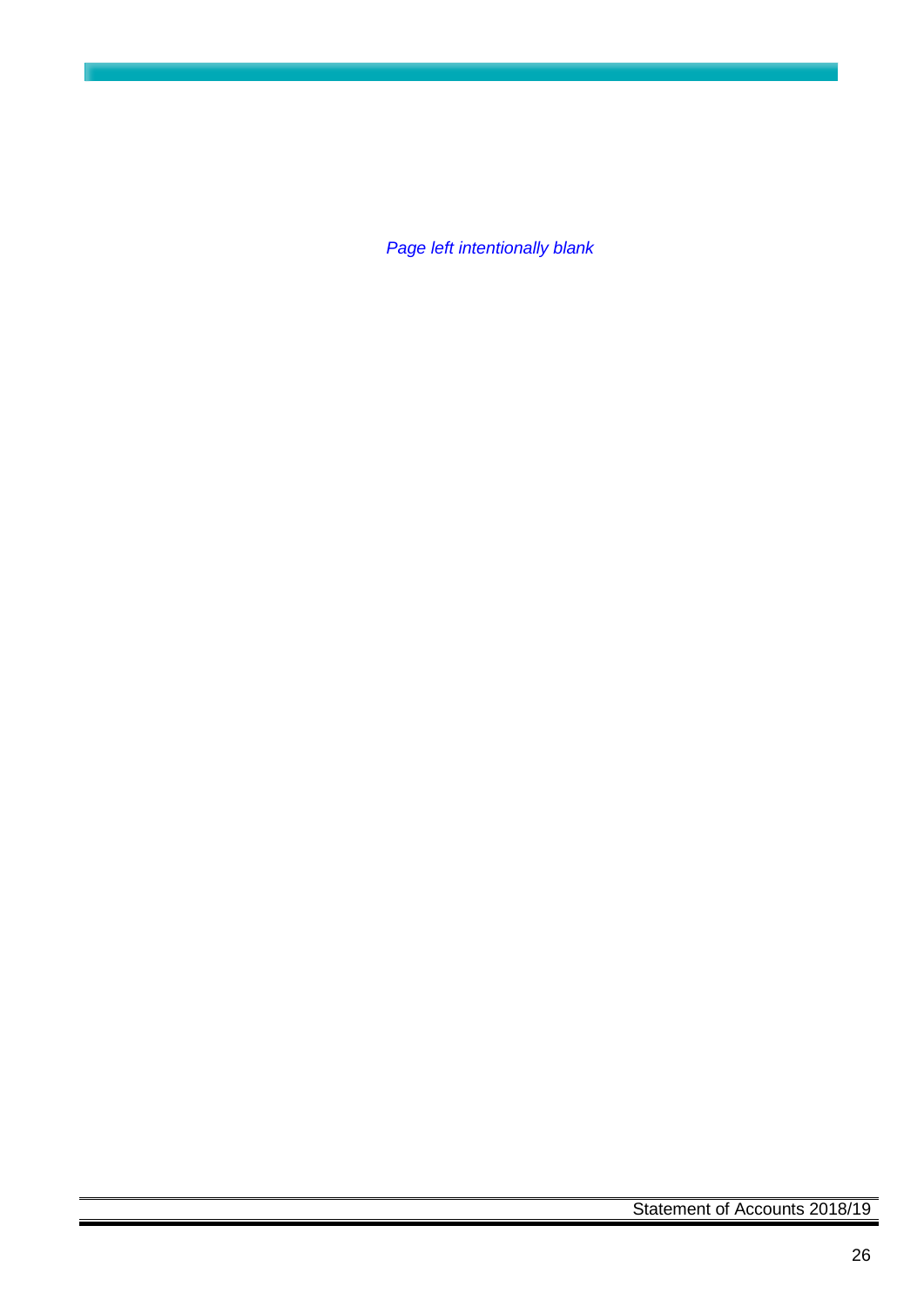*Page left intentionally blank*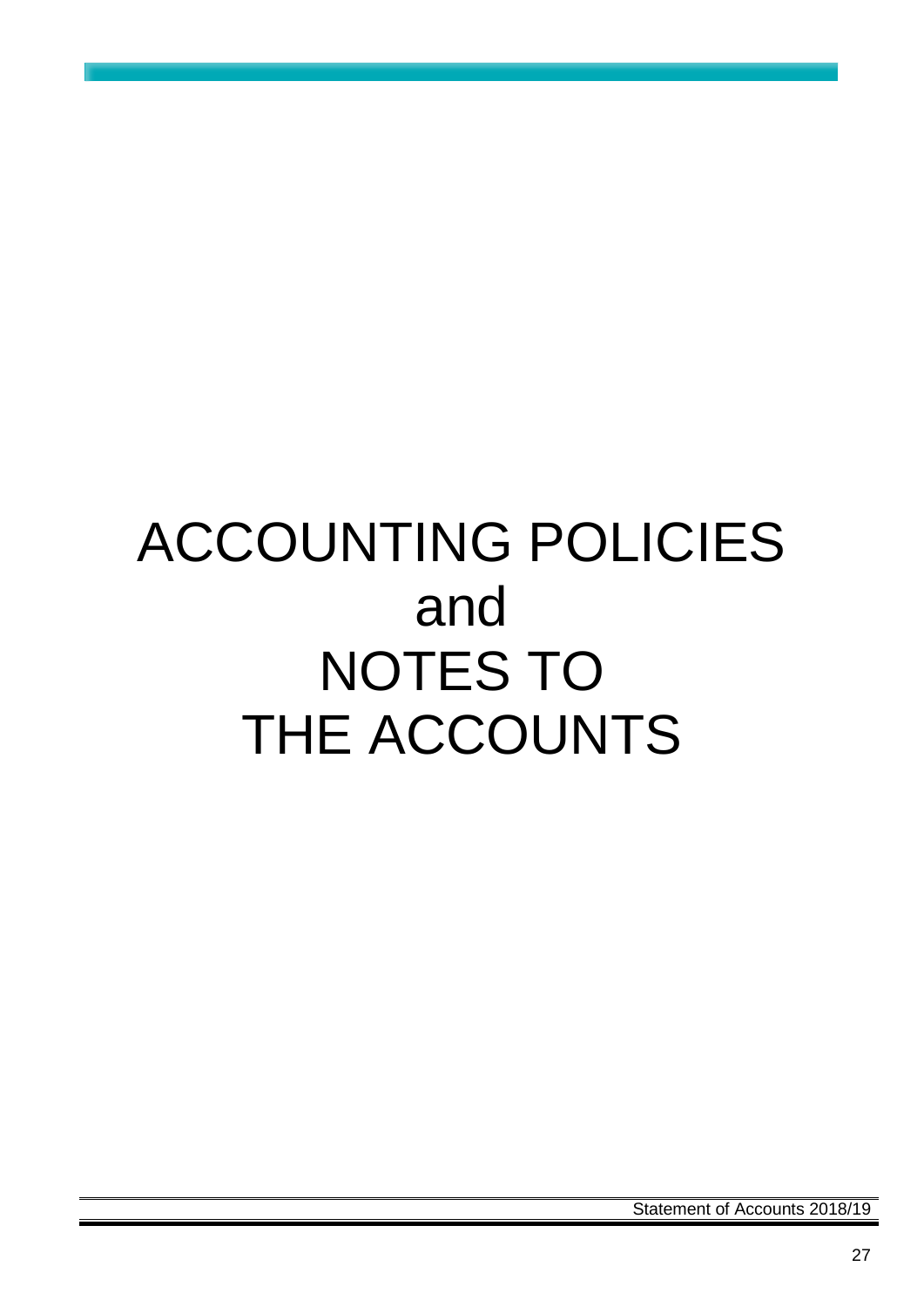# ACCOUNTING POLICIES and NOTES TO THE ACCOUNTS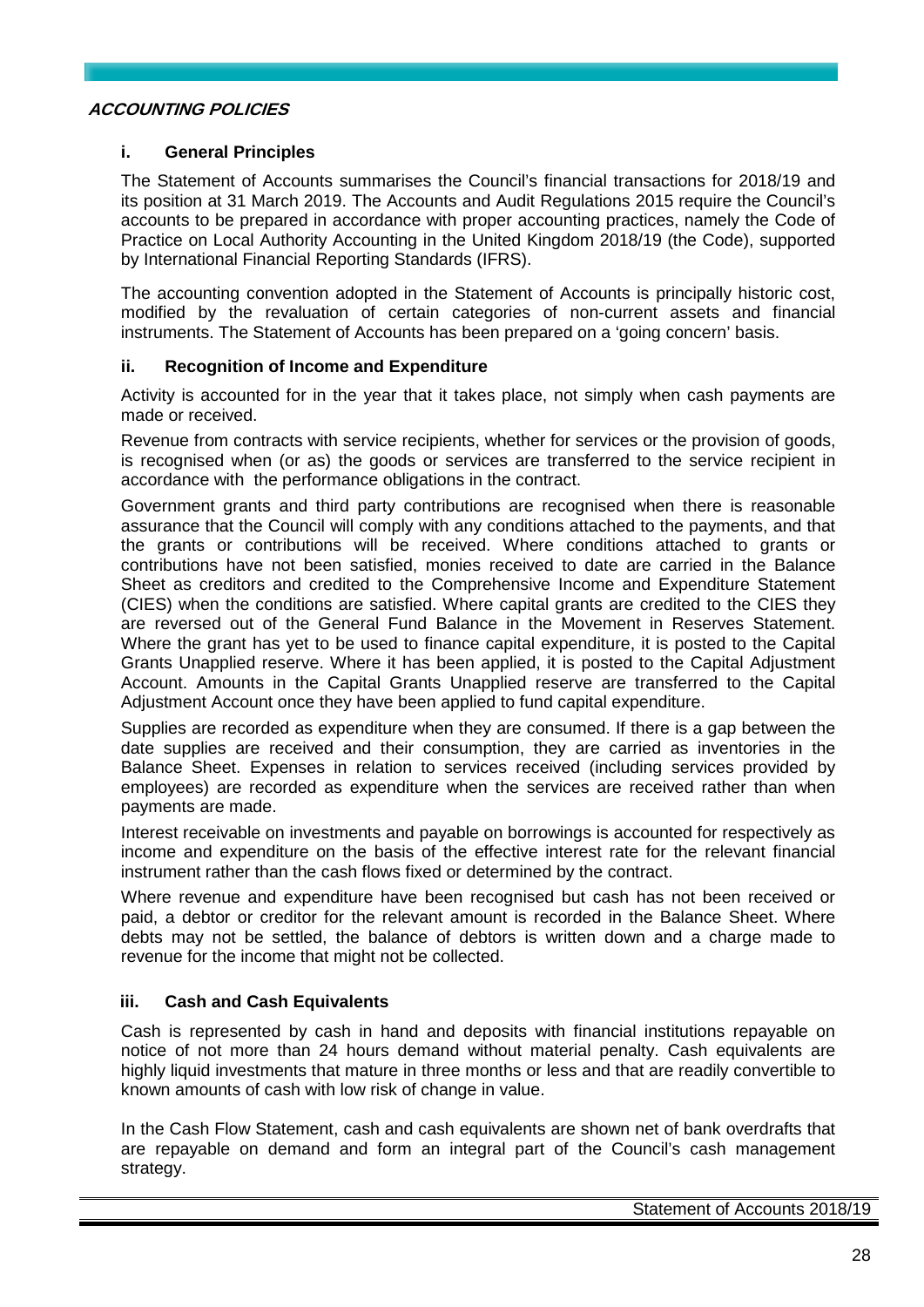## <span id="page-27-0"></span>**ACCOUNTING POLICIES**

### **i. General Principles**

The Statement of Accounts summarises the Council's financial transactions for 2018/19 and its position at 31 March 2019. The Accounts and Audit Regulations 2015 require the Council's accounts to be prepared in accordance with proper accounting practices, namely the Code of Practice on Local Authority Accounting in the United Kingdom 2018/19 (the Code), supported by International Financial Reporting Standards (IFRS).

The accounting convention adopted in the Statement of Accounts is principally historic cost, modified by the revaluation of certain categories of non-current assets and financial instruments. The Statement of Accounts has been prepared on a 'going concern' basis.

#### **ii. Recognition of Income and Expenditure**

Activity is accounted for in the year that it takes place, not simply when cash payments are made or received.

Revenue from contracts with service recipients, whether for services or the provision of goods, is recognised when (or as) the goods or services are transferred to the service recipient in accordance with the performance obligations in the contract.

Government grants and third party contributions are recognised when there is reasonable assurance that the Council will comply with any conditions attached to the payments, and that the grants or contributions will be received. Where conditions attached to grants or contributions have not been satisfied, monies received to date are carried in the Balance Sheet as creditors and credited to the Comprehensive Income and Expenditure Statement (CIES) when the conditions are satisfied. Where capital grants are credited to the CIES they are reversed out of the General Fund Balance in the Movement in Reserves Statement. Where the grant has yet to be used to finance capital expenditure, it is posted to the Capital Grants Unapplied reserve. Where it has been applied, it is posted to the Capital Adjustment Account. Amounts in the Capital Grants Unapplied reserve are transferred to the Capital Adjustment Account once they have been applied to fund capital expenditure.

Supplies are recorded as expenditure when they are consumed. If there is a gap between the date supplies are received and their consumption, they are carried as inventories in the Balance Sheet. Expenses in relation to services received (including services provided by employees) are recorded as expenditure when the services are received rather than when payments are made.

Interest receivable on investments and payable on borrowings is accounted for respectively as income and expenditure on the basis of the effective interest rate for the relevant financial instrument rather than the cash flows fixed or determined by the contract.

Where revenue and expenditure have been recognised but cash has not been received or paid, a debtor or creditor for the relevant amount is recorded in the Balance Sheet. Where debts may not be settled, the balance of debtors is written down and a charge made to revenue for the income that might not be collected.

## **iii. Cash and Cash Equivalents**

Cash is represented by cash in hand and deposits with financial institutions repayable on notice of not more than 24 hours demand without material penalty. Cash equivalents are highly liquid investments that mature in three months or less and that are readily convertible to known amounts of cash with low risk of change in value.

In the Cash Flow Statement, cash and cash equivalents are shown net of bank overdrafts that are repayable on demand and form an integral part of the Council's cash management strategy.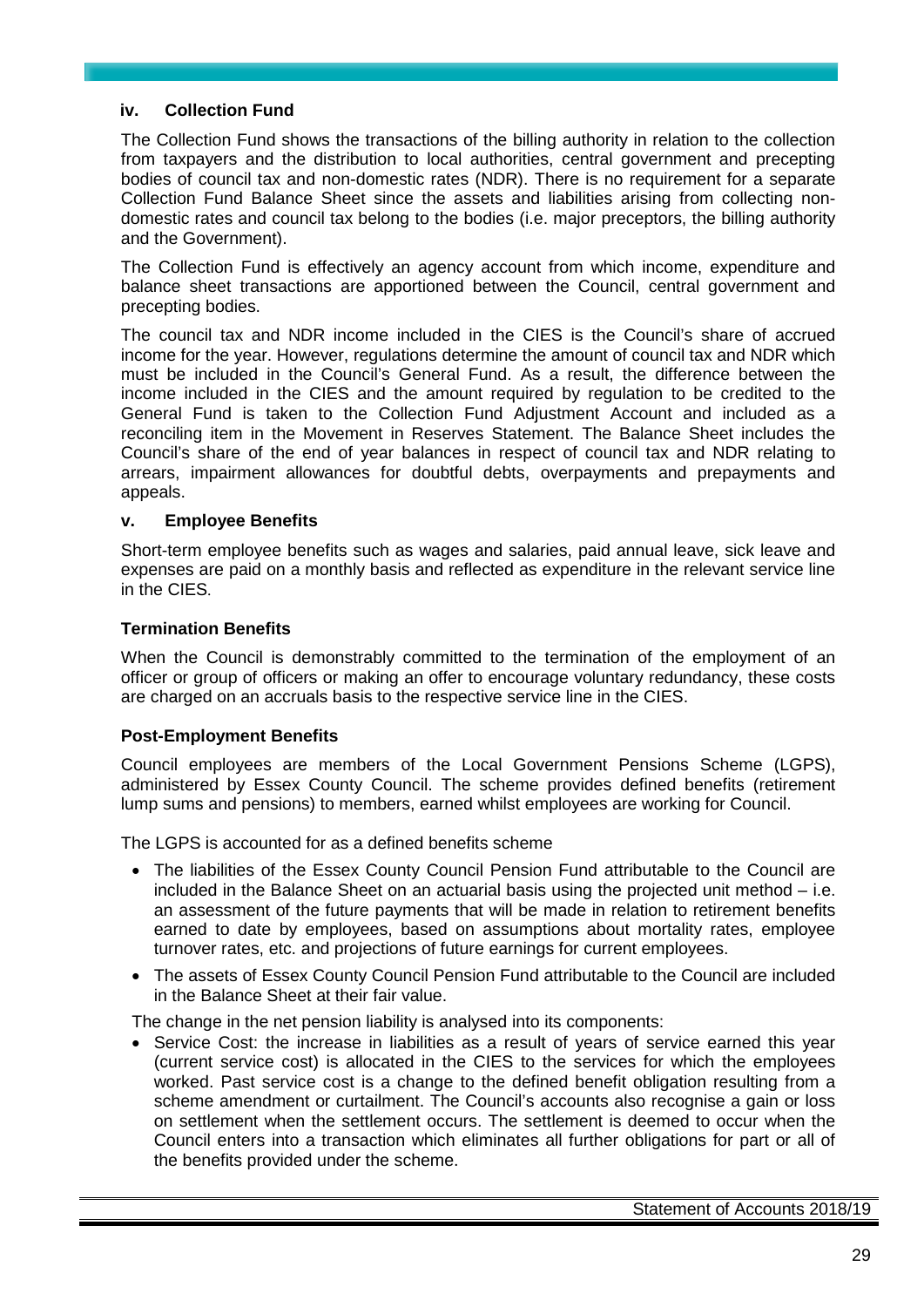## **iv. Collection Fund**

The Collection Fund shows the transactions of the billing authority in relation to the collection from taxpayers and the distribution to local authorities, central government and precepting bodies of council tax and non-domestic rates (NDR). There is no requirement for a separate Collection Fund Balance Sheet since the assets and liabilities arising from collecting nondomestic rates and council tax belong to the bodies (i.e. major preceptors, the billing authority and the Government).

The Collection Fund is effectively an agency account from which income, expenditure and balance sheet transactions are apportioned between the Council, central government and precepting bodies.

The council tax and NDR income included in the CIES is the Council's share of accrued income for the year. However, regulations determine the amount of council tax and NDR which must be included in the Council's General Fund. As a result, the difference between the income included in the CIES and the amount required by regulation to be credited to the General Fund is taken to the Collection Fund Adjustment Account and included as a reconciling item in the Movement in Reserves Statement. The Balance Sheet includes the Council's share of the end of year balances in respect of council tax and NDR relating to arrears, impairment allowances for doubtful debts, overpayments and prepayments and appeals.

## **v. Employee Benefits**

Short-term employee benefits such as wages and salaries, paid annual leave, sick leave and expenses are paid on a monthly basis and reflected as expenditure in the relevant service line in the CIES.

## **Termination Benefits**

When the Council is demonstrably committed to the termination of the employment of an officer or group of officers or making an offer to encourage voluntary redundancy, these costs are charged on an accruals basis to the respective service line in the CIES.

## **Post-Employment Benefits**

Council employees are members of the Local Government Pensions Scheme (LGPS), administered by Essex County Council. The scheme provides defined benefits (retirement lump sums and pensions) to members, earned whilst employees are working for Council.

The LGPS is accounted for as a defined benefits scheme

- The liabilities of the Essex County Council Pension Fund attributable to the Council are included in the Balance Sheet on an actuarial basis using the projected unit method – i.e. an assessment of the future payments that will be made in relation to retirement benefits earned to date by employees, based on assumptions about mortality rates, employee turnover rates, etc. and projections of future earnings for current employees.
- The assets of Essex County Council Pension Fund attributable to the Council are included in the Balance Sheet at their fair value.

The change in the net pension liability is analysed into its components:

• Service Cost: the increase in liabilities as a result of years of service earned this year (current service cost) is allocated in the CIES to the services for which the employees worked. Past service cost is a change to the defined benefit obligation resulting from a scheme amendment or curtailment. The Council's accounts also recognise a gain or loss on settlement when the settlement occurs. The settlement is deemed to occur when the Council enters into a transaction which eliminates all further obligations for part or all of the benefits provided under the scheme.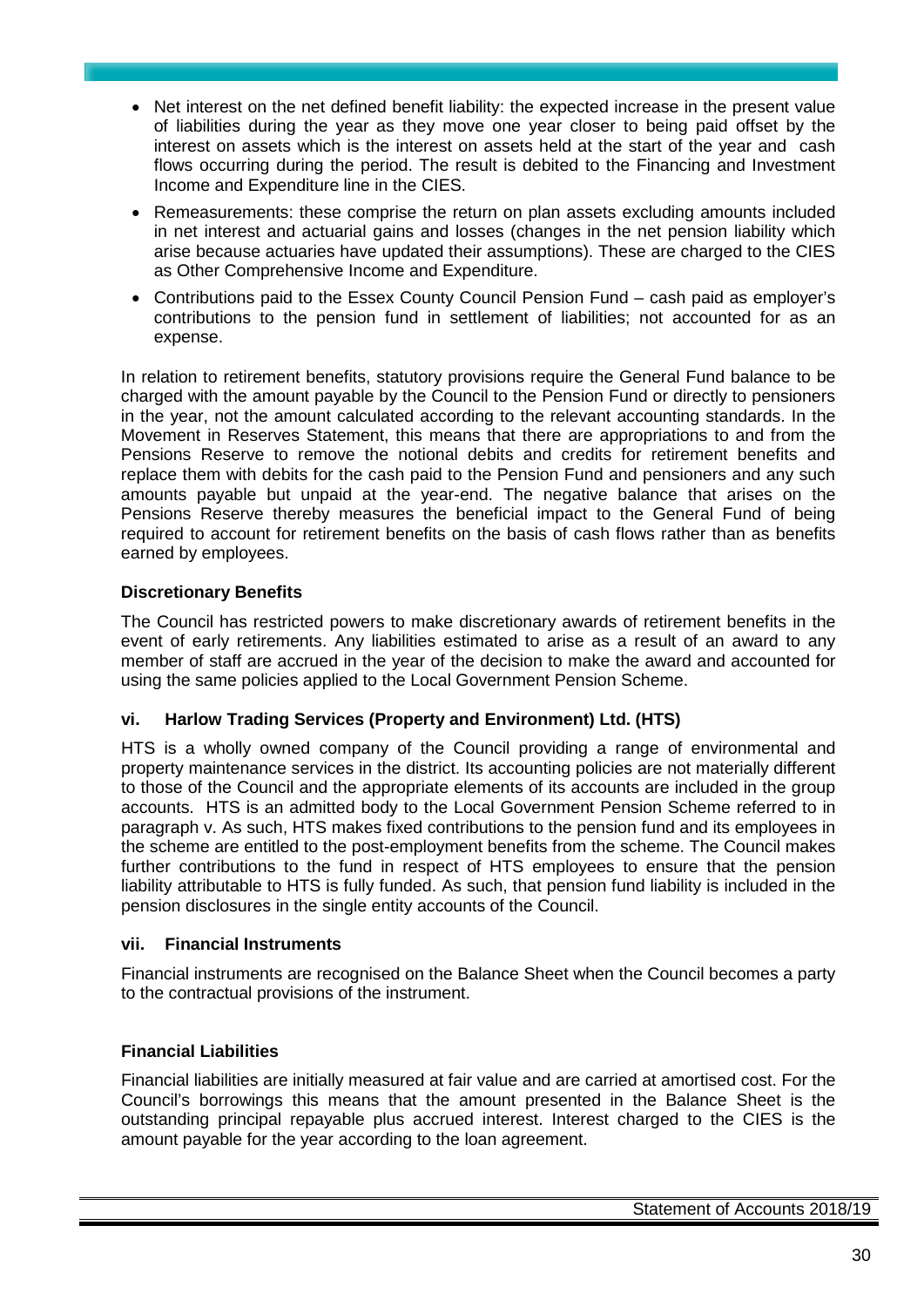- Net interest on the net defined benefit liability: the expected increase in the present value of liabilities during the year as they move one year closer to being paid offset by the interest on assets which is the interest on assets held at the start of the year and cash flows occurring during the period. The result is debited to the Financing and Investment Income and Expenditure line in the CIES.
- Remeasurements: these comprise the return on plan assets excluding amounts included in net interest and actuarial gains and losses (changes in the net pension liability which arise because actuaries have updated their assumptions). These are charged to the CIES as Other Comprehensive Income and Expenditure.
- Contributions paid to the Essex County Council Pension Fund cash paid as employer's contributions to the pension fund in settlement of liabilities; not accounted for as an expense.

In relation to retirement benefits, statutory provisions require the General Fund balance to be charged with the amount payable by the Council to the Pension Fund or directly to pensioners in the year, not the amount calculated according to the relevant accounting standards. In the Movement in Reserves Statement, this means that there are appropriations to and from the Pensions Reserve to remove the notional debits and credits for retirement benefits and replace them with debits for the cash paid to the Pension Fund and pensioners and any such amounts payable but unpaid at the year-end. The negative balance that arises on the Pensions Reserve thereby measures the beneficial impact to the General Fund of being required to account for retirement benefits on the basis of cash flows rather than as benefits earned by employees.

## **Discretionary Benefits**

The Council has restricted powers to make discretionary awards of retirement benefits in the event of early retirements. Any liabilities estimated to arise as a result of an award to any member of staff are accrued in the year of the decision to make the award and accounted for using the same policies applied to the Local Government Pension Scheme.

## **vi. Harlow Trading Services (Property and Environment) Ltd. (HTS)**

HTS is a wholly owned company of the Council providing a range of environmental and property maintenance services in the district. Its accounting policies are not materially different to those of the Council and the appropriate elements of its accounts are included in the group accounts. HTS is an admitted body to the Local Government Pension Scheme referred to in paragraph v. As such, HTS makes fixed contributions to the pension fund and its employees in the scheme are entitled to the post-employment benefits from the scheme. The Council makes further contributions to the fund in respect of HTS employees to ensure that the pension liability attributable to HTS is fully funded. As such, that pension fund liability is included in the pension disclosures in the single entity accounts of the Council.

## **vii. Financial Instruments**

Financial instruments are recognised on the Balance Sheet when the Council becomes a party to the contractual provisions of the instrument.

## **Financial Liabilities**

Financial liabilities are initially measured at fair value and are carried at amortised cost. For the Council's borrowings this means that the amount presented in the Balance Sheet is the outstanding principal repayable plus accrued interest. Interest charged to the CIES is the amount payable for the year according to the loan agreement.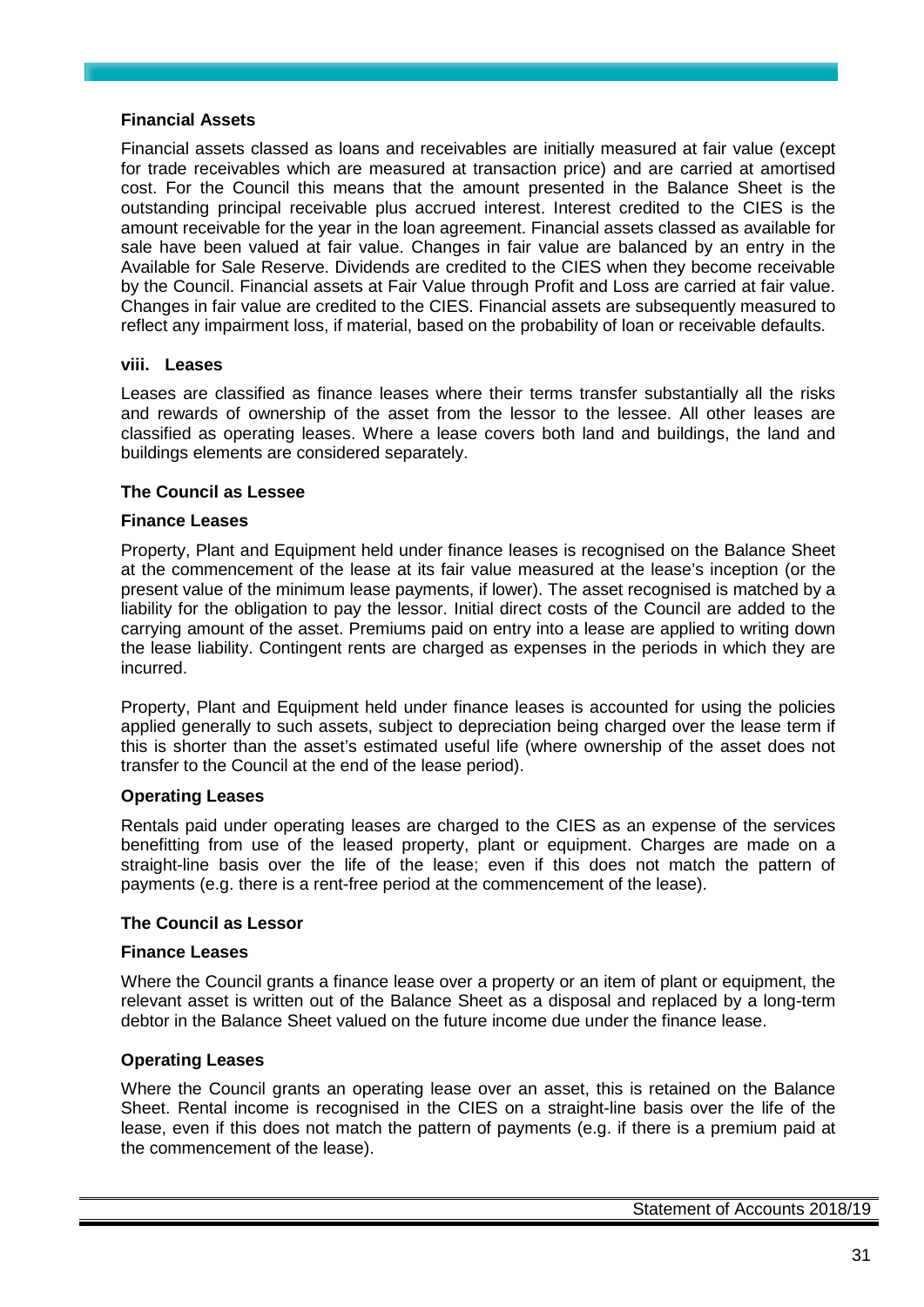## **Financial Assets**

Financial assets classed as loans and receivables are initially measured at fair value (except for trade receivables which are measured at transaction price) and are carried at amortised cost. For the Council this means that the amount presented in the Balance Sheet is the outstanding principal receivable plus accrued interest. Interest credited to the CIES is the amount receivable for the year in the loan agreement. Financial assets classed as available for sale have been valued at fair value. Changes in fair value are balanced by an entry in the Available for Sale Reserve. Dividends are credited to the CIES when they become receivable by the Council. Financial assets at Fair Value through Profit and Loss are carried at fair value. Changes in fair value are credited to the CIES. Financial assets are subsequently measured to reflect any impairment loss, if material, based on the probability of loan or receivable defaults.

## **viii. Leases**

Leases are classified as finance leases where their terms transfer substantially all the risks and rewards of ownership of the asset from the lessor to the lessee. All other leases are classified as operating leases. Where a lease covers both land and buildings, the land and buildings elements are considered separately.

## **The Council as Lessee**

#### **Finance Leases**

Property, Plant and Equipment held under finance leases is recognised on the Balance Sheet at the commencement of the lease at its fair value measured at the lease's inception (or the present value of the minimum lease payments, if lower). The asset recognised is matched by a liability for the obligation to pay the lessor. Initial direct costs of the Council are added to the carrying amount of the asset. Premiums paid on entry into a lease are applied to writing down the lease liability. Contingent rents are charged as expenses in the periods in which they are incurred.

Property, Plant and Equipment held under finance leases is accounted for using the policies applied generally to such assets, subject to depreciation being charged over the lease term if this is shorter than the asset's estimated useful life (where ownership of the asset does not transfer to the Council at the end of the lease period).

## **Operating Leases**

Rentals paid under operating leases are charged to the CIES as an expense of the services benefitting from use of the leased property, plant or equipment. Charges are made on a straight-line basis over the life of the lease; even if this does not match the pattern of payments (e.g. there is a rent-free period at the commencement of the lease).

## **The Council as Lessor**

#### **Finance Leases**

Where the Council grants a finance lease over a property or an item of plant or equipment, the relevant asset is written out of the Balance Sheet as a disposal and replaced by a long-term debtor in the Balance Sheet valued on the future income due under the finance lease.

## **Operating Leases**

Where the Council grants an operating lease over an asset, this is retained on the Balance Sheet. Rental income is recognised in the CIES on a straight-line basis over the life of the lease, even if this does not match the pattern of payments (e.g. if there is a premium paid at the commencement of the lease).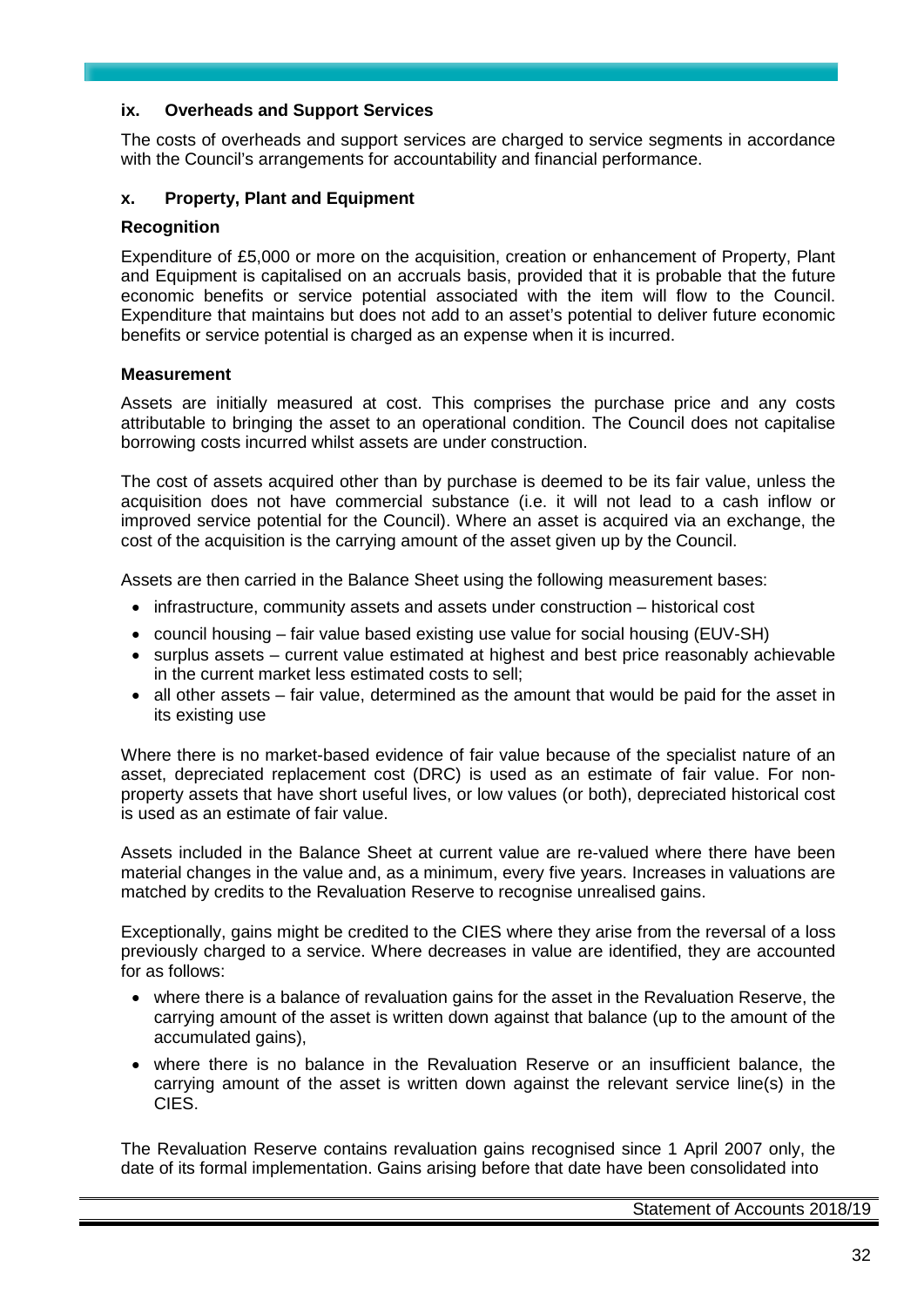## **ix. Overheads and Support Services**

The costs of overheads and support services are charged to service segments in accordance with the Council's arrangements for accountability and financial performance.

## **x. Property, Plant and Equipment**

## **Recognition**

Expenditure of £5,000 or more on the acquisition, creation or enhancement of Property, Plant and Equipment is capitalised on an accruals basis, provided that it is probable that the future economic benefits or service potential associated with the item will flow to the Council. Expenditure that maintains but does not add to an asset's potential to deliver future economic benefits or service potential is charged as an expense when it is incurred.

## **Measurement**

Assets are initially measured at cost. This comprises the purchase price and any costs attributable to bringing the asset to an operational condition. The Council does not capitalise borrowing costs incurred whilst assets are under construction.

The cost of assets acquired other than by purchase is deemed to be its fair value, unless the acquisition does not have commercial substance (i.e. it will not lead to a cash inflow or improved service potential for the Council). Where an asset is acquired via an exchange, the cost of the acquisition is the carrying amount of the asset given up by the Council.

Assets are then carried in the Balance Sheet using the following measurement bases:

- infrastructure, community assets and assets under construction historical cost
- council housing fair value based existing use value for social housing (EUV-SH)
- surplus assets current value estimated at highest and best price reasonably achievable in the current market less estimated costs to sell;
- all other assets fair value, determined as the amount that would be paid for the asset in its existing use

Where there is no market-based evidence of fair value because of the specialist nature of an asset, depreciated replacement cost (DRC) is used as an estimate of fair value. For nonproperty assets that have short useful lives, or low values (or both), depreciated historical cost is used as an estimate of fair value.

Assets included in the Balance Sheet at current value are re-valued where there have been material changes in the value and, as a minimum, every five years. Increases in valuations are matched by credits to the Revaluation Reserve to recognise unrealised gains.

Exceptionally, gains might be credited to the CIES where they arise from the reversal of a loss previously charged to a service. Where decreases in value are identified, they are accounted for as follows:

- where there is a balance of revaluation gains for the asset in the Revaluation Reserve, the carrying amount of the asset is written down against that balance (up to the amount of the accumulated gains),
- where there is no balance in the Revaluation Reserve or an insufficient balance, the carrying amount of the asset is written down against the relevant service line(s) in the CIES.

The Revaluation Reserve contains revaluation gains recognised since 1 April 2007 only, the date of its formal implementation. Gains arising before that date have been consolidated into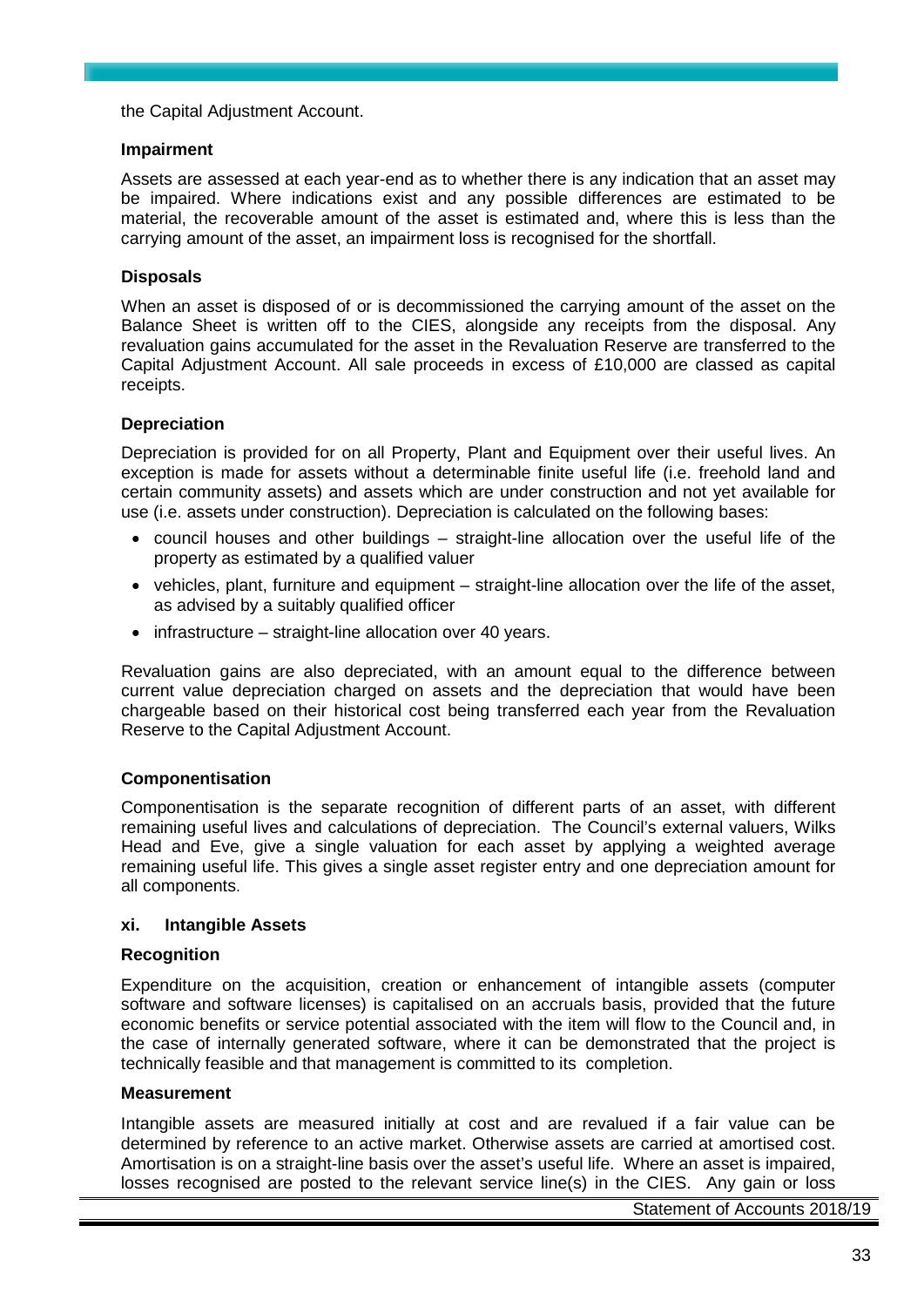the Capital Adjustment Account.

## **Impairment**

Assets are assessed at each year-end as to whether there is any indication that an asset may be impaired. Where indications exist and any possible differences are estimated to be material, the recoverable amount of the asset is estimated and, where this is less than the carrying amount of the asset, an impairment loss is recognised for the shortfall.

## **Disposals**

When an asset is disposed of or is decommissioned the carrying amount of the asset on the Balance Sheet is written off to the CIES, alongside any receipts from the disposal. Any revaluation gains accumulated for the asset in the Revaluation Reserve are transferred to the Capital Adjustment Account. All sale proceeds in excess of £10,000 are classed as capital receipts.

## **Depreciation**

Depreciation is provided for on all Property, Plant and Equipment over their useful lives. An exception is made for assets without a determinable finite useful life (i.e. freehold land and certain community assets) and assets which are under construction and not yet available for use (i.e. assets under construction). Depreciation is calculated on the following bases:

- council houses and other buildings straight-line allocation over the useful life of the property as estimated by a qualified valuer
- vehicles, plant, furniture and equipment straight-line allocation over the life of the asset, as advised by a suitably qualified officer
- infrastructure straight-line allocation over 40 years.

Revaluation gains are also depreciated, with an amount equal to the difference between current value depreciation charged on assets and the depreciation that would have been chargeable based on their historical cost being transferred each year from the Revaluation Reserve to the Capital Adjustment Account.

## **Componentisation**

Componentisation is the separate recognition of different parts of an asset, with different remaining useful lives and calculations of depreciation. The Council's external valuers, Wilks Head and Eve, give a single valuation for each asset by applying a weighted average remaining useful life. This gives a single asset register entry and one depreciation amount for all components.

#### **xi. Intangible Assets**

#### **Recognition**

Expenditure on the acquisition, creation or enhancement of intangible assets (computer software and software licenses) is capitalised on an accruals basis, provided that the future economic benefits or service potential associated with the item will flow to the Council and, in the case of internally generated software, where it can be demonstrated that the project is technically feasible and that management is committed to its completion.

#### **Measurement**

Intangible assets are measured initially at cost and are revalued if a fair value can be determined by reference to an active market. Otherwise assets are carried at amortised cost. Amortisation is on a straight-line basis over the asset's useful life. Where an asset is impaired, losses recognised are posted to the relevant service line(s) in the CIES. Any gain or loss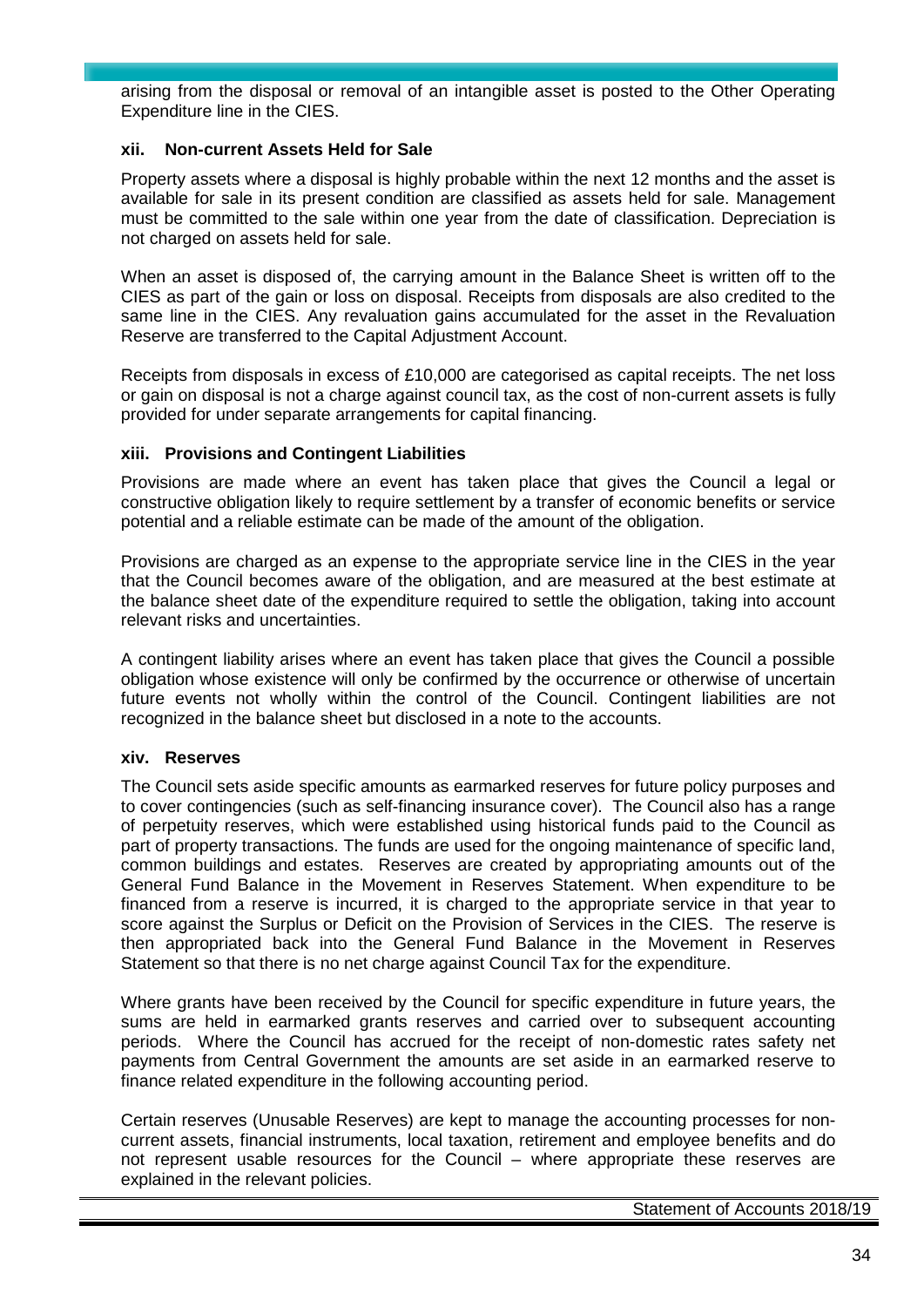arising from the disposal or removal of an intangible asset is posted to the Other Operating Expenditure line in the CIES.

## **xii. Non-current Assets Held for Sale**

Property assets where a disposal is highly probable within the next 12 months and the asset is available for sale in its present condition are classified as assets held for sale. Management must be committed to the sale within one year from the date of classification. Depreciation is not charged on assets held for sale.

When an asset is disposed of, the carrying amount in the Balance Sheet is written off to the CIES as part of the gain or loss on disposal. Receipts from disposals are also credited to the same line in the CIES. Any revaluation gains accumulated for the asset in the Revaluation Reserve are transferred to the Capital Adjustment Account.

Receipts from disposals in excess of £10,000 are categorised as capital receipts. The net loss or gain on disposal is not a charge against council tax, as the cost of non-current assets is fully provided for under separate arrangements for capital financing.

## **xiii. Provisions and Contingent Liabilities**

Provisions are made where an event has taken place that gives the Council a legal or constructive obligation likely to require settlement by a transfer of economic benefits or service potential and a reliable estimate can be made of the amount of the obligation.

Provisions are charged as an expense to the appropriate service line in the CIES in the year that the Council becomes aware of the obligation, and are measured at the best estimate at the balance sheet date of the expenditure required to settle the obligation, taking into account relevant risks and uncertainties.

A contingent liability arises where an event has taken place that gives the Council a possible obligation whose existence will only be confirmed by the occurrence or otherwise of uncertain future events not wholly within the control of the Council. Contingent liabilities are not recognized in the balance sheet but disclosed in a note to the accounts.

## **xiv. Reserves**

The Council sets aside specific amounts as earmarked reserves for future policy purposes and to cover contingencies (such as self-financing insurance cover). The Council also has a range of perpetuity reserves, which were established using historical funds paid to the Council as part of property transactions. The funds are used for the ongoing maintenance of specific land, common buildings and estates. Reserves are created by appropriating amounts out of the General Fund Balance in the Movement in Reserves Statement. When expenditure to be financed from a reserve is incurred, it is charged to the appropriate service in that year to score against the Surplus or Deficit on the Provision of Services in the CIES. The reserve is then appropriated back into the General Fund Balance in the Movement in Reserves Statement so that there is no net charge against Council Tax for the expenditure.

Where grants have been received by the Council for specific expenditure in future years, the sums are held in earmarked grants reserves and carried over to subsequent accounting periods. Where the Council has accrued for the receipt of non-domestic rates safety net payments from Central Government the amounts are set aside in an earmarked reserve to finance related expenditure in the following accounting period.

Certain reserves (Unusable Reserves) are kept to manage the accounting processes for noncurrent assets, financial instruments, local taxation, retirement and employee benefits and do not represent usable resources for the Council – where appropriate these reserves are explained in the relevant policies.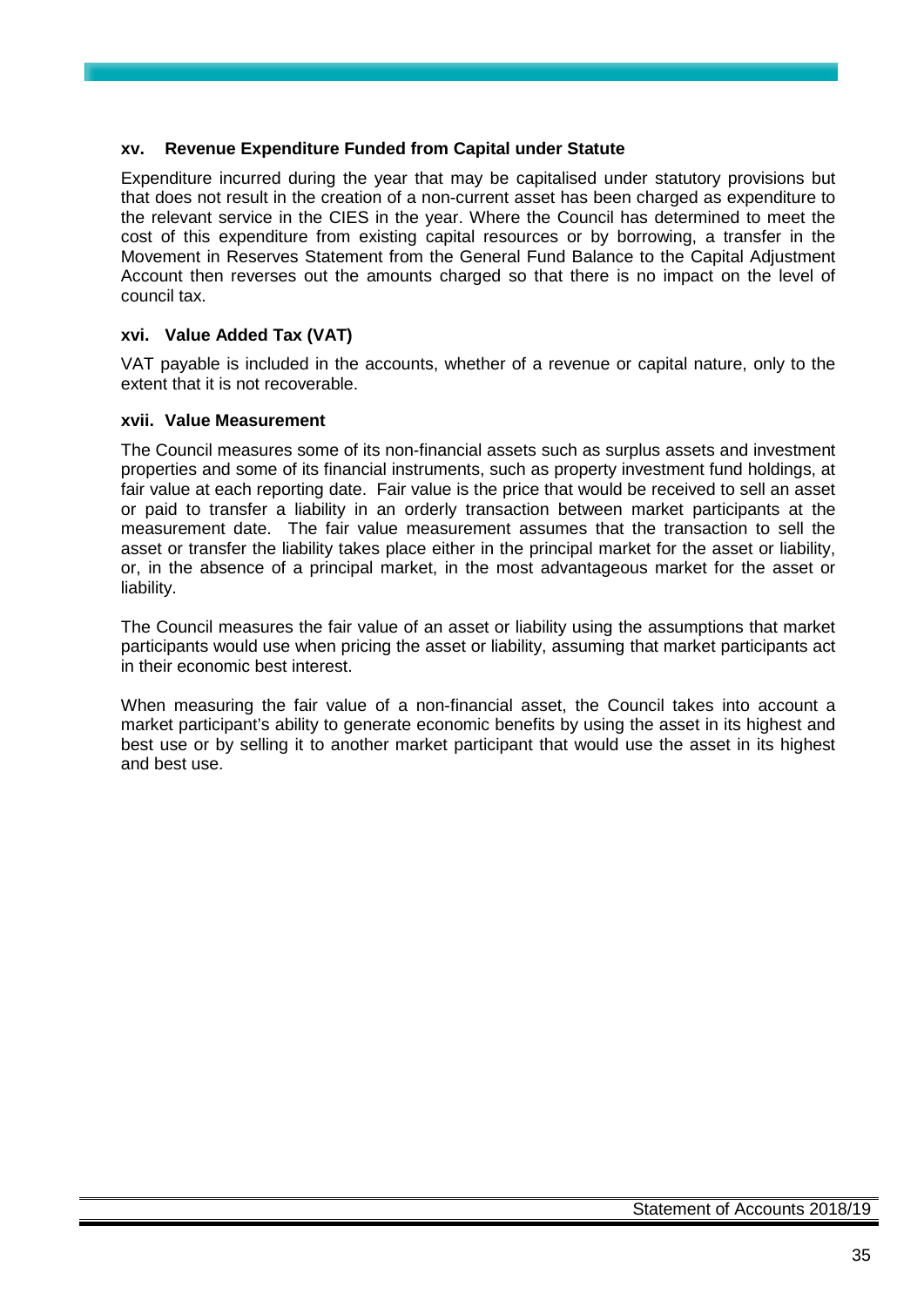## **xv. Revenue Expenditure Funded from Capital under Statute**

Expenditure incurred during the year that may be capitalised under statutory provisions but that does not result in the creation of a non-current asset has been charged as expenditure to the relevant service in the CIES in the year. Where the Council has determined to meet the cost of this expenditure from existing capital resources or by borrowing, a transfer in the Movement in Reserves Statement from the General Fund Balance to the Capital Adjustment Account then reverses out the amounts charged so that there is no impact on the level of council tax.

## **xvi. Value Added Tax (VAT)**

VAT payable is included in the accounts, whether of a revenue or capital nature, only to the extent that it is not recoverable.

## **xvii. Value Measurement**

The Council measures some of its non-financial assets such as surplus assets and investment properties and some of its financial instruments, such as property investment fund holdings, at fair value at each reporting date. Fair value is the price that would be received to sell an asset or paid to transfer a liability in an orderly transaction between market participants at the measurement date. The fair value measurement assumes that the transaction to sell the asset or transfer the liability takes place either in the principal market for the asset or liability, or, in the absence of a principal market, in the most advantageous market for the asset or liability.

The Council measures the fair value of an asset or liability using the assumptions that market participants would use when pricing the asset or liability, assuming that market participants act in their economic best interest.

When measuring the fair value of a non-financial asset, the Council takes into account a market participant's ability to generate economic benefits by using the asset in its highest and best use or by selling it to another market participant that would use the asset in its highest and best use.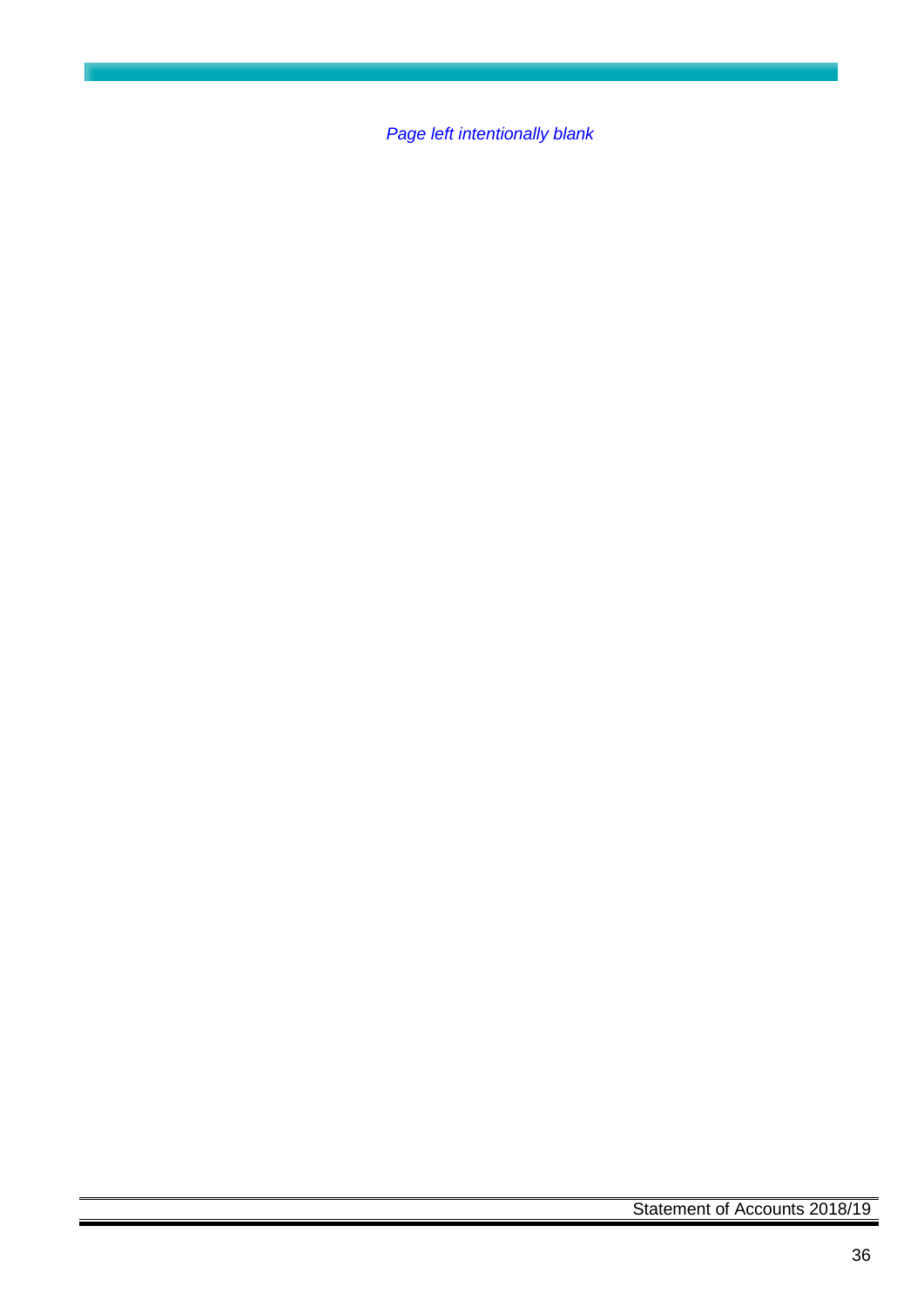*Page left intentionally blank*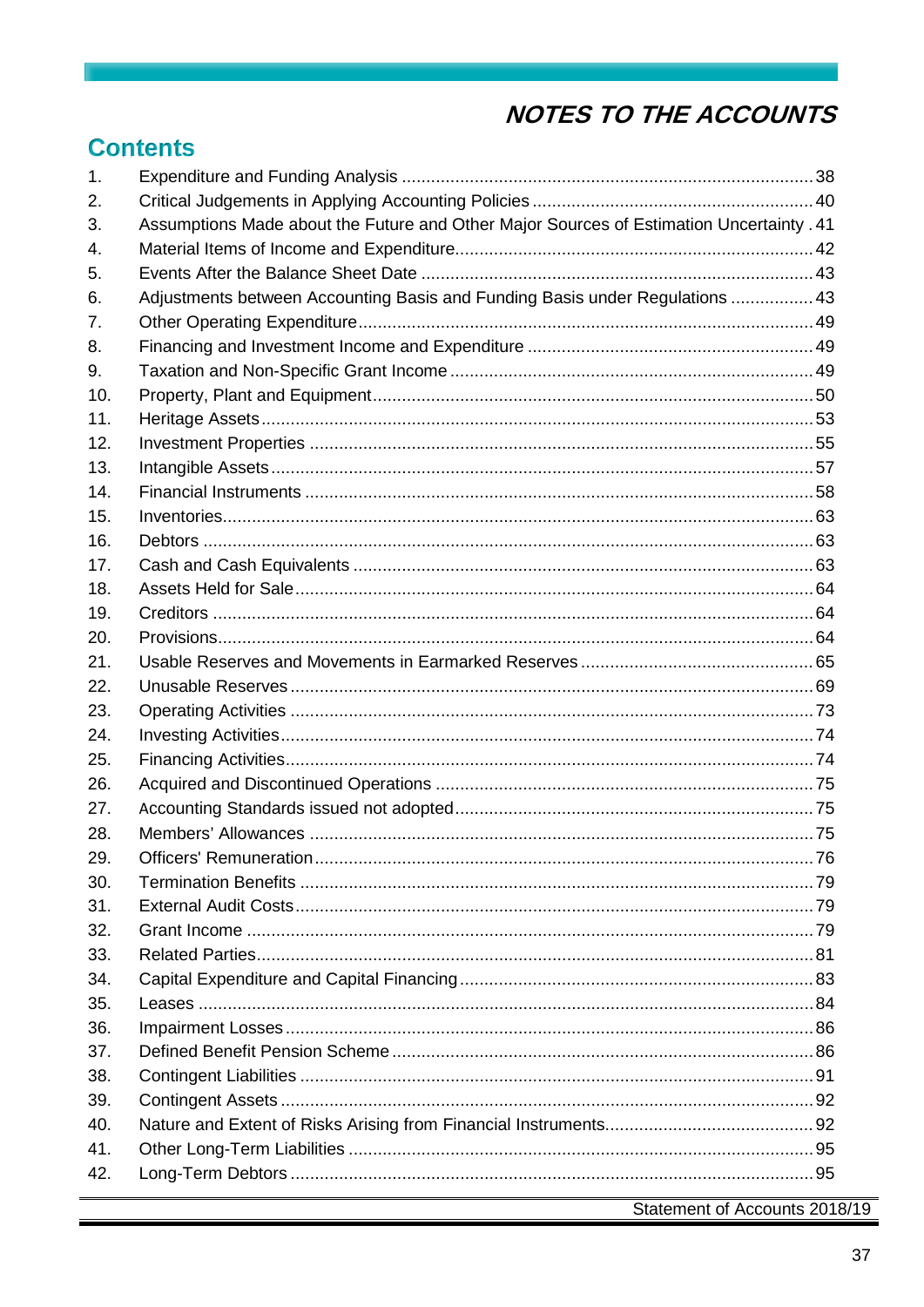# **NOTES TO THE ACCOUNTS**

# **Contents**

| 1.  |                                                                                          |  |
|-----|------------------------------------------------------------------------------------------|--|
| 2.  |                                                                                          |  |
| 3.  | Assumptions Made about the Future and Other Major Sources of Estimation Uncertainty . 41 |  |
| 4.  |                                                                                          |  |
| 5.  |                                                                                          |  |
| 6.  | Adjustments between Accounting Basis and Funding Basis under Regulations  43             |  |
| 7.  |                                                                                          |  |
| 8.  |                                                                                          |  |
| 9.  |                                                                                          |  |
| 10. |                                                                                          |  |
| 11. |                                                                                          |  |
| 12. |                                                                                          |  |
| 13. |                                                                                          |  |
| 14. |                                                                                          |  |
| 15. |                                                                                          |  |
| 16. |                                                                                          |  |
| 17. |                                                                                          |  |
| 18. |                                                                                          |  |
| 19. |                                                                                          |  |
| 20. |                                                                                          |  |
| 21. |                                                                                          |  |
| 22. |                                                                                          |  |
| 23. |                                                                                          |  |
| 24. |                                                                                          |  |
| 25. |                                                                                          |  |
| 26. |                                                                                          |  |
| 27. |                                                                                          |  |
| 28. |                                                                                          |  |
| 29. |                                                                                          |  |
| 30. |                                                                                          |  |
| 31. |                                                                                          |  |
| 32. |                                                                                          |  |
| 33. |                                                                                          |  |
| 34. |                                                                                          |  |
| 35. |                                                                                          |  |
| 36. |                                                                                          |  |
| 37. |                                                                                          |  |
| 38. |                                                                                          |  |
| 39. |                                                                                          |  |
| 40. |                                                                                          |  |
| 41. |                                                                                          |  |
| 42. |                                                                                          |  |
|     |                                                                                          |  |

Statement of Accounts 2018/19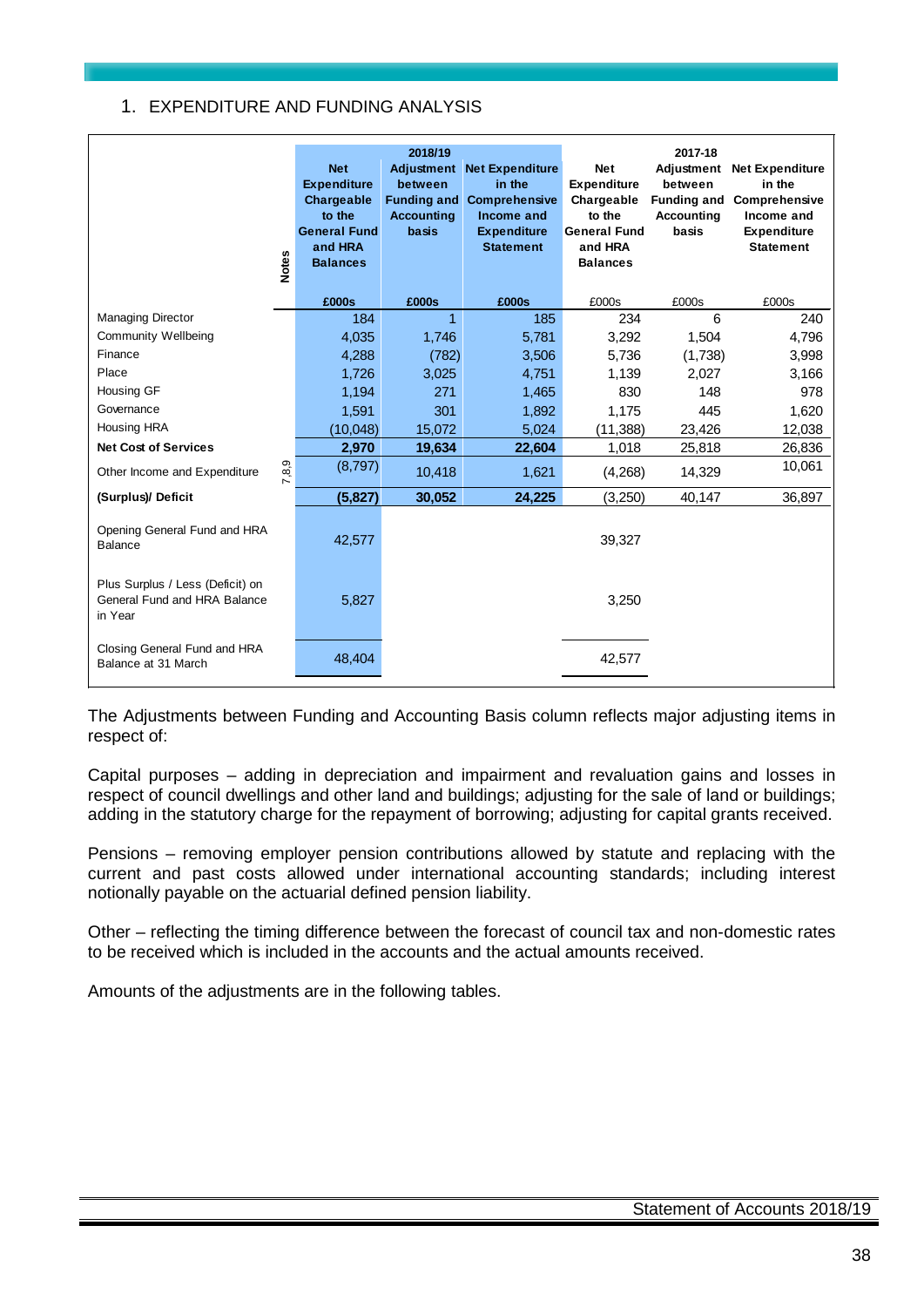# <span id="page-37-0"></span>1. EXPENDITURE AND FUNDING ANALYSIS

|                                                                             | <b>Notes</b> | <b>Net</b><br><b>Expenditure</b><br>Chargeable<br>to the<br><b>General Fund</b><br>and HRA<br><b>Balances</b> | 2018/19<br>between<br><b>Funding and</b><br><b>Accounting</b><br><b>basis</b> | <b>Adjustment Net Expenditure</b><br>in the<br><b>Comprehensive</b><br>Income and<br><b>Expenditure</b><br><b>Statement</b> | <b>Net</b><br><b>Expenditure</b><br>Chargeable<br>to the<br><b>General Fund</b><br>and HRA<br><b>Balances</b> | 2017-18<br>Adjustment<br>between<br><b>Funding and</b><br><b>Accounting</b><br>basis | <b>Net Expenditure</b><br>in the<br>Comprehensive<br>Income and<br><b>Expenditure</b><br><b>Statement</b> |
|-----------------------------------------------------------------------------|--------------|---------------------------------------------------------------------------------------------------------------|-------------------------------------------------------------------------------|-----------------------------------------------------------------------------------------------------------------------------|---------------------------------------------------------------------------------------------------------------|--------------------------------------------------------------------------------------|-----------------------------------------------------------------------------------------------------------|
|                                                                             |              | £000s                                                                                                         | £000s                                                                         | £000s                                                                                                                       | £000s                                                                                                         | £000s                                                                                | £000s                                                                                                     |
| <b>Managing Director</b>                                                    |              | 184                                                                                                           | 1                                                                             | 185                                                                                                                         | 234                                                                                                           | 6                                                                                    | 240                                                                                                       |
| <b>Community Wellbeing</b>                                                  |              | 4,035                                                                                                         | 1,746                                                                         | 5,781                                                                                                                       | 3,292                                                                                                         | 1,504                                                                                | 4,796                                                                                                     |
| Finance                                                                     |              | 4,288                                                                                                         | (782)                                                                         | 3,506                                                                                                                       | 5,736                                                                                                         | (1,738)                                                                              | 3,998                                                                                                     |
| Place                                                                       |              | 1,726                                                                                                         | 3,025                                                                         | 4,751                                                                                                                       | 1,139                                                                                                         | 2.027                                                                                | 3,166                                                                                                     |
| Housing GF                                                                  |              | 1,194                                                                                                         | 271                                                                           | 1,465                                                                                                                       | 830                                                                                                           | 148                                                                                  | 978                                                                                                       |
| Governance                                                                  |              | 1,591                                                                                                         | 301                                                                           | 1,892                                                                                                                       | 1,175                                                                                                         | 445                                                                                  | 1,620                                                                                                     |
| Housing HRA                                                                 |              | (10,048)                                                                                                      | 15,072                                                                        | 5,024                                                                                                                       | (11,388)                                                                                                      | 23,426                                                                               | 12,038                                                                                                    |
| <b>Net Cost of Services</b>                                                 |              | 2,970                                                                                                         | 19,634                                                                        | 22,604                                                                                                                      | 1,018                                                                                                         | 25,818                                                                               | 26,836                                                                                                    |
| Other Income and Expenditure                                                | 7,8,9        | (8,797)                                                                                                       | 10,418                                                                        | 1,621                                                                                                                       | (4,268)                                                                                                       | 14,329                                                                               | 10,061                                                                                                    |
| (Surplus)/ Deficit                                                          |              | (5,827)                                                                                                       | 30,052                                                                        | 24,225                                                                                                                      | (3,250)                                                                                                       | 40,147                                                                               | 36,897                                                                                                    |
| Opening General Fund and HRA<br><b>Balance</b>                              |              | 42,577                                                                                                        |                                                                               |                                                                                                                             | 39,327                                                                                                        |                                                                                      |                                                                                                           |
| Plus Surplus / Less (Deficit) on<br>General Fund and HRA Balance<br>in Year |              | 5,827                                                                                                         |                                                                               |                                                                                                                             | 3,250                                                                                                         |                                                                                      |                                                                                                           |
| Closing General Fund and HRA<br>Balance at 31 March                         |              | 48,404                                                                                                        |                                                                               |                                                                                                                             | 42.577                                                                                                        |                                                                                      |                                                                                                           |

The Adjustments between Funding and Accounting Basis column reflects major adjusting items in respect of:

Capital purposes – adding in depreciation and impairment and revaluation gains and losses in respect of council dwellings and other land and buildings; adjusting for the sale of land or buildings; adding in the statutory charge for the repayment of borrowing; adjusting for capital grants received.

Pensions – removing employer pension contributions allowed by statute and replacing with the current and past costs allowed under international accounting standards; including interest notionally payable on the actuarial defined pension liability.

Other – reflecting the timing difference between the forecast of council tax and non-domestic rates to be received which is included in the accounts and the actual amounts received.

Amounts of the adjustments are in the following tables.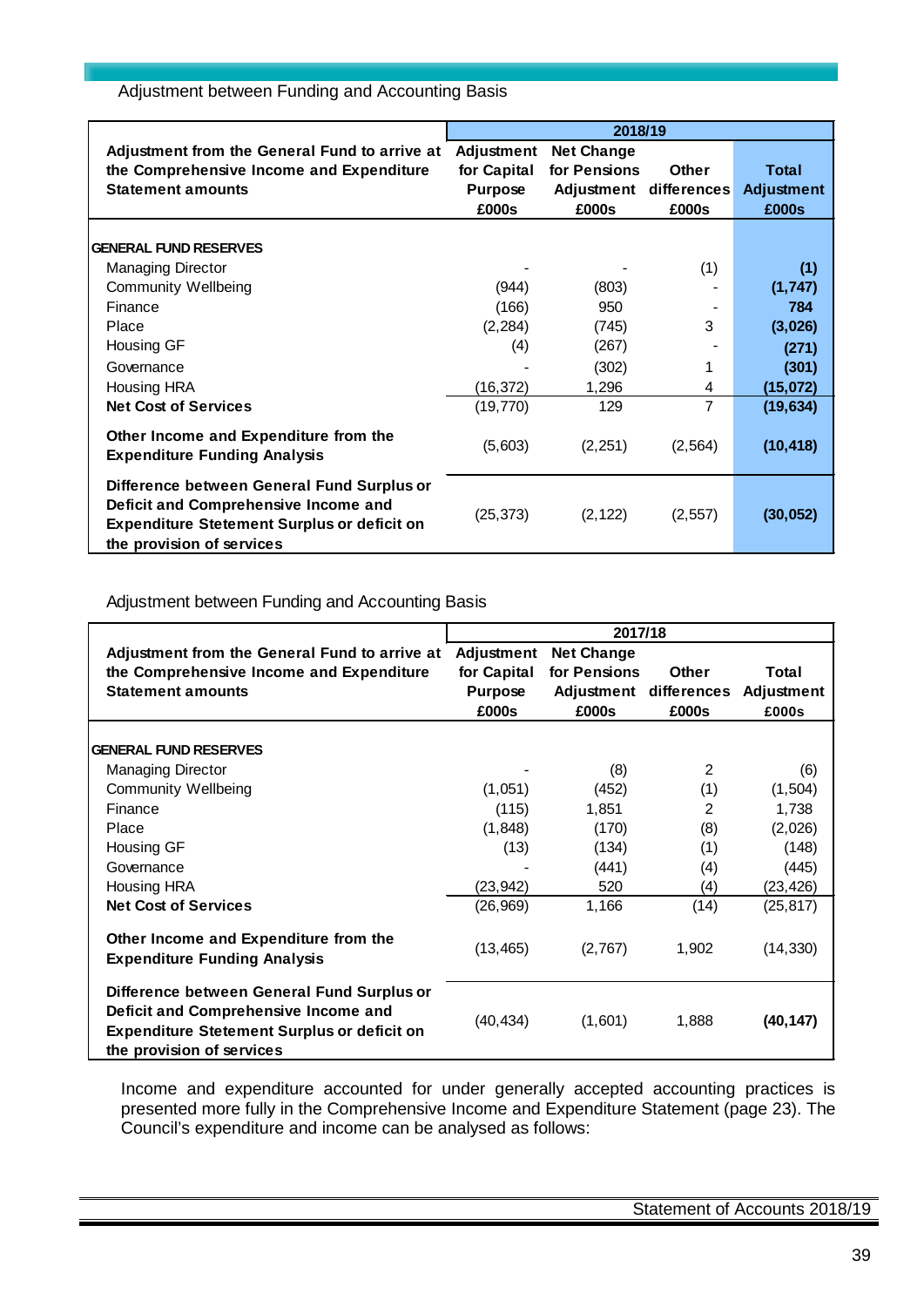|                                                                                                                                                                       | 2018/19        |                   |                |                   |  |
|-----------------------------------------------------------------------------------------------------------------------------------------------------------------------|----------------|-------------------|----------------|-------------------|--|
| Adjustment from the General Fund to arrive at                                                                                                                         | Adjustment     | <b>Net Change</b> |                |                   |  |
| the Comprehensive Income and Expenditure                                                                                                                              | for Capital    | for Pensions      | Other          | <b>Total</b>      |  |
| <b>Statement amounts</b>                                                                                                                                              | <b>Purpose</b> | Adjustment        | differences    | <b>Adjustment</b> |  |
|                                                                                                                                                                       | £000s          | £000s             | £000s          | £000s             |  |
|                                                                                                                                                                       |                |                   |                |                   |  |
| <b>GENERAL FUND RESERVES</b>                                                                                                                                          |                |                   |                |                   |  |
| <b>Managing Director</b>                                                                                                                                              |                |                   | (1)            | (1)               |  |
| <b>Community Wellbeing</b>                                                                                                                                            | (944)          | (803)             |                | (1,747)           |  |
| Finance                                                                                                                                                               | (166)          | 950               |                | 784               |  |
| Place                                                                                                                                                                 | (2, 284)       | (745)             | 3              | (3,026)           |  |
| Housing GF                                                                                                                                                            | (4)            | (267)             |                | (271)             |  |
| Governance                                                                                                                                                            |                | (302)             | 1              | (301)             |  |
| Housing HRA                                                                                                                                                           | (16, 372)      | 1,296             | 4              | (15,072)          |  |
| <b>Net Cost of Services</b>                                                                                                                                           | (19, 770)      | 129               | $\overline{7}$ | (19, 634)         |  |
| Other Income and Expenditure from the<br><b>Expenditure Funding Analysis</b>                                                                                          | (5,603)        | (2, 251)          | (2, 564)       | (10, 418)         |  |
| Difference between General Fund Surplus or<br>Deficit and Comprehensive Income and<br><b>Expenditure Stetement Surplus or deficit on</b><br>the provision of services | (25, 373)      | (2, 122)          | (2, 557)       | (30, 052)         |  |

Adjustment between Funding and Accounting Basis

Adjustment between Funding and Accounting Basis

|                                                                                                                                                                       | 2017/18        |                   |                        |            |  |
|-----------------------------------------------------------------------------------------------------------------------------------------------------------------------|----------------|-------------------|------------------------|------------|--|
| Adjustment from the General Fund to arrive at                                                                                                                         | Adjustment     | <b>Net Change</b> |                        |            |  |
| the Comprehensive Income and Expenditure                                                                                                                              | for Capital    | for Pensions      | <b>Other</b>           | Total      |  |
| <b>Statement amounts</b>                                                                                                                                              | <b>Purpose</b> |                   | Adjustment differences | Adjustment |  |
|                                                                                                                                                                       | £000s          | £000s             | £000s                  | £000s      |  |
|                                                                                                                                                                       |                |                   |                        |            |  |
| <b>GENERAL FUND RESERVES</b>                                                                                                                                          |                |                   |                        |            |  |
| <b>Managing Director</b>                                                                                                                                              |                | (8)               | 2                      | (6)        |  |
| <b>Community Wellbeing</b>                                                                                                                                            | (1,051)        | (452)             | (1)                    | (1, 504)   |  |
| Finance                                                                                                                                                               | (115)          | 1,851             | 2                      | 1,738      |  |
| Place                                                                                                                                                                 | (1, 848)       | (170)             | (8)                    | (2,026)    |  |
| Housing GF                                                                                                                                                            | (13)           | (134)             | (1)                    | (148)      |  |
| Governance                                                                                                                                                            |                | (441)             | (4)                    | (445)      |  |
| Housing HRA                                                                                                                                                           | (23, 942)      | 520               | (4)                    | (23, 426)  |  |
| <b>Net Cost of Services</b>                                                                                                                                           | (26, 969)      | 1,166             | (14)                   | (25, 817)  |  |
| Other Income and Expenditure from the<br><b>Expenditure Funding Analysis</b>                                                                                          | (13, 465)      | (2,767)           | 1,902                  | (14, 330)  |  |
| Difference between General Fund Surplus or<br>Deficit and Comprehensive Income and<br><b>Expenditure Stetement Surplus or deficit on</b><br>the provision of services | (40, 434)      | (1,601)           | 1,888                  | (40, 147)  |  |

Income and expenditure accounted for under generally accepted accounting practices is presented more fully in the Comprehensive Income and Expenditure Statement (page 23). The Council's expenditure and income can be analysed as follows: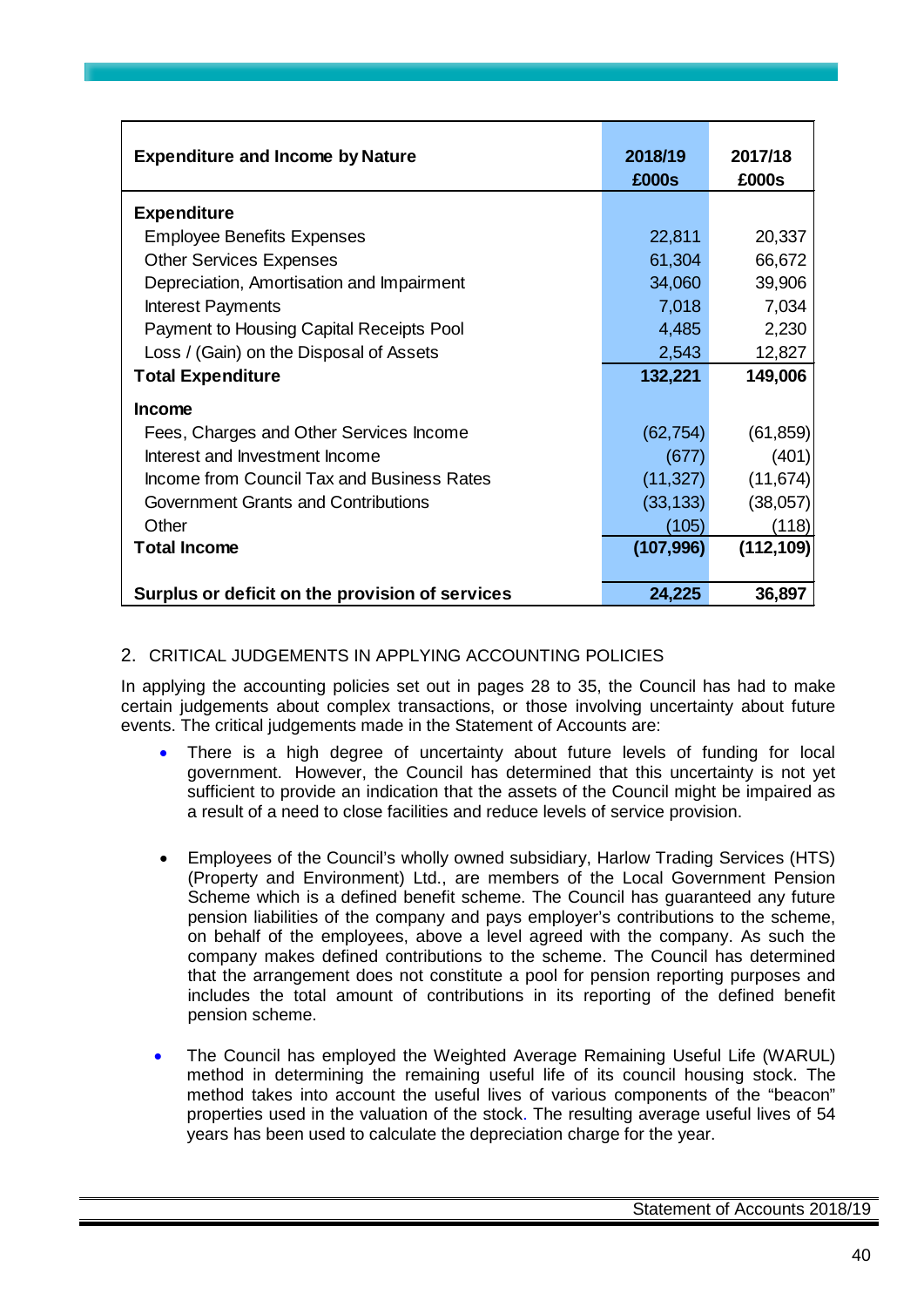| <b>Expenditure and Income by Nature</b>         | 2018/19<br>£000s | 2017/18<br>£000s |
|-------------------------------------------------|------------------|------------------|
| <b>Expenditure</b>                              |                  |                  |
| <b>Employee Benefits Expenses</b>               | 22,811           | 20,337           |
| <b>Other Services Expenses</b>                  | 61,304           | 66,672           |
| Depreciation, Amortisation and Impairment       | 34,060           | 39,906           |
| <b>Interest Payments</b>                        | 7,018            | 7,034            |
| Payment to Housing Capital Receipts Pool        | 4,485            | 2,230            |
| Loss / (Gain) on the Disposal of Assets         | 2,543            | 12,827           |
| <b>Total Expenditure</b>                        | 132,221          | 149,006          |
| Income                                          |                  |                  |
| Fees, Charges and Other Services Income         | (62, 754)        | (61, 859)        |
| Interest and Investment Income                  | (677)            | (401)            |
| Income from Council Tax and Business Rates      | (11, 327)        | (11, 674)        |
| Government Grants and Contributions             | (33, 133)        | (38,057)         |
| Other                                           | (105)            | (118)            |
| <b>Total Income</b>                             | (107,996)        | (112, 109)       |
|                                                 |                  |                  |
| Surplus or deficit on the provision of services | 24,225           | 36,897           |

# <span id="page-39-0"></span>2. CRITICAL JUDGEMENTS IN APPLYING ACCOUNTING POLICIES

In applying the accounting policies set out in pages 28 to 35, the Council has had to make certain judgements about complex transactions, or those involving uncertainty about future events. The critical judgements made in the Statement of Accounts are:

- There is a high degree of uncertainty about future levels of funding for local government. However, the Council has determined that this uncertainty is not yet sufficient to provide an indication that the assets of the Council might be impaired as a result of a need to close facilities and reduce levels of service provision.
- Employees of the Council's wholly owned subsidiary, Harlow Trading Services (HTS) (Property and Environment) Ltd., are members of the Local Government Pension Scheme which is a defined benefit scheme. The Council has guaranteed any future pension liabilities of the company and pays employer's contributions to the scheme, on behalf of the employees, above a level agreed with the company. As such the company makes defined contributions to the scheme. The Council has determined that the arrangement does not constitute a pool for pension reporting purposes and includes the total amount of contributions in its reporting of the defined benefit pension scheme.
- The Council has employed the Weighted Average Remaining Useful Life (WARUL) method in determining the remaining useful life of its council housing stock. The method takes into account the useful lives of various components of the "beacon" properties used in the valuation of the stock. The resulting average useful lives of 54 years has been used to calculate the depreciation charge for the year.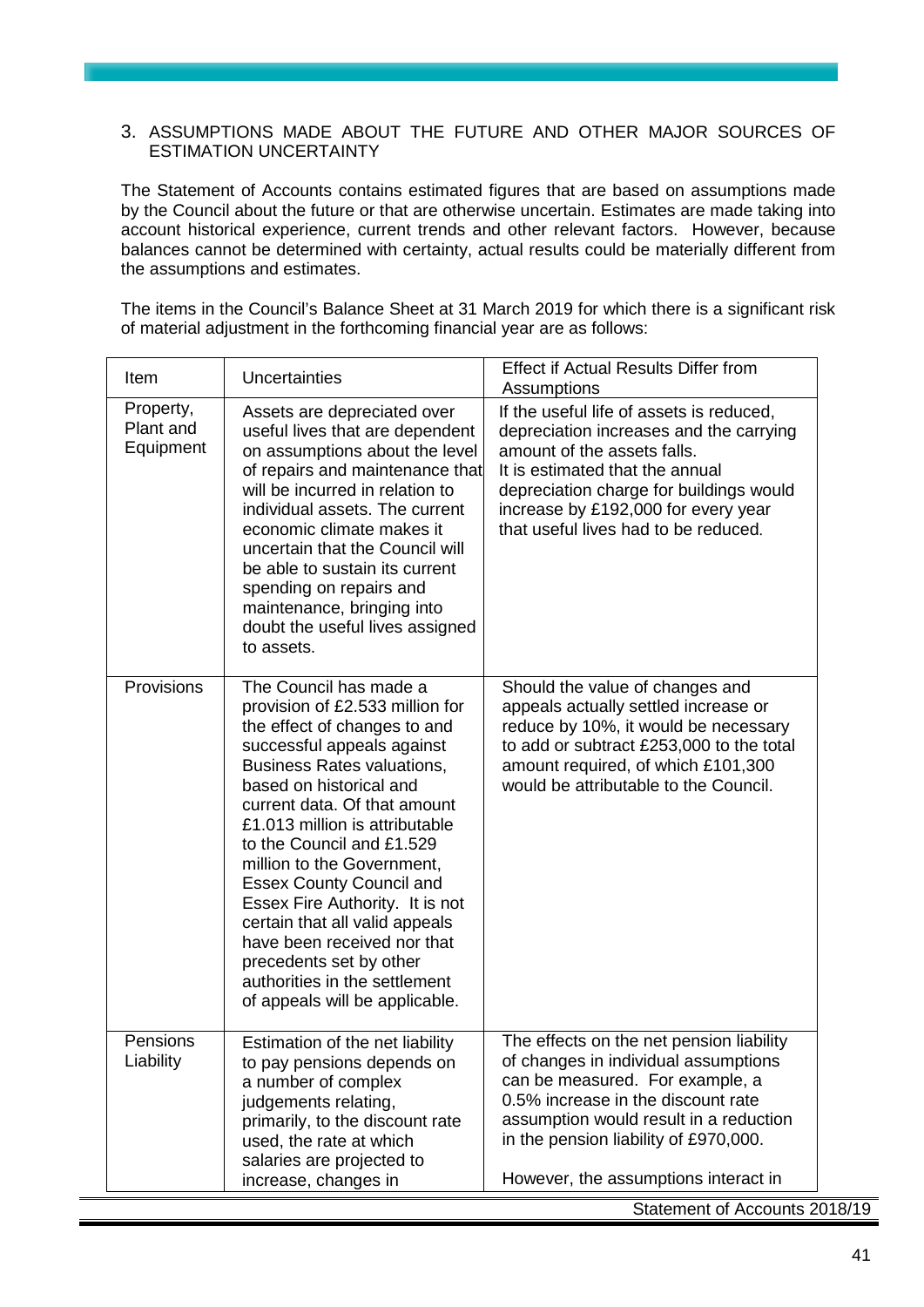# <span id="page-40-0"></span>3. ASSUMPTIONS MADE ABOUT THE FUTURE AND OTHER MAJOR SOURCES OF ESTIMATION UNCERTAINTY

The Statement of Accounts contains estimated figures that are based on assumptions made by the Council about the future or that are otherwise uncertain. Estimates are made taking into account historical experience, current trends and other relevant factors. However, because balances cannot be determined with certainty, actual results could be materially different from the assumptions and estimates.

The items in the Council's Balance Sheet at 31 March 2019 for which there is a significant risk of material adjustment in the forthcoming financial year are as follows:

| Item                                | Uncertainties                                                                                                                                                                                                                                                                                                                                                                                                                                                                                                                                      | <b>Effect if Actual Results Differ from</b><br>Assumptions                                                                                                                                                                                                                           |
|-------------------------------------|----------------------------------------------------------------------------------------------------------------------------------------------------------------------------------------------------------------------------------------------------------------------------------------------------------------------------------------------------------------------------------------------------------------------------------------------------------------------------------------------------------------------------------------------------|--------------------------------------------------------------------------------------------------------------------------------------------------------------------------------------------------------------------------------------------------------------------------------------|
| Property,<br>Plant and<br>Equipment | Assets are depreciated over<br>useful lives that are dependent<br>on assumptions about the level<br>of repairs and maintenance that<br>will be incurred in relation to<br>individual assets. The current<br>economic climate makes it<br>uncertain that the Council will<br>be able to sustain its current<br>spending on repairs and<br>maintenance, bringing into<br>doubt the useful lives assigned<br>to assets.                                                                                                                               | If the useful life of assets is reduced,<br>depreciation increases and the carrying<br>amount of the assets falls.<br>It is estimated that the annual<br>depreciation charge for buildings would<br>increase by £192,000 for every year<br>that useful lives had to be reduced.      |
| Provisions                          | The Council has made a<br>provision of £2.533 million for<br>the effect of changes to and<br>successful appeals against<br>Business Rates valuations,<br>based on historical and<br>current data. Of that amount<br>£1.013 million is attributable<br>to the Council and £1.529<br>million to the Government,<br><b>Essex County Council and</b><br>Essex Fire Authority. It is not<br>certain that all valid appeals<br>have been received nor that<br>precedents set by other<br>authorities in the settlement<br>of appeals will be applicable. | Should the value of changes and<br>appeals actually settled increase or<br>reduce by 10%, it would be necessary<br>to add or subtract £253,000 to the total<br>amount required, of which £101,300<br>would be attributable to the Council.                                           |
| Pensions<br>Liability               | Estimation of the net liability<br>to pay pensions depends on<br>a number of complex<br>judgements relating,<br>primarily, to the discount rate<br>used, the rate at which<br>salaries are projected to<br>increase, changes in                                                                                                                                                                                                                                                                                                                    | The effects on the net pension liability<br>of changes in individual assumptions<br>can be measured. For example, a<br>0.5% increase in the discount rate<br>assumption would result in a reduction<br>in the pension liability of £970,000.<br>However, the assumptions interact in |

Statement of Accounts 2018/19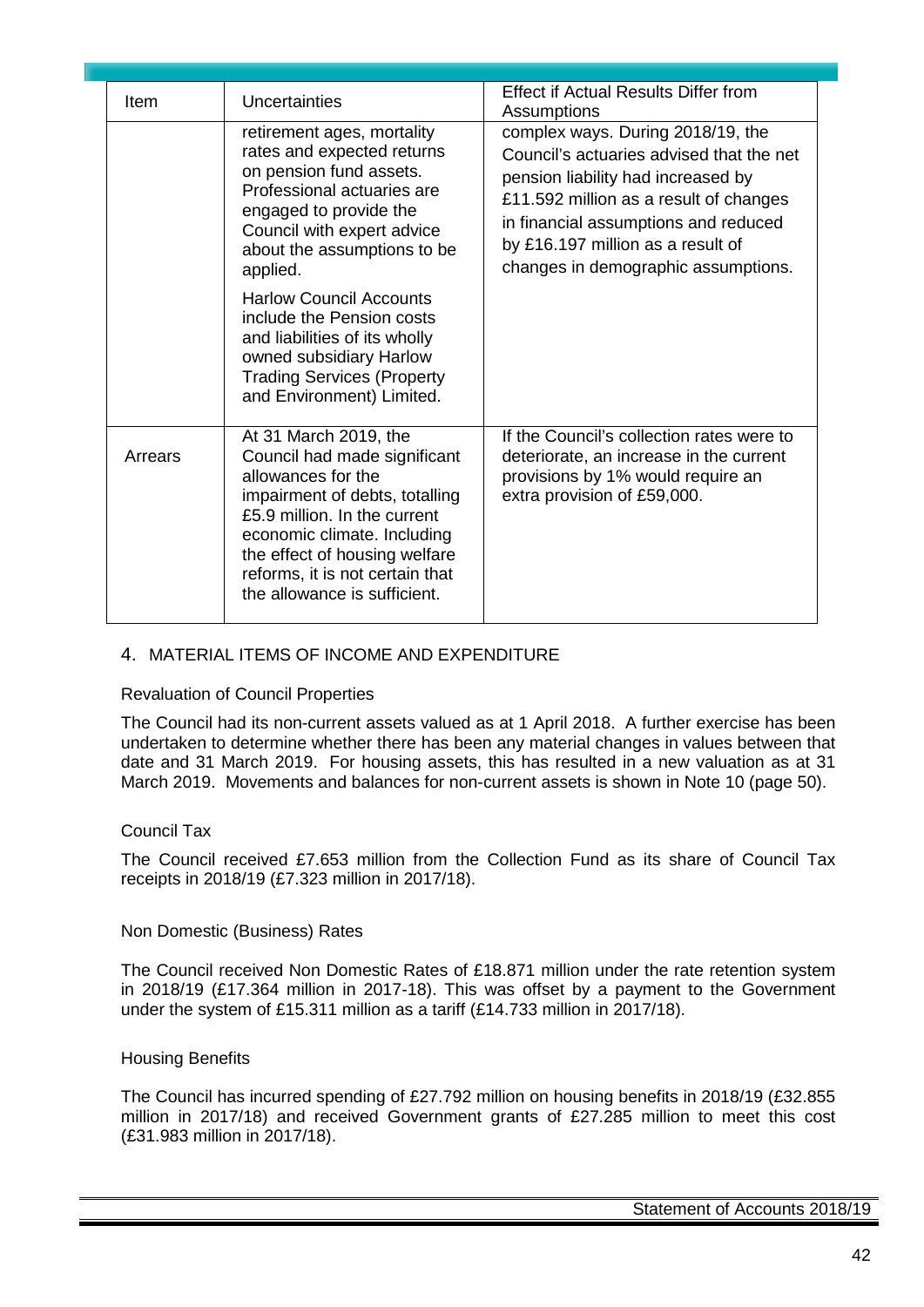| Item    | Uncertainties                                                                                                                                                                                                                                                                    | <b>Effect if Actual Results Differ from</b><br>Assumptions                                                                                                                                                                                                                        |
|---------|----------------------------------------------------------------------------------------------------------------------------------------------------------------------------------------------------------------------------------------------------------------------------------|-----------------------------------------------------------------------------------------------------------------------------------------------------------------------------------------------------------------------------------------------------------------------------------|
|         | retirement ages, mortality<br>rates and expected returns<br>on pension fund assets.<br>Professional actuaries are<br>engaged to provide the<br>Council with expert advice<br>about the assumptions to be<br>applied.<br><b>Harlow Council Accounts</b>                           | complex ways. During 2018/19, the<br>Council's actuaries advised that the net<br>pension liability had increased by<br>£11.592 million as a result of changes<br>in financial assumptions and reduced<br>by £16.197 million as a result of<br>changes in demographic assumptions. |
|         | include the Pension costs<br>and liabilities of its wholly<br>owned subsidiary Harlow<br><b>Trading Services (Property</b><br>and Environment) Limited.                                                                                                                          |                                                                                                                                                                                                                                                                                   |
| Arrears | At 31 March 2019, the<br>Council had made significant<br>allowances for the<br>impairment of debts, totalling<br>£5.9 million. In the current<br>economic climate. Including<br>the effect of housing welfare<br>reforms, it is not certain that<br>the allowance is sufficient. | If the Council's collection rates were to<br>deteriorate, an increase in the current<br>provisions by 1% would require an<br>extra provision of £59,000.                                                                                                                          |

# <span id="page-41-0"></span>4. MATERIAL ITEMS OF INCOME AND EXPENDITURE

## Revaluation of Council Properties

The Council had its non-current assets valued as at 1 April 2018. A further exercise has been undertaken to determine whether there has been any material changes in values between that date and 31 March 2019. For housing assets, this has resulted in a new valuation as at 31 March 2019. Movements and balances for non-current assets is shown in Note 10 (page 50).

## Council Tax

The Council received £7.653 million from the Collection Fund as its share of Council Tax receipts in 2018/19 (£7.323 million in 2017/18).

#### Non Domestic (Business) Rates

The Council received Non Domestic Rates of £18.871 million under the rate retention system in 2018/19 (£17.364 million in 2017-18). This was offset by a payment to the Government under the system of £15.311 million as a tariff (£14.733 million in 2017/18).

#### Housing Benefits

The Council has incurred spending of £27.792 million on housing benefits in 2018/19 (£32.855 million in 2017/18) and received Government grants of £27.285 million to meet this cost (£31.983 million in 2017/18).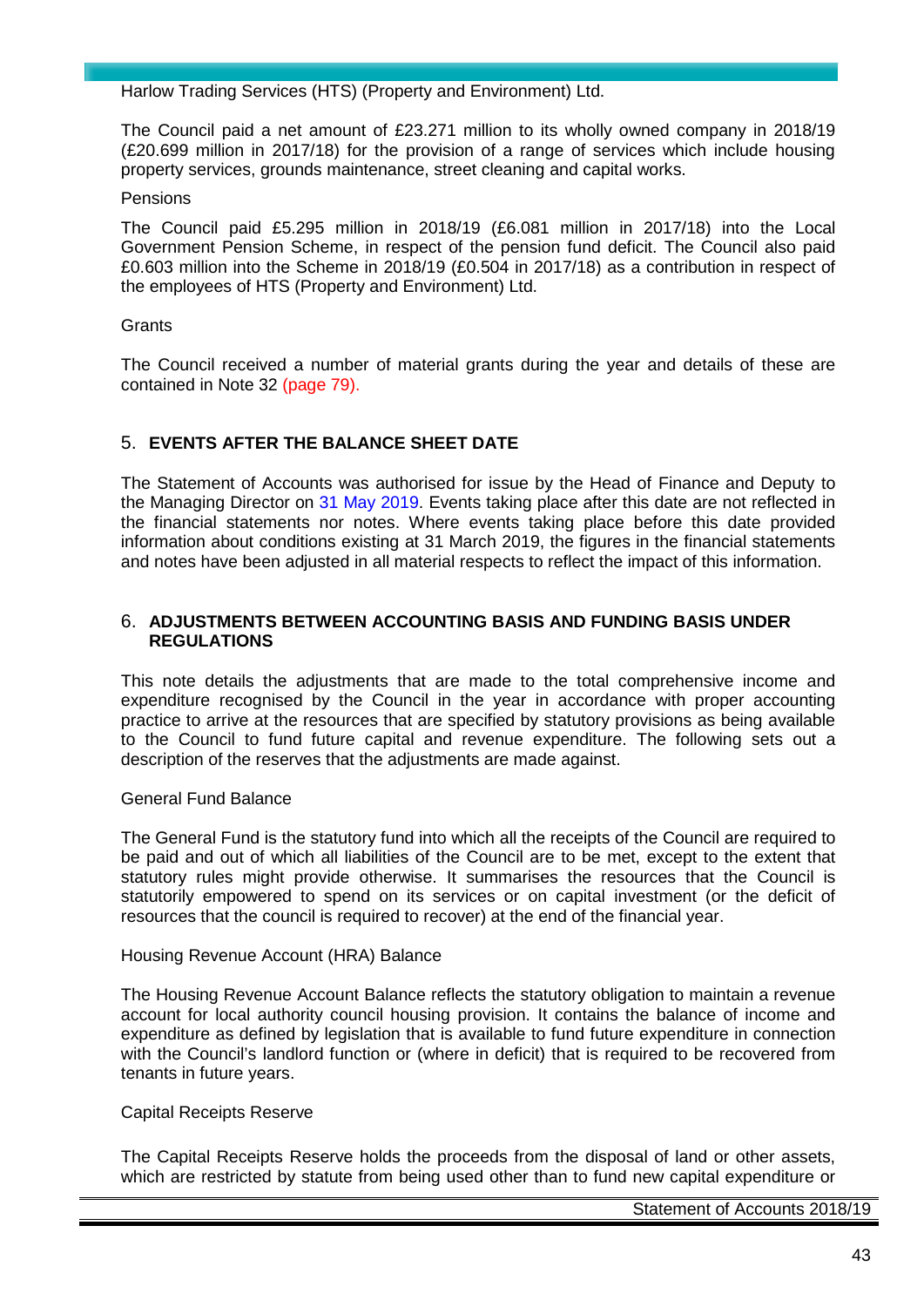Harlow Trading Services (HTS) (Property and Environment) Ltd.

The Council paid a net amount of £23.271 million to its wholly owned company in 2018/19 (£20.699 million in 2017/18) for the provision of a range of services which include housing property services, grounds maintenance, street cleaning and capital works.

#### Pensions

The Council paid £5.295 million in 2018/19 (£6.081 million in 2017/18) into the Local Government Pension Scheme, in respect of the pension fund deficit. The Council also paid £0.603 million into the Scheme in 2018/19 (£0.504 in 2017/18) as a contribution in respect of the employees of HTS (Property and Environment) Ltd.

#### **Grants**

The Council received a number of material grants during the year and details of these are contained in Note 32 (page 79).

# <span id="page-42-0"></span>5. **EVENTS AFTER THE BALANCE SHEET DATE**

The Statement of Accounts was authorised for issue by the Head of Finance and Deputy to the Managing Director on 31 May 2019. Events taking place after this date are not reflected in the financial statements nor notes. Where events taking place before this date provided information about conditions existing at 31 March 2019, the figures in the financial statements and notes have been adjusted in all material respects to reflect the impact of this information.

#### <span id="page-42-1"></span>6. **ADJUSTMENTS BETWEEN ACCOUNTING BASIS AND FUNDING BASIS UNDER REGULATIONS**

This note details the adjustments that are made to the total comprehensive income and expenditure recognised by the Council in the year in accordance with proper accounting practice to arrive at the resources that are specified by statutory provisions as being available to the Council to fund future capital and revenue expenditure. The following sets out a description of the reserves that the adjustments are made against.

General Fund Balance

The General Fund is the statutory fund into which all the receipts of the Council are required to be paid and out of which all liabilities of the Council are to be met, except to the extent that statutory rules might provide otherwise. It summarises the resources that the Council is statutorily empowered to spend on its services or on capital investment (or the deficit of resources that the council is required to recover) at the end of the financial year.

Housing Revenue Account (HRA) Balance

The Housing Revenue Account Balance reflects the statutory obligation to maintain a revenue account for local authority council housing provision. It contains the balance of income and expenditure as defined by legislation that is available to fund future expenditure in connection with the Council's landlord function or (where in deficit) that is required to be recovered from tenants in future years.

## Capital Receipts Reserve

The Capital Receipts Reserve holds the proceeds from the disposal of land or other assets, which are restricted by statute from being used other than to fund new capital expenditure or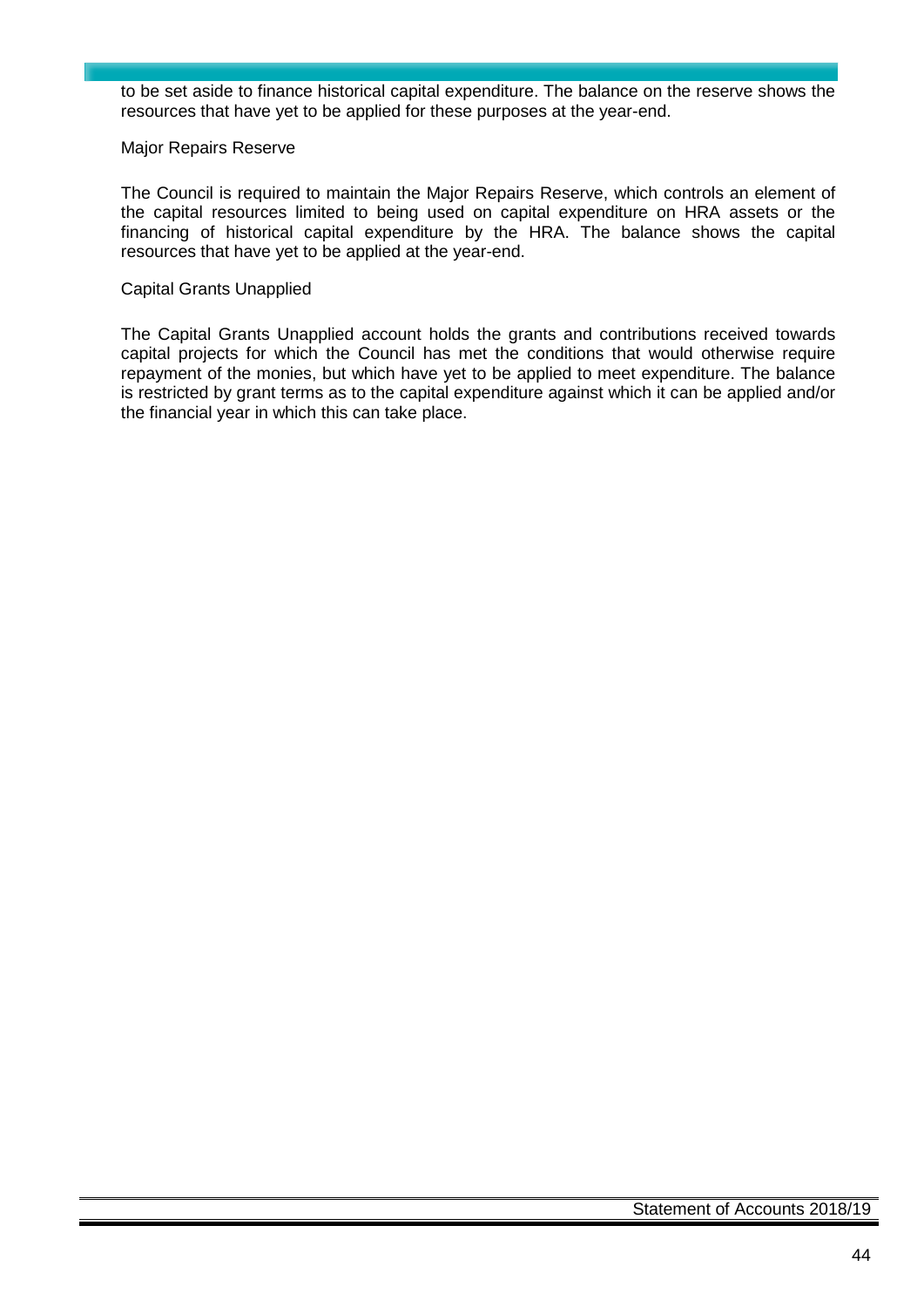to be set aside to finance historical capital expenditure. The balance on the reserve shows the resources that have yet to be applied for these purposes at the year-end.

#### Major Repairs Reserve

The Council is required to maintain the Major Repairs Reserve, which controls an element of the capital resources limited to being used on capital expenditure on HRA assets or the financing of historical capital expenditure by the HRA. The balance shows the capital resources that have yet to be applied at the year-end.

#### Capital Grants Unapplied

The Capital Grants Unapplied account holds the grants and contributions received towards capital projects for which the Council has met the conditions that would otherwise require repayment of the monies, but which have yet to be applied to meet expenditure. The balance is restricted by grant terms as to the capital expenditure against which it can be applied and/or the financial year in which this can take place.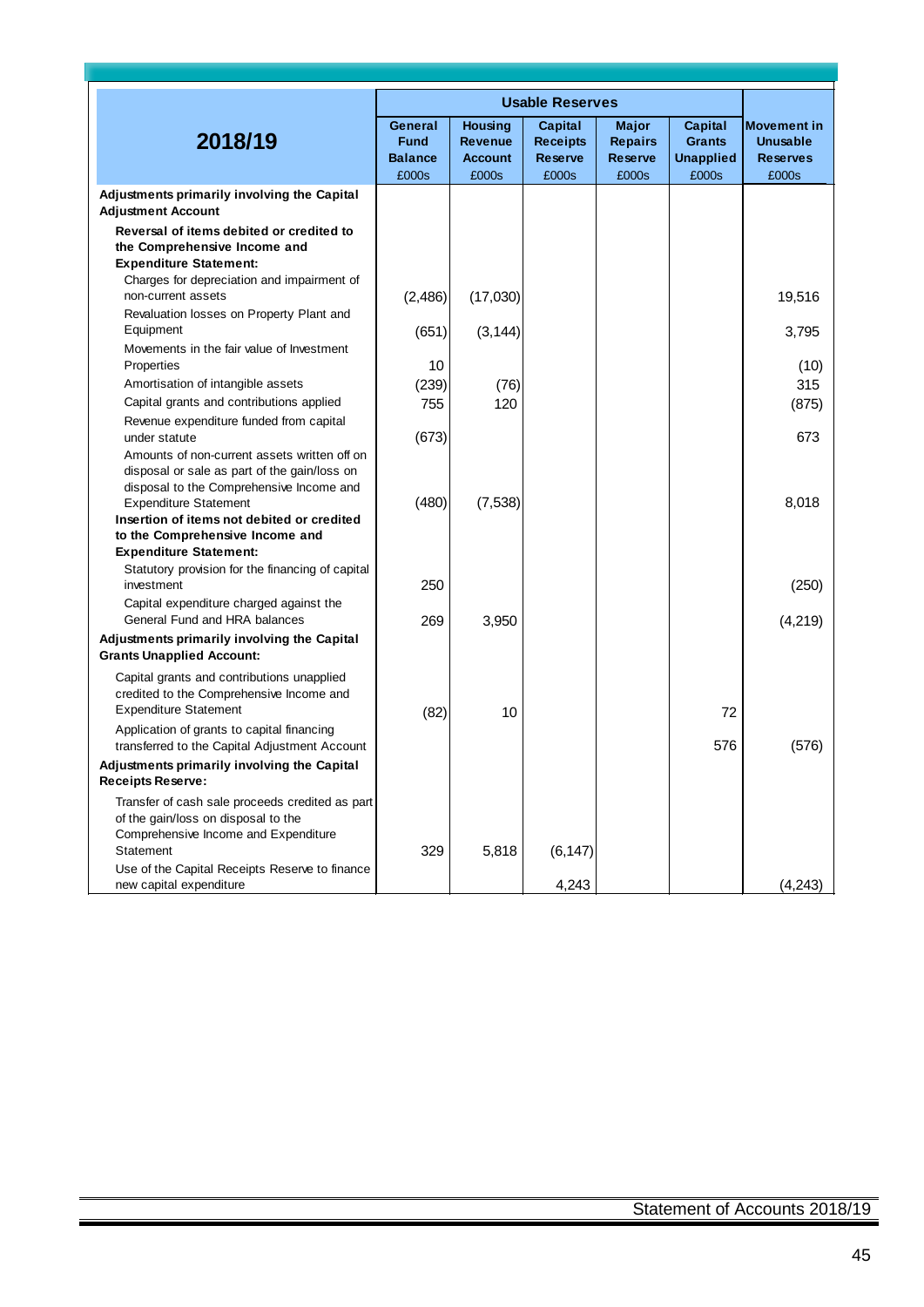|                                                                                                                                                                                                                                                           |                                            |                                                             | <b>Usable Reserves</b>                                |                                                           |                                                       |                                                     |
|-----------------------------------------------------------------------------------------------------------------------------------------------------------------------------------------------------------------------------------------------------------|--------------------------------------------|-------------------------------------------------------------|-------------------------------------------------------|-----------------------------------------------------------|-------------------------------------------------------|-----------------------------------------------------|
| 2018/19                                                                                                                                                                                                                                                   | General<br>Fund<br><b>Balance</b><br>£000s | <b>Housing</b><br><b>Revenue</b><br><b>Account</b><br>£000s | <b>Capital</b><br>Receipts<br><b>Reserve</b><br>£000s | <b>Major</b><br><b>Repairs</b><br><b>Reserve</b><br>£000s | Capital<br><b>Grants</b><br><b>Unapplied</b><br>£000s | Movement in<br>Unusable<br><b>Reserves</b><br>£000s |
| Adjustments primarily involving the Capital<br><b>Adjustment Account</b>                                                                                                                                                                                  |                                            |                                                             |                                                       |                                                           |                                                       |                                                     |
| Reversal of items debited or credited to<br>the Comprehensive Income and<br><b>Expenditure Statement:</b><br>Charges for depreciation and impairment of                                                                                                   |                                            |                                                             |                                                       |                                                           |                                                       |                                                     |
| non-current assets<br>Revaluation losses on Property Plant and                                                                                                                                                                                            | (2, 486)                                   | (17,030)                                                    |                                                       |                                                           |                                                       | 19,516                                              |
| Equipment                                                                                                                                                                                                                                                 | (651)                                      | (3, 144)                                                    |                                                       |                                                           |                                                       | 3,795                                               |
| Movements in the fair value of Investment<br>Properties                                                                                                                                                                                                   | 10                                         |                                                             |                                                       |                                                           |                                                       | (10)                                                |
| Amortisation of intangible assets                                                                                                                                                                                                                         | (239)                                      | (76)                                                        |                                                       |                                                           |                                                       | 315                                                 |
| Capital grants and contributions applied                                                                                                                                                                                                                  | 755                                        | 120                                                         |                                                       |                                                           |                                                       | (875)                                               |
| Revenue expenditure funded from capital<br>under statute                                                                                                                                                                                                  | (673)                                      |                                                             |                                                       |                                                           |                                                       | 673                                                 |
| Amounts of non-current assets written off on<br>disposal or sale as part of the gain/loss on<br>disposal to the Comprehensive Income and<br><b>Expenditure Statement</b><br>Insertion of items not debited or credited<br>to the Comprehensive Income and | (480)                                      | (7, 538)                                                    |                                                       |                                                           |                                                       | 8,018                                               |
| <b>Expenditure Statement:</b><br>Statutory provision for the financing of capital<br>investment<br>Capital expenditure charged against the                                                                                                                | 250                                        |                                                             |                                                       |                                                           |                                                       | (250)                                               |
| General Fund and HRA balances                                                                                                                                                                                                                             | 269                                        | 3,950                                                       |                                                       |                                                           |                                                       | (4,219)                                             |
| Adjustments primarily involving the Capital<br><b>Grants Unapplied Account:</b>                                                                                                                                                                           |                                            |                                                             |                                                       |                                                           |                                                       |                                                     |
| Capital grants and contributions unapplied<br>credited to the Comprehensive Income and<br><b>Expenditure Statement</b>                                                                                                                                    | (82)                                       | 10                                                          |                                                       |                                                           | 72                                                    |                                                     |
| Application of grants to capital financing<br>transferred to the Capital Adjustment Account                                                                                                                                                               |                                            |                                                             |                                                       |                                                           | 576                                                   | (576)                                               |
| Adjustments primarily involving the Capital<br><b>Receipts Reserve:</b>                                                                                                                                                                                   |                                            |                                                             |                                                       |                                                           |                                                       |                                                     |
| Transfer of cash sale proceeds credited as part<br>of the gain/loss on disposal to the<br>Comprehensive Income and Expenditure<br>Statement                                                                                                               | 329                                        | 5,818                                                       | (6, 147)                                              |                                                           |                                                       |                                                     |
| Use of the Capital Receipts Reserve to finance<br>new capital expenditure                                                                                                                                                                                 |                                            |                                                             | 4,243                                                 |                                                           |                                                       | (4,243)                                             |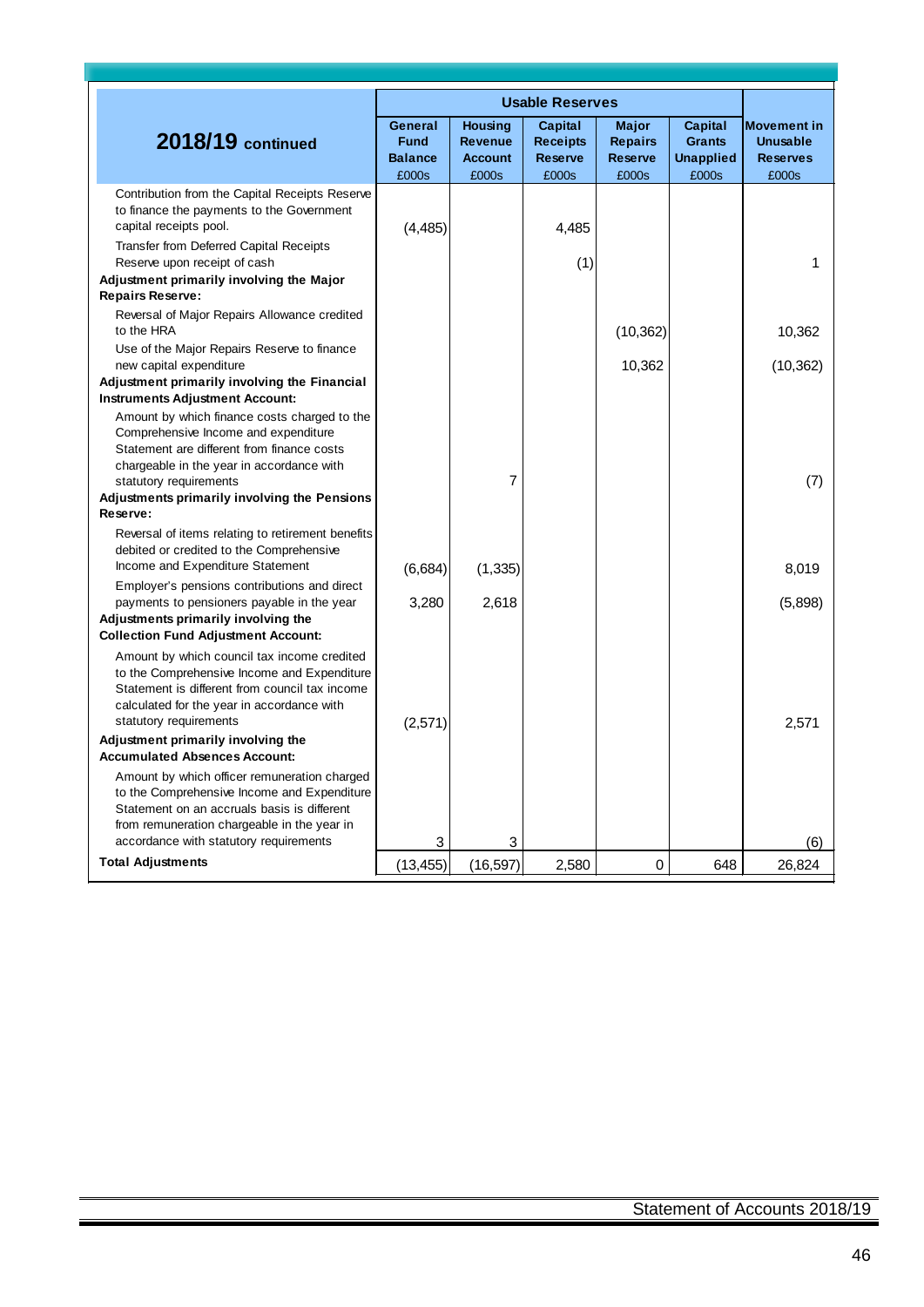|                                                                                                                                                                                                                                                     | <b>Usable Reserves</b>                            |                                                      |                                                       |                                                    |                                                       |                                                                   |
|-----------------------------------------------------------------------------------------------------------------------------------------------------------------------------------------------------------------------------------------------------|---------------------------------------------------|------------------------------------------------------|-------------------------------------------------------|----------------------------------------------------|-------------------------------------------------------|-------------------------------------------------------------------|
| <b>2018/19 continued</b>                                                                                                                                                                                                                            | General<br><b>Fund</b><br><b>Balance</b><br>£000s | Housing<br><b>Revenue</b><br><b>Account</b><br>£000s | Capital<br><b>Receipts</b><br><b>Reserve</b><br>£000s | Major<br><b>Repairs</b><br><b>Reserve</b><br>£000s | Capital<br><b>Grants</b><br><b>Unapplied</b><br>£000s | <b>Movement in</b><br><b>Unusable</b><br><b>Reserves</b><br>£000s |
| Contribution from the Capital Receipts Reserve<br>to finance the payments to the Government<br>capital receipts pool.<br>Transfer from Deferred Capital Receipts<br>Reserve upon receipt of cash                                                    | (4, 485)                                          |                                                      | 4,485<br>(1)                                          |                                                    |                                                       | 1                                                                 |
| Adjustment primarily involving the Major<br><b>Repairs Reserve:</b>                                                                                                                                                                                 |                                                   |                                                      |                                                       |                                                    |                                                       |                                                                   |
| Reversal of Major Repairs Allowance credited<br>to the HRA<br>Use of the Major Repairs Reserve to finance                                                                                                                                           |                                                   |                                                      |                                                       | (10, 362)                                          |                                                       | 10,362                                                            |
| new capital expenditure<br>Adjustment primarily involving the Financial                                                                                                                                                                             |                                                   |                                                      |                                                       | 10,362                                             |                                                       | (10, 362)                                                         |
| <b>Instruments Adjustment Account:</b><br>Amount by which finance costs charged to the<br>Comprehensive Income and expenditure<br>Statement are different from finance costs<br>chargeable in the year in accordance with<br>statutory requirements |                                                   | 7                                                    |                                                       |                                                    |                                                       | (7)                                                               |
| <b>Adjustments primarily involving the Pensions</b>                                                                                                                                                                                                 |                                                   |                                                      |                                                       |                                                    |                                                       |                                                                   |
| Reserve:                                                                                                                                                                                                                                            |                                                   |                                                      |                                                       |                                                    |                                                       |                                                                   |
| Reversal of items relating to retirement benefits<br>debited or credited to the Comprehensive<br>Income and Expenditure Statement                                                                                                                   | (6,684)                                           | (1, 335)                                             |                                                       |                                                    |                                                       | 8,019                                                             |
| Employer's pensions contributions and direct<br>payments to pensioners payable in the year<br>Adjustments primarily involving the<br><b>Collection Fund Adjustment Account:</b>                                                                     | 3,280                                             | 2,618                                                |                                                       |                                                    |                                                       | (5,898)                                                           |
| Amount by which council tax income credited<br>to the Comprehensive Income and Expenditure<br>Statement is different from council tax income<br>calculated for the year in accordance with<br>statutory requirements                                | (2,571)                                           |                                                      |                                                       |                                                    |                                                       | 2,571                                                             |
| Adjustment primarily involving the                                                                                                                                                                                                                  |                                                   |                                                      |                                                       |                                                    |                                                       |                                                                   |
| <b>Accumulated Absences Account:</b><br>Amount by which officer remuneration charged<br>to the Comprehensive Income and Expenditure<br>Statement on an accruals basis is different<br>from remuneration chargeable in the year in                   |                                                   |                                                      |                                                       |                                                    |                                                       |                                                                   |
| accordance with statutory requirements                                                                                                                                                                                                              | 3                                                 | 3                                                    |                                                       |                                                    |                                                       | (6)                                                               |
| <b>Total Adjustments</b>                                                                                                                                                                                                                            | (13, 455)                                         | (16, 597)                                            | 2,580                                                 | 0                                                  | 648                                                   | 26,824                                                            |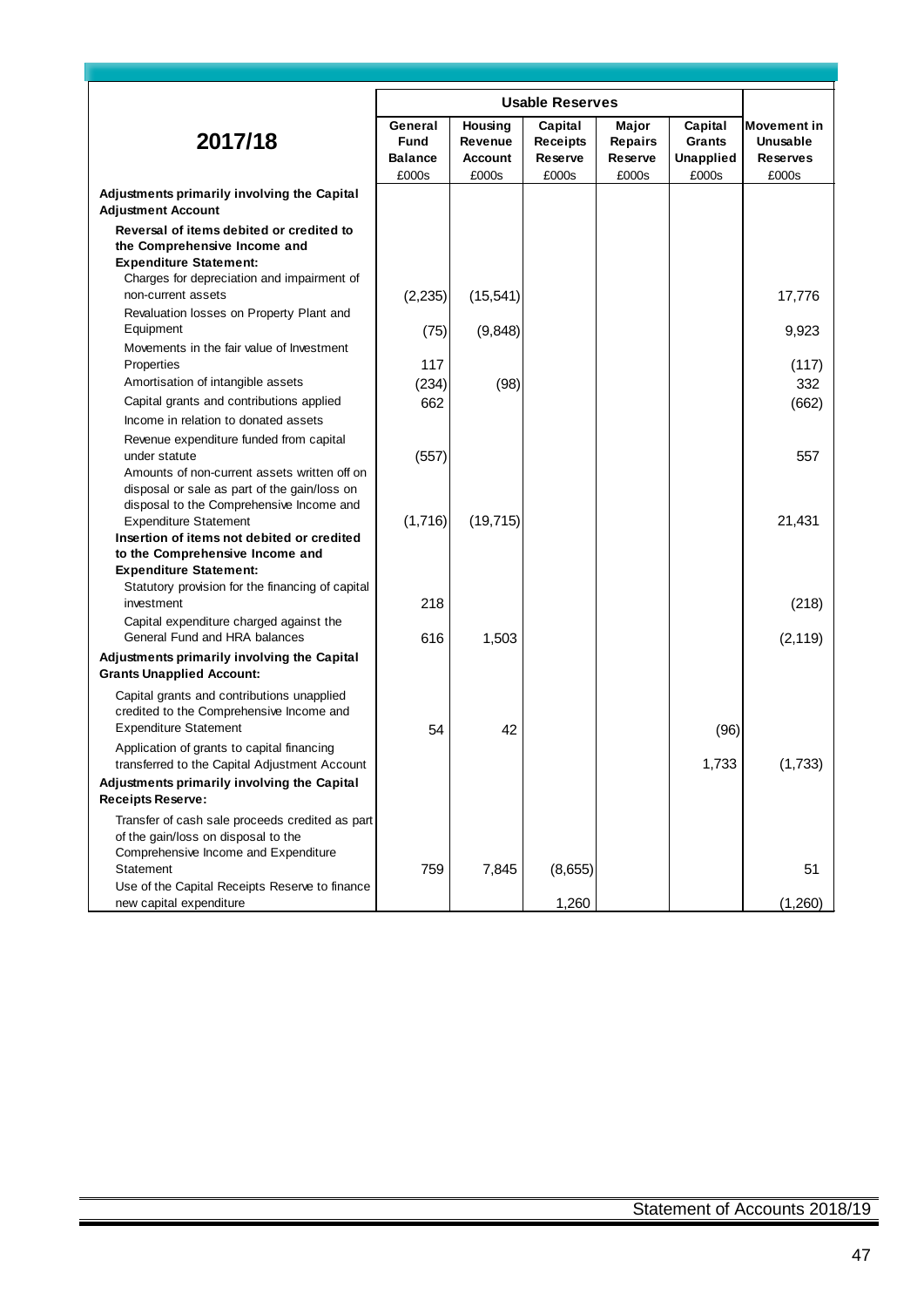|                                                                                                                                                          | <b>Usable Reserves</b>                            |                                               |                                         |                                             |                                                |                                                     |
|----------------------------------------------------------------------------------------------------------------------------------------------------------|---------------------------------------------------|-----------------------------------------------|-----------------------------------------|---------------------------------------------|------------------------------------------------|-----------------------------------------------------|
| 2017/18                                                                                                                                                  | General<br><b>Fund</b><br><b>Balance</b><br>£000s | Housing<br>Revenue<br><b>Account</b><br>£000s | Capital<br>Receipts<br>Reserve<br>£000s | Major<br><b>Repairs</b><br>Reserve<br>£000s | Capital<br>Grants<br><b>Unapplied</b><br>£000s | Movement in<br>Unusable<br><b>Reserves</b><br>£000s |
| Adjustments primarily involving the Capital<br><b>Adjustment Account</b>                                                                                 |                                                   |                                               |                                         |                                             |                                                |                                                     |
| Reversal of items debited or credited to<br>the Comprehensive Income and<br><b>Expenditure Statement:</b>                                                |                                                   |                                               |                                         |                                             |                                                |                                                     |
| Charges for depreciation and impairment of<br>non-current assets<br>Revaluation losses on Property Plant and                                             | (2, 235)                                          | (15, 541)                                     |                                         |                                             |                                                | 17,776                                              |
| Equipment                                                                                                                                                | (75)                                              | (9,848)                                       |                                         |                                             |                                                | 9,923                                               |
| Movements in the fair value of Investment<br>Properties                                                                                                  | 117                                               |                                               |                                         |                                             |                                                | (117)                                               |
| Amortisation of intangible assets                                                                                                                        | (234)                                             | (98)                                          |                                         |                                             |                                                | 332                                                 |
| Capital grants and contributions applied<br>Income in relation to donated assets                                                                         | 662                                               |                                               |                                         |                                             |                                                | (662)                                               |
| Revenue expenditure funded from capital<br>under statute<br>Amounts of non-current assets written off on<br>disposal or sale as part of the gain/loss on | (557)                                             |                                               |                                         |                                             |                                                | 557                                                 |
| disposal to the Comprehensive Income and<br><b>Expenditure Statement</b><br>Insertion of items not debited or credited                                   | (1,716)                                           | (19, 715)                                     |                                         |                                             |                                                | 21,431                                              |
| to the Comprehensive Income and<br><b>Expenditure Statement:</b>                                                                                         |                                                   |                                               |                                         |                                             |                                                |                                                     |
| Statutory provision for the financing of capital<br>investment                                                                                           | 218                                               |                                               |                                         |                                             |                                                | (218)                                               |
| Capital expenditure charged against the<br>General Fund and HRA balances                                                                                 | 616                                               | 1,503                                         |                                         |                                             |                                                | (2, 119)                                            |
| Adjustments primarily involving the Capital<br><b>Grants Unapplied Account:</b>                                                                          |                                                   |                                               |                                         |                                             |                                                |                                                     |
| Capital grants and contributions unapplied<br>credited to the Comprehensive Income and<br><b>Expenditure Statement</b>                                   | 54                                                | 42                                            |                                         |                                             | (96)                                           |                                                     |
| Application of grants to capital financing<br>transferred to the Capital Adjustment Account                                                              |                                                   |                                               |                                         |                                             | 1,733                                          | (1,733)                                             |
| Adjustments primarily involving the Capital<br><b>Receipts Reserve:</b>                                                                                  |                                                   |                                               |                                         |                                             |                                                |                                                     |
| Transfer of cash sale proceeds credited as part<br>of the gain/loss on disposal to the                                                                   |                                                   |                                               |                                         |                                             |                                                |                                                     |
| Comprehensive Income and Expenditure<br>Statement                                                                                                        | 759                                               | 7,845                                         | (8,655)                                 |                                             |                                                | 51                                                  |
| Use of the Capital Receipts Reserve to finance<br>new capital expenditure                                                                                |                                                   |                                               | 1,260                                   |                                             |                                                | (1,260)                                             |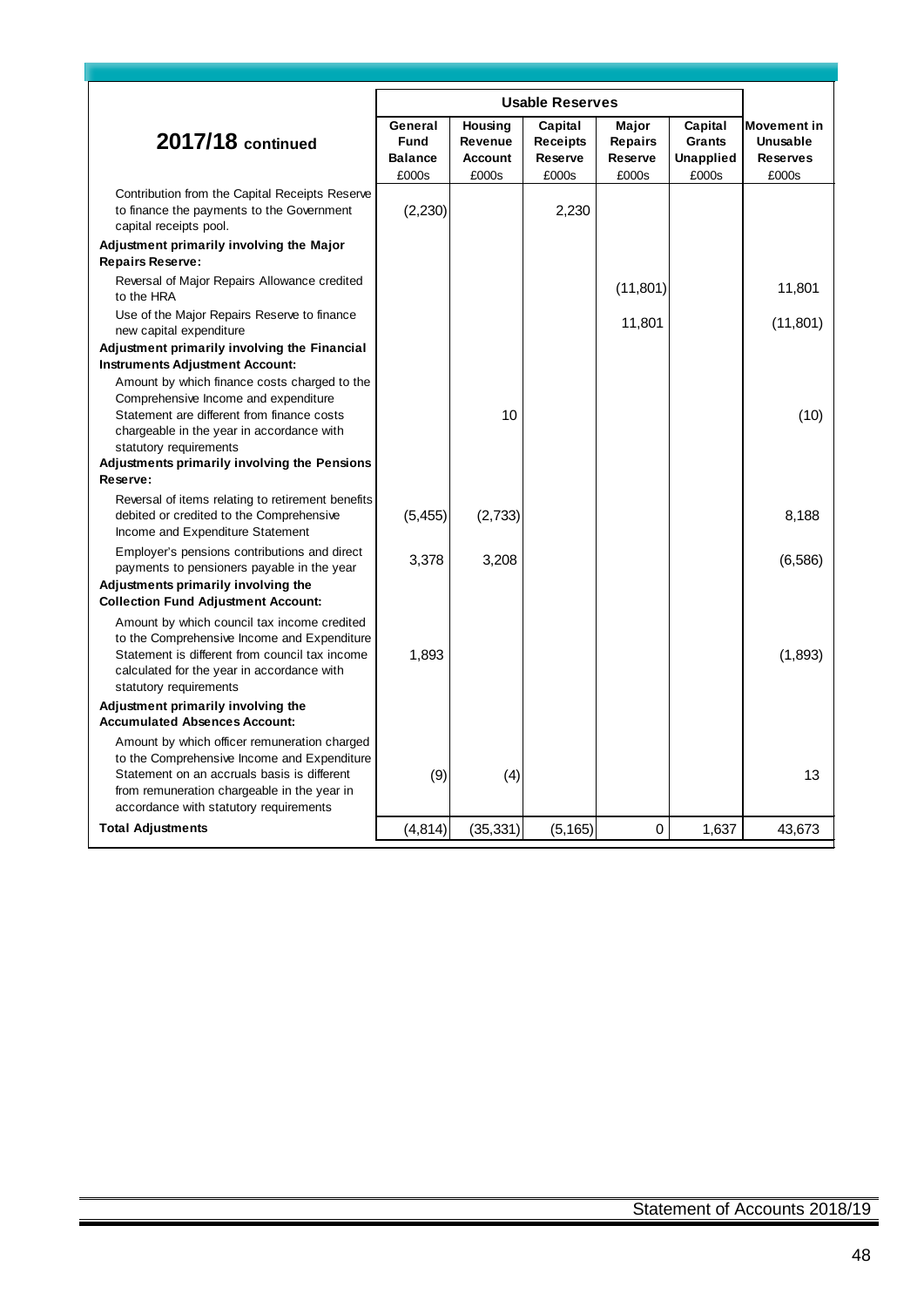|                                                                                                                                                                                                                                                                             | <b>Usable Reserves</b>                            |                                               |                                                |                                                    |                                                |                                                     |
|-----------------------------------------------------------------------------------------------------------------------------------------------------------------------------------------------------------------------------------------------------------------------------|---------------------------------------------------|-----------------------------------------------|------------------------------------------------|----------------------------------------------------|------------------------------------------------|-----------------------------------------------------|
|                                                                                                                                                                                                                                                                             |                                                   |                                               |                                                |                                                    |                                                |                                                     |
| 2017/18 continued                                                                                                                                                                                                                                                           | General<br><b>Fund</b><br><b>Balance</b><br>£000s | Housing<br>Revenue<br><b>Account</b><br>£000s | Capital<br><b>Receipts</b><br>Reserve<br>£000s | <b>Major</b><br><b>Repairs</b><br>Reserve<br>£000s | Capital<br>Grants<br><b>Unapplied</b><br>£000s | Movement in<br>Unusable<br><b>Reserves</b><br>£000s |
| Contribution from the Capital Receipts Reserve<br>to finance the payments to the Government<br>capital receipts pool.                                                                                                                                                       | (2, 230)                                          |                                               | 2,230                                          |                                                    |                                                |                                                     |
| Adjustment primarily involving the Major<br><b>Repairs Reserve:</b>                                                                                                                                                                                                         |                                                   |                                               |                                                |                                                    |                                                |                                                     |
| Reversal of Major Repairs Allowance credited<br>to the HRA                                                                                                                                                                                                                  |                                                   |                                               |                                                | (11, 801)                                          |                                                | 11,801                                              |
| Use of the Major Repairs Reserve to finance<br>new capital expenditure                                                                                                                                                                                                      |                                                   |                                               |                                                | 11,801                                             |                                                | (11, 801)                                           |
| Adjustment primarily involving the Financial<br><b>Instruments Adjustment Account:</b>                                                                                                                                                                                      |                                                   |                                               |                                                |                                                    |                                                |                                                     |
| Amount by which finance costs charged to the<br>Comprehensive Income and expenditure<br>Statement are different from finance costs<br>chargeable in the year in accordance with<br>statutory requirements                                                                   |                                                   | 10                                            |                                                |                                                    |                                                | (10)                                                |
| <b>Adjustments primarily involving the Pensions</b>                                                                                                                                                                                                                         |                                                   |                                               |                                                |                                                    |                                                |                                                     |
| Reserve:                                                                                                                                                                                                                                                                    |                                                   |                                               |                                                |                                                    |                                                |                                                     |
| Reversal of items relating to retirement benefits<br>debited or credited to the Comprehensive<br>Income and Expenditure Statement                                                                                                                                           | (5, 455)                                          | (2,733)                                       |                                                |                                                    |                                                | 8,188                                               |
| Employer's pensions contributions and direct<br>payments to pensioners payable in the year                                                                                                                                                                                  | 3,378                                             | 3,208                                         |                                                |                                                    |                                                | (6,586)                                             |
| Adjustments primarily involving the<br><b>Collection Fund Adjustment Account:</b>                                                                                                                                                                                           |                                                   |                                               |                                                |                                                    |                                                |                                                     |
| Amount by which council tax income credited<br>to the Comprehensive Income and Expenditure<br>Statement is different from council tax income<br>calculated for the year in accordance with<br>statutory requirements                                                        | 1,893                                             |                                               |                                                |                                                    |                                                | (1,893)                                             |
| Adjustment primarily involving the                                                                                                                                                                                                                                          |                                                   |                                               |                                                |                                                    |                                                |                                                     |
| <b>Accumulated Absences Account:</b><br>Amount by which officer remuneration charged<br>to the Comprehensive Income and Expenditure<br>Statement on an accruals basis is different<br>from remuneration chargeable in the year in<br>accordance with statutory requirements | (9)                                               | (4)                                           |                                                |                                                    |                                                | 13                                                  |
| <b>Total Adjustments</b>                                                                                                                                                                                                                                                    | (4, 814)                                          | (35, 331)                                     | (5, 165)                                       | 0                                                  | 1,637                                          | 43,673                                              |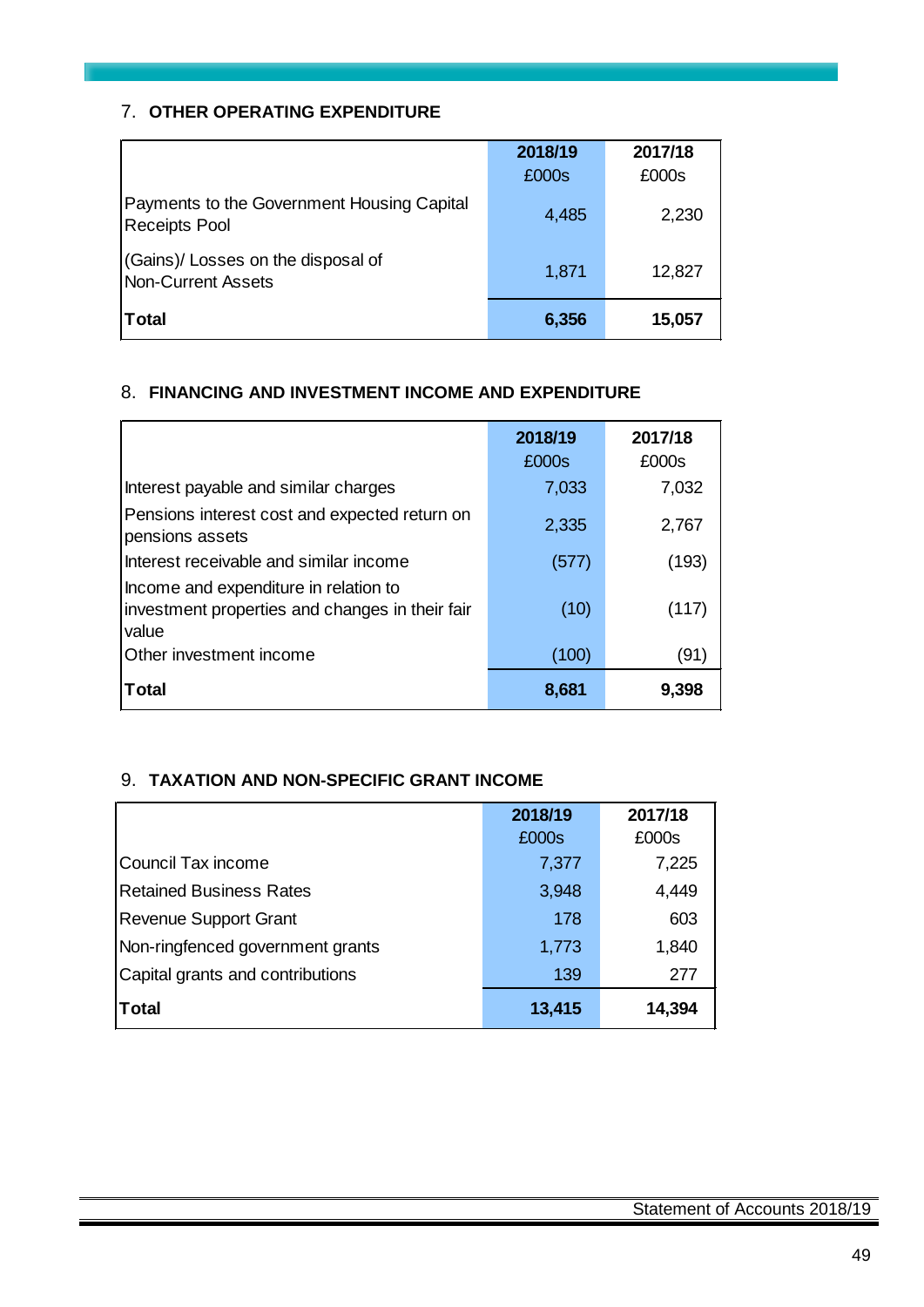# <span id="page-48-0"></span>7. **OTHER OPERATING EXPENDITURE**

|                                                             | 2018/19 | 2017/18 |
|-------------------------------------------------------------|---------|---------|
|                                                             | £000s   | £000s   |
| Payments to the Government Housing Capital<br>Receipts Pool | 4,485   | 2,230   |
| (Gains)/ Losses on the disposal of<br>Non-Current Assets    | 1,871   | 12,827  |
| Total                                                       | 6,356   | 15,057  |

# <span id="page-48-1"></span>8. **FINANCING AND INVESTMENT INCOME AND EXPENDITURE**

|                                                                                                   | 2018/19<br>£000s | 2017/18<br>£000s |
|---------------------------------------------------------------------------------------------------|------------------|------------------|
| Interest payable and similar charges                                                              | 7,033            | 7,032            |
| Pensions interest cost and expected return on<br>pensions assets                                  | 2,335            | 2,767            |
| Interest receivable and similar income                                                            | (577)            | (193)            |
| Income and expenditure in relation to<br>investment properties and changes in their fair<br>value | (10)             | (117)            |
| Other investment income                                                                           | (100)            | (91)             |
| <b>Total</b>                                                                                      | 8,681            | 9,398            |

# <span id="page-48-2"></span>9. **TAXATION AND NON-SPECIFIC GRANT INCOME**

|                                  | 2018/19 | 2017/18 |
|----------------------------------|---------|---------|
|                                  | £000s   | £000s   |
| Council Tax income               | 7,377   | 7,225   |
| <b>Retained Business Rates</b>   | 3,948   | 4,449   |
| <b>Revenue Support Grant</b>     | 178     | 603     |
| Non-ringfenced government grants | 1,773   | 1,840   |
| Capital grants and contributions | 139     | 277     |
| Total                            | 13,415  | 14,394  |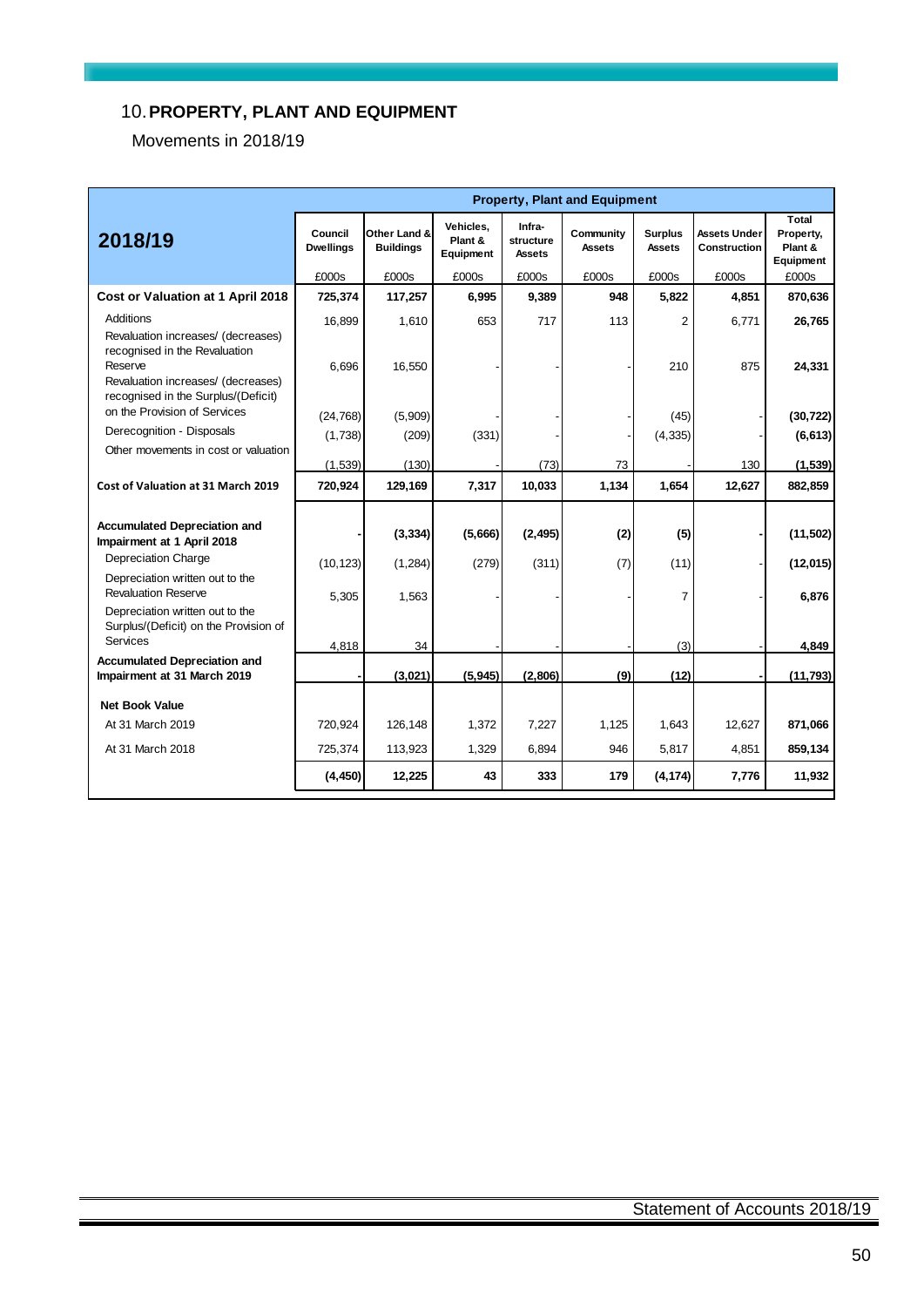# <span id="page-49-0"></span>10.**PROPERTY, PLANT AND EQUIPMENT**

Movements in 2018/19

|                                                                                      | <b>Property, Plant and Equipment</b> |                                  |                                   |                                      |                            |                                 |                                            |                                            |
|--------------------------------------------------------------------------------------|--------------------------------------|----------------------------------|-----------------------------------|--------------------------------------|----------------------------|---------------------------------|--------------------------------------------|--------------------------------------------|
| 2018/19                                                                              | Council<br><b>Dwellings</b>          | Other Land &<br><b>Buildings</b> | Vehicles.<br>Plant &<br>Equipment | Infra-<br>structure<br><b>Assets</b> | Community<br><b>Assets</b> | <b>Surplus</b><br><b>Assets</b> | <b>Assets Under</b><br><b>Construction</b> | Total<br>Property,<br>Plant &<br>Equipment |
|                                                                                      | £000s                                | £000s                            | £000s                             | £000s                                | £000s                      | £000s                           | £000s                                      | £000s                                      |
| Cost or Valuation at 1 April 2018                                                    | 725,374                              | 117,257                          | 6,995                             | 9,389                                | 948                        | 5,822                           | 4,851                                      | 870,636                                    |
| Additions<br>Revaluation increases/ (decreases)<br>recognised in the Revaluation     | 16,899                               | 1,610                            | 653                               | 717                                  | 113                        | 2                               | 6,771                                      | 26,765                                     |
| Reserve<br>Revaluation increases/ (decreases)<br>recognised in the Surplus/(Deficit) | 6,696                                | 16,550                           |                                   |                                      |                            | 210                             | 875                                        | 24,331                                     |
| on the Provision of Services                                                         | (24, 768)                            | (5,909)                          |                                   |                                      |                            | (45)                            |                                            | (30, 722)                                  |
| Derecognition - Disposals                                                            | (1,738)                              | (209)                            | (331)                             |                                      |                            | (4, 335)                        |                                            | (6, 613)                                   |
| Other movements in cost or valuation                                                 | (1,539)                              | (130)                            |                                   | (73)                                 | 73                         |                                 | 130                                        | (1,539)                                    |
| Cost of Valuation at 31 March 2019                                                   | 720,924                              | 129,169                          | 7,317                             | 10,033                               | 1,134                      | 1,654                           | 12,627                                     | 882,859                                    |
|                                                                                      |                                      |                                  |                                   |                                      |                            |                                 |                                            |                                            |
| <b>Accumulated Depreciation and</b><br>Impairment at 1 April 2018                    |                                      | (3, 334)                         | (5,666)                           | (2, 495)                             | (2)                        | (5)                             |                                            | (11, 502)                                  |
| <b>Depreciation Charge</b>                                                           | (10, 123)                            | (1, 284)                         | (279)                             | (311)                                | (7)                        | (11)                            |                                            | (12,015)                                   |
| Depreciation written out to the<br><b>Revaluation Reserve</b>                        | 5,305                                | 1,563                            |                                   |                                      |                            | 7                               |                                            | 6,876                                      |
| Depreciation written out to the<br>Surplus/(Deficit) on the Provision of<br>Services | 4,818                                | 34                               |                                   |                                      |                            | (3)                             |                                            | 4,849                                      |
| <b>Accumulated Depreciation and</b>                                                  |                                      |                                  |                                   |                                      |                            |                                 |                                            |                                            |
| Impairment at 31 March 2019                                                          |                                      | (3,021)                          | (5, 945)                          | (2,806)                              | (9)                        | (12)                            |                                            | (11, 793)                                  |
| <b>Net Book Value</b>                                                                |                                      |                                  |                                   |                                      |                            |                                 |                                            |                                            |
| At 31 March 2019                                                                     | 720,924                              | 126,148                          | 1,372                             | 7,227                                | 1,125                      | 1,643                           | 12,627                                     | 871,066                                    |
| At 31 March 2018                                                                     | 725,374                              | 113,923                          | 1,329                             | 6,894                                | 946                        | 5,817                           | 4,851                                      | 859,134                                    |
|                                                                                      | (4, 450)                             | 12,225                           | 43                                | 333                                  | 179                        | (4, 174)                        | 7,776                                      | 11,932                                     |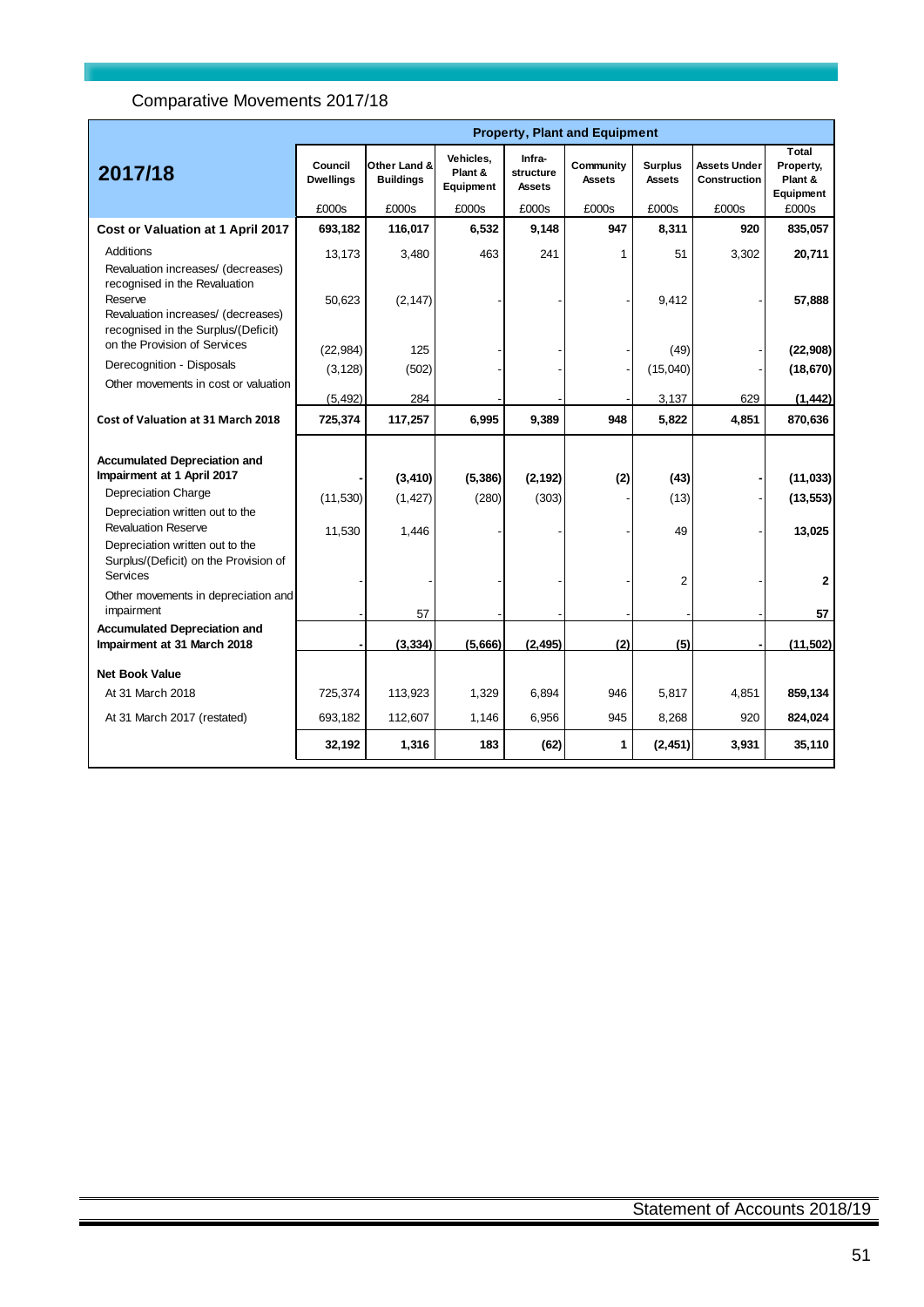# Comparative Movements 2017/18

|                                                                                                           | <b>Property, Plant and Equipment</b> |                                  |                                   |                                      |                            |                                 |                                     |                                            |
|-----------------------------------------------------------------------------------------------------------|--------------------------------------|----------------------------------|-----------------------------------|--------------------------------------|----------------------------|---------------------------------|-------------------------------------|--------------------------------------------|
| 2017/18                                                                                                   | Council<br><b>Dwellings</b>          | Other Land &<br><b>Buildings</b> | Vehicles.<br>Plant &<br>Equipment | Infra-<br>structure<br><b>Assets</b> | Community<br><b>Assets</b> | <b>Surplus</b><br><b>Assets</b> | Assets Under<br><b>Construction</b> | Total<br>Property,<br>Plant &<br>Equipment |
|                                                                                                           | £000s                                | £000s                            | £000s                             | £000s                                | £000s                      | £000s                           | £000s                               | £000s                                      |
| Cost or Valuation at 1 April 2017                                                                         | 693,182                              | 116,017                          | 6.532                             | 9,148                                | 947                        | 8,311                           | 920                                 | 835,057                                    |
| Additions<br>Revaluation increases/ (decreases)<br>recognised in the Revaluation<br>Reserve               | 13,173<br>50,623                     | 3,480<br>(2, 147)                | 463                               | 241                                  | 1                          | 51<br>9,412                     | 3,302                               | 20,711<br>57,888                           |
| Revaluation increases/ (decreases)<br>recognised in the Surplus/(Deficit)<br>on the Provision of Services | (22, 984)                            | 125                              |                                   |                                      |                            | (49)                            |                                     | (22, 908)                                  |
| Derecognition - Disposals                                                                                 | (3, 128)                             | (502)                            |                                   |                                      |                            | (15,040)                        |                                     | (18, 670)                                  |
| Other movements in cost or valuation                                                                      |                                      |                                  |                                   |                                      |                            |                                 |                                     |                                            |
|                                                                                                           | (5, 492)                             | 284                              |                                   |                                      |                            | 3,137                           | 629                                 | (1, 442)                                   |
| <b>Cost of Valuation at 31 March 2018</b>                                                                 | 725,374                              | 117,257                          | 6,995                             | 9,389                                | 948                        | 5,822                           | 4,851                               | 870,636                                    |
| <b>Accumulated Depreciation and</b>                                                                       |                                      |                                  |                                   |                                      |                            |                                 |                                     |                                            |
| Impairment at 1 April 2017                                                                                |                                      | (3, 410)                         | (5, 386)                          | (2, 192)                             | (2)                        | (43)                            |                                     | (11, 033)                                  |
| Depreciation Charge                                                                                       | (11,530)                             | (1, 427)                         | (280)                             | (303)                                |                            | (13)                            |                                     | (13, 553)                                  |
| Depreciation written out to the<br><b>Revaluation Reserve</b>                                             | 11,530                               | 1,446                            |                                   |                                      |                            | 49                              |                                     | 13,025                                     |
| Depreciation written out to the<br>Surplus/(Deficit) on the Provision of<br>Services                      |                                      |                                  |                                   |                                      |                            |                                 |                                     |                                            |
| Other movements in depreciation and<br>impairment                                                         |                                      |                                  |                                   |                                      |                            | $\overline{2}$                  |                                     | $\mathbf{2}$                               |
| <b>Accumulated Depreciation and</b>                                                                       |                                      | 57                               |                                   |                                      |                            |                                 |                                     | 57                                         |
| Impairment at 31 March 2018                                                                               |                                      | (3, 334)                         | (5,666)                           | (2, 495)                             | (2)                        | (5)                             |                                     | (11, 502)                                  |
| <b>Net Book Value</b>                                                                                     |                                      |                                  |                                   |                                      |                            |                                 |                                     |                                            |
| At 31 March 2018                                                                                          | 725,374                              | 113,923                          | 1,329                             | 6,894                                | 946                        | 5,817                           | 4,851                               | 859,134                                    |
| At 31 March 2017 (restated)                                                                               | 693,182                              | 112,607                          | 1,146                             | 6,956                                | 945                        | 8,268                           | 920                                 | 824,024                                    |
|                                                                                                           | 32,192                               | 1,316                            | 183                               | (62)                                 | 1                          | (2, 451)                        | 3,931                               | 35,110                                     |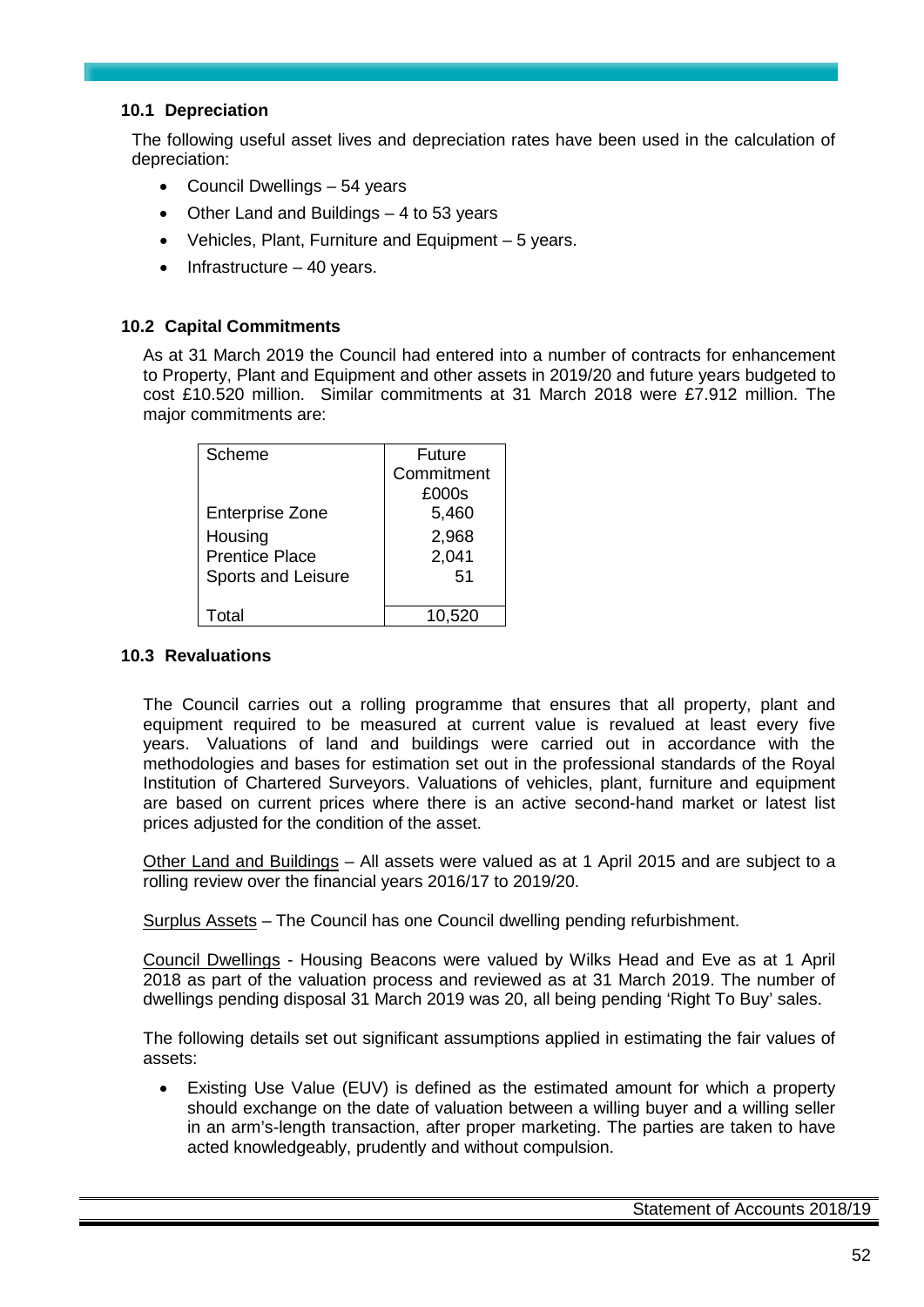# **10.1 Depreciation**

The following useful asset lives and depreciation rates have been used in the calculation of depreciation:

- Council Dwellings 54 years
- Other Land and Buildings 4 to 53 years
- Vehicles, Plant, Furniture and Equipment 5 years.
- Infrastructure 40 years.

# **10.2 Capital Commitments**

As at 31 March 2019 the Council had entered into a number of contracts for enhancement to Property, Plant and Equipment and other assets in 2019/20 and future years budgeted to cost £10.520 million. Similar commitments at 31 March 2018 were £7.912 million. The major commitments are:

| Scheme                 | <b>Future</b> |
|------------------------|---------------|
|                        | Commitment    |
|                        | £000s         |
| <b>Enterprise Zone</b> | 5,460         |
| Housing                | 2,968         |
| <b>Prentice Place</b>  | 2,041         |
| Sports and Leisure     | 51            |
|                        |               |
| Total                  | 10,520        |

## **10.3 Revaluations**

The Council carries out a rolling programme that ensures that all property, plant and equipment required to be measured at current value is revalued at least every five years. Valuations of land and buildings were carried out in accordance with the methodologies and bases for estimation set out in the professional standards of the Royal Institution of Chartered Surveyors. Valuations of vehicles, plant, furniture and equipment are based on current prices where there is an active second-hand market or latest list prices adjusted for the condition of the asset.

Other Land and Buildings – All assets were valued as at 1 April 2015 and are subject to a rolling review over the financial years 2016/17 to 2019/20.

Surplus Assets – The Council has one Council dwelling pending refurbishment.

Council Dwellings - Housing Beacons were valued by Wilks Head and Eve as at 1 April 2018 as part of the valuation process and reviewed as at 31 March 2019. The number of dwellings pending disposal 31 March 2019 was 20, all being pending 'Right To Buy' sales.

The following details set out significant assumptions applied in estimating the fair values of assets:

Existing Use Value (EUV) is defined as the estimated amount for which a property should exchange on the date of valuation between a willing buyer and a willing seller in an arm's-length transaction, after proper marketing. The parties are taken to have acted knowledgeably, prudently and without compulsion.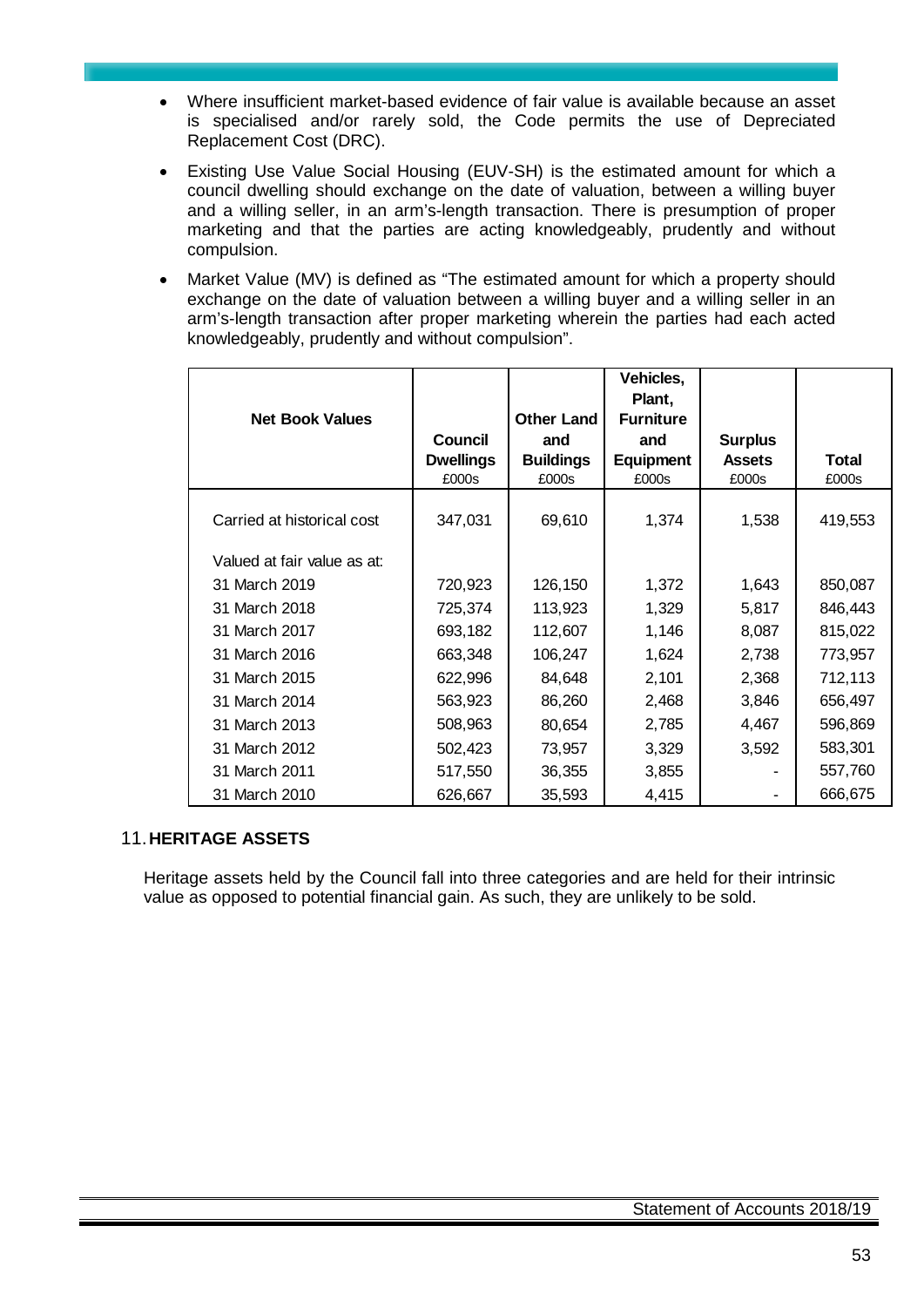- Where insufficient market-based evidence of fair value is available because an asset is specialised and/or rarely sold, the Code permits the use of Depreciated Replacement Cost (DRC).
- Existing Use Value Social Housing (EUV-SH) is the estimated amount for which a council dwelling should exchange on the date of valuation, between a willing buyer and a willing seller, in an arm's-length transaction. There is presumption of proper marketing and that the parties are acting knowledgeably, prudently and without compulsion.
- Market Value (MV) is defined as "The estimated amount for which a property should exchange on the date of valuation between a willing buyer and a willing seller in an arm's-length transaction after proper marketing wherein the parties had each acted knowledgeably, prudently and without compulsion".

| <b>Net Book Values</b>      | <b>Council</b><br><b>Dwellings</b><br>£000s | <b>Other Land</b><br>and<br><b>Buildings</b><br>£000s | Vehicles,<br>Plant,<br><b>Furniture</b><br>and<br><b>Equipment</b><br>£000s | <b>Surplus</b><br><b>Assets</b><br>£000s | <b>Total</b><br>£000s |
|-----------------------------|---------------------------------------------|-------------------------------------------------------|-----------------------------------------------------------------------------|------------------------------------------|-----------------------|
| Carried at historical cost  | 347,031                                     | 69,610                                                | 1,374                                                                       | 1,538                                    | 419,553               |
| Valued at fair value as at: |                                             |                                                       |                                                                             |                                          |                       |
| 31 March 2019               | 720,923                                     | 126,150                                               | 1,372                                                                       | 1,643                                    | 850,087               |
| 31 March 2018               | 725,374                                     | 113,923                                               | 1,329                                                                       | 5,817                                    | 846,443               |
| 31 March 2017               | 693,182                                     | 112,607                                               | 1,146                                                                       | 8,087                                    | 815,022               |
| 31 March 2016               | 663,348                                     | 106,247                                               | 1,624                                                                       | 2,738                                    | 773,957               |
| 31 March 2015               | 622,996                                     | 84,648                                                | 2,101                                                                       | 2,368                                    | 712,113               |
| 31 March 2014               | 563,923                                     | 86,260                                                | 2,468                                                                       | 3,846                                    | 656,497               |
| 31 March 2013               | 508,963                                     | 80,654                                                | 2,785                                                                       | 4,467                                    | 596,869               |
| 31 March 2012               | 502,423                                     | 73,957                                                | 3,329                                                                       | 3,592                                    | 583,301               |
| 31 March 2011               | 517,550                                     | 36,355                                                | 3,855                                                                       |                                          | 557,760               |
| 31 March 2010               | 626,667                                     | 35,593                                                | 4,415                                                                       |                                          | 666,675               |

# <span id="page-52-0"></span>11.**HERITAGE ASSETS**

Heritage assets held by the Council fall into three categories and are held for their intrinsic value as opposed to potential financial gain. As such, they are unlikely to be sold.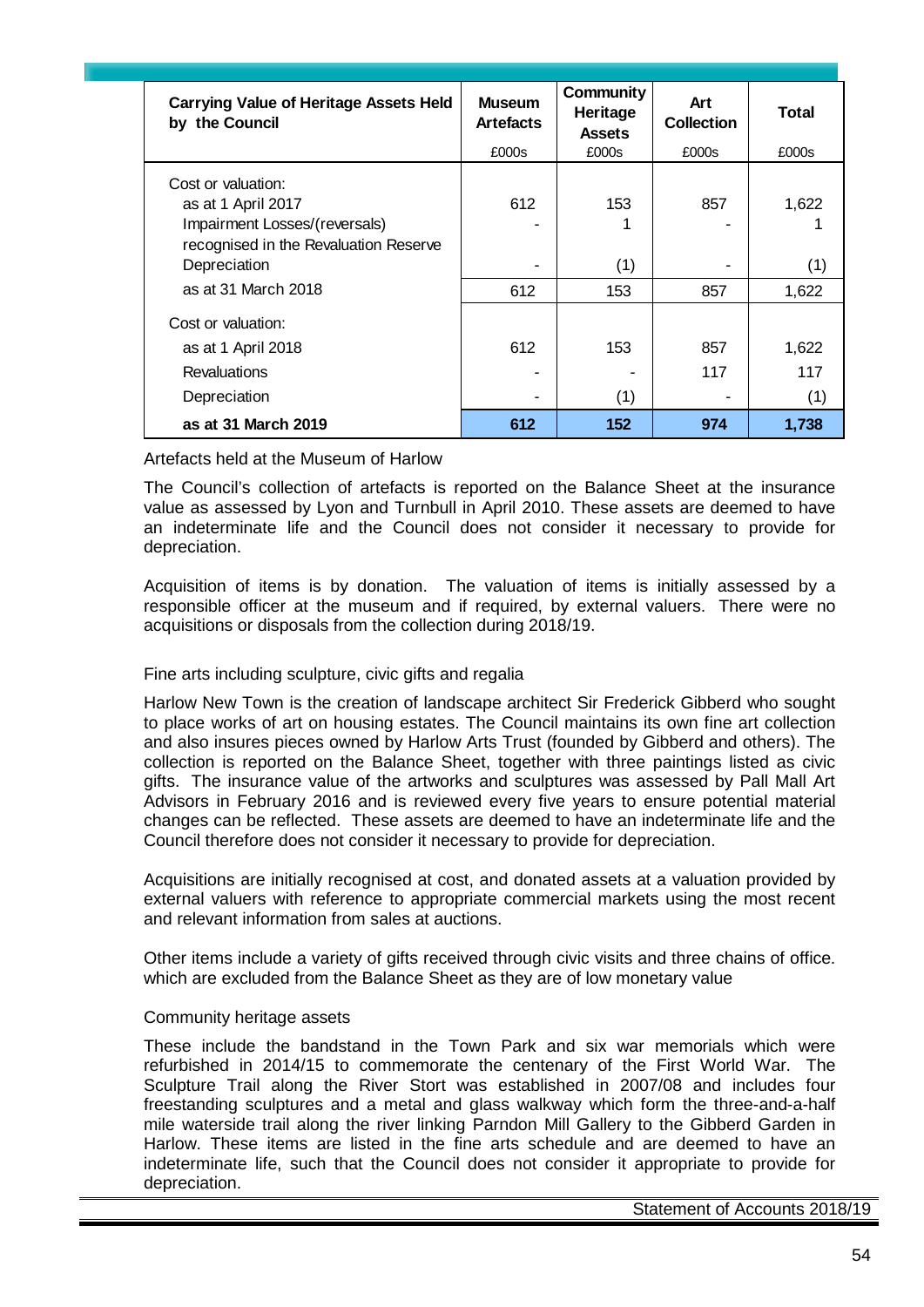| <b>Carrying Value of Heritage Assets Held</b><br>by the Council                                                    | <b>Museum</b><br><b>Artefacts</b> | <b>Community</b><br>Heritage<br><b>Assets</b> | Art<br><b>Collection</b> | Total |
|--------------------------------------------------------------------------------------------------------------------|-----------------------------------|-----------------------------------------------|--------------------------|-------|
|                                                                                                                    | £000s                             | £000s                                         | £000s                    | £000s |
| Cost or valuation:<br>as at 1 April 2017<br>Impairment Losses/(reversals)<br>recognised in the Revaluation Reserve | 612                               | 153                                           | 857                      | 1,622 |
| Depreciation                                                                                                       |                                   | (1)                                           |                          | (1)   |
| as at 31 March 2018                                                                                                | 612                               | 153                                           | 857                      | 1,622 |
| Cost or valuation:                                                                                                 |                                   |                                               |                          |       |
| as at 1 April 2018                                                                                                 | 612                               | 153                                           | 857                      | 1,622 |
| <b>Revaluations</b>                                                                                                |                                   |                                               | 117                      | 117   |
| Depreciation                                                                                                       |                                   | (1)                                           |                          | (1)   |
| as at 31 March 2019                                                                                                | 612                               | 152                                           | 974                      | 1,738 |

#### Artefacts held at the Museum of Harlow

The Council's collection of artefacts is reported on the Balance Sheet at the insurance value as assessed by Lyon and Turnbull in April 2010. These assets are deemed to have an indeterminate life and the Council does not consider it necessary to provide for depreciation.

Acquisition of items is by donation. The valuation of items is initially assessed by a responsible officer at the museum and if required, by external valuers. There were no acquisitions or disposals from the collection during 2018/19.

## Fine arts including sculpture, civic gifts and regalia

Harlow New Town is the creation of landscape architect Sir Frederick Gibberd who sought to place works of art on housing estates. The Council maintains its own fine art collection and also insures pieces owned by Harlow Arts Trust (founded by Gibberd and others). The collection is reported on the Balance Sheet, together with three paintings listed as civic gifts. The insurance value of the artworks and sculptures was assessed by Pall Mall Art Advisors in February 2016 and is reviewed every five years to ensure potential material changes can be reflected. These assets are deemed to have an indeterminate life and the Council therefore does not consider it necessary to provide for depreciation.

Acquisitions are initially recognised at cost, and donated assets at a valuation provided by external valuers with reference to appropriate commercial markets using the most recent and relevant information from sales at auctions.

Other items include a variety of gifts received through civic visits and three chains of office. which are excluded from the Balance Sheet as they are of low monetary value

## Community heritage assets

These include the bandstand in the Town Park and six war memorials which were refurbished in 2014/15 to commemorate the centenary of the First World War. The Sculpture Trail along the River Stort was established in 2007/08 and includes four freestanding sculptures and a metal and glass walkway which form the three-and-a-half mile waterside trail along the river linking Parndon Mill Gallery to the Gibberd Garden in Harlow. These items are listed in the fine arts schedule and are deemed to have an indeterminate life, such that the Council does not consider it appropriate to provide for depreciation.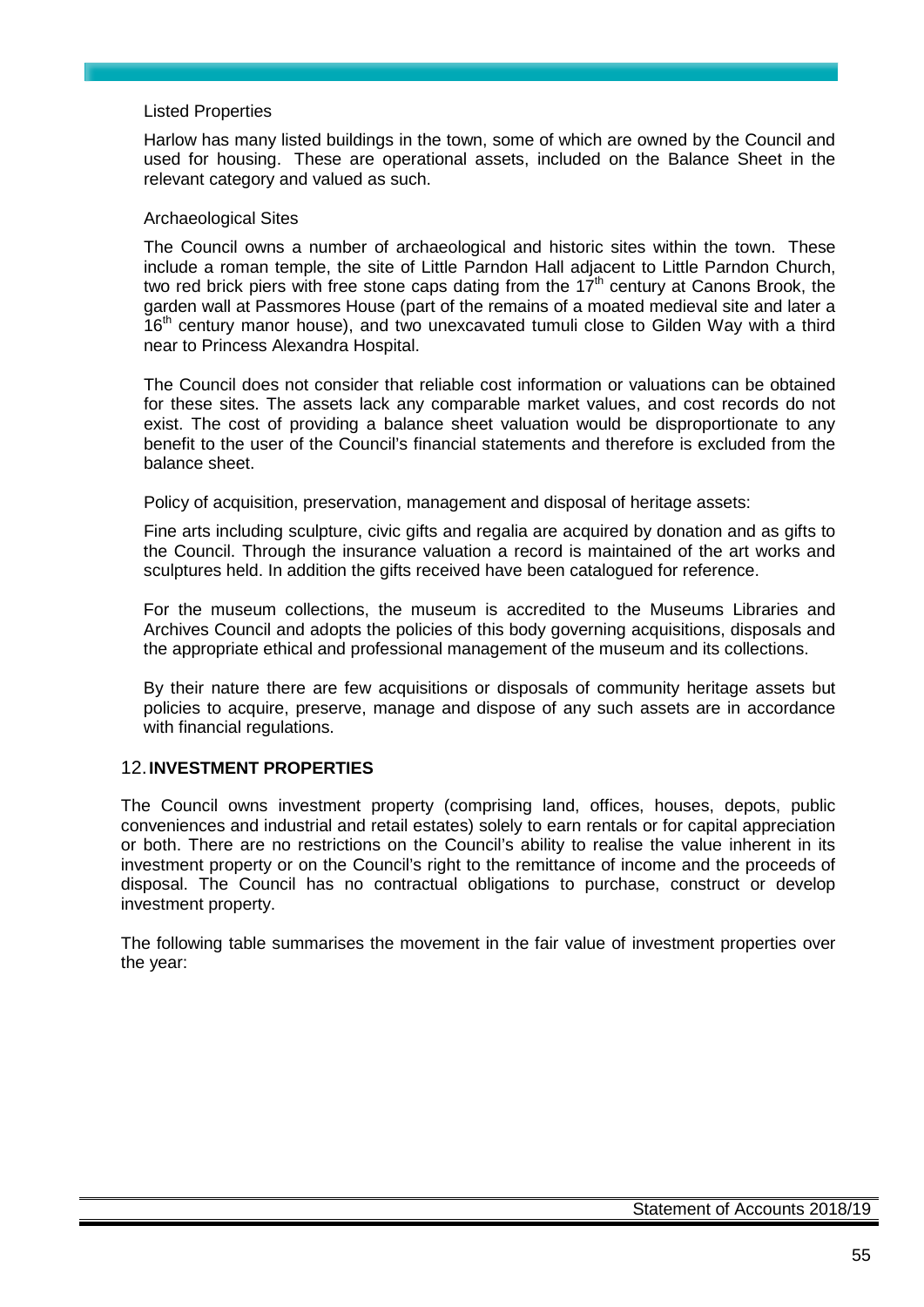#### Listed Properties

Harlow has many listed buildings in the town, some of which are owned by the Council and used for housing. These are operational assets, included on the Balance Sheet in the relevant category and valued as such.

#### Archaeological Sites

The Council owns a number of archaeological and historic sites within the town. These include a roman temple, the site of Little Parndon Hall adjacent to Little Parndon Church, two red brick piers with free stone caps dating from the  $17<sup>th</sup>$  century at Canons Brook, the garden wall at Passmores House (part of the remains of a moated medieval site and later a 16<sup>th</sup> century manor house), and two unexcavated tumuli close to Gilden Way with a third near to Princess Alexandra Hospital.

The Council does not consider that reliable cost information or valuations can be obtained for these sites. The assets lack any comparable market values, and cost records do not exist. The cost of providing a balance sheet valuation would be disproportionate to any benefit to the user of the Council's financial statements and therefore is excluded from the balance sheet.

Policy of acquisition, preservation, management and disposal of heritage assets:

Fine arts including sculpture, civic gifts and regalia are acquired by donation and as gifts to the Council. Through the insurance valuation a record is maintained of the art works and sculptures held. In addition the gifts received have been catalogued for reference.

For the museum collections, the museum is accredited to the Museums Libraries and Archives Council and adopts the policies of this body governing acquisitions, disposals and the appropriate ethical and professional management of the museum and its collections.

By their nature there are few acquisitions or disposals of community heritage assets but policies to acquire, preserve, manage and dispose of any such assets are in accordance with financial regulations.

## <span id="page-54-0"></span>12.**INVESTMENT PROPERTIES**

The Council owns investment property (comprising land, offices, houses, depots, public conveniences and industrial and retail estates) solely to earn rentals or for capital appreciation or both. There are no restrictions on the Council's ability to realise the value inherent in its investment property or on the Council's right to the remittance of income and the proceeds of disposal. The Council has no contractual obligations to purchase, construct or develop investment property.

The following table summarises the movement in the fair value of investment properties over the year: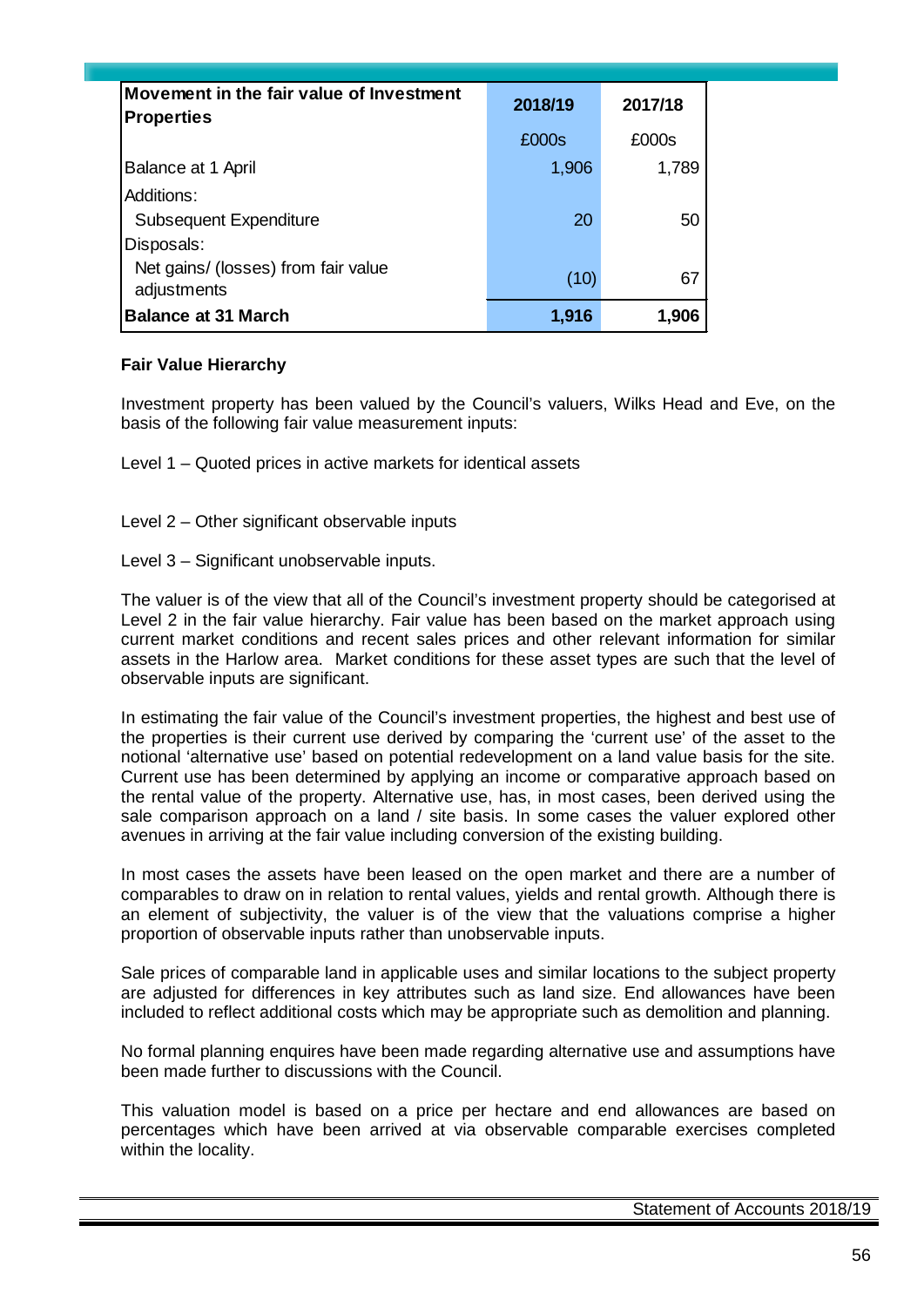| Movement in the fair value of Investment<br><b>Properties</b> | 2018/19   | 2017/18 |
|---------------------------------------------------------------|-----------|---------|
|                                                               | £000s     | £000s   |
| Balance at 1 April                                            | 1,906     | 1,789   |
| Additions:                                                    |           |         |
| <b>Subsequent Expenditure</b>                                 | <b>20</b> | 50      |
| Disposals:                                                    |           |         |
| Net gains/ (losses) from fair value<br>adjustments            | (10)      | 67      |
| <b>Balance at 31 March</b>                                    | 1,916     | 1,906   |

# **Fair Value Hierarchy**

Investment property has been valued by the Council's valuers, Wilks Head and Eve, on the basis of the following fair value measurement inputs:

- Level 1 Quoted prices in active markets for identical assets
- Level 2 Other significant observable inputs
- Level 3 Significant unobservable inputs.

The valuer is of the view that all of the Council's investment property should be categorised at Level 2 in the fair value hierarchy. Fair value has been based on the market approach using current market conditions and recent sales prices and other relevant information for similar assets in the Harlow area. Market conditions for these asset types are such that the level of observable inputs are significant.

In estimating the fair value of the Council's investment properties, the highest and best use of the properties is their current use derived by comparing the 'current use' of the asset to the notional 'alternative use' based on potential redevelopment on a land value basis for the site. Current use has been determined by applying an income or comparative approach based on the rental value of the property. Alternative use, has, in most cases, been derived using the sale comparison approach on a land / site basis. In some cases the valuer explored other avenues in arriving at the fair value including conversion of the existing building.

In most cases the assets have been leased on the open market and there are a number of comparables to draw on in relation to rental values, yields and rental growth. Although there is an element of subjectivity, the valuer is of the view that the valuations comprise a higher proportion of observable inputs rather than unobservable inputs.

Sale prices of comparable land in applicable uses and similar locations to the subject property are adjusted for differences in key attributes such as land size. End allowances have been included to reflect additional costs which may be appropriate such as demolition and planning.

No formal planning enquires have been made regarding alternative use and assumptions have been made further to discussions with the Council.

This valuation model is based on a price per hectare and end allowances are based on percentages which have been arrived at via observable comparable exercises completed within the locality.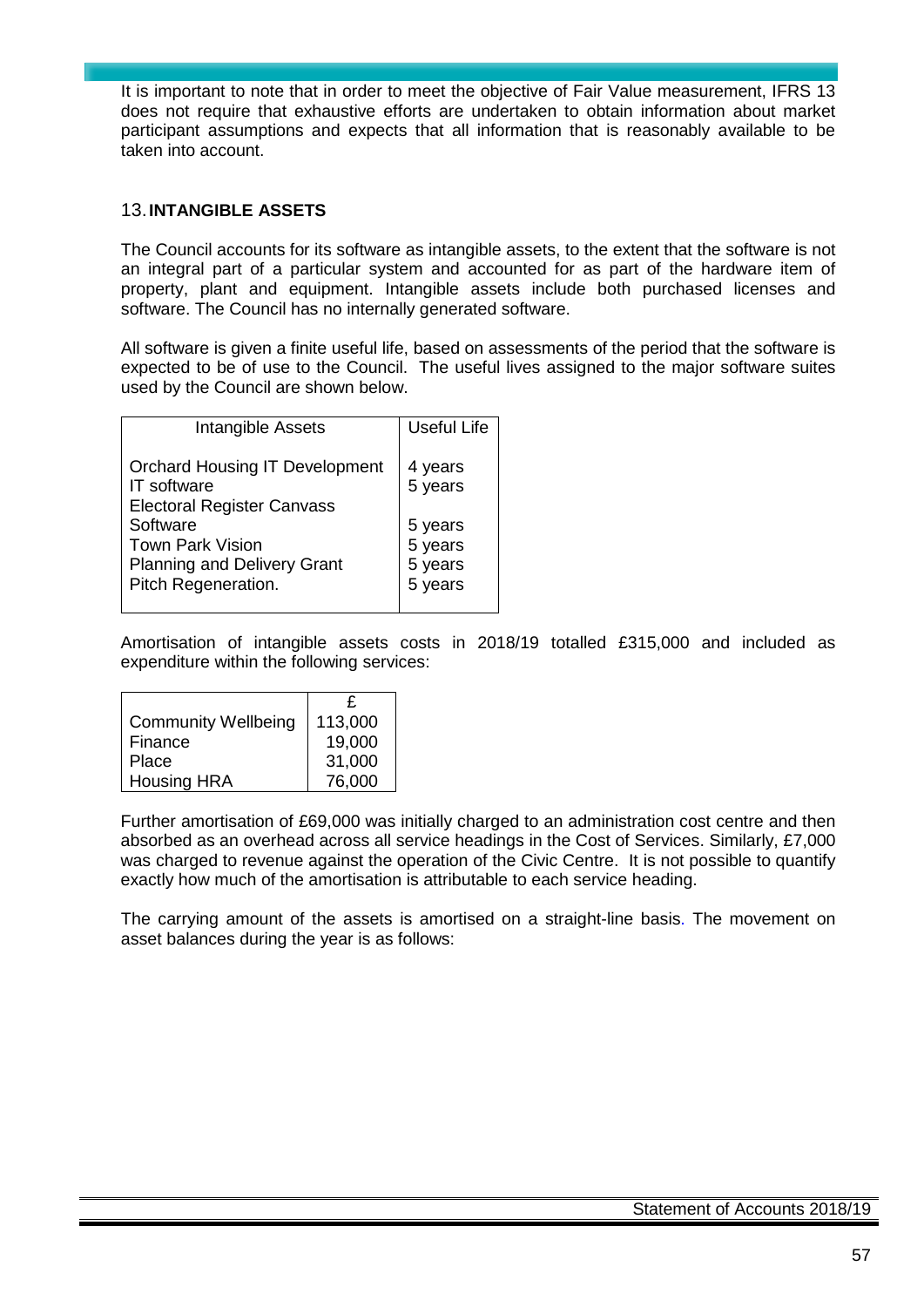It is important to note that in order to meet the objective of Fair Value measurement, IFRS 13 does not require that exhaustive efforts are undertaken to obtain information about market participant assumptions and expects that all information that is reasonably available to be taken into account.

# <span id="page-56-0"></span>13.**INTANGIBLE ASSETS**

The Council accounts for its software as intangible assets, to the extent that the software is not an integral part of a particular system and accounted for as part of the hardware item of property, plant and equipment. Intangible assets include both purchased licenses and software. The Council has no internally generated software.

All software is given a finite useful life, based on assessments of the period that the software is expected to be of use to the Council. The useful lives assigned to the major software suites used by the Council are shown below.

| Intangible Assets                                                                                            | Useful Life                   |
|--------------------------------------------------------------------------------------------------------------|-------------------------------|
| <b>Orchard Housing IT Development</b><br><b>IT</b> software<br><b>Electoral Register Canvass</b><br>Software | 4 years<br>5 years<br>5 years |
| <b>Town Park Vision</b><br><b>Planning and Delivery Grant</b><br>Pitch Regeneration.                         | 5 years<br>5 years<br>5 years |
|                                                                                                              |                               |

Amortisation of intangible assets costs in 2018/19 totalled £315,000 and included as expenditure within the following services:

|                            | £       |
|----------------------------|---------|
| <b>Community Wellbeing</b> | 113,000 |
| Finance                    | 19,000  |
| Place                      | 31,000  |
| <b>Housing HRA</b>         | 76,000  |

Further amortisation of £69,000 was initially charged to an administration cost centre and then absorbed as an overhead across all service headings in the Cost of Services. Similarly, £7,000 was charged to revenue against the operation of the Civic Centre. It is not possible to quantify exactly how much of the amortisation is attributable to each service heading.

The carrying amount of the assets is amortised on a straight-line basis. The movement on asset balances during the year is as follows: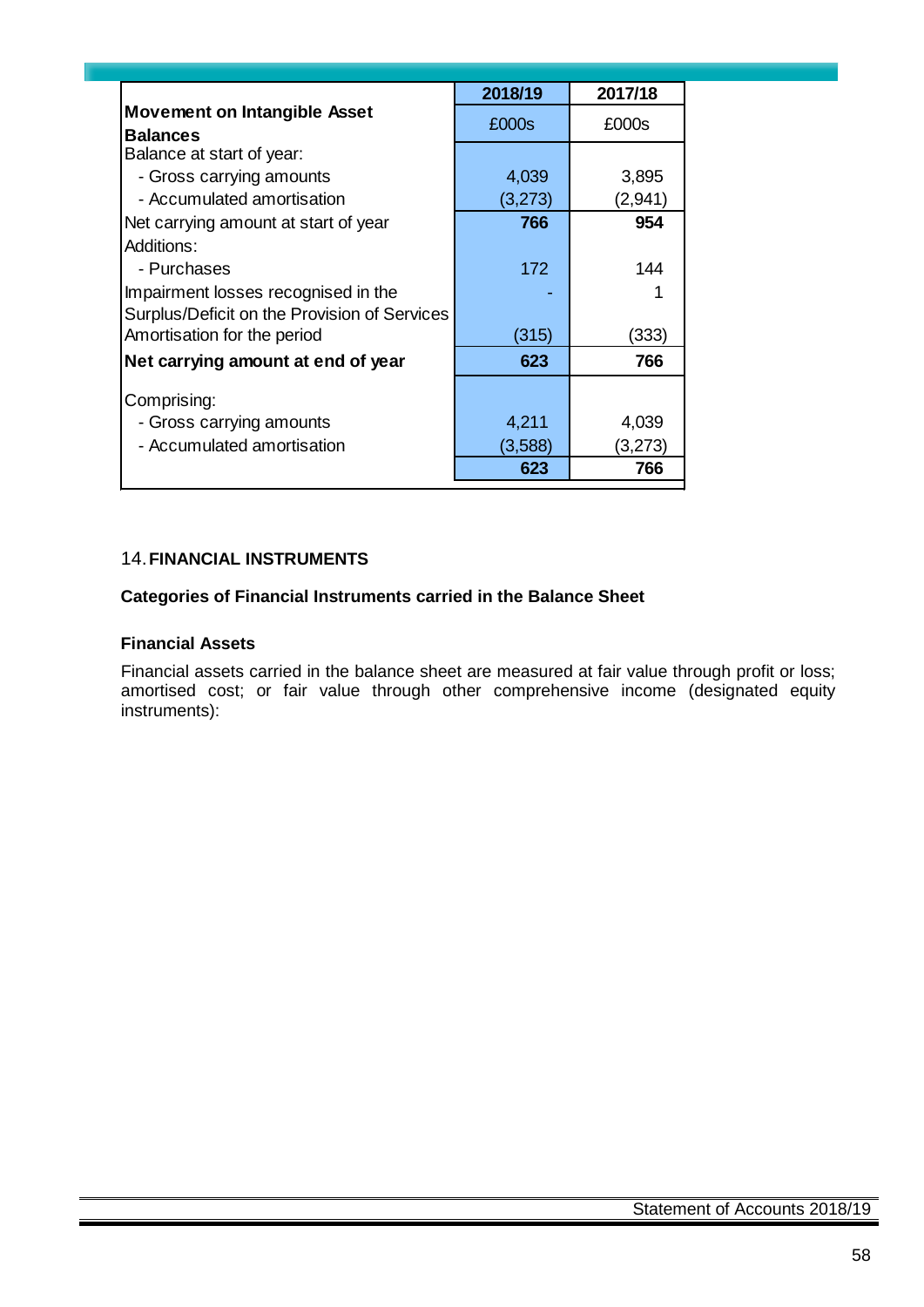|                                              | 2018/19 | 2017/18  |
|----------------------------------------------|---------|----------|
| <b>Movement on Intangible Asset</b>          | £000s   | £000s    |
| <b>Balances</b>                              |         |          |
| Balance at start of year:                    |         |          |
| - Gross carrying amounts                     | 4,039   | 3,895    |
| - Accumulated amortisation                   | (3,273) | (2, 941) |
| Net carrying amount at start of year         | 766     | 954      |
| Additions:                                   |         |          |
| - Purchases                                  | 172     | 144      |
| Impairment losses recognised in the          |         |          |
| Surplus/Deficit on the Provision of Services |         |          |
| Amortisation for the period                  | (315)   | (333)    |
| Net carrying amount at end of year           | 623     | 766      |
| Comprising:                                  |         |          |
| - Gross carrying amounts                     | 4,211   | 4,039    |
| - Accumulated amortisation                   | (3,588) | (3,273)  |
|                                              | 623     | 766      |

# <span id="page-57-0"></span>14.**FINANCIAL INSTRUMENTS**

## **Categories of Financial Instruments carried in the Balance Sheet**

# **Financial Assets**

Financial assets carried in the balance sheet are measured at fair value through profit or loss; amortised cost; or fair value through other comprehensive income (designated equity instruments):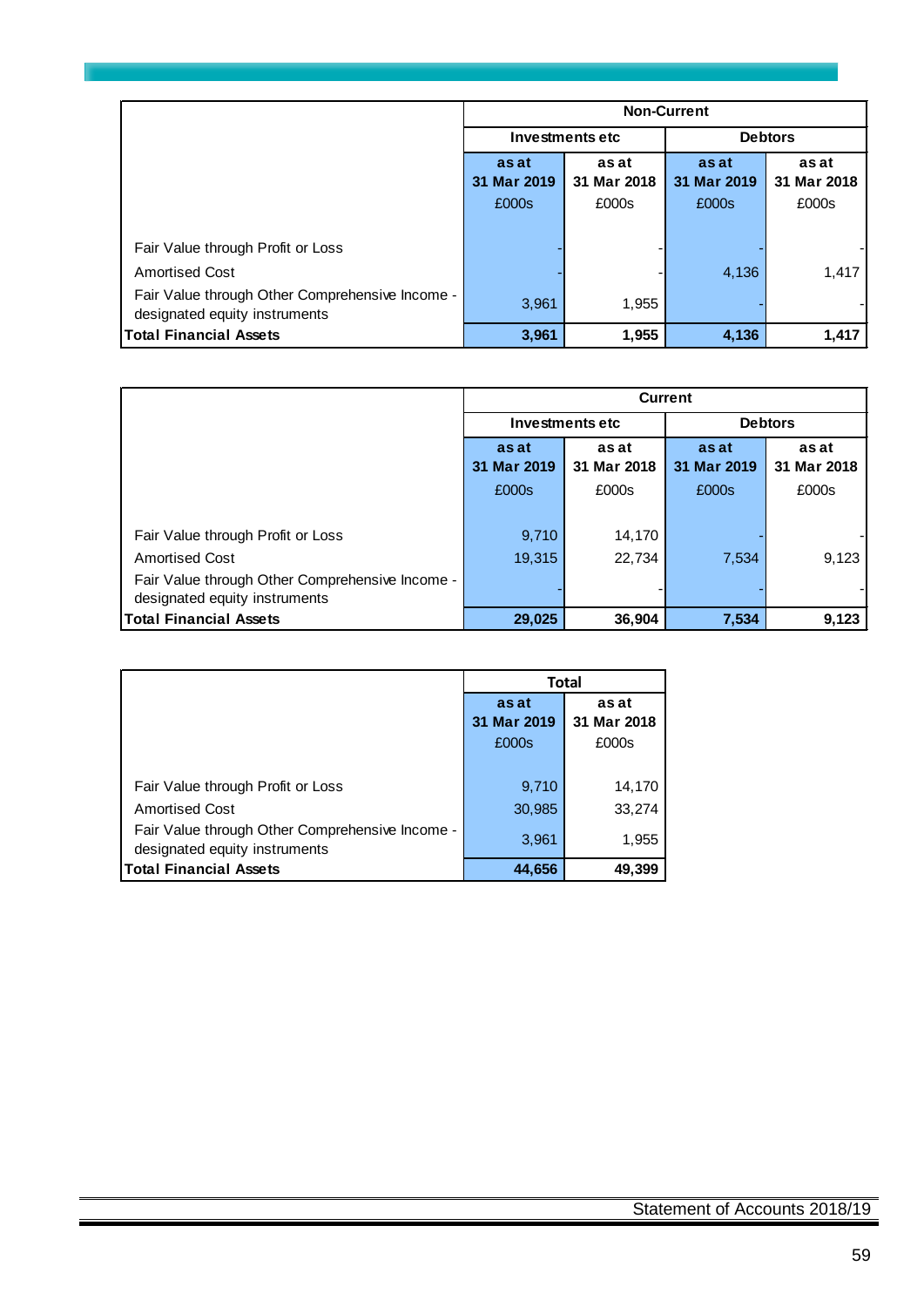|                                                                                  | <b>Non-Current</b>   |                      |                      |                      |  |  |
|----------------------------------------------------------------------------------|----------------------|----------------------|----------------------|----------------------|--|--|
|                                                                                  |                      | Investments etc      | <b>Debtors</b>       |                      |  |  |
|                                                                                  | as at<br>31 Mar 2019 | as at<br>31 Mar 2018 | as at<br>31 Mar 2019 | as at<br>31 Mar 2018 |  |  |
|                                                                                  | £000s                | £000s                | £000s                | £000s                |  |  |
| Fair Value through Profit or Loss                                                |                      |                      |                      |                      |  |  |
| <b>Amortised Cost</b>                                                            |                      |                      | 4,136                | 1,417                |  |  |
| Fair Value through Other Comprehensive Income -<br>designated equity instruments | 3,961                | 1,955                |                      |                      |  |  |
| <b>Total Financial Assets</b>                                                    | 3,961                | 1,955                | 4,136                | 1,417                |  |  |

|                                                                                  | <b>Current</b>       |                      |                      |                      |
|----------------------------------------------------------------------------------|----------------------|----------------------|----------------------|----------------------|
|                                                                                  | Investments etc      |                      | <b>Debtors</b>       |                      |
|                                                                                  | as at<br>31 Mar 2019 | as at<br>31 Mar 2018 | as at<br>31 Mar 2019 | as at<br>31 Mar 2018 |
|                                                                                  | £000s                | £000s                | £000s                | £000s                |
| Fair Value through Profit or Loss                                                | 9,710                | 14,170               |                      |                      |
| <b>Amortised Cost</b>                                                            | 19,315               | 22,734               | 7,534                | 9,123                |
| Fair Value through Other Comprehensive Income -<br>designated equity instruments |                      |                      |                      |                      |
| Total Financial Assets                                                           | 29,025               | 36,904               | 7,534                | 9,123                |

|                                                                                  | <b>Total</b>         |                      |  |
|----------------------------------------------------------------------------------|----------------------|----------------------|--|
|                                                                                  | as at<br>31 Mar 2019 | as at<br>31 Mar 2018 |  |
|                                                                                  | £000s                | £000s                |  |
| Fair Value through Profit or Loss                                                | 9,710                | 14,170               |  |
| <b>Amortised Cost</b>                                                            | 30,985               | 33,274               |  |
| Fair Value through Other Comprehensive Income -<br>designated equity instruments | 3,961                | 1,955                |  |
| <b>Total Financial Assets</b>                                                    | 44,656               | 49,399               |  |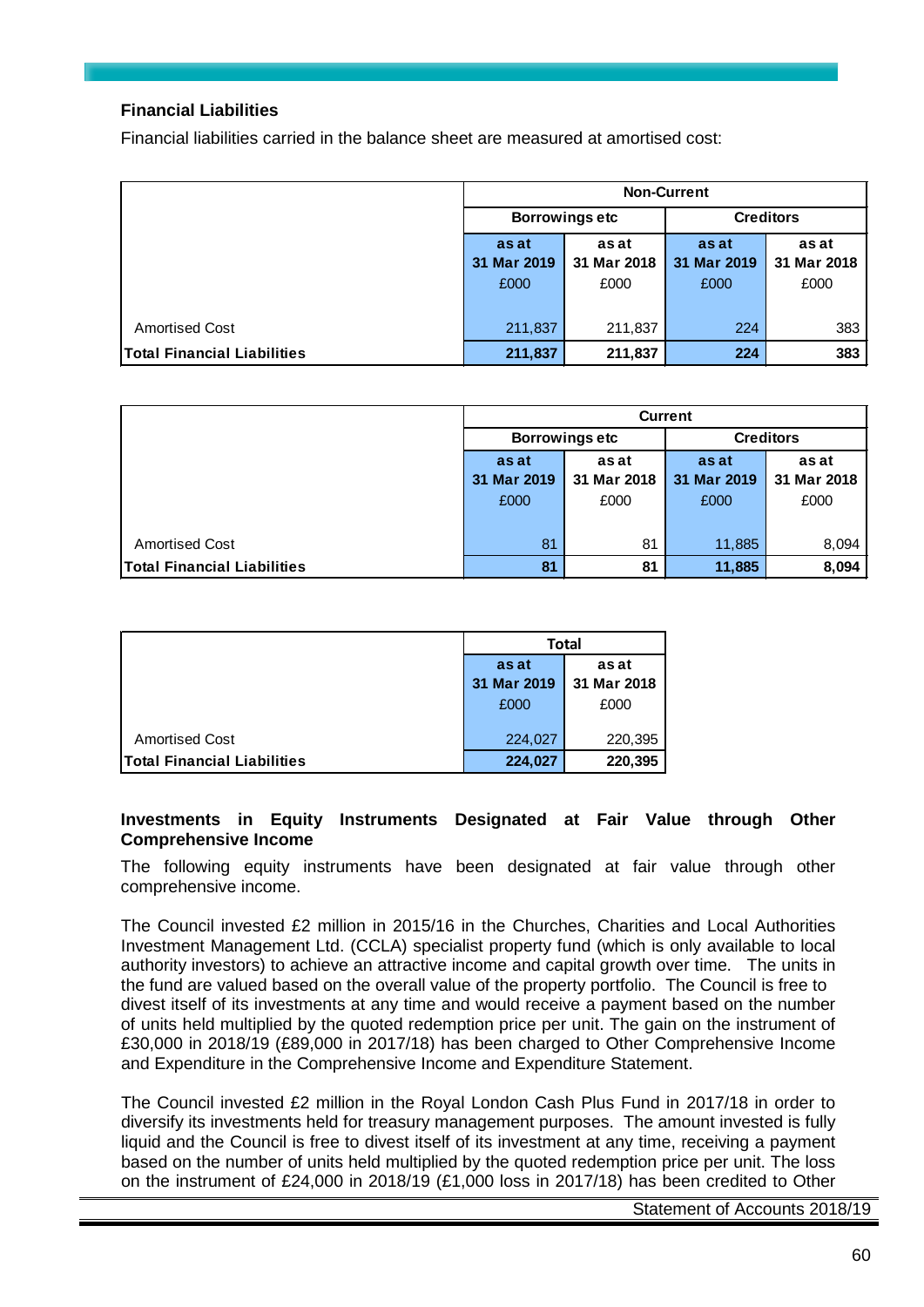# **Financial Liabilities**

Financial liabilities carried in the balance sheet are measured at amortised cost:

|                                    | <b>Non-Current</b>    |             |                  |             |
|------------------------------------|-----------------------|-------------|------------------|-------------|
|                                    | <b>Borrowings etc</b> |             | <b>Creditors</b> |             |
|                                    | as at<br>as at        |             | as at            | as at       |
|                                    | 31 Mar 2019           | 31 Mar 2018 | 31 Mar 2019      | 31 Mar 2018 |
|                                    | £000                  | £000        | £000             | £000        |
|                                    |                       |             |                  |             |
| <b>Amortised Cost</b>              | 211,837               | 211,837     | 224              | 383         |
| <b>Total Financial Liabilities</b> | 211,837               | 211,837     | 224              | 383         |

|                                    | <b>Current</b>        |             |                  |             |
|------------------------------------|-----------------------|-------------|------------------|-------------|
|                                    | <b>Borrowings etc</b> |             | <b>Creditors</b> |             |
|                                    | as at<br>as at        |             | as at            | as at       |
|                                    | 31 Mar 2019           | 31 Mar 2018 | 31 Mar 2019      | 31 Mar 2018 |
|                                    | £000                  | £000        | £000             | £000        |
|                                    |                       |             |                  |             |
| <b>Amortised Cost</b>              | 81                    | 81          | 11,885           | 8,094       |
| <b>Total Financial Liabilities</b> | 81                    | 81          | 11,885           | 8,094       |

|                              | <b>Total</b>       |             |  |
|------------------------------|--------------------|-------------|--|
|                              | as at<br>as at     |             |  |
|                              | 31 Mar 2019        | 31 Mar 2018 |  |
|                              | £000               | £000        |  |
|                              |                    |             |  |
| <b>Amortised Cost</b>        | 224,027            | 220,395     |  |
| lTotal Financial Liabilities | 220,395<br>224,027 |             |  |

#### **Investments in Equity Instruments Designated at Fair Value through Other Comprehensive Income**

The following equity instruments have been designated at fair value through other comprehensive income.

The Council invested £2 million in 2015/16 in the Churches, Charities and Local Authorities Investment Management Ltd. (CCLA) specialist property fund (which is only available to local authority investors) to achieve an attractive income and capital growth over time. The units in the fund are valued based on the overall value of the property portfolio. The Council is free to divest itself of its investments at any time and would receive a payment based on the number of units held multiplied by the quoted redemption price per unit. The gain on the instrument of £30,000 in 2018/19 (£89,000 in 2017/18) has been charged to Other Comprehensive Income and Expenditure in the Comprehensive Income and Expenditure Statement.

The Council invested £2 million in the Royal London Cash Plus Fund in 2017/18 in order to diversify its investments held for treasury management purposes. The amount invested is fully liquid and the Council is free to divest itself of its investment at any time, receiving a payment based on the number of units held multiplied by the quoted redemption price per unit. The loss on the instrument of £24,000 in 2018/19 (£1,000 loss in 2017/18) has been credited to Other

Statement of Accounts 2018/19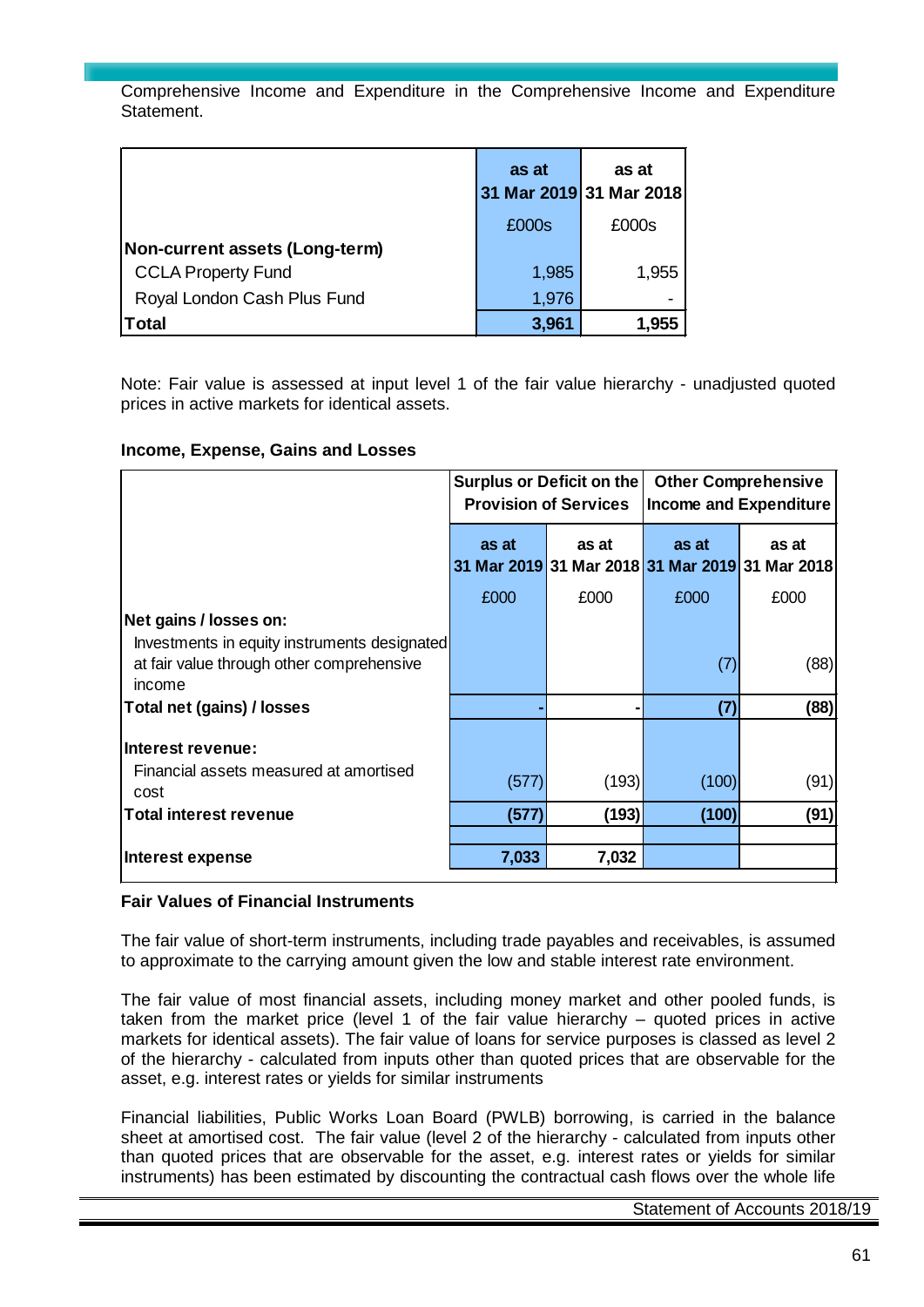Comprehensive Income and Expenditure in the Comprehensive Income and Expenditure Statement.

|                                | as at | as at<br>31 Mar 2019 31 Mar 2018 |
|--------------------------------|-------|----------------------------------|
|                                | £000s | £000s                            |
| Non-current assets (Long-term) |       |                                  |
| <b>CCLA Property Fund</b>      | 1,985 | 1,955                            |
| Royal London Cash Plus Fund    | 1,976 |                                  |
| <b>Total</b>                   | 3,961 | 1,955                            |

Note: Fair value is assessed at input level 1 of the fair value hierarchy - unadjusted quoted prices in active markets for identical assets.

#### **Income, Expense, Gains and Losses**

|                                                                        | Surplus or Deficit on the<br><b>Provision of Services</b> |                                                          | <b>Other Comprehensive</b><br><b>Income and Expenditure</b> |       |
|------------------------------------------------------------------------|-----------------------------------------------------------|----------------------------------------------------------|-------------------------------------------------------------|-------|
|                                                                        | as at                                                     | as at<br>31 Mar 2019 31 Mar 2018 31 Mar 2019 31 Mar 2018 | as at                                                       | as at |
|                                                                        | £000                                                      | £000                                                     | £000                                                        | £000  |
| Net gains / losses on:<br>Investments in equity instruments designated |                                                           |                                                          |                                                             |       |
| at fair value through other comprehensive<br>income                    |                                                           |                                                          | (7)                                                         | (88)  |
| Total net (gains) / losses                                             |                                                           |                                                          | (7)                                                         | (88)  |
| lInterest revenue:                                                     |                                                           |                                                          |                                                             |       |
| Financial assets measured at amortised<br>cost                         | (577)                                                     | (193)                                                    | (100)                                                       | (91)  |
| <b>Total interest revenue</b>                                          | (577)                                                     | (193)                                                    | (100)                                                       | (91)  |
|                                                                        |                                                           |                                                          |                                                             |       |
| Interest expense                                                       | 7,033                                                     | 7,032                                                    |                                                             |       |

## **Fair Values of Financial Instruments**

The fair value of short-term instruments, including trade payables and receivables, is assumed to approximate to the carrying amount given the low and stable interest rate environment.

The fair value of most financial assets, including money market and other pooled funds, is taken from the market price (level 1 of the fair value hierarchy – quoted prices in active markets for identical assets). The fair value of loans for service purposes is classed as level 2 of the hierarchy - calculated from inputs other than quoted prices that are observable for the asset, e.g. interest rates or yields for similar instruments

Financial liabilities, Public Works Loan Board (PWLB) borrowing, is carried in the balance sheet at amortised cost. The fair value (level 2 of the hierarchy - calculated from inputs other than quoted prices that are observable for the asset, e.g. interest rates or yields for similar instruments) has been estimated by discounting the contractual cash flows over the whole life

Statement of Accounts 2018/19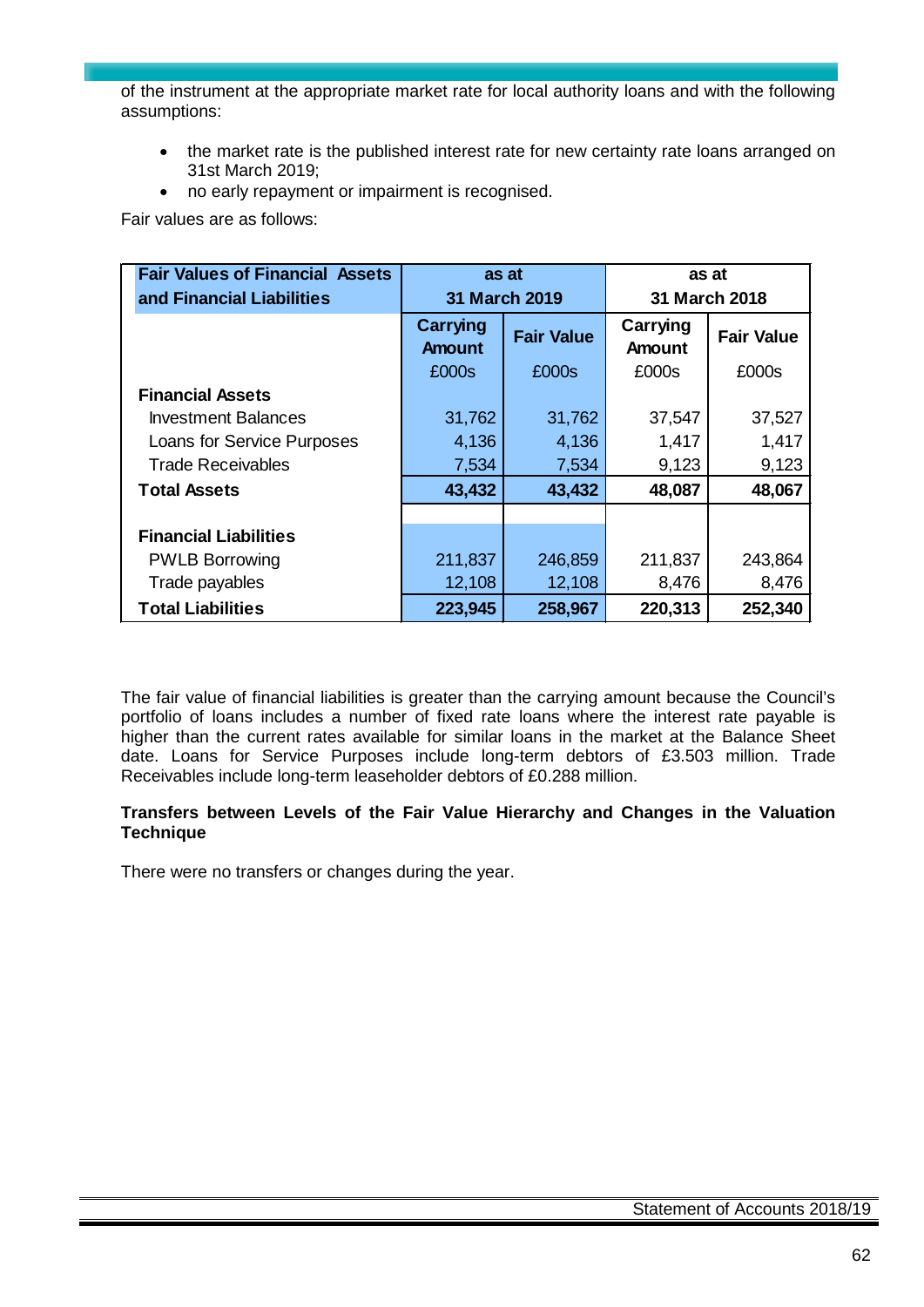of the instrument at the appropriate market rate for local authority loans and with the following assumptions:

- the market rate is the published interest rate for new certainty rate loans arranged on 31st March 2019;
- no early repayment or impairment is recognised.

Fair values are as follows:

| <b>Fair Values of Financial Assets</b> | as at                     |                   | as at                     |                   |  |
|----------------------------------------|---------------------------|-------------------|---------------------------|-------------------|--|
| and Financial Liabilities              |                           | 31 March 2019     |                           | 31 March 2018     |  |
|                                        | Carrying<br><b>Amount</b> | <b>Fair Value</b> | Carrying<br><b>Amount</b> | <b>Fair Value</b> |  |
|                                        | £000s                     | £000s             | £000s                     | £000s             |  |
| <b>Financial Assets</b>                |                           |                   |                           |                   |  |
| <b>Investment Balances</b>             | 31,762                    | 31,762            | 37,547                    | 37,527            |  |
| Loans for Service Purposes             | 4,136                     | 4,136             | 1,417                     | 1,417             |  |
| <b>Trade Receivables</b>               | 7,534                     | 7,534             | 9,123                     | 9,123             |  |
| <b>Total Assets</b>                    | 43,432                    | 43,432            | 48,087                    | 48,067            |  |
|                                        |                           |                   |                           |                   |  |
| <b>Financial Liabilities</b>           |                           |                   |                           |                   |  |
| <b>PWLB Borrowing</b>                  | 211,837                   | 246,859           | 211,837                   | 243,864           |  |
| Trade payables                         | 12,108                    | 12,108            | 8,476                     | 8,476             |  |
| <b>Total Liabilities</b>               | 223,945                   | 258,967           | 220,313                   | 252,340           |  |

The fair value of financial liabilities is greater than the carrying amount because the Council's portfolio of loans includes a number of fixed rate loans where the interest rate payable is higher than the current rates available for similar loans in the market at the Balance Sheet date. Loans for Service Purposes include long-term debtors of £3.503 million. Trade Receivables include long-term leaseholder debtors of £0.288 million.

## **Transfers between Levels of the Fair Value Hierarchy and Changes in the Valuation Technique**

There were no transfers or changes during the year.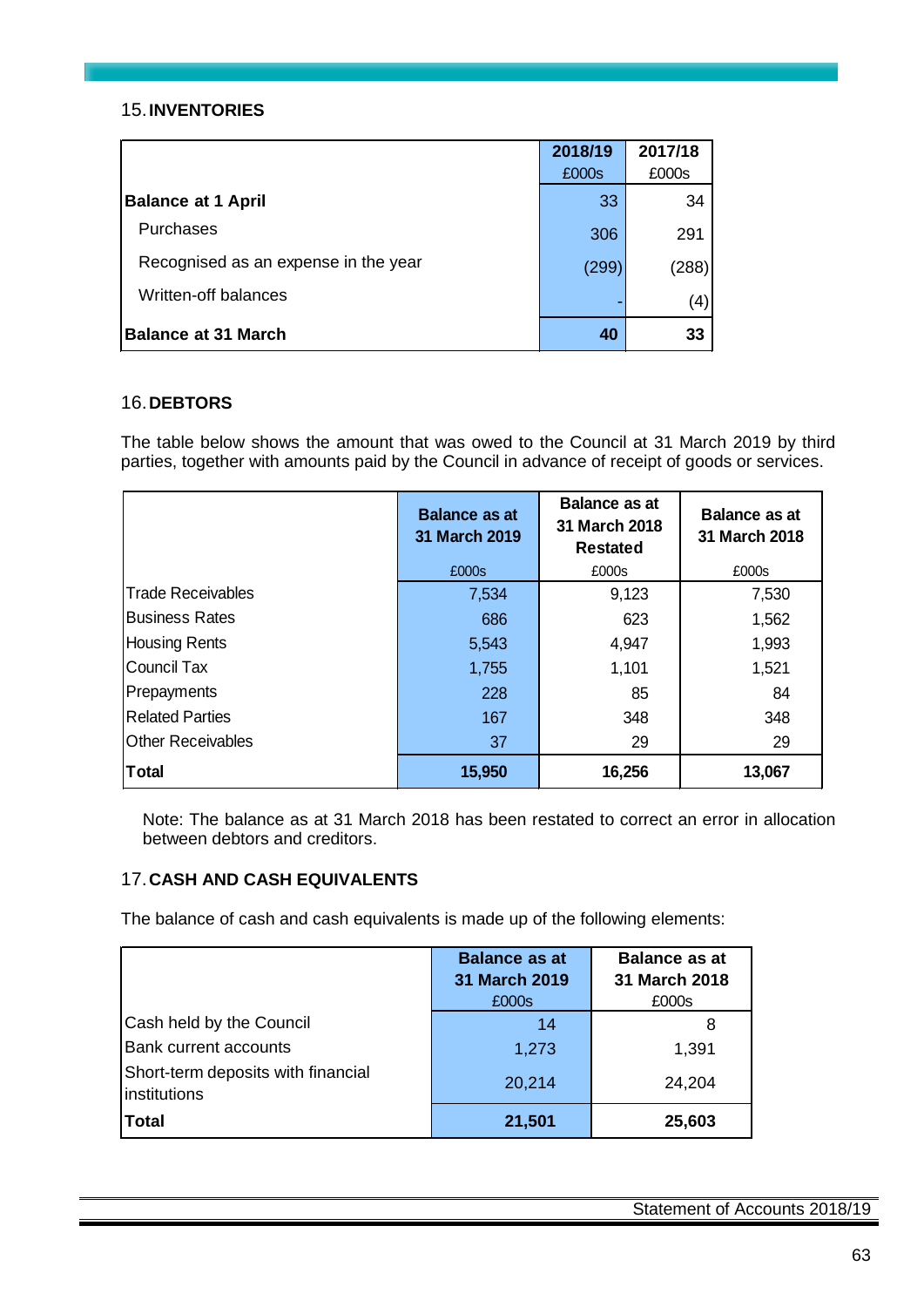# <span id="page-62-0"></span>15.**INVENTORIES**

|                                      | 2018/19 | 2017/18 |
|--------------------------------------|---------|---------|
|                                      | £000s   | £000s   |
| <b>Balance at 1 April</b>            | 33      | 34      |
| Purchases                            | 306     | 291     |
| Recognised as an expense in the year | (299)   | (288)   |
| Written-off balances                 |         | (4)     |
| <b>Balance at 31 March</b>           | 40      | 33      |

# <span id="page-62-1"></span>16.**DEBTORS**

The table below shows the amount that was owed to the Council at 31 March 2019 by third parties, together with amounts paid by the Council in advance of receipt of goods or services.

|                          | <b>Balance as at</b><br>31 March 2019 | <b>Balance as at</b><br>31 March 2018<br><b>Restated</b> | <b>Balance as at</b><br>31 March 2018 |
|--------------------------|---------------------------------------|----------------------------------------------------------|---------------------------------------|
|                          | £000s                                 | £000s                                                    | £000s                                 |
| <b>Trade Receivables</b> | 7,534                                 | 9,123                                                    | 7,530                                 |
| <b>Business Rates</b>    | 686                                   | 623                                                      | 1,562                                 |
| <b>Housing Rents</b>     | 5,543                                 | 4,947                                                    | 1,993                                 |
| Council Tax              | 1,755                                 | 1,101                                                    | 1,521                                 |
| Prepayments              | 228                                   | 85                                                       | 84                                    |
| <b>Related Parties</b>   | 167                                   | 348                                                      | 348                                   |
| <b>Other Receivables</b> | 37                                    | 29                                                       | 29                                    |
| <b>Total</b>             | 15,950                                | 16,256                                                   | 13,067                                |

Note: The balance as at 31 March 2018 has been restated to correct an error in allocation between debtors and creditors.

# <span id="page-62-2"></span>17.**CASH AND CASH EQUIVALENTS**

The balance of cash and cash equivalents is made up of the following elements:

|                                                    | <b>Balance as at</b><br>31 March 2019 | <b>Balance as at</b><br>31 March 2018 |
|----------------------------------------------------|---------------------------------------|---------------------------------------|
|                                                    | £000s                                 | £000s                                 |
| Cash held by the Council                           | 14                                    | 8                                     |
| <b>Bank current accounts</b>                       | 1,273                                 | 1,391                                 |
| Short-term deposits with financial<br>institutions | 20,214                                | 24,204                                |
| <b>Total</b>                                       | 21,501                                | 25,603                                |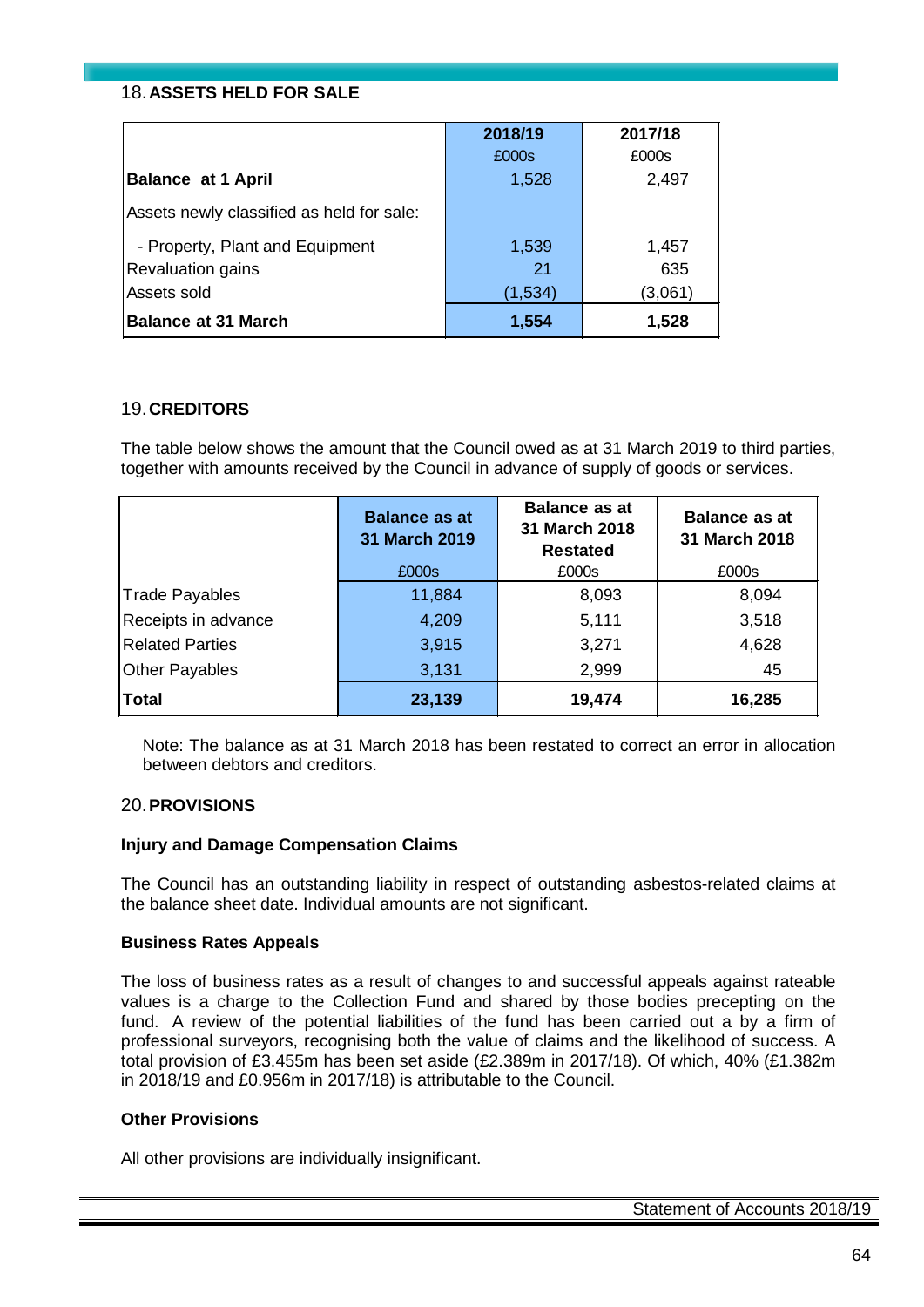## <span id="page-63-0"></span>18.**ASSETS HELD FOR SALE**

|                                           | 2018/19 | 2017/18 |
|-------------------------------------------|---------|---------|
|                                           | £000s   | £000s   |
| <b>Balance at 1 April</b>                 | 1,528   | 2,497   |
| Assets newly classified as held for sale: |         |         |
| - Property, Plant and Equipment           | 1,539   | 1,457   |
| <b>Revaluation gains</b>                  | 21      | 635     |
| Assets sold                               | (1,534) | (3,061) |
| <b>Balance at 31 March</b>                | 1,554   | 1,528   |

# <span id="page-63-1"></span>19.**CREDITORS**

The table below shows the amount that the Council owed as at 31 March 2019 to third parties, together with amounts received by the Council in advance of supply of goods or services.

|                        | <b>Balance as at</b><br><b>Balance as at</b><br>31 March 2018<br>31 March 2019<br><b>Restated</b> |        | <b>Balance as at</b><br>31 March 2018 |
|------------------------|---------------------------------------------------------------------------------------------------|--------|---------------------------------------|
|                        | £000s                                                                                             | £000s  | £000s                                 |
| Trade Payables         | 11,884                                                                                            | 8,093  | 8,094                                 |
| Receipts in advance    | 4,209                                                                                             | 5,111  | 3,518                                 |
| <b>Related Parties</b> | 3,915                                                                                             | 3,271  | 4,628                                 |
| <b>Other Payables</b>  | 3,131                                                                                             | 2,999  | 45                                    |
| <b>Total</b>           | 23,139                                                                                            | 19,474 | 16,285                                |

Note: The balance as at 31 March 2018 has been restated to correct an error in allocation between debtors and creditors.

## <span id="page-63-2"></span>20.**PROVISIONS**

## **Injury and Damage Compensation Claims**

The Council has an outstanding liability in respect of outstanding asbestos-related claims at the balance sheet date. Individual amounts are not significant.

## **Business Rates Appeals**

The loss of business rates as a result of changes to and successful appeals against rateable values is a charge to the Collection Fund and shared by those bodies precepting on the fund. A review of the potential liabilities of the fund has been carried out a by a firm of professional surveyors, recognising both the value of claims and the likelihood of success. A total provision of £3.455m has been set aside (£2.389m in 2017/18). Of which, 40% (£1.382m in 2018/19 and £0.956m in 2017/18) is attributable to the Council.

## **Other Provisions**

All other provisions are individually insignificant.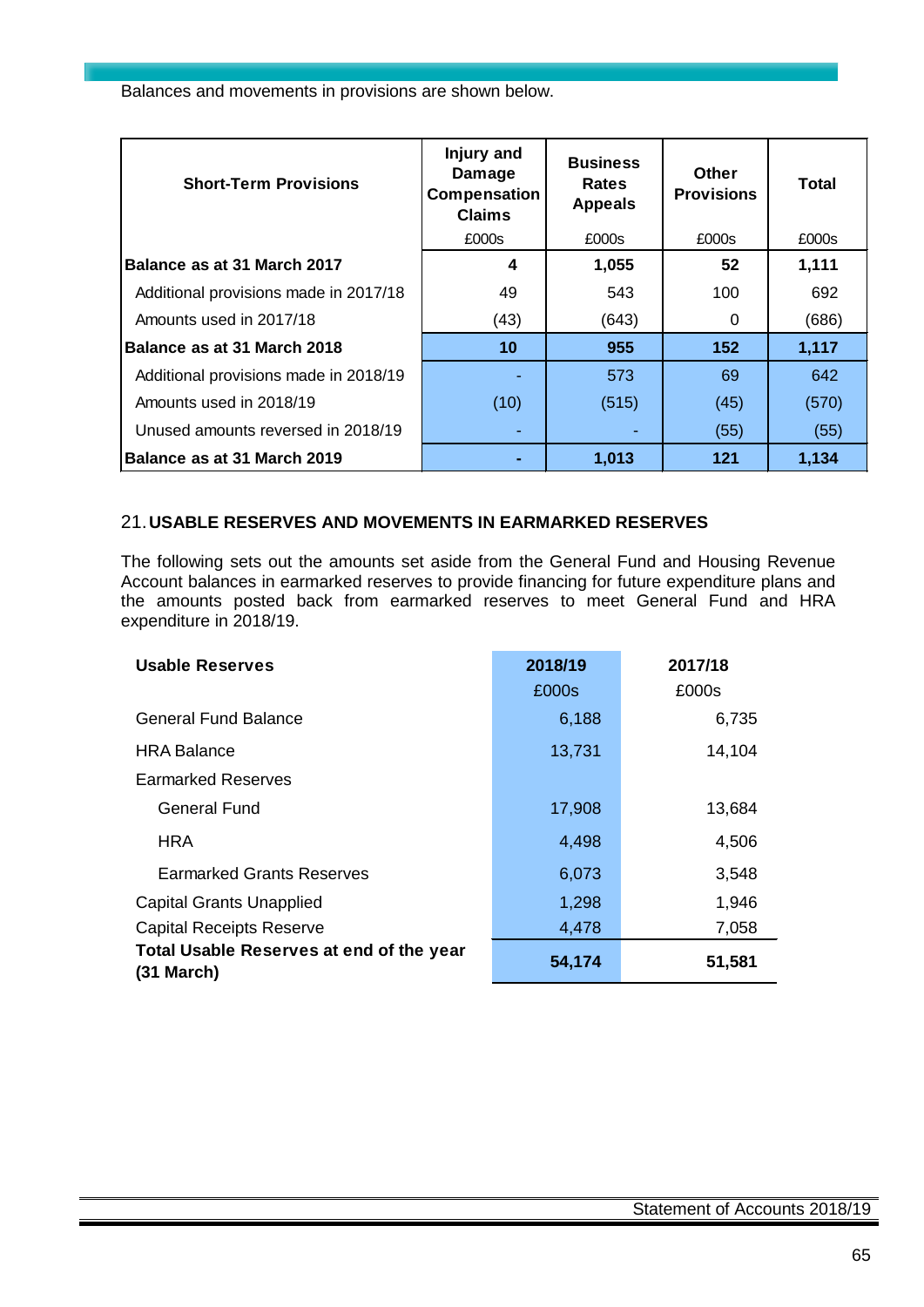Balances and movements in provisions are shown below.

| <b>Short-Term Provisions</b>          | Injury and<br>Damage<br><b>Compensation</b><br><b>Claims</b> | <b>Business</b><br><b>Rates</b><br><b>Appeals</b> | Other<br><b>Provisions</b> | Total |
|---------------------------------------|--------------------------------------------------------------|---------------------------------------------------|----------------------------|-------|
|                                       | £000s                                                        | £000s                                             | £000s                      | £000s |
| Balance as at 31 March 2017           | 4                                                            | 1,055                                             | 52                         | 1,111 |
| Additional provisions made in 2017/18 | 49                                                           | 543                                               | 100                        | 692   |
| Amounts used in 2017/18               | (43)                                                         | (643)                                             | $\Omega$                   | (686) |
| Balance as at 31 March 2018           | 10                                                           | 955                                               | 152                        | 1,117 |
| Additional provisions made in 2018/19 |                                                              | 573                                               | 69                         | 642   |
| Amounts used in 2018/19               | (10)                                                         | (515)                                             | (45)                       | (570) |
| Unused amounts reversed in 2018/19    |                                                              |                                                   | (55)                       | (55)  |
| Balance as at 31 March 2019           |                                                              | 1,013                                             | 121                        | 1,134 |

# <span id="page-64-0"></span>21.**USABLE RESERVES AND MOVEMENTS IN EARMARKED RESERVES**

The following sets out the amounts set aside from the General Fund and Housing Revenue Account balances in earmarked reserves to provide financing for future expenditure plans and the amounts posted back from earmarked reserves to meet General Fund and HRA expenditure in 2018/19.

| <b>Usable Reserves</b>                                   | 2018/19 | 2017/18 |
|----------------------------------------------------------|---------|---------|
|                                                          | £000s   | £000s   |
| <b>General Fund Balance</b>                              | 6,188   | 6,735   |
| <b>HRA Balance</b>                                       | 13,731  | 14,104  |
| Earmarked Reserves                                       |         |         |
| <b>General Fund</b>                                      | 17,908  | 13,684  |
| <b>HRA</b>                                               | 4,498   | 4,506   |
| <b>Earmarked Grants Reserves</b>                         | 6,073   | 3,548   |
| <b>Capital Grants Unapplied</b>                          | 1,298   | 1,946   |
| <b>Capital Receipts Reserve</b>                          | 4,478   | 7,058   |
| Total Usable Reserves at end of the year<br>$(31$ March) | 54,174  | 51,581  |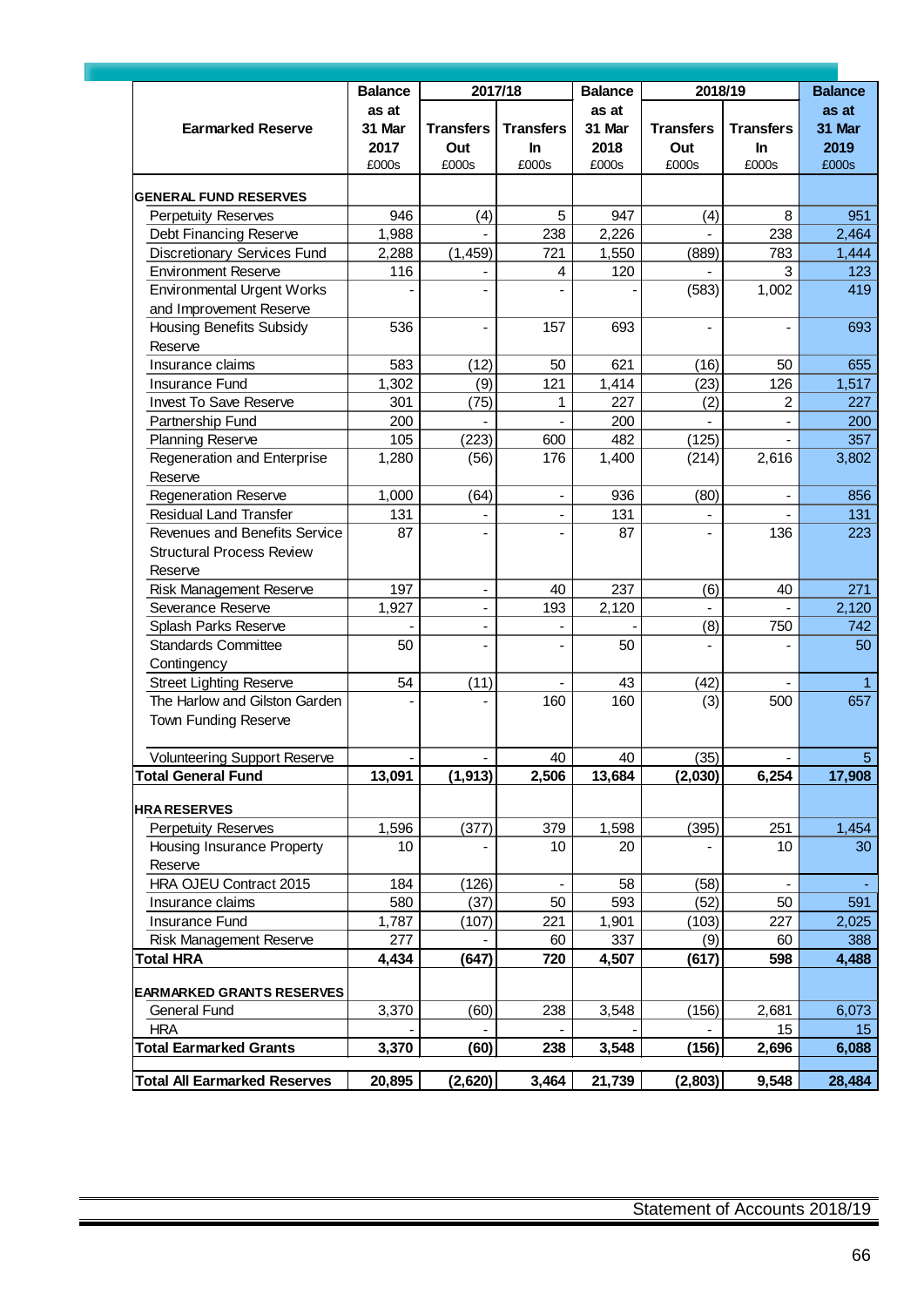|                                     | <b>Balance</b> |                  | 2017/18          | <b>Balance</b> | 2018/19          |                  | <b>Balance</b>  |
|-------------------------------------|----------------|------------------|------------------|----------------|------------------|------------------|-----------------|
|                                     | as at          |                  |                  | as at          |                  |                  | as at           |
| <b>Earmarked Reserve</b>            | 31 Mar         | <b>Transfers</b> | <b>Transfers</b> | 31 Mar         | <b>Transfers</b> | <b>Transfers</b> | 31 Mar          |
|                                     | 2017           | Out              | <b>In</b>        | 2018           | Out              | $\ln$            | 2019            |
|                                     | £000s          | £000s            | £000s            | £000s          | £000s            | £000s            | £000s           |
| <b>GENERAL FUND RESERVES</b>        |                |                  |                  |                |                  |                  |                 |
| <b>Perpetuity Reserves</b>          | 946            | (4)              | 5                | 947            | (4)              | 8                | 951             |
| Debt Financing Reserve              | 1,988          |                  | 238              | 2,226          |                  | 238              | 2,464           |
| <b>Discretionary Services Fund</b>  | 2,288          | (1, 459)         | 721              | 1,550          | (889)            | 783              | 1,444           |
| <b>Environment Reserve</b>          | 116            |                  | 4                | 120            |                  | 3                | 123             |
| <b>Environmental Urgent Works</b>   |                |                  |                  |                | (583)            | 1,002            | 419             |
| and Improvement Reserve             |                |                  |                  |                |                  |                  |                 |
| <b>Housing Benefits Subsidy</b>     | 536            |                  | 157              | 693            |                  |                  | 693             |
| Reserve                             |                |                  |                  |                |                  |                  |                 |
| Insurance claims                    | 583            | (12)             | 50               | 621            | (16)             | 50               | 655             |
| <b>Insurance Fund</b>               | 1,302          | (9)              | 121              | 1,414          | (23)             | 126              | 1,517           |
| <b>Invest To Save Reserve</b>       | 301            | (75)             | 1                | 227            | (2)              | 2                | 227             |
| Partnership Fund                    | 200            |                  |                  | 200            |                  |                  | 200             |
| <b>Planning Reserve</b>             | 105            | (223)            | 600              | 482            | (125)            |                  | 357             |
| Regeneration and Enterprise         | 1,280          | (56)             | 176              | 1,400          | (214)            | 2,616            | 3,802           |
| Reserve                             |                |                  |                  |                |                  |                  |                 |
| <b>Regeneration Reserve</b>         | 1,000          | (64)             | $\blacksquare$   | 936            | (80)             |                  | 856             |
| <b>Residual Land Transfer</b>       | 131            |                  |                  | 131            |                  |                  | 131             |
| Revenues and Benefits Service       | 87             |                  |                  | 87             |                  | 136              | 223             |
| <b>Structural Process Review</b>    |                |                  |                  |                |                  |                  |                 |
| Reserve                             |                |                  |                  |                |                  |                  |                 |
| <b>Risk Management Reserve</b>      | 197            | $\blacksquare$   | 40               | 237            | (6)              | 40               | 271             |
| Severance Reserve                   | 1,927          |                  | 193              | 2,120          |                  |                  | 2,120           |
| Splash Parks Reserve                |                |                  |                  |                | (8)              | 750              | 742             |
| <b>Standards Committee</b>          | 50             |                  |                  | 50             |                  |                  | 50              |
| Contingency                         |                |                  |                  |                |                  |                  |                 |
| <b>Street Lighting Reserve</b>      | 54             | (11)             |                  | 43             | (42)             |                  |                 |
| The Harlow and Gilston Garden       |                |                  | 160              | 160            | (3)              | 500              | 657             |
| Town Funding Reserve                |                |                  |                  |                |                  |                  |                 |
|                                     |                |                  |                  |                |                  |                  |                 |
| <b>Volunteering Support Reserve</b> |                |                  | 40               | 40             | (35)             |                  | 5               |
| <b>Total General Fund</b>           | 13,091         | (1, 913)         | 2,506            | 13,684         | (2,030)          | 6,254            | 17,908          |
|                                     |                |                  |                  |                |                  |                  |                 |
| <b>HRARESERVES</b>                  |                |                  |                  |                |                  |                  |                 |
| Perpetuity Reserves                 | 1,596          | (377)            | 379              | 1,598          | (395)            | 251              | 1,454           |
| Housing Insurance Property          | 10             |                  | 10               | 20             |                  | 10               | 30              |
| Reserve                             |                |                  |                  |                |                  |                  |                 |
| HRA OJEU Contract 2015              | 184            | (126)            |                  | 58             | (58)             |                  |                 |
| Insurance claims                    | 580            | (37)             | 50               | 593            | (52)             | 50               | 591             |
| Insurance Fund                      | 1,787          | (107)            | 221              | 1,901          | (103)            | 227              | 2,025           |
| <b>Risk Management Reserve</b>      | 277            |                  | 60               | 337            | (9)              | 60               | 388             |
| <b>Total HRA</b>                    | 4,434          | (647)            | 720              | 4,507          | (617)            | 598              | 4,488           |
| <b>EARMARKED GRANTS RESERVES</b>    |                |                  |                  |                |                  |                  |                 |
| General Fund                        | 3,370          | (60)             | 238              | 3,548          | (156)            | 2,681            | 6,073           |
| <b>HRA</b>                          |                |                  |                  |                |                  | 15               | 15 <sub>2</sub> |
| <b>Total Earmarked Grants</b>       | 3,370          | (60)             | 238              | 3,548          | (156)            | 2,696            | 6,088           |
|                                     |                |                  |                  |                |                  |                  |                 |
| <b>Total All Earmarked Reserves</b> | 20,895         | (2,620)          | 3,464            | 21,739         | (2,803)          | 9,548            | 28,484          |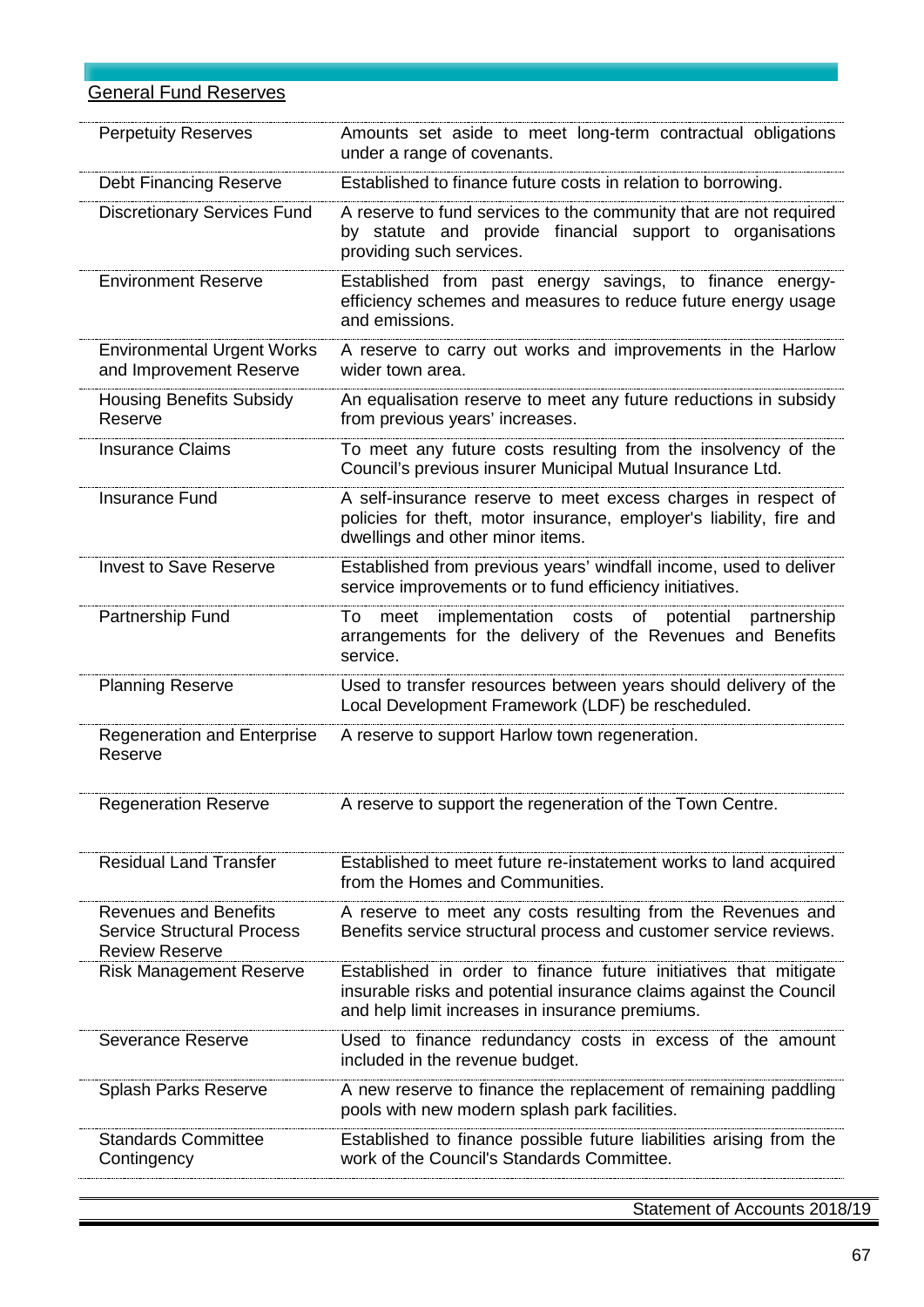General Fund Reserves

| <b>Perpetuity Reserves</b>                                                                 | Amounts set aside to meet long-term contractual obligations<br>under a range of covenants.                                                                                                |
|--------------------------------------------------------------------------------------------|-------------------------------------------------------------------------------------------------------------------------------------------------------------------------------------------|
| <b>Debt Financing Reserve</b>                                                              | Established to finance future costs in relation to borrowing.                                                                                                                             |
| <b>Discretionary Services Fund</b>                                                         | A reserve to fund services to the community that are not required<br>by statute and provide financial support to organisations<br>providing such services.                                |
| <b>Environment Reserve</b>                                                                 | Established from past energy savings, to finance energy-<br>efficiency schemes and measures to reduce future energy usage<br>and emissions.                                               |
| <b>Environmental Urgent Works</b><br>and Improvement Reserve                               | A reserve to carry out works and improvements in the Harlow<br>wider town area.                                                                                                           |
| <b>Housing Benefits Subsidy</b><br>Reserve                                                 | An equalisation reserve to meet any future reductions in subsidy<br>from previous years' increases.                                                                                       |
| <b>Insurance Claims</b>                                                                    | To meet any future costs resulting from the insolvency of the<br>Council's previous insurer Municipal Mutual Insurance Ltd.                                                               |
| <b>Insurance Fund</b>                                                                      | A self-insurance reserve to meet excess charges in respect of<br>policies for theft, motor insurance, employer's liability, fire and<br>dwellings and other minor items.                  |
| <b>Invest to Save Reserve</b>                                                              | Established from previous years' windfall income, used to deliver<br>service improvements or to fund efficiency initiatives.                                                              |
| Partnership Fund                                                                           | implementation costs of potential<br>partnership<br>To<br>meet<br>arrangements for the delivery of the Revenues and Benefits<br>service.                                                  |
| <b>Planning Reserve</b>                                                                    | Used to transfer resources between years should delivery of the<br>Local Development Framework (LDF) be rescheduled.                                                                      |
| <b>Regeneration and Enterprise</b><br>Reserve                                              | A reserve to support Harlow town regeneration.                                                                                                                                            |
| <b>Regeneration Reserve</b>                                                                | A reserve to support the regeneration of the Town Centre.                                                                                                                                 |
| <b>Residual Land Transfer</b>                                                              | Established to meet future re-instatement works to land acquired<br>from the Homes and Communities.                                                                                       |
| <b>Revenues and Benefits</b><br><b>Service Structural Process</b><br><b>Review Reserve</b> | A reserve to meet any costs resulting from the Revenues and<br>Benefits service structural process and customer service reviews.                                                          |
| <b>Risk Management Reserve</b>                                                             | Established in order to finance future initiatives that mitigate<br>insurable risks and potential insurance claims against the Council<br>and help limit increases in insurance premiums. |
| <b>Severance Reserve</b>                                                                   | Used to finance redundancy costs in excess of the amount<br>included in the revenue budget.                                                                                               |
| <b>Splash Parks Reserve</b>                                                                | A new reserve to finance the replacement of remaining paddling<br>pools with new modern splash park facilities.                                                                           |
| <b>Standards Committee</b><br>Contingency                                                  | Established to finance possible future liabilities arising from the<br>work of the Council's Standards Committee.                                                                         |
|                                                                                            |                                                                                                                                                                                           |

Statement of Accounts 2018/19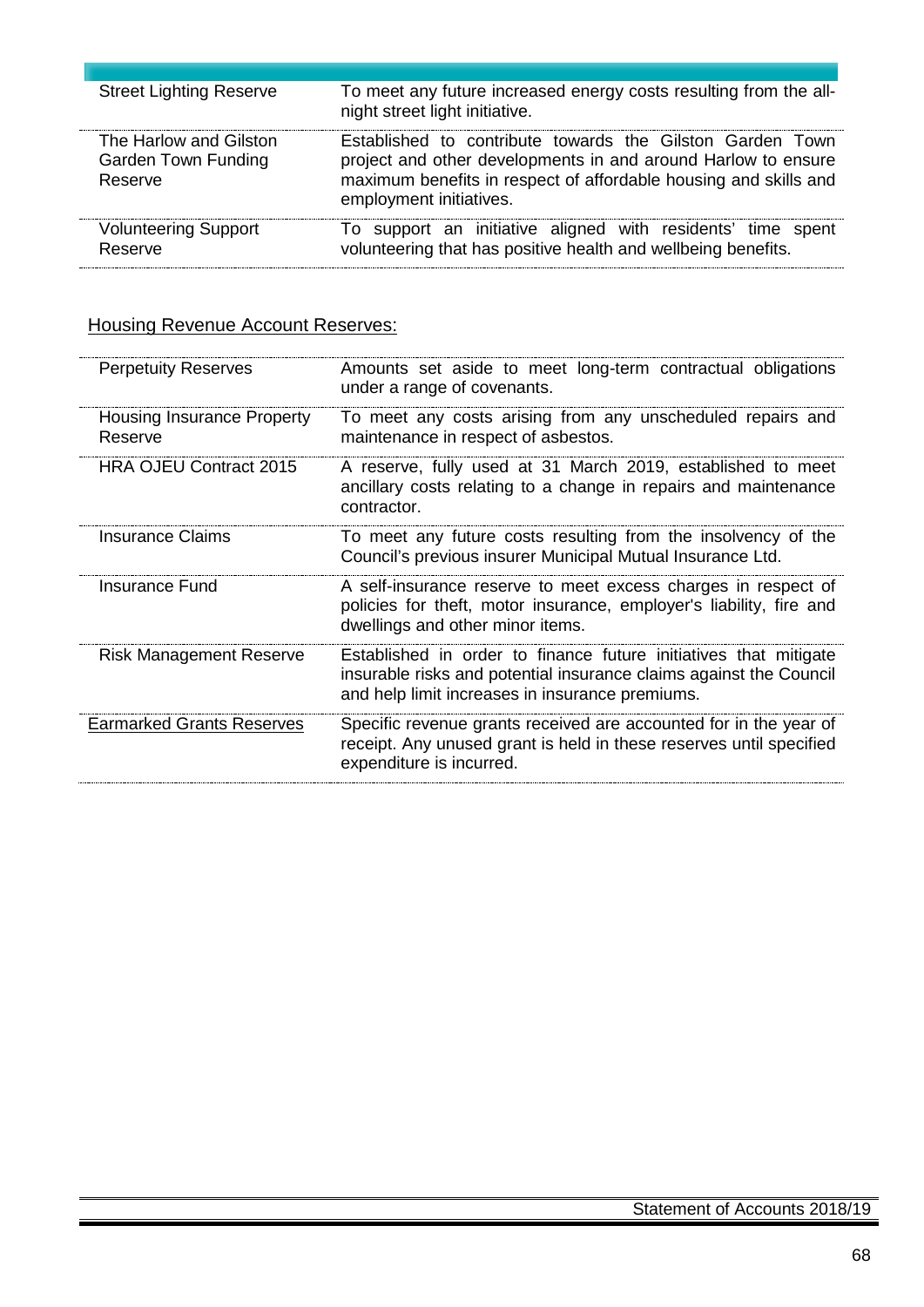| <b>Street Lighting Reserve</b>                                  | To meet any future increased energy costs resulting from the all-<br>night street light initiative.                                                                                                                       |
|-----------------------------------------------------------------|---------------------------------------------------------------------------------------------------------------------------------------------------------------------------------------------------------------------------|
| The Harlow and Gilston<br><b>Garden Town Funding</b><br>Reserve | Established to contribute towards the Gilston Garden Town<br>project and other developments in and around Harlow to ensure<br>maximum benefits in respect of affordable housing and skills and<br>employment initiatives. |
| <b>Volunteering Support</b><br>Reserve                          | To support an initiative aligned with residents' time spent<br>volunteering that has positive health and wellbeing benefits.                                                                                              |

# Housing Revenue Account Reserves:

| <b>Perpetuity Reserves</b>            | Amounts set aside to meet long-term contractual obligations<br>under a range of covenants.                                                                                                |
|---------------------------------------|-------------------------------------------------------------------------------------------------------------------------------------------------------------------------------------------|
| Housing Insurance Property<br>Reserve | To meet any costs arising from any unscheduled repairs and<br>maintenance in respect of asbestos.                                                                                         |
| <b>HRA OJEU Contract 2015</b>         | A reserve, fully used at 31 March 2019, established to meet<br>ancillary costs relating to a change in repairs and maintenance<br>contractor.                                             |
| Insurance Claims                      | To meet any future costs resulting from the insolvency of the<br>Council's previous insurer Municipal Mutual Insurance Ltd.                                                               |
| Insurance Fund                        | A self-insurance reserve to meet excess charges in respect of<br>policies for theft, motor insurance, employer's liability, fire and<br>dwellings and other minor items.                  |
| <b>Risk Management Reserve</b>        | Established in order to finance future initiatives that mitigate<br>insurable risks and potential insurance claims against the Council<br>and help limit increases in insurance premiums. |
| <b>Earmarked Grants Reserves</b>      | Specific revenue grants received are accounted for in the year of<br>receipt. Any unused grant is held in these reserves until specified<br>expenditure is incurred.                      |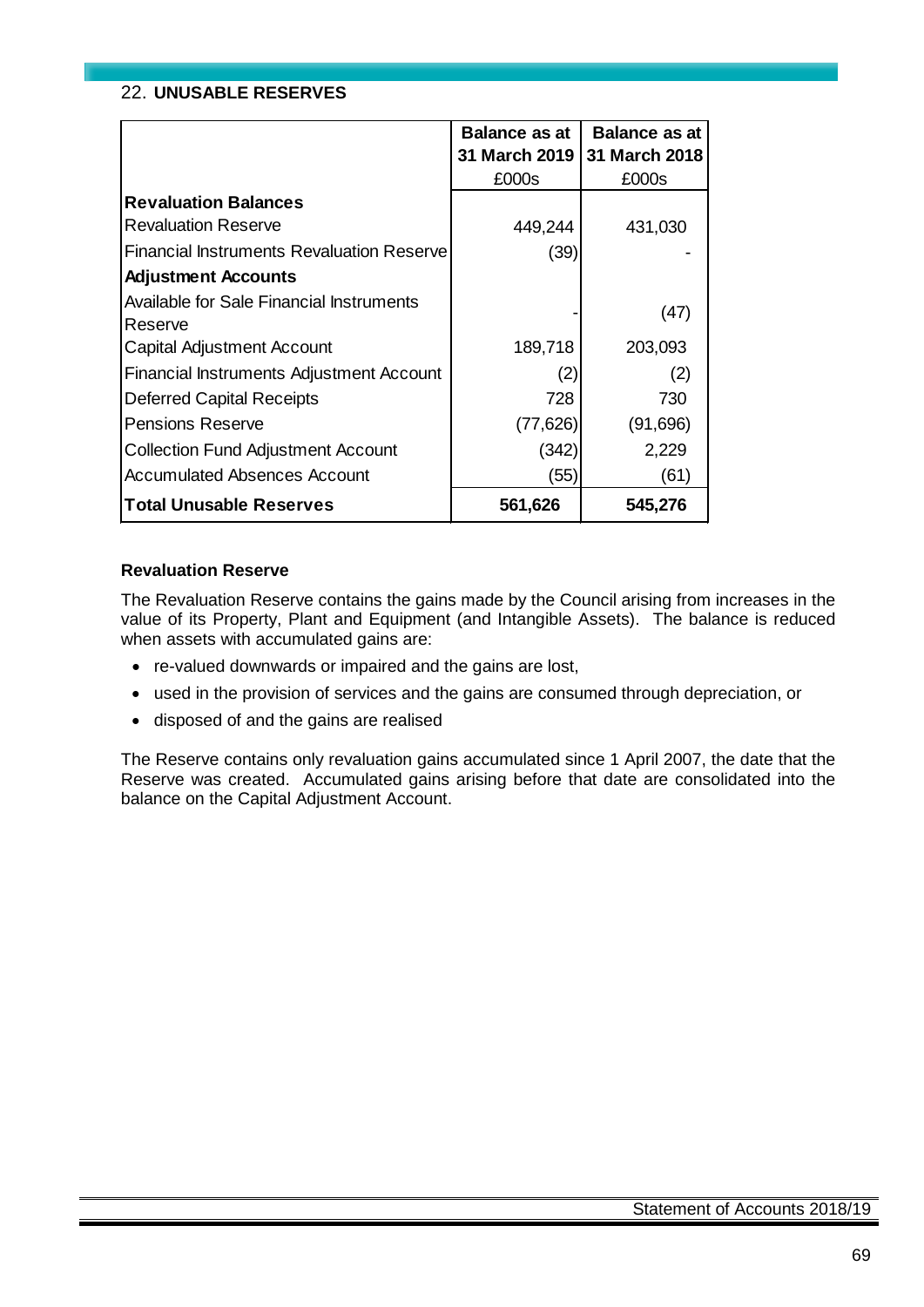# <span id="page-68-0"></span>22. **UNUSABLE RESERVES**

|                                                  | <b>Balance as at</b> | <b>Balance as at</b> |
|--------------------------------------------------|----------------------|----------------------|
|                                                  | 31 March 2019        | 31 March 2018        |
|                                                  | £000s                | £000s                |
| <b>Revaluation Balances</b>                      |                      |                      |
| <b>Revaluation Reserve</b>                       | 449,244              | 431,030              |
| <b>Financial Instruments Revaluation Reserve</b> | (39)                 |                      |
| <b>Adjustment Accounts</b>                       |                      |                      |
| <b>Available for Sale Financial Instruments</b>  |                      | (47)                 |
| Reserve                                          |                      |                      |
| Capital Adjustment Account                       | 189,718              | 203,093              |
| Financial Instruments Adjustment Account         | (2)                  | (2)                  |
| <b>Deferred Capital Receipts</b>                 | 728                  | 730                  |
| <b>Pensions Reserve</b>                          | (77, 626)            | (91,696)             |
| <b>Collection Fund Adjustment Account</b>        | (342)                | 2,229                |
| Accumulated Absences Account                     | (55)                 | (61)                 |
| <b>Total Unusable Reserves</b>                   | 561,626              | 545,276              |

## **Revaluation Reserve**

The Revaluation Reserve contains the gains made by the Council arising from increases in the value of its Property, Plant and Equipment (and Intangible Assets). The balance is reduced when assets with accumulated gains are:

- re-valued downwards or impaired and the gains are lost,
- used in the provision of services and the gains are consumed through depreciation, or
- disposed of and the gains are realised

The Reserve contains only revaluation gains accumulated since 1 April 2007, the date that the Reserve was created. Accumulated gains arising before that date are consolidated into the balance on the Capital Adjustment Account.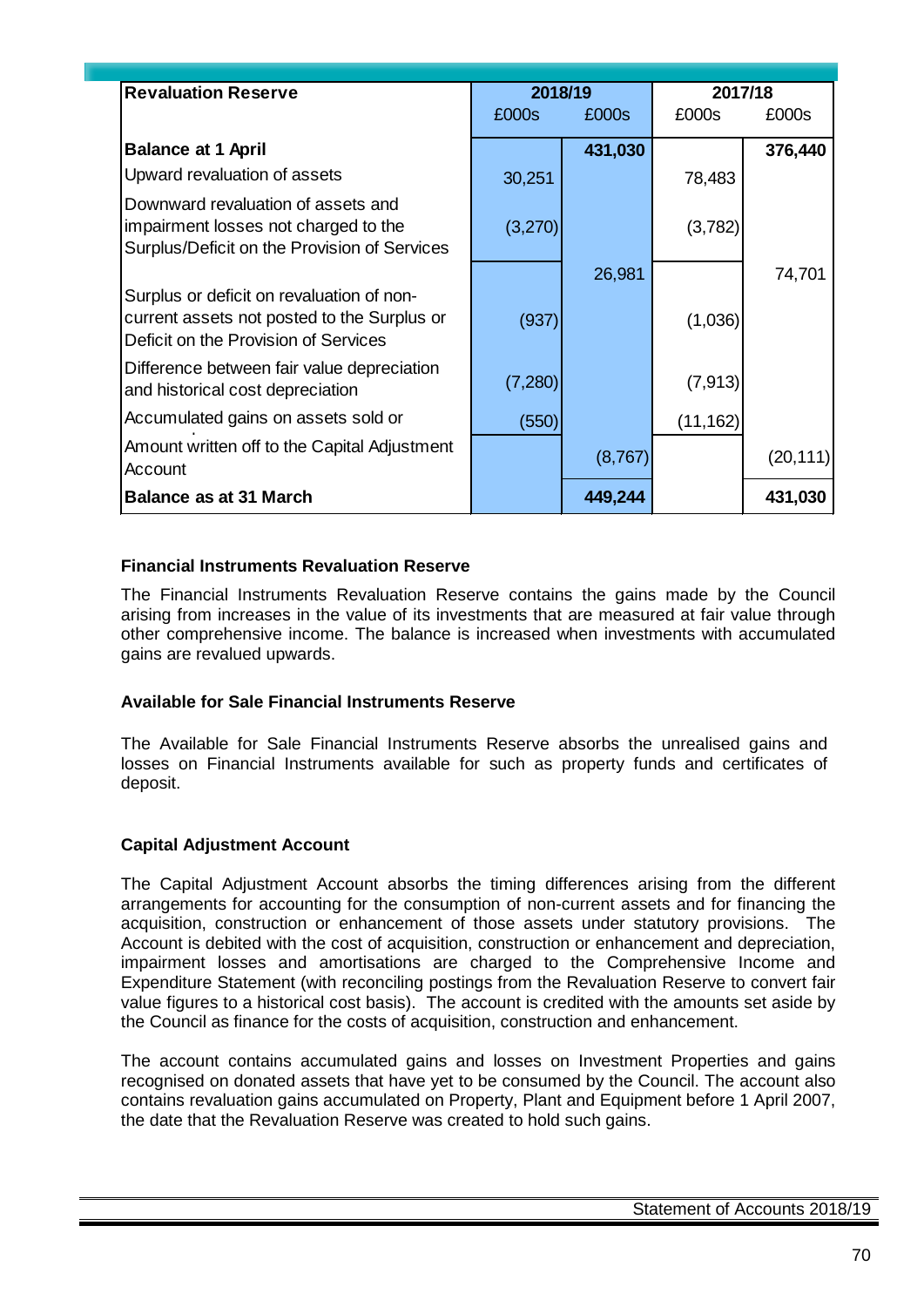| <b>Revaluation Reserve</b>                                                                                                       |         | 2018/19 |           | 2017/18   |
|----------------------------------------------------------------------------------------------------------------------------------|---------|---------|-----------|-----------|
|                                                                                                                                  | £000s   | £000s   | £000s     | £000s     |
| <b>Balance at 1 April</b>                                                                                                        |         | 431,030 |           | 376,440   |
| Upward revaluation of assets                                                                                                     | 30,251  |         | 78,483    |           |
| Downward revaluation of assets and<br>impairment losses not charged to the<br>Surplus/Deficit on the Provision of Services       | (3,270) |         | (3,782)   |           |
|                                                                                                                                  |         | 26,981  |           | 74,701    |
| Surplus or deficit on revaluation of non-<br>current assets not posted to the Surplus or<br>Deficit on the Provision of Services | (937)   |         | (1,036)   |           |
| Difference between fair value depreciation<br>and historical cost depreciation                                                   | (7,280) |         | (7, 913)  |           |
| Accumulated gains on assets sold or                                                                                              | (550)   |         | (11, 162) |           |
| Amount written off to the Capital Adjustment<br>Account                                                                          |         | (8,767) |           | (20, 111) |
| <b>Balance as at 31 March</b>                                                                                                    |         | 449,244 |           | 431,030   |

# **Financial Instruments Revaluation Reserve**

The Financial Instruments Revaluation Reserve contains the gains made by the Council arising from increases in the value of its investments that are measured at fair value through other comprehensive income. The balance is increased when investments with accumulated gains are revalued upwards.

# **Available for Sale Financial Instruments Reserve**

The Available for Sale Financial Instruments Reserve absorbs the unrealised gains and losses on Financial Instruments available for such as property funds and certificates of deposit.

# **Capital Adjustment Account**

The Capital Adjustment Account absorbs the timing differences arising from the different arrangements for accounting for the consumption of non-current assets and for financing the acquisition, construction or enhancement of those assets under statutory provisions. The Account is debited with the cost of acquisition, construction or enhancement and depreciation, impairment losses and amortisations are charged to the Comprehensive Income and Expenditure Statement (with reconciling postings from the Revaluation Reserve to convert fair value figures to a historical cost basis). The account is credited with the amounts set aside by the Council as finance for the costs of acquisition, construction and enhancement.

The account contains accumulated gains and losses on Investment Properties and gains recognised on donated assets that have yet to be consumed by the Council. The account also contains revaluation gains accumulated on Property, Plant and Equipment before 1 April 2007, the date that the Revaluation Reserve was created to hold such gains.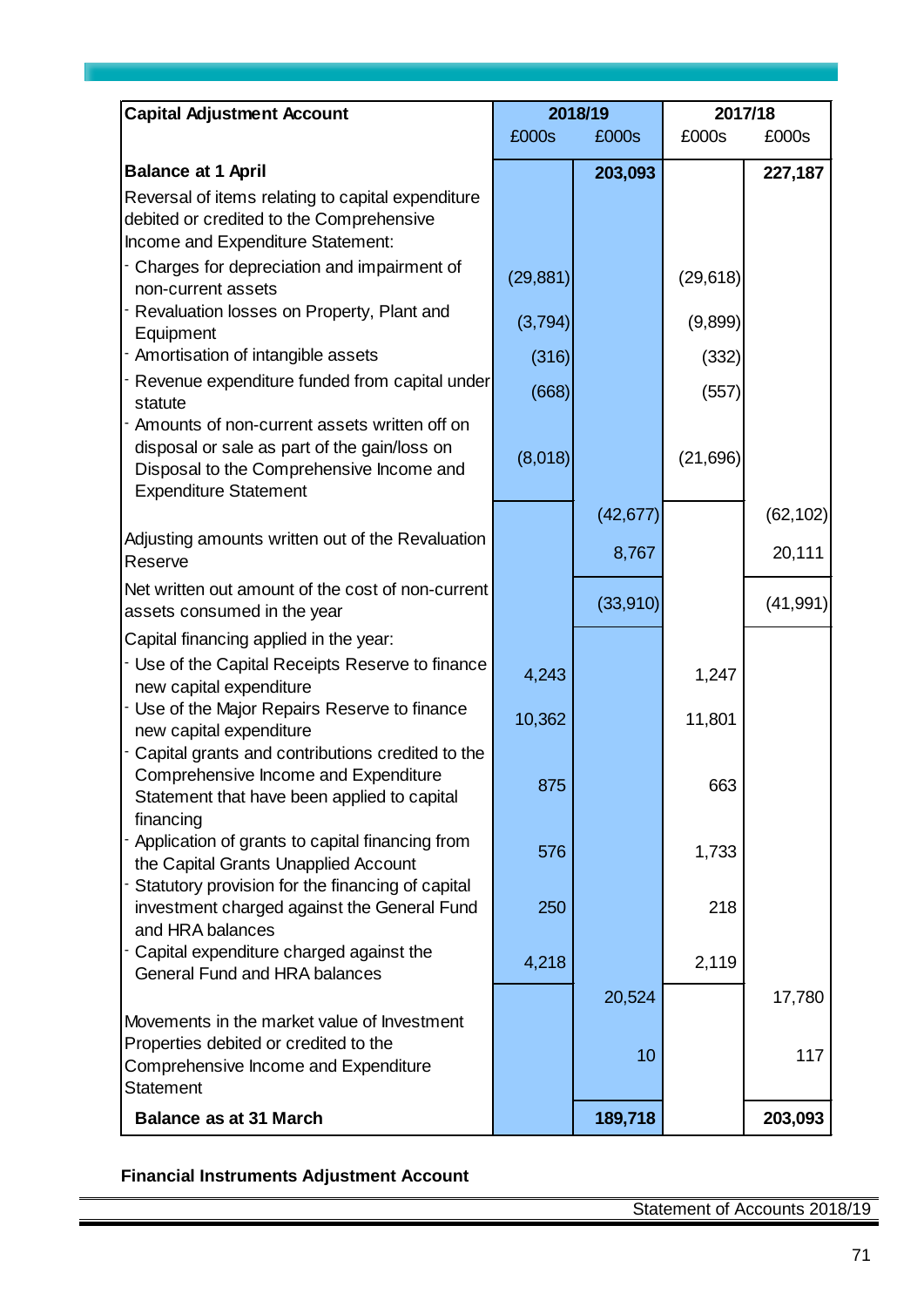| <b>Capital Adjustment Account</b>                                                                                                                                        | 2018/19        |           | 2017/18   |           |
|--------------------------------------------------------------------------------------------------------------------------------------------------------------------------|----------------|-----------|-----------|-----------|
|                                                                                                                                                                          | £000s<br>£000s |           | £000s     | £000s     |
| <b>Balance at 1 April</b>                                                                                                                                                |                | 203,093   |           | 227,187   |
| Reversal of items relating to capital expenditure                                                                                                                        |                |           |           |           |
| debited or credited to the Comprehensive                                                                                                                                 |                |           |           |           |
| Income and Expenditure Statement:                                                                                                                                        |                |           |           |           |
| Charges for depreciation and impairment of<br>non-current assets                                                                                                         | (29, 881)      |           | (29, 618) |           |
| Revaluation losses on Property, Plant and<br>Equipment                                                                                                                   | (3,794)        |           | (9,899)   |           |
| Amortisation of intangible assets                                                                                                                                        | (316)          |           | (332)     |           |
| Revenue expenditure funded from capital under<br>statute                                                                                                                 | (668)          |           | (557)     |           |
| Amounts of non-current assets written off on<br>disposal or sale as part of the gain/loss on<br>Disposal to the Comprehensive Income and<br><b>Expenditure Statement</b> | (8,018)        |           | (21, 696) |           |
|                                                                                                                                                                          |                | (42, 677) |           | (62, 102) |
| Adjusting amounts written out of the Revaluation<br>Reserve                                                                                                              |                | 8,767     |           | 20,111    |
| Net written out amount of the cost of non-current<br>assets consumed in the year                                                                                         |                | (33,910)  |           | (41, 991) |
| Capital financing applied in the year:                                                                                                                                   |                |           |           |           |
| - Use of the Capital Receipts Reserve to finance<br>new capital expenditure                                                                                              | 4,243          |           | 1,247     |           |
| - Use of the Major Repairs Reserve to finance<br>new capital expenditure                                                                                                 | 10,362         |           | 11,801    |           |
| Capital grants and contributions credited to the<br>Comprehensive Income and Expenditure<br>Statement that have been applied to capital<br>financing                     | 875            |           | 663       |           |
| Application of grants to capital financing from<br>the Capital Grants Unapplied Account                                                                                  | 576            |           | 1,733     |           |
| Statutory provision for the financing of capital<br>investment charged against the General Fund<br>and HRA balances                                                      | 250            |           | 218       |           |
| Capital expenditure charged against the<br><b>General Fund and HRA balances</b>                                                                                          | 4,218          |           | 2,119     |           |
|                                                                                                                                                                          |                | 20,524    |           | 17,780    |
| Movements in the market value of Investment                                                                                                                              |                |           |           |           |
| Properties debited or credited to the<br>Comprehensive Income and Expenditure                                                                                            |                | 10        |           | 117       |
| Statement                                                                                                                                                                |                |           |           |           |
| <b>Balance as at 31 March</b>                                                                                                                                            |                | 189,718   |           | 203,093   |

# **Financial Instruments Adjustment Account**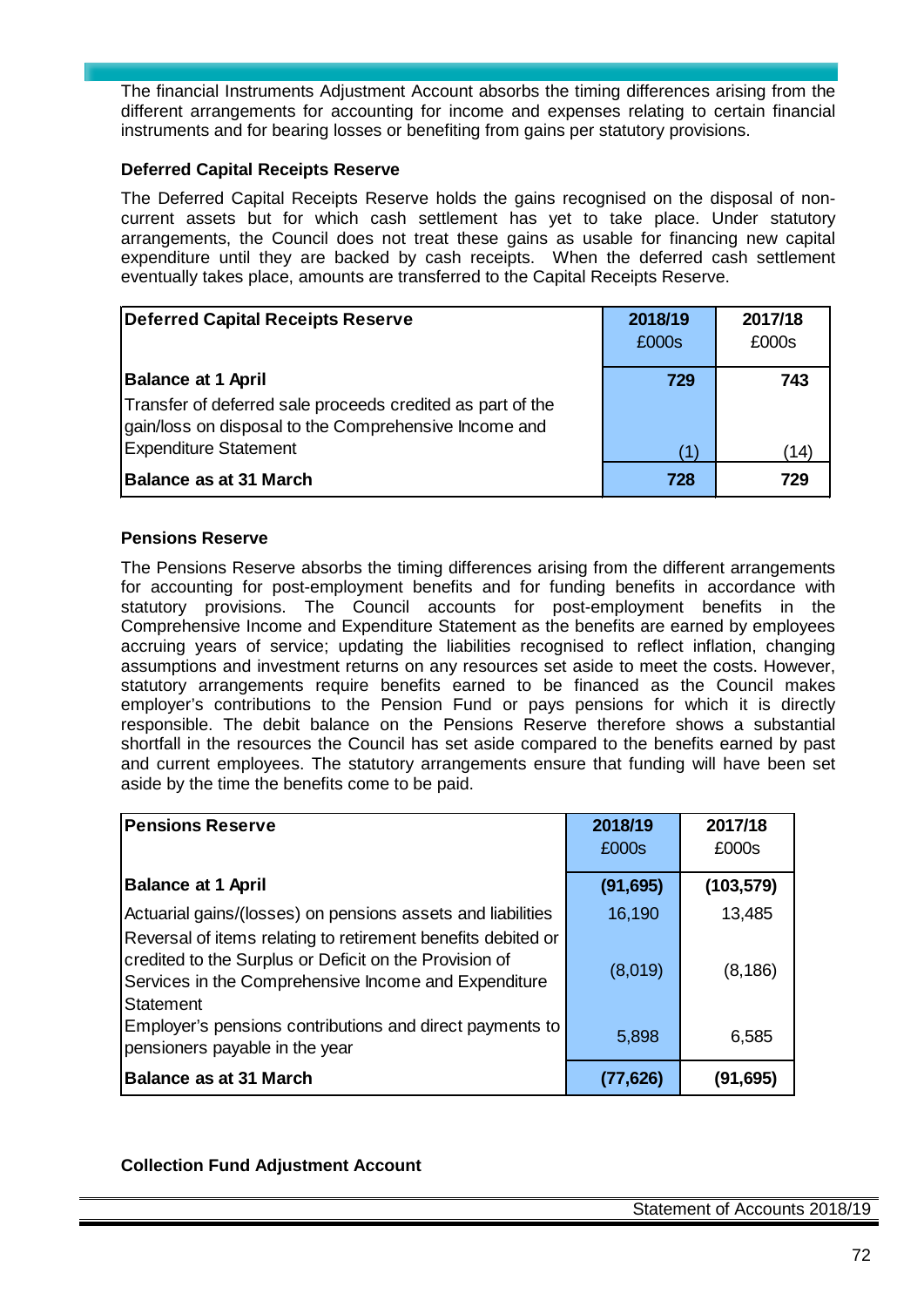The financial Instruments Adjustment Account absorbs the timing differences arising from the different arrangements for accounting for income and expenses relating to certain financial instruments and for bearing losses or benefiting from gains per statutory provisions.

# **Deferred Capital Receipts Reserve**

The Deferred Capital Receipts Reserve holds the gains recognised on the disposal of noncurrent assets but for which cash settlement has yet to take place. Under statutory arrangements, the Council does not treat these gains as usable for financing new capital expenditure until they are backed by cash receipts. When the deferred cash settlement eventually takes place, amounts are transferred to the Capital Receipts Reserve.

| Deferred Capital Receipts Reserve                                                                                   | 2018/19 | 2017/18 |
|---------------------------------------------------------------------------------------------------------------------|---------|---------|
|                                                                                                                     | £000s   | £000s   |
| <b>Balance at 1 April</b>                                                                                           | 729     | 743     |
| Transfer of deferred sale proceeds credited as part of the<br>gain/loss on disposal to the Comprehensive Income and |         |         |
| <b>Expenditure Statement</b>                                                                                        | 41      | (14)    |
| Balance as at 31 March                                                                                              | 728     | 729     |

## **Pensions Reserve**

The Pensions Reserve absorbs the timing differences arising from the different arrangements for accounting for post-employment benefits and for funding benefits in accordance with statutory provisions. The Council accounts for post-employment benefits in the Comprehensive Income and Expenditure Statement as the benefits are earned by employees accruing years of service; updating the liabilities recognised to reflect inflation, changing assumptions and investment returns on any resources set aside to meet the costs. However, statutory arrangements require benefits earned to be financed as the Council makes employer's contributions to the Pension Fund or pays pensions for which it is directly responsible. The debit balance on the Pensions Reserve therefore shows a substantial shortfall in the resources the Council has set aside compared to the benefits earned by past and current employees. The statutory arrangements ensure that funding will have been set aside by the time the benefits come to be paid.

| <b>Pensions Reserve</b>                                                                                                                                                                     | 2018/19   | 2017/18    |
|---------------------------------------------------------------------------------------------------------------------------------------------------------------------------------------------|-----------|------------|
|                                                                                                                                                                                             | £000s     | £000s      |
| <b>Balance at 1 April</b>                                                                                                                                                                   | (91, 695) | (103, 579) |
| Actuarial gains/(losses) on pensions assets and liabilities                                                                                                                                 | 16,190    | 13,485     |
| Reversal of items relating to retirement benefits debited or<br>credited to the Surplus or Deficit on the Provision of<br>Services in the Comprehensive Income and Expenditure<br>Statement | (8,019)   | (8, 186)   |
| Employer's pensions contributions and direct payments to<br>pensioners payable in the year                                                                                                  | 5,898     | 6,585      |
| <b>Balance as at 31 March</b>                                                                                                                                                               | (77,626)  | (91,695)   |

# **Collection Fund Adjustment Account**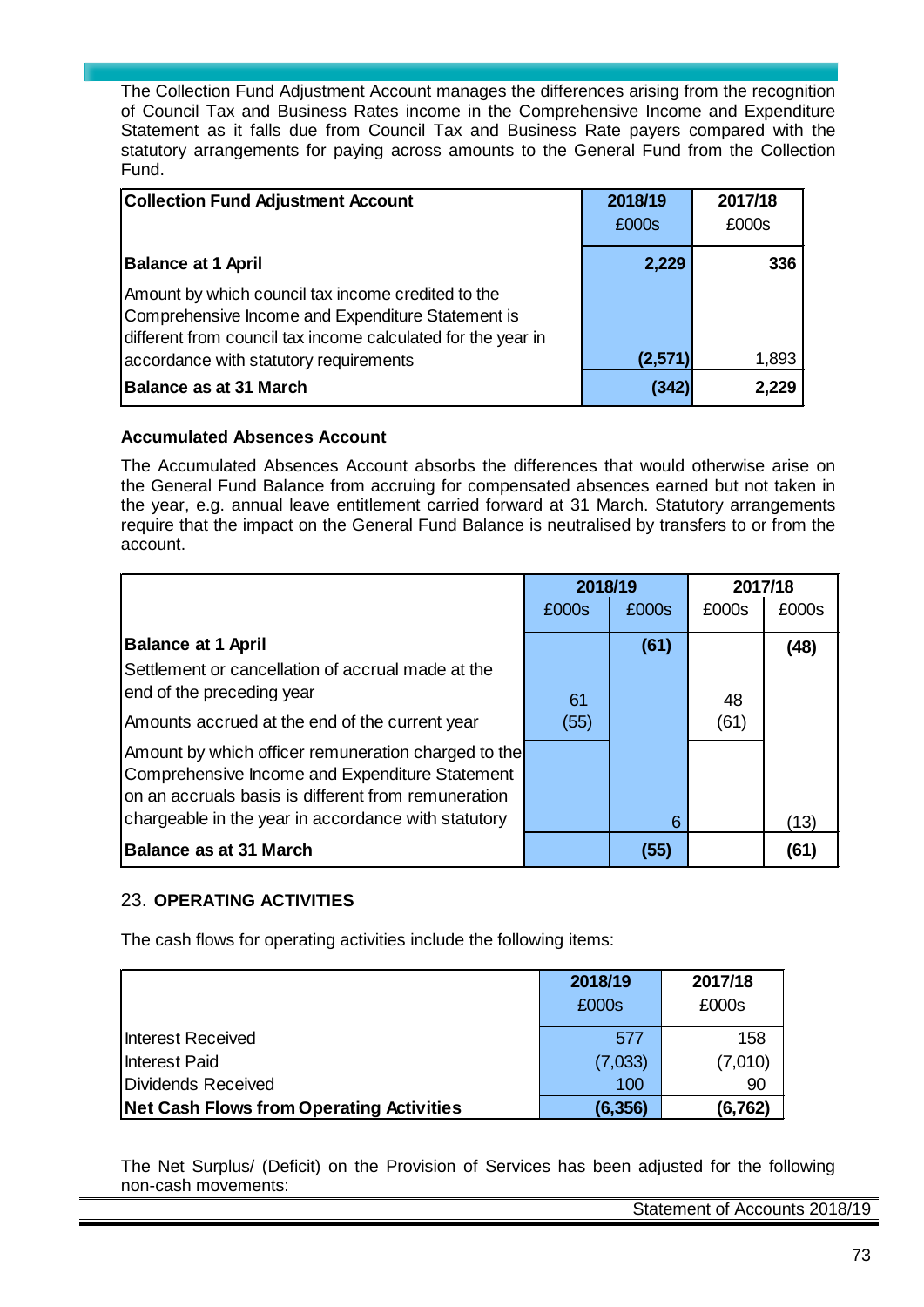The Collection Fund Adjustment Account manages the differences arising from the recognition of Council Tax and Business Rates income in the Comprehensive Income and Expenditure Statement as it falls due from Council Tax and Business Rate payers compared with the statutory arrangements for paying across amounts to the General Fund from the Collection Fund.

| <b>Collection Fund Adjustment Account</b>                                                                                                                               | 2018/19<br>£000s | 2017/18<br>£000s |
|-------------------------------------------------------------------------------------------------------------------------------------------------------------------------|------------------|------------------|
| <b>Balance at 1 April</b>                                                                                                                                               | 2,229            | 336              |
| Amount by which council tax income credited to the<br>Comprehensive Income and Expenditure Statement is<br>different from council tax income calculated for the year in |                  |                  |
| accordance with statutory requirements                                                                                                                                  | (2,571)          | 1,893            |
| Balance as at 31 March                                                                                                                                                  | (342)            | 2,229            |

# **Accumulated Absences Account**

The Accumulated Absences Account absorbs the differences that would otherwise arise on the General Fund Balance from accruing for compensated absences earned but not taken in the year, e.g. annual leave entitlement carried forward at 31 March. Statutory arrangements require that the impact on the General Fund Balance is neutralised by transfers to or from the account.

|                                                     | 2018/19 |       | 2017/18 |       |
|-----------------------------------------------------|---------|-------|---------|-------|
|                                                     | £000s   | £000s | £000s   | £000s |
| <b>Balance at 1 April</b>                           |         | (61)  |         | (48)  |
| Settlement or cancellation of accrual made at the   |         |       |         |       |
| end of the preceding year                           | 61      |       | 48      |       |
| Amounts accrued at the end of the current year      | (55)    |       | (61)    |       |
| Amount by which officer remuneration charged to the |         |       |         |       |
| Comprehensive Income and Expenditure Statement      |         |       |         |       |
| on an accruals basis is different from remuneration |         |       |         |       |
| chargeable in the year in accordance with statutory |         | 6     |         | (13)  |
| <b>Balance as at 31 March</b>                       |         | (55)  |         | (61)  |

# 23. **OPERATING ACTIVITIES**

The cash flows for operating activities include the following items:

|                                                 | 2018/19<br>£000s | 2017/18<br>£000s |
|-------------------------------------------------|------------------|------------------|
| Interest Received                               | 577              | 158              |
| Interest Paid                                   | (7,033)          | (7,010)          |
| Dividends Received                              | 100              | 90               |
| <b>Net Cash Flows from Operating Activities</b> | (6, 356)         | (6, 762)         |

The Net Surplus/ (Deficit) on the Provision of Services has been adjusted for the following non-cash movements: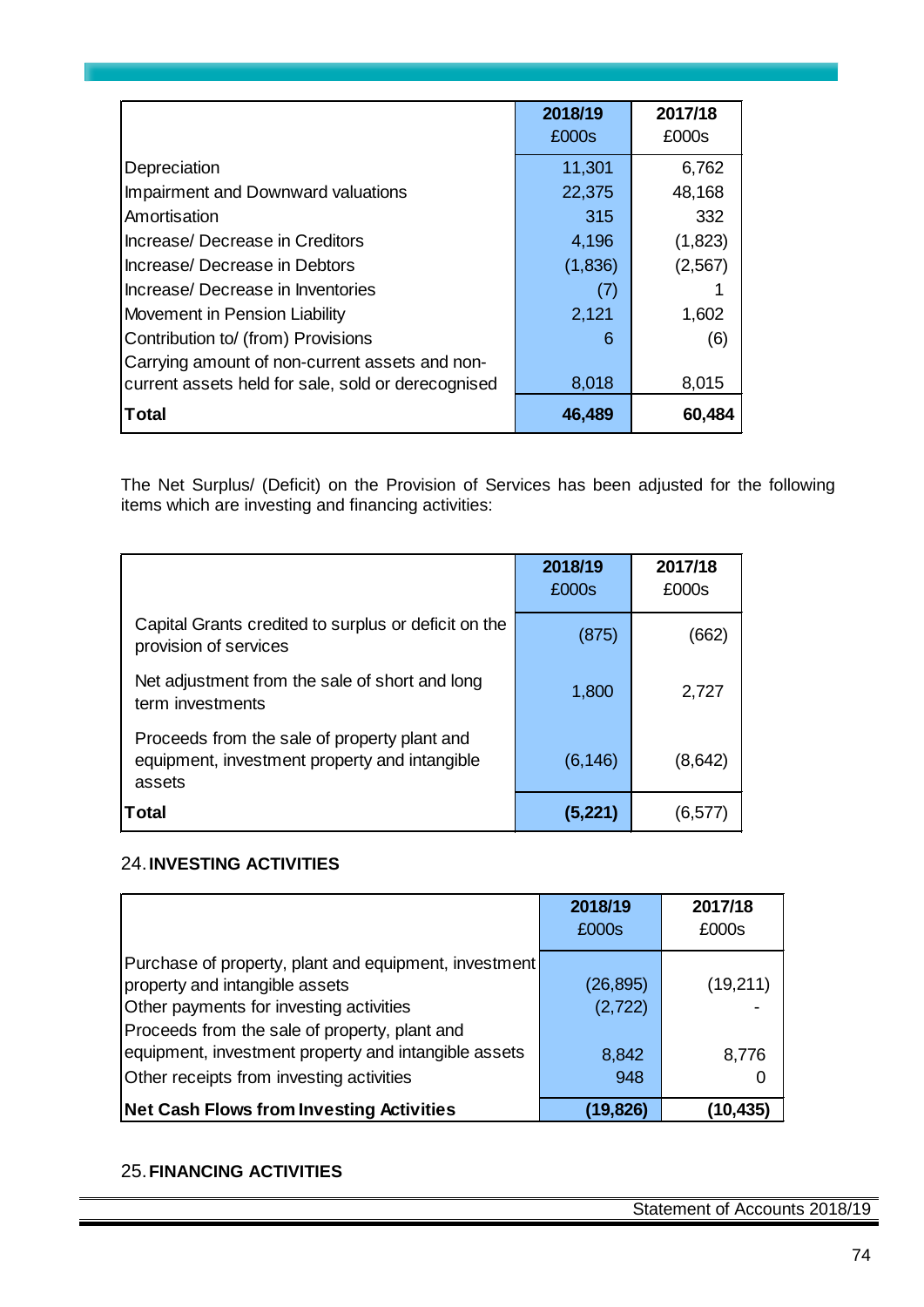|                                                    | 2018/19<br>£000s | 2017/18<br>£000s |
|----------------------------------------------------|------------------|------------------|
| Depreciation                                       | 11,301           | 6,762            |
| Impairment and Downward valuations                 | 22,375           | 48,168           |
| Amortisation                                       | 315              | 332              |
| Increase/ Decrease in Creditors                    | 4,196            | (1,823)          |
| Increase/ Decrease in Debtors                      | (1,836)          | (2,567)          |
| Increase/ Decrease in Inventories                  | (7)              |                  |
| Movement in Pension Liability                      | 2,121            | 1,602            |
| Contribution to/ (from) Provisions                 | 6                | (6)              |
| Carrying amount of non-current assets and non-     |                  |                  |
| current assets held for sale, sold or derecognised | 8,018            | 8,015            |
| <b>Total</b>                                       | 46,489           | 60,484           |

The Net Surplus/ (Deficit) on the Provision of Services has been adjusted for the following items which are investing and financing activities:

|                                                                                                         | 2018/19<br>£000s | 2017/18<br>£000s |
|---------------------------------------------------------------------------------------------------------|------------------|------------------|
| Capital Grants credited to surplus or deficit on the<br>provision of services                           | (875)            | (662)            |
| Net adjustment from the sale of short and long<br>term investments                                      | 1,800            | 2,727            |
| Proceeds from the sale of property plant and<br>equipment, investment property and intangible<br>assets | (6, 146)         | (8,642)          |
| Total                                                                                                   | (5,221)          | 6.5              |

# 24.**INVESTING ACTIVITIES**

|                                                                                                                                                                                     | 2018/19<br>£000s    | 2017/18<br>£000s |
|-------------------------------------------------------------------------------------------------------------------------------------------------------------------------------------|---------------------|------------------|
| Purchase of property, plant and equipment, investment<br>property and intangible assets<br>Other payments for investing activities<br>Proceeds from the sale of property, plant and | (26,895)<br>(2,722) | (19,211)         |
| equipment, investment property and intangible assets<br>Other receipts from investing activities                                                                                    | 8,842<br>948        | 8,776            |
| <b>Net Cash Flows from Investing Activities</b>                                                                                                                                     | (19,826)            | (10,435)         |

# 25.**FINANCING ACTIVITIES**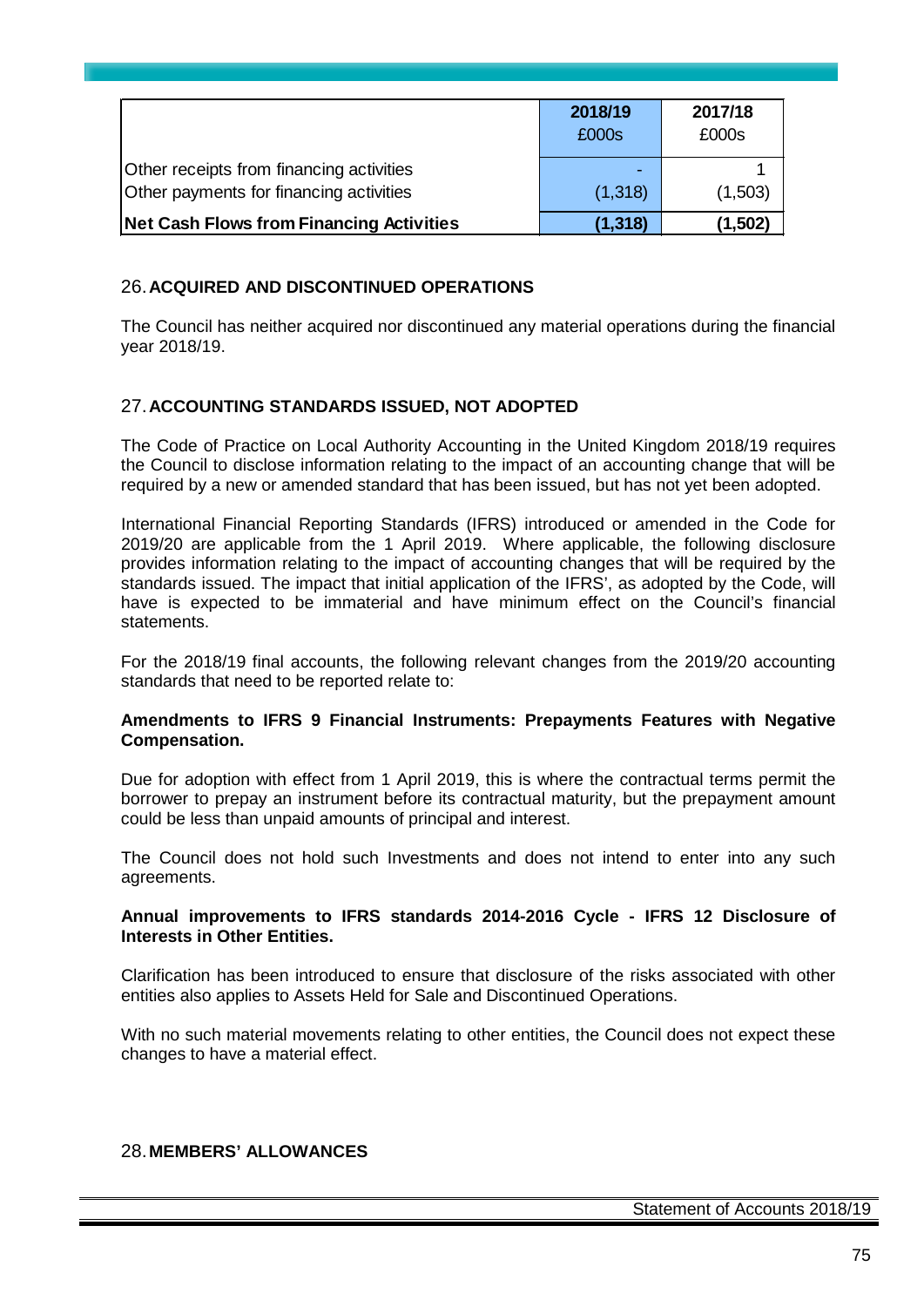|                                          | 2018/19<br>£000s | 2017/18<br>£000s |
|------------------------------------------|------------------|------------------|
| Other receipts from financing activities |                  |                  |
| Other payments for financing activities  | (1,318)          | (1,503)          |
| Net Cash Flows from Financing Activities | (1, 318)         | (1,502)          |

## 26.**ACQUIRED AND DISCONTINUED OPERATIONS**

The Council has neither acquired nor discontinued any material operations during the financial year 2018/19.

# 27.**ACCOUNTING STANDARDS ISSUED, NOT ADOPTED**

The Code of Practice on Local Authority Accounting in the United Kingdom 2018/19 requires the Council to disclose information relating to the impact of an accounting change that will be required by a new or amended standard that has been issued, but has not yet been adopted.

International Financial Reporting Standards (IFRS) introduced or amended in the Code for 2019/20 are applicable from the 1 April 2019. Where applicable, the following disclosure provides information relating to the impact of accounting changes that will be required by the standards issued. The impact that initial application of the IFRS', as adopted by the Code, will have is expected to be immaterial and have minimum effect on the Council's financial statements.

For the 2018/19 final accounts, the following relevant changes from the 2019/20 accounting standards that need to be reported relate to:

#### **Amendments to IFRS 9 Financial Instruments: Prepayments Features with Negative Compensation.**

Due for adoption with effect from 1 April 2019, this is where the contractual terms permit the borrower to prepay an instrument before its contractual maturity, but the prepayment amount could be less than unpaid amounts of principal and interest.

The Council does not hold such Investments and does not intend to enter into any such agreements.

#### **Annual improvements to IFRS standards 2014-2016 Cycle - IFRS 12 Disclosure of Interests in Other Entities.**

Clarification has been introduced to ensure that disclosure of the risks associated with other entities also applies to Assets Held for Sale and Discontinued Operations.

With no such material movements relating to other entities, the Council does not expect these changes to have a material effect.

# 28.**MEMBERS' ALLOWANCES**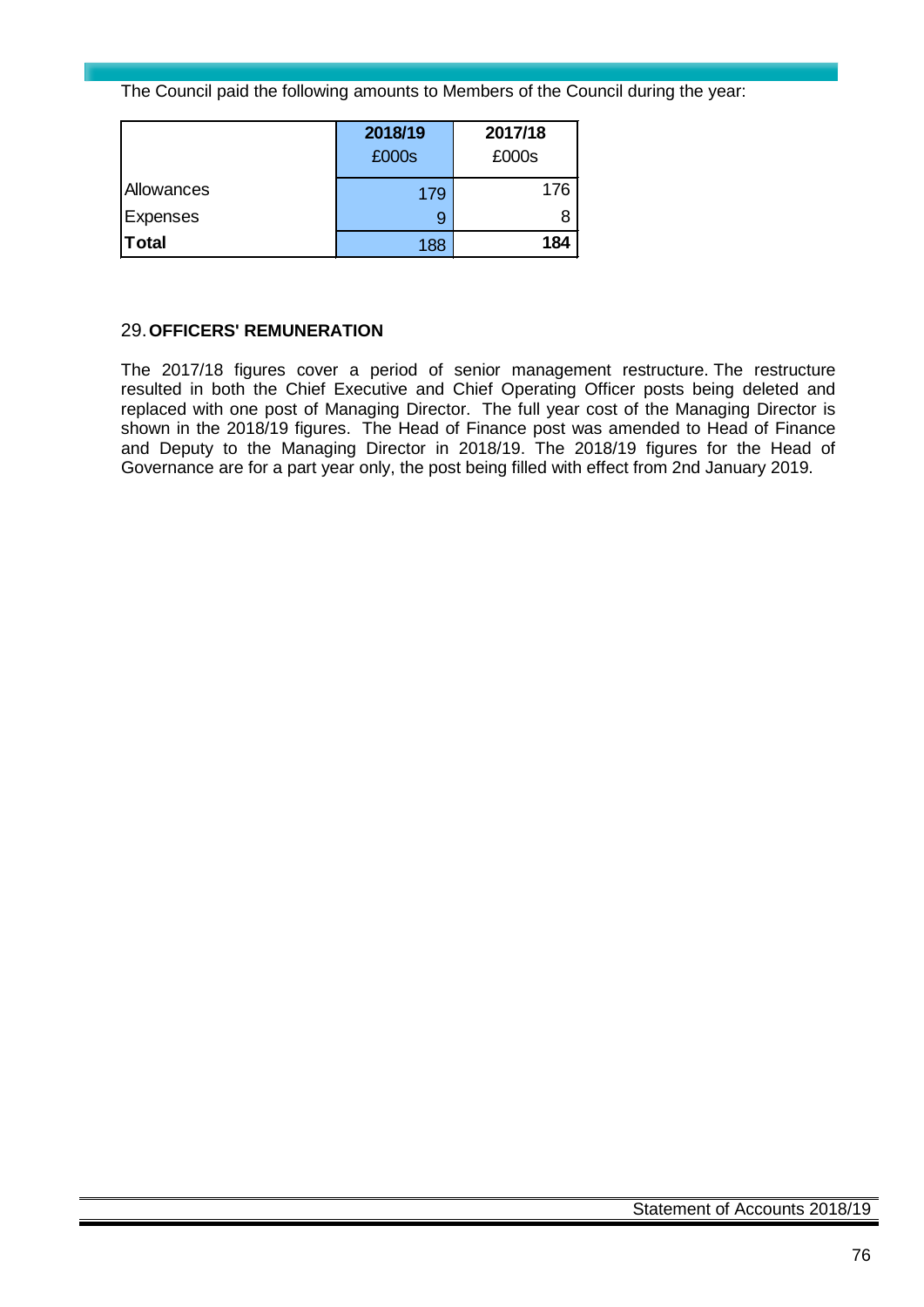The Council paid the following amounts to Members of the Council during the year:

|                   | 2018/19<br>£000s | 2017/18<br>£000s |
|-------------------|------------------|------------------|
| <b>Allowances</b> | 179              | 176              |
| <b>Expenses</b>   | 9                | 8                |
| <b>Total</b>      | 188              | 184              |

# 29.**OFFICERS' REMUNERATION**

The 2017/18 figures cover a period of senior management restructure. The restructure resulted in both the Chief Executive and Chief Operating Officer posts being deleted and replaced with one post of Managing Director. The full year cost of the Managing Director is shown in the 2018/19 figures. The Head of Finance post was amended to Head of Finance and Deputy to the Managing Director in 2018/19. The 2018/19 figures for the Head of Governance are for a part year only, the post being filled with effect from 2nd January 2019.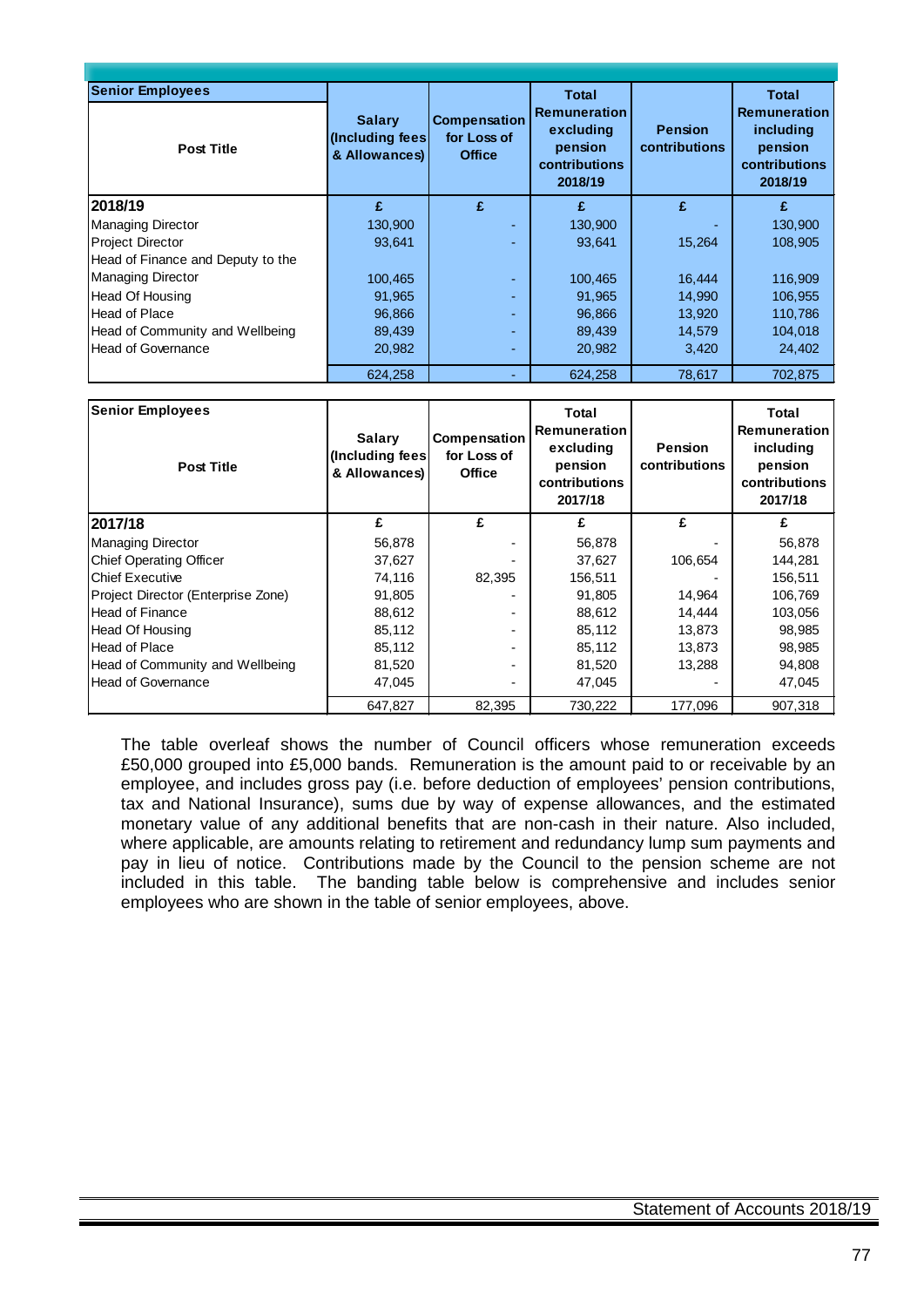| <b>Senior Employees</b>           |                                                    |                                                     | Total                                                                          |                                 | <b>Total</b>                                                                   |
|-----------------------------------|----------------------------------------------------|-----------------------------------------------------|--------------------------------------------------------------------------------|---------------------------------|--------------------------------------------------------------------------------|
| <b>Post Title</b>                 | <b>Salary</b><br>(Including fees)<br>& Allowances) | <b>Compensation</b><br>for Loss of<br><b>Office</b> | <b>Remuneration</b><br>excluding<br>pension<br><b>contributions</b><br>2018/19 | <b>Pension</b><br>contributions | <b>Remuneration</b><br>including<br>pension<br><b>contributions</b><br>2018/19 |
| 2018/19                           | £                                                  | £                                                   | £                                                                              | £                               | £                                                                              |
| <b>Managing Director</b>          | 130,900                                            |                                                     | 130,900                                                                        |                                 | 130,900                                                                        |
| <b>Project Director</b>           | 93.641                                             |                                                     | 93.641                                                                         | 15,264                          | 108,905                                                                        |
| Head of Finance and Deputy to the |                                                    |                                                     |                                                                                |                                 |                                                                                |
| <b>Managing Director</b>          | 100,465                                            |                                                     | 100,465                                                                        | 16.444                          | 116,909                                                                        |
| Head Of Housing                   | 91,965                                             |                                                     | 91,965                                                                         | 14,990                          | 106,955                                                                        |
| Head of Place                     | 96,866                                             |                                                     | 96,866                                                                         | 13,920                          | 110,786                                                                        |
| Head of Community and Wellbeing   | 89,439                                             |                                                     | 89,439                                                                         | 14,579                          | 104,018                                                                        |
| Head of Governance                | 20,982                                             |                                                     | 20,982                                                                         | 3,420                           | 24,402                                                                         |
|                                   | 624.258                                            |                                                     | 624.258                                                                        | 78,617                          | 702.875                                                                        |

| <b>Senior Employees</b><br><b>Post Title</b> | Compensation<br><b>Salary</b><br>(Including fees)<br>for Loss of<br>& Allowances)<br><b>Office</b> |        | Total<br><b>Remuneration</b><br>excluding<br>pension<br>contributions<br>2017/18 | <b>Pension</b><br>contributions | Total<br><b>Remuneration</b><br>including<br>pension<br>contributions<br>2017/18 |
|----------------------------------------------|----------------------------------------------------------------------------------------------------|--------|----------------------------------------------------------------------------------|---------------------------------|----------------------------------------------------------------------------------|
| 2017/18                                      | £                                                                                                  | £      | £                                                                                | £                               | £                                                                                |
| Managing Director                            | 56,878                                                                                             |        | 56,878                                                                           |                                 | 56,878                                                                           |
| <b>Chief Operating Officer</b>               | 37,627                                                                                             |        | 37,627                                                                           | 106,654                         | 144,281                                                                          |
| <b>Chief Executive</b>                       | 74,116                                                                                             | 82,395 | 156,511                                                                          |                                 | 156,511                                                                          |
| Project Director (Enterprise Zone)           | 91,805                                                                                             |        | 91,805                                                                           | 14,964                          | 106,769                                                                          |
| lHead of Finance                             | 88,612                                                                                             |        | 88,612                                                                           | 14.444                          | 103,056                                                                          |
| Head Of Housing                              | 85,112                                                                                             |        | 85,112                                                                           | 13,873                          | 98,985                                                                           |
| Head of Place                                | 85,112                                                                                             |        | 85,112                                                                           | 13,873                          | 98,985                                                                           |
| Head of Community and Wellbeing              | 81,520                                                                                             |        | 81,520                                                                           | 13,288                          | 94,808                                                                           |
| Head of Governance                           | 47,045                                                                                             |        | 47,045                                                                           |                                 | 47,045                                                                           |
|                                              | 647,827                                                                                            | 82,395 | 730,222                                                                          | 177,096                         | 907,318                                                                          |

The table overleaf shows the number of Council officers whose remuneration exceeds £50,000 grouped into £5,000 bands. Remuneration is the amount paid to or receivable by an employee, and includes gross pay (i.e. before deduction of employees' pension contributions, tax and National Insurance), sums due by way of expense allowances, and the estimated monetary value of any additional benefits that are non-cash in their nature. Also included, where applicable, are amounts relating to retirement and redundancy lump sum payments and pay in lieu of notice. Contributions made by the Council to the pension scheme are not included in this table. The banding table below is comprehensive and includes senior employees who are shown in the table of senior employees, above.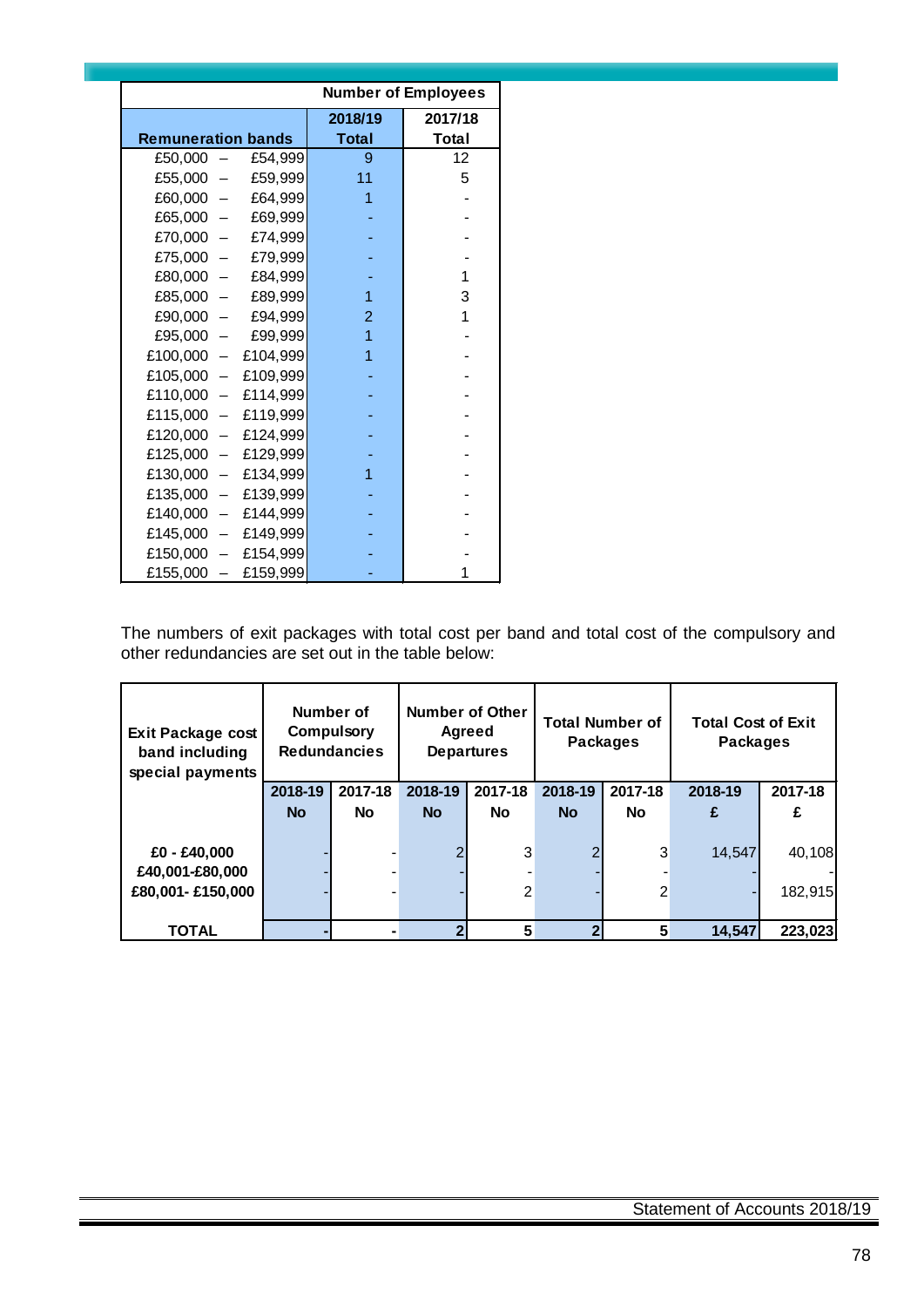|                           |                          |          | <b>Number of Employees</b> |              |  |  |
|---------------------------|--------------------------|----------|----------------------------|--------------|--|--|
|                           |                          |          | 2018/19                    | 2017/18      |  |  |
| <b>Remuneration bands</b> |                          |          | <b>Total</b>               | <b>Total</b> |  |  |
| £50,000                   |                          | £54,999  | 9                          | 12           |  |  |
| £55,000                   |                          | £59,999  | 11                         | 5            |  |  |
| £60,000                   |                          | £64,999  | 1                          |              |  |  |
| £65,000                   |                          | £69,999  |                            |              |  |  |
| £70,000                   |                          | £74,999  |                            |              |  |  |
| £75,000                   |                          | £79,999  |                            |              |  |  |
| £80,000                   |                          | £84,999  |                            | 1            |  |  |
| £85,000                   |                          | £89,999  | 1                          | 3            |  |  |
| £90,000                   |                          | £94,999  | $\overline{2}$             | 1            |  |  |
| £95,000                   |                          | £99,999  | 1                          |              |  |  |
| £100,000                  | $\overline{\phantom{0}}$ | £104,999 | 1                          |              |  |  |
| £105,000                  | $\overline{\phantom{0}}$ | £109,999 |                            |              |  |  |
| £110,000                  | $\overline{\phantom{0}}$ | £114,999 |                            |              |  |  |
| £115,000                  | $\overline{\phantom{0}}$ | £119,999 |                            |              |  |  |
| £120,000                  | $\qquad \qquad -$        | £124,999 |                            |              |  |  |
| £125,000                  | $-$                      | £129,999 |                            |              |  |  |
| £130,000                  | $-$                      | £134,999 | 1                          |              |  |  |
| £135,000                  | $-$                      | £139,999 |                            |              |  |  |
| £140,000                  | $-$                      | £144,999 |                            |              |  |  |
| £145,000                  | $\overline{\phantom{0}}$ | £149,999 |                            |              |  |  |
| £150,000                  | $\overline{\phantom{0}}$ | £154,999 |                            |              |  |  |
| £155,000                  |                          | £159,999 |                            |              |  |  |

The numbers of exit packages with total cost per band and total cost of the compulsory and other redundancies are set out in the table below:

| <b>Exit Package cost</b><br>band including<br>special payments |           | Number of<br><b>Compulsory</b><br><b>Redundancies</b> |           | <b>Number of Other</b><br>Agreed<br><b>Departures</b> |           | <b>Total Number of</b><br><b>Packages</b> | <b>Total Cost of Exit</b><br><b>Packages</b> |                   |
|----------------------------------------------------------------|-----------|-------------------------------------------------------|-----------|-------------------------------------------------------|-----------|-------------------------------------------|----------------------------------------------|-------------------|
|                                                                | 2018-19   | 2017-18                                               | 2018-19   | 2017-18                                               | 2018-19   | 2017-18                                   | 2018-19                                      | 2017-18           |
|                                                                | <b>No</b> | <b>No</b>                                             | <b>No</b> | <b>No</b>                                             | <b>No</b> | No.                                       | £                                            | £                 |
| £0 - £40,000<br>£40,001-£80,000<br>£80,001-£150,000            |           |                                                       |           | 3<br>$\overline{2}$                                   |           | 3<br>2                                    | 14,547                                       | 40,108<br>182,915 |
| <b>TOTAL</b>                                                   |           |                                                       |           | 5                                                     |           | 5 <sub>1</sub>                            | 14,547                                       | 223,023           |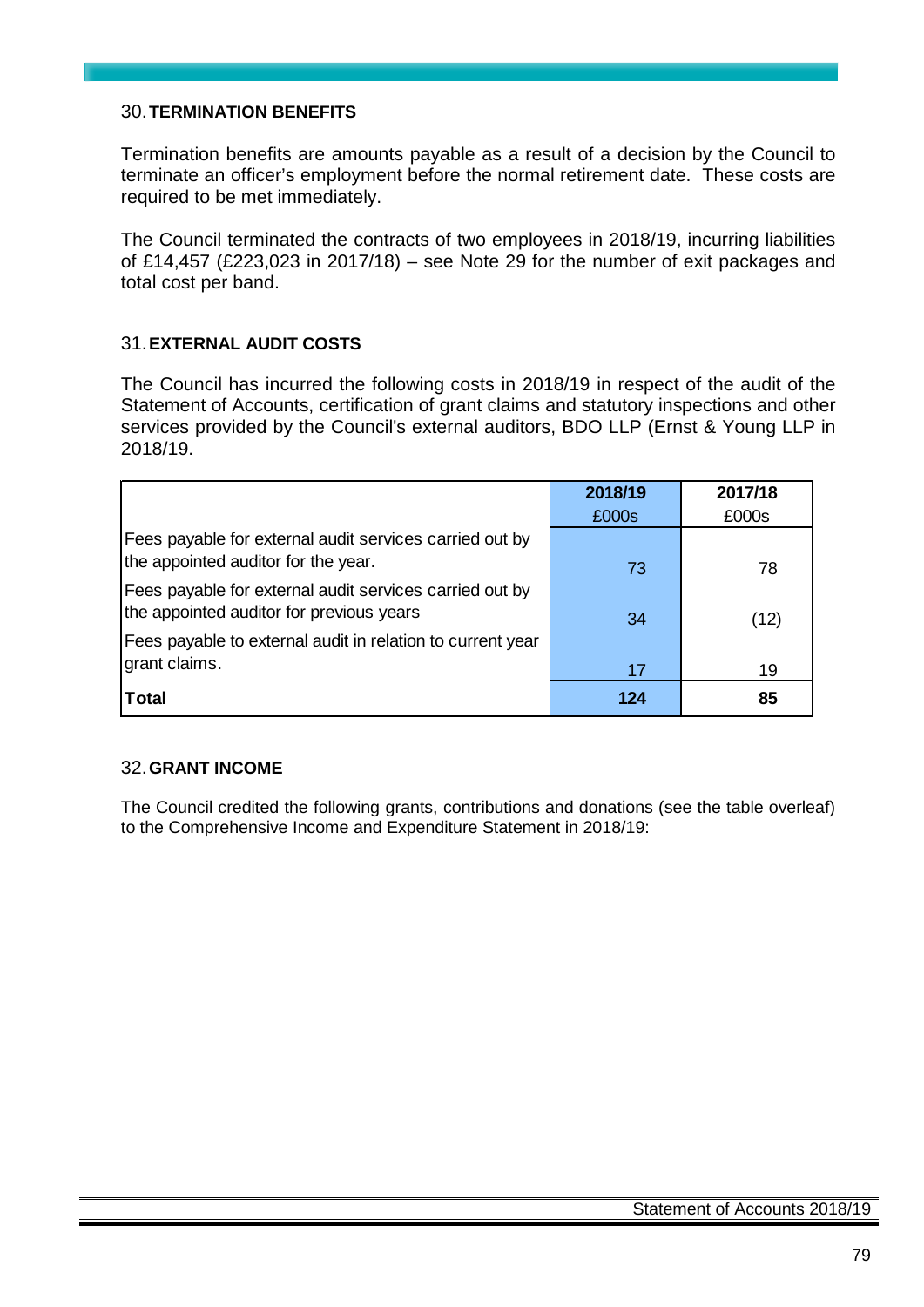# 30.**TERMINATION BENEFITS**

Termination benefits are amounts payable as a result of a decision by the Council to terminate an officer's employment before the normal retirement date. These costs are required to be met immediately.

The Council terminated the contracts of two employees in 2018/19, incurring liabilities of £14,457 (£223,023 in 2017/18) – see Note 29 for the number of exit packages and total cost per band.

# 31.**EXTERNAL AUDIT COSTS**

The Council has incurred the following costs in 2018/19 in respect of the audit of the Statement of Accounts, certification of grant claims and statutory inspections and other services provided by the Council's external auditors, BDO LLP (Ernst & Young LLP in 2018/19.

|                                                                                                     | 2018/19 | 2017/18 |
|-----------------------------------------------------------------------------------------------------|---------|---------|
|                                                                                                     | £000s   | £000s   |
| Fees payable for external audit services carried out by<br>the appointed auditor for the year.      | 73      | 78      |
| Fees payable for external audit services carried out by<br>the appointed auditor for previous years | 34      | (12)    |
| Fees payable to external audit in relation to current year<br>grant claims.                         |         |         |
|                                                                                                     | 17      | 19      |
| <b>Total</b>                                                                                        | 124     | 85      |

# 32.**GRANT INCOME**

The Council credited the following grants, contributions and donations (see the table overleaf) to the Comprehensive Income and Expenditure Statement in 2018/19: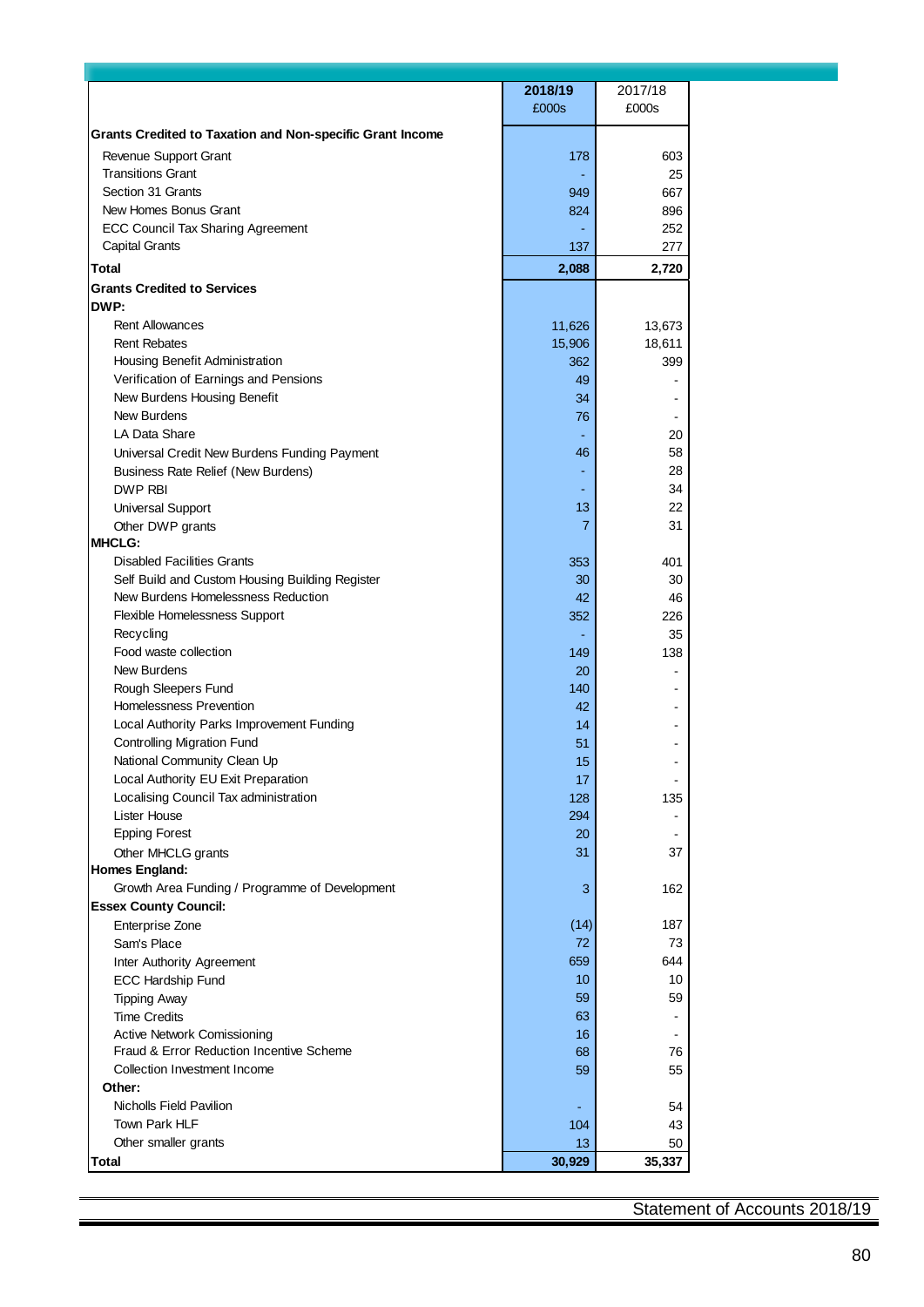|                                                           | 2018/19   | 2017/18   |
|-----------------------------------------------------------|-----------|-----------|
|                                                           | £000s     | £000s     |
| Grants Credited to Taxation and Non-specific Grant Income |           |           |
| Revenue Support Grant                                     | 178       | 603       |
| <b>Transitions Grant</b>                                  |           | 25        |
| Section 31 Grants                                         | 949       | 667       |
| New Homes Bonus Grant                                     | 824       | 896       |
| <b>ECC Council Tax Sharing Agreement</b>                  |           | 252       |
| <b>Capital Grants</b>                                     | 137       | 277       |
| Total                                                     | 2,088     | 2,720     |
| <b>Grants Credited to Services</b>                        |           |           |
| DWP:                                                      |           |           |
| <b>Rent Allowances</b>                                    | 11,626    | 13,673    |
| <b>Rent Rebates</b>                                       | 15,906    | 18,611    |
| Housing Benefit Administration                            | 362       | 399       |
| Verification of Earnings and Pensions                     | 49        |           |
| New Burdens Housing Benefit                               | 34        |           |
| New Burdens                                               | 76        |           |
| LA Data Share                                             |           | 20        |
| Universal Credit New Burdens Funding Payment              | 46        | 58        |
| <b>Business Rate Relief (New Burdens)</b>                 |           | 28        |
| DWP RBI                                                   |           | 34        |
| <b>Universal Support</b>                                  | 13        | 22        |
| Other DWP grants                                          | 7         | 31        |
| <b>MHCLG:</b>                                             |           |           |
| <b>Disabled Facilities Grants</b>                         | 353       | 401       |
| Self Build and Custom Housing Building Register           | 30        | 30        |
| New Burdens Homelessness Reduction                        | 42        | 46        |
| Flexible Homelessness Support                             | 352       | 226       |
| Recycling<br>Food waste collection                        |           | 35<br>138 |
| New Burdens                                               | 149<br>20 |           |
| Rough Sleepers Fund                                       | 140       |           |
| Homelessness Prevention                                   | 42        |           |
| Local Authority Parks Improvement Funding                 | 14        |           |
| Controlling Migration Fund                                | 51        |           |
| National Community Clean Up                               | 15        |           |
| Local Authority EU Exit Preparation                       | 17        |           |
| Localising Council Tax administration                     | 128       | 135       |
| Lister House                                              | 294       |           |
| <b>Epping Forest</b>                                      | 20        |           |
| Other MHCLG grants                                        | 31        | 37        |
| Homes England:                                            |           |           |
| Growth Area Funding / Programme of Development            | 3         | 162       |
| <b>Essex County Council:</b>                              |           |           |
| Enterprise Zone                                           | (14)      | 187       |
| Sam's Place                                               | 72        | 73        |
| Inter Authority Agreement                                 | 659       | 644       |
| <b>ECC Hardship Fund</b>                                  | 10        | 10        |
| <b>Tipping Away</b>                                       | 59        | 59        |
| <b>Time Credits</b>                                       | 63        |           |
| Active Network Comissioning                               | 16        |           |
| Fraud & Error Reduction Incentive Scheme                  | 68        | 76        |
| Collection Investment Income                              | 59        | 55        |
| Other:<br>Nicholls Field Pavilion                         |           |           |
| Town Park HLF                                             |           | 54        |
| Other smaller grants                                      | 104<br>13 | 43<br>50  |
| Total                                                     | 30,929    | 35,337    |
|                                                           |           |           |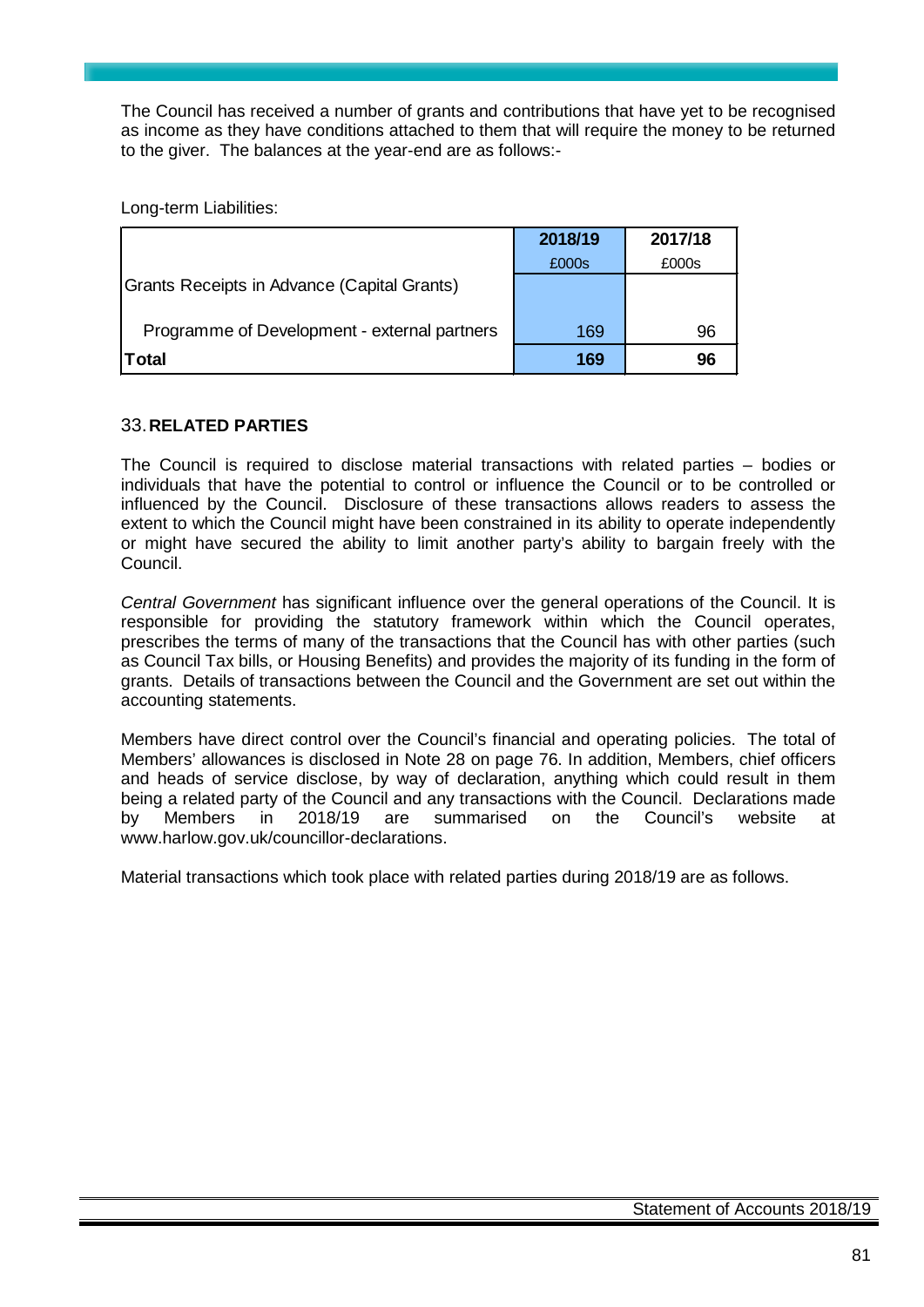The Council has received a number of grants and contributions that have yet to be recognised as income as they have conditions attached to them that will require the money to be returned to the giver. The balances at the year-end are as follows:-

Long-term Liabilities:

|                                              | 2018/19 | 2017/18 |
|----------------------------------------------|---------|---------|
|                                              | £000s   | £000s   |
| Grants Receipts in Advance (Capital Grants)  |         |         |
| Programme of Development - external partners | 169     | 96      |
| <b>Total</b>                                 | 169     | 96      |

# 33.**RELATED PARTIES**

The Council is required to disclose material transactions with related parties – bodies or individuals that have the potential to control or influence the Council or to be controlled or influenced by the Council. Disclosure of these transactions allows readers to assess the extent to which the Council might have been constrained in its ability to operate independently or might have secured the ability to limit another party's ability to bargain freely with the Council.

*Central Government* has significant influence over the general operations of the Council. It is responsible for providing the statutory framework within which the Council operates, prescribes the terms of many of the transactions that the Council has with other parties (such as Council Tax bills, or Housing Benefits) and provides the majority of its funding in the form of grants. Details of transactions between the Council and the Government are set out within the accounting statements.

Members have direct control over the Council's financial and operating policies. The total of Members' allowances is disclosed in Note 28 on page 76. In addition, Members, chief officers and heads of service disclose, by way of declaration, anything which could result in them being a related party of the Council and any transactions with the Council. Declarations made by Members in 2018/19 are summarised on the Council's website at [www.harlow.gov.uk/councillor-declarations.](http://www.harlow.gov.uk/councillor-declarations)

Material transactions which took place with related parties during 2018/19 are as follows.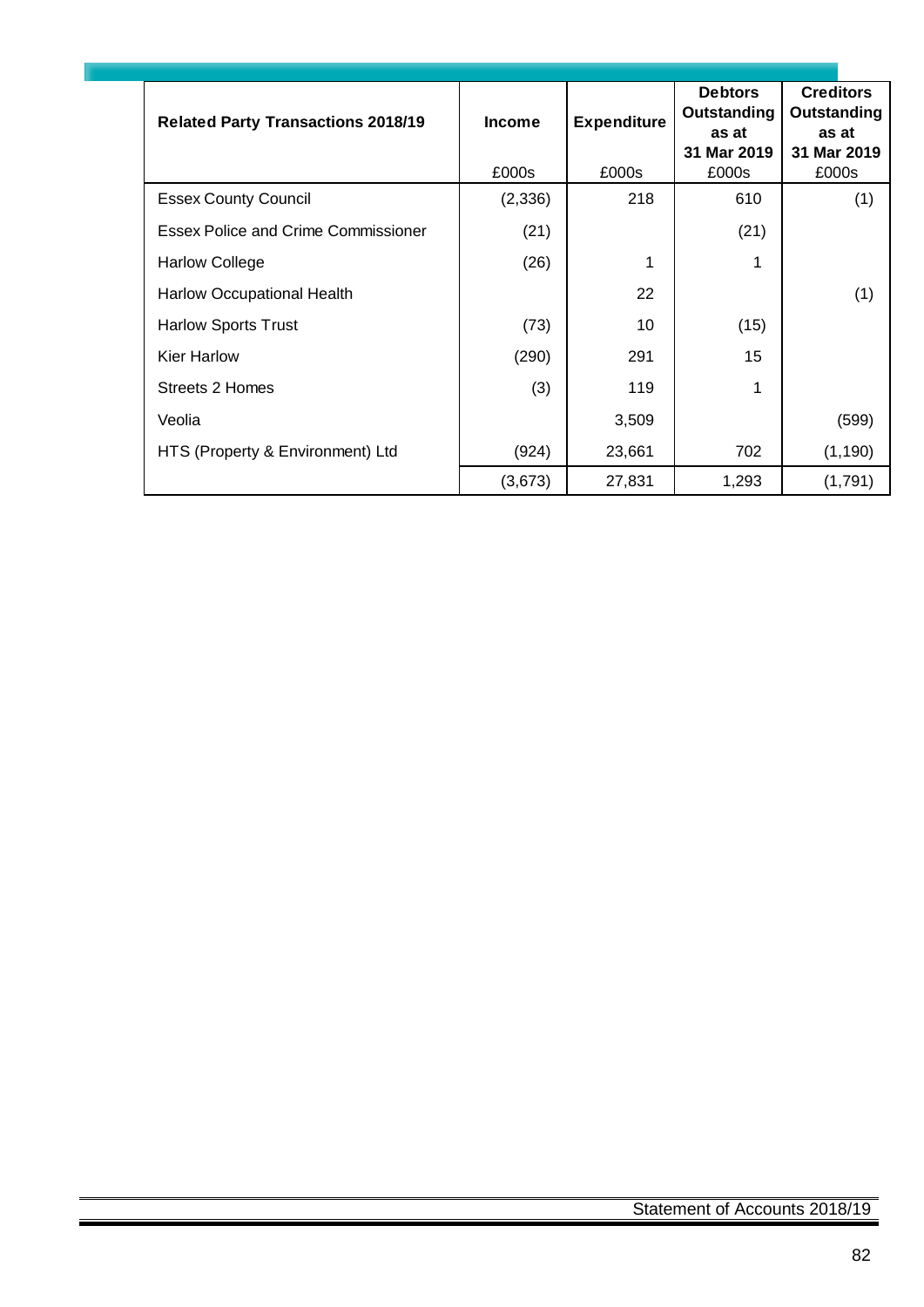| <b>Related Party Transactions 2018/19</b>  | <b>Income</b>     | <b>Expenditure</b> | <b>Debtors</b><br><b>Outstanding</b><br>as at<br>31 Mar 2019 | <b>Creditors</b><br>Outstanding<br>as at<br>31 Mar 2019 |
|--------------------------------------------|-------------------|--------------------|--------------------------------------------------------------|---------------------------------------------------------|
| <b>Essex County Council</b>                | £000s<br>(2, 336) | £000s<br>218       | £000s<br>610                                                 | £000s<br>(1)                                            |
| <b>Essex Police and Crime Commissioner</b> | (21)              |                    | (21)                                                         |                                                         |
| <b>Harlow College</b>                      | (26)              | 1                  | 1                                                            |                                                         |
| <b>Harlow Occupational Health</b>          |                   | 22                 |                                                              | (1)                                                     |
| <b>Harlow Sports Trust</b>                 | (73)              | 10                 | (15)                                                         |                                                         |
| <b>Kier Harlow</b>                         | (290)             | 291                | 15                                                           |                                                         |
| Streets 2 Homes                            | (3)               | 119                | 1                                                            |                                                         |
| Veolia                                     |                   | 3,509              |                                                              | (599)                                                   |
| HTS (Property & Environment) Ltd           | (924)             | 23,661             | 702                                                          | (1, 190)                                                |
|                                            | (3,673)           | 27,831             | 1,293                                                        | (1,791)                                                 |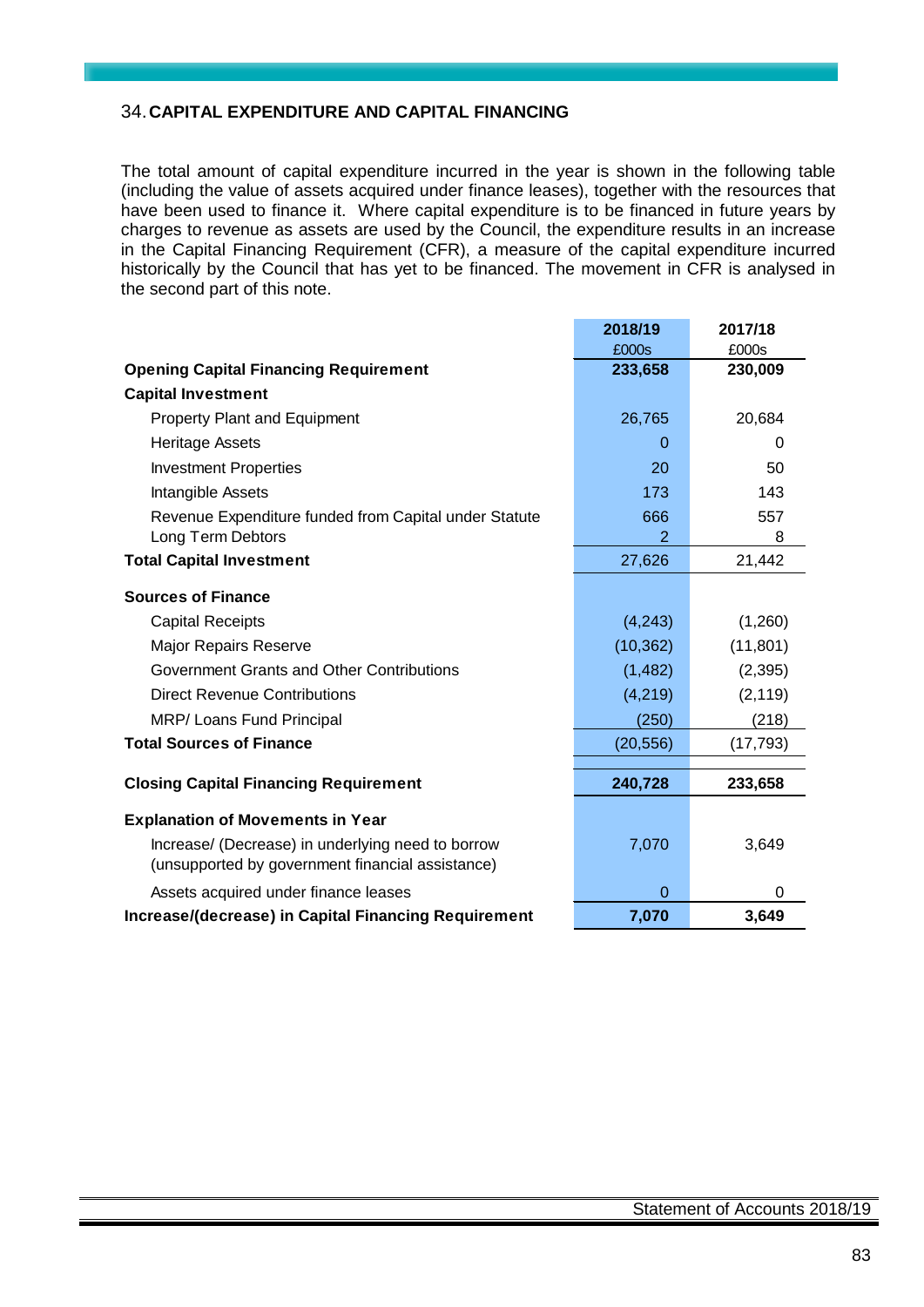# 34.**CAPITAL EXPENDITURE AND CAPITAL FINANCING**

The total amount of capital expenditure incurred in the year is shown in the following table (including the value of assets acquired under finance leases), together with the resources that have been used to finance it. Where capital expenditure is to be financed in future years by charges to revenue as assets are used by the Council, the expenditure results in an increase in the Capital Financing Requirement (CFR), a measure of the capital expenditure incurred historically by the Council that has yet to be financed. The movement in CFR is analysed in the second part of this note.

|                                                                                                       | 2018/19     | 2017/18   |
|-------------------------------------------------------------------------------------------------------|-------------|-----------|
|                                                                                                       | £000s       | £000s     |
| <b>Opening Capital Financing Requirement</b>                                                          | 233,658     | 230,009   |
| <b>Capital Investment</b>                                                                             |             |           |
| <b>Property Plant and Equipment</b>                                                                   | 26,765      | 20,684    |
| <b>Heritage Assets</b>                                                                                | $\Omega$    | 0         |
| <b>Investment Properties</b>                                                                          | 20          | 50        |
| Intangible Assets                                                                                     | 173         | 143       |
| Revenue Expenditure funded from Capital under Statute<br>Long Term Debtors                            | 666<br>2    | 557<br>8  |
| <b>Total Capital Investment</b>                                                                       | 27,626      | 21,442    |
| <b>Sources of Finance</b>                                                                             |             |           |
| <b>Capital Receipts</b>                                                                               | (4,243)     | (1,260)   |
| <b>Major Repairs Reserve</b>                                                                          | (10, 362)   | (11, 801) |
| Government Grants and Other Contributions                                                             | (1, 482)    | (2,395)   |
| <b>Direct Revenue Contributions</b>                                                                   | (4,219)     | (2, 119)  |
| MRP/ Loans Fund Principal                                                                             | (250)       | (218)     |
| <b>Total Sources of Finance</b>                                                                       | (20, 556)   | (17, 793) |
| <b>Closing Capital Financing Requirement</b>                                                          | 240,728     | 233,658   |
| <b>Explanation of Movements in Year</b>                                                               |             |           |
| Increase/ (Decrease) in underlying need to borrow<br>(unsupported by government financial assistance) | 7,070       | 3,649     |
| Assets acquired under finance leases                                                                  | $\mathbf 0$ | 0         |
| Increase/(decrease) in Capital Financing Requirement                                                  | 7,070       | 3,649     |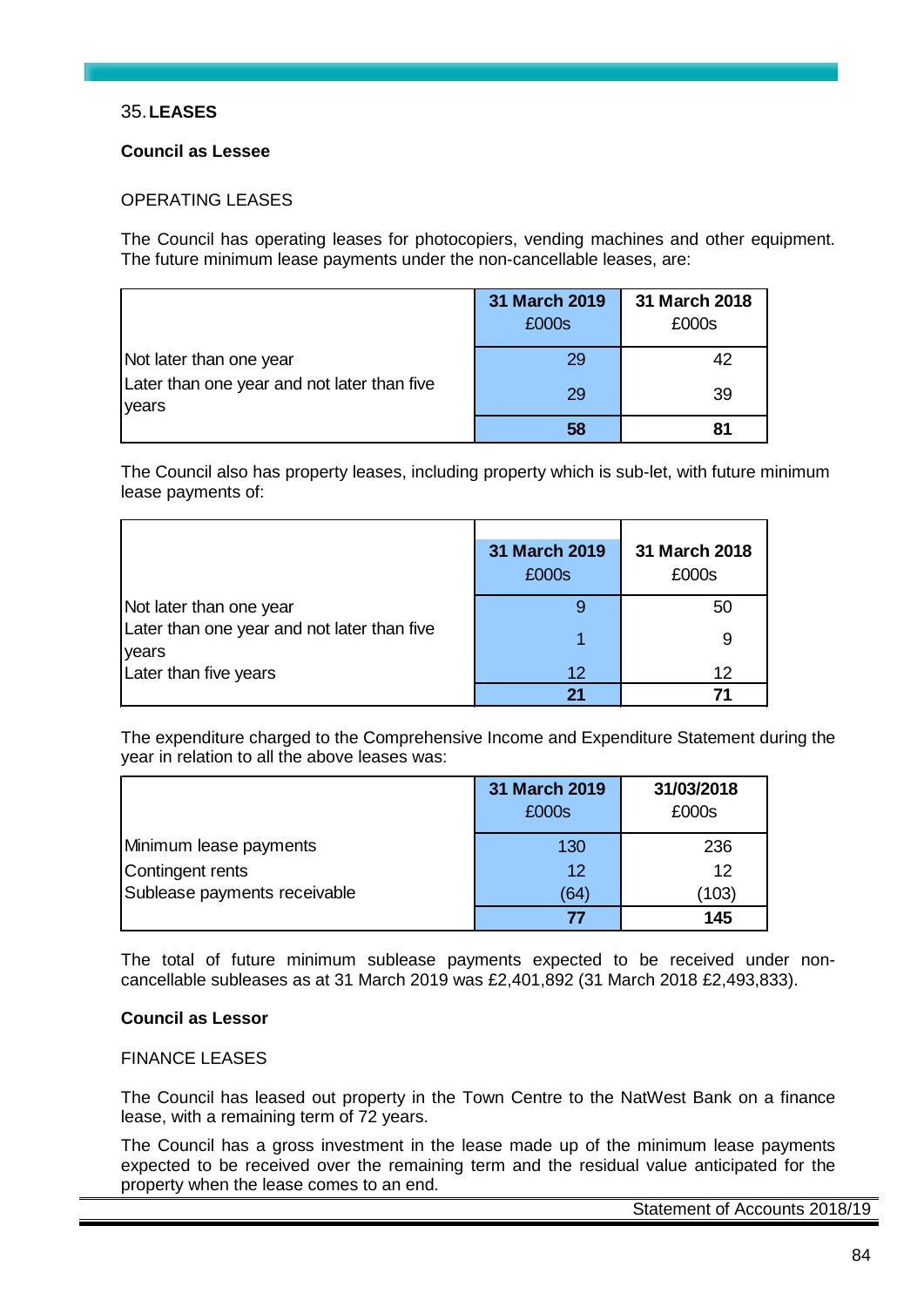# 35.**LEASES**

#### **Council as Lessee**

# OPERATING LEASES

The Council has operating leases for photocopiers, vending machines and other equipment. The future minimum lease payments under the non-cancellable leases, are:

|                                                             | 31 March 2019<br>£000s | 31 March 2018<br>£000s |
|-------------------------------------------------------------|------------------------|------------------------|
| Not later than one year                                     | 29                     | 42                     |
| Later than one year and not later than five<br><b>years</b> | 29                     | 39                     |
|                                                             | 58                     | 81                     |

The Council also has property leases, including property which is sub-let, with future minimum lease payments of:

|                                                             | 31 March 2019<br>£000s | 31 March 2018<br>£000s |
|-------------------------------------------------------------|------------------------|------------------------|
| Not later than one year                                     |                        | 50                     |
| Later than one year and not later than five<br><b>years</b> |                        | 9                      |
| Later than five years                                       | $12 \overline{ }$      | 12                     |
|                                                             | 21                     |                        |

The expenditure charged to the Comprehensive Income and Expenditure Statement during the year in relation to all the above leases was:

|                              | 31 March 2019<br>£000s | 31/03/2018<br>£000s |
|------------------------------|------------------------|---------------------|
|                              |                        |                     |
| Minimum lease payments       | 130                    | 236                 |
| Contingent rents             | 12                     | 12                  |
| Sublease payments receivable | (64)                   | (103)               |
|                              |                        | 145                 |

The total of future minimum sublease payments expected to be received under noncancellable subleases as at 31 March 2019 was £2,401,892 (31 March 2018 £2,493,833).

## **Council as Lessor**

#### FINANCE LEASES

The Council has leased out property in the Town Centre to the NatWest Bank on a finance lease, with a remaining term of 72 years.

The Council has a gross investment in the lease made up of the minimum lease payments expected to be received over the remaining term and the residual value anticipated for the property when the lease comes to an end.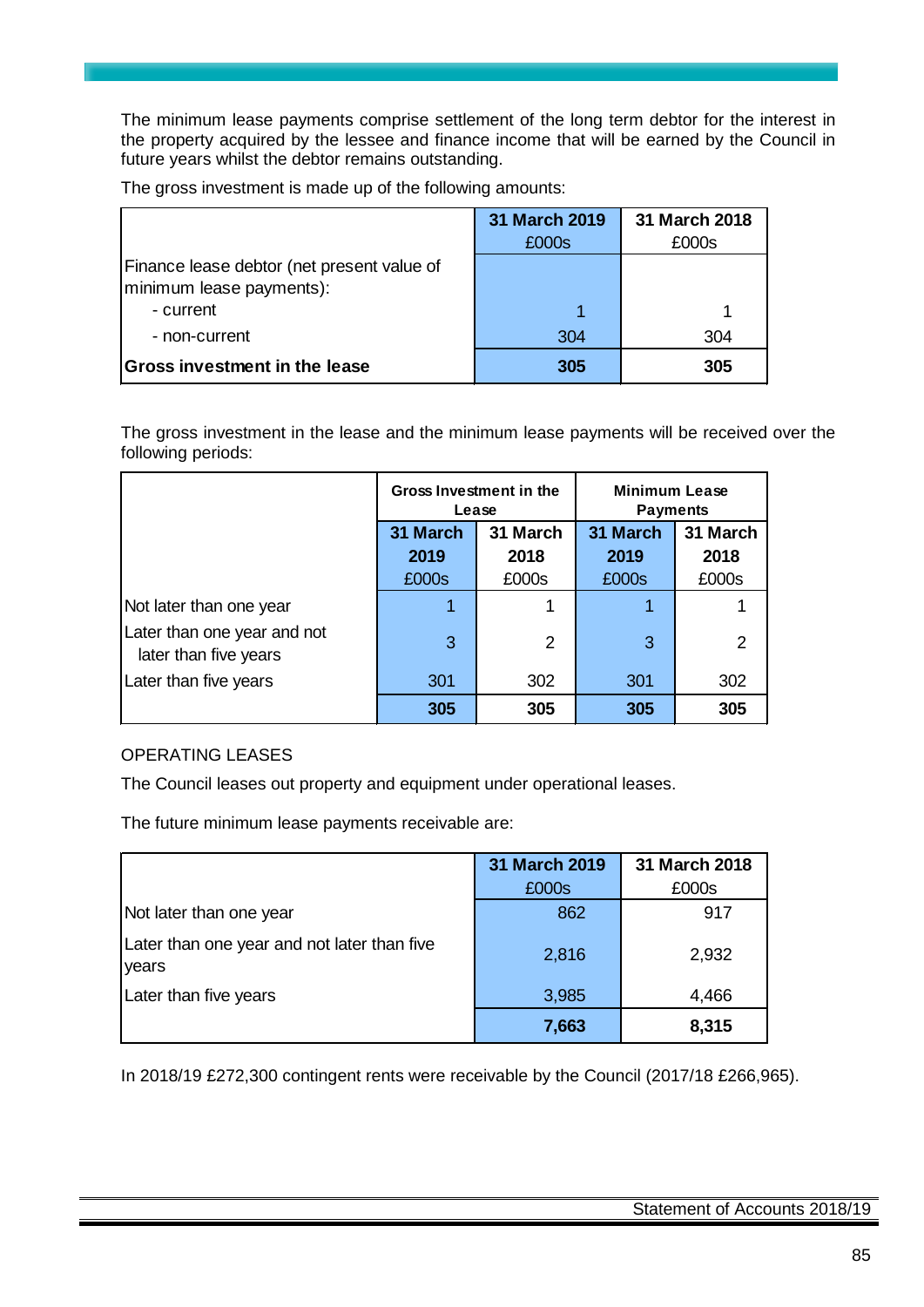The minimum lease payments comprise settlement of the long term debtor for the interest in the property acquired by the lessee and finance income that will be earned by the Council in future years whilst the debtor remains outstanding.

The gross investment is made up of the following amounts:

|                                            | 31 March 2019 | 31 March 2018 |
|--------------------------------------------|---------------|---------------|
|                                            | £000s         | £000s         |
| Finance lease debtor (net present value of |               |               |
| minimum lease payments):                   |               |               |
| - current                                  |               |               |
| - non-current                              | 304           | 304           |
| <b>Gross investment in the lease</b>       | 305           | 305           |

The gross investment in the lease and the minimum lease payments will be received over the following periods:

|                                                      | <b>Gross Investment in the</b><br>Lease |       | <b>Minimum Lease</b><br><b>Payments</b> |                |
|------------------------------------------------------|-----------------------------------------|-------|-----------------------------------------|----------------|
|                                                      | 31 March<br>31 March                    |       | 31 March                                | 31 March       |
|                                                      | 2019                                    | 2018  | 2019                                    | 2018           |
|                                                      | £000s                                   | £000s | £000s                                   | £000s          |
| Not later than one year                              |                                         |       |                                         |                |
| Later than one year and not<br>later than five years | 3                                       | 2     | 3                                       | $\overline{2}$ |
| Later than five years                                | 301                                     | 302   | 301                                     | 302            |
|                                                      | 305                                     | 305   | 305                                     | 305            |

#### OPERATING LEASES

The Council leases out property and equipment under operational leases.

The future minimum lease payments receivable are:

|                                                      | 31 March 2019 | 31 March 2018 |
|------------------------------------------------------|---------------|---------------|
|                                                      | £000s         | £000s         |
| Not later than one year                              | 862           | 917           |
| Later than one year and not later than five<br>years | 2,816         | 2,932         |
| Later than five years                                | 3,985         | 4,466         |
|                                                      | 7,663         | 8,315         |

In 2018/19 £272,300 contingent rents were receivable by the Council (2017/18 £266,965).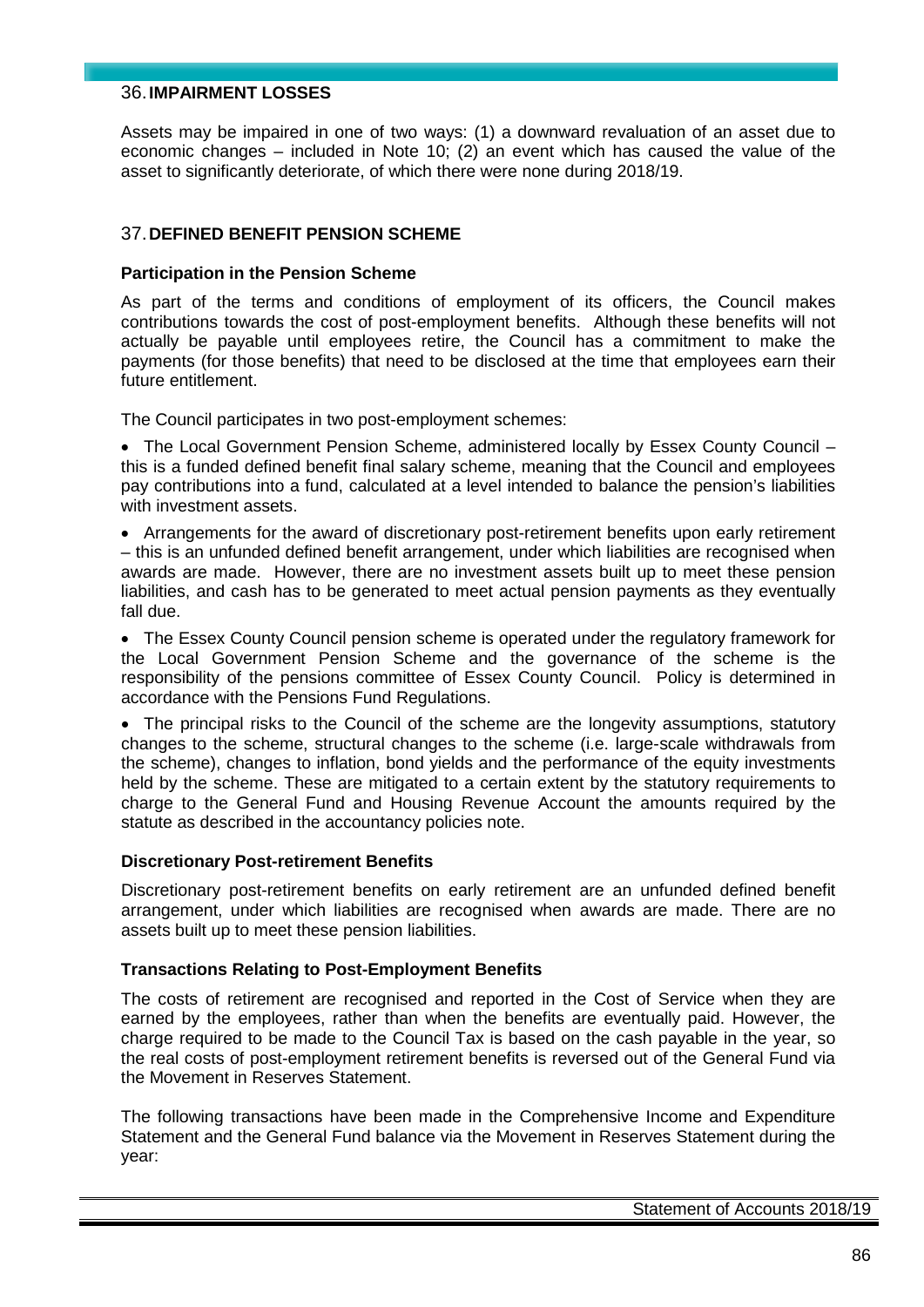#### 36.**IMPAIRMENT LOSSES**

Assets may be impaired in one of two ways: (1) a downward revaluation of an asset due to economic changes – included in Note 10; (2) an event which has caused the value of the asset to significantly deteriorate, of which there were none during 2018/19.

# 37.**DEFINED BENEFIT PENSION SCHEME**

#### **Participation in the Pension Scheme**

As part of the terms and conditions of employment of its officers, the Council makes contributions towards the cost of post-employment benefits. Although these benefits will not actually be payable until employees retire, the Council has a commitment to make the payments (for those benefits) that need to be disclosed at the time that employees earn their future entitlement.

The Council participates in two post-employment schemes:

• The Local Government Pension Scheme, administered locally by Essex County Council – this is a funded defined benefit final salary scheme, meaning that the Council and employees pay contributions into a fund, calculated at a level intended to balance the pension's liabilities with investment assets.

• Arrangements for the award of discretionary post-retirement benefits upon early retirement – this is an unfunded defined benefit arrangement, under which liabilities are recognised when awards are made. However, there are no investment assets built up to meet these pension liabilities, and cash has to be generated to meet actual pension payments as they eventually fall due.

• The Essex County Council pension scheme is operated under the regulatory framework for the Local Government Pension Scheme and the governance of the scheme is the responsibility of the pensions committee of Essex County Council. Policy is determined in accordance with the Pensions Fund Regulations.

• The principal risks to the Council of the scheme are the longevity assumptions, statutory changes to the scheme, structural changes to the scheme (i.e. large-scale withdrawals from the scheme), changes to inflation, bond yields and the performance of the equity investments held by the scheme. These are mitigated to a certain extent by the statutory requirements to charge to the General Fund and Housing Revenue Account the amounts required by the statute as described in the accountancy policies note.

#### **Discretionary Post-retirement Benefits**

Discretionary post-retirement benefits on early retirement are an unfunded defined benefit arrangement, under which liabilities are recognised when awards are made. There are no assets built up to meet these pension liabilities.

#### **Transactions Relating to Post-Employment Benefits**

The costs of retirement are recognised and reported in the Cost of Service when they are earned by the employees, rather than when the benefits are eventually paid. However, the charge required to be made to the Council Tax is based on the cash payable in the year, so the real costs of post-employment retirement benefits is reversed out of the General Fund via the Movement in Reserves Statement.

The following transactions have been made in the Comprehensive Income and Expenditure Statement and the General Fund balance via the Movement in Reserves Statement during the year: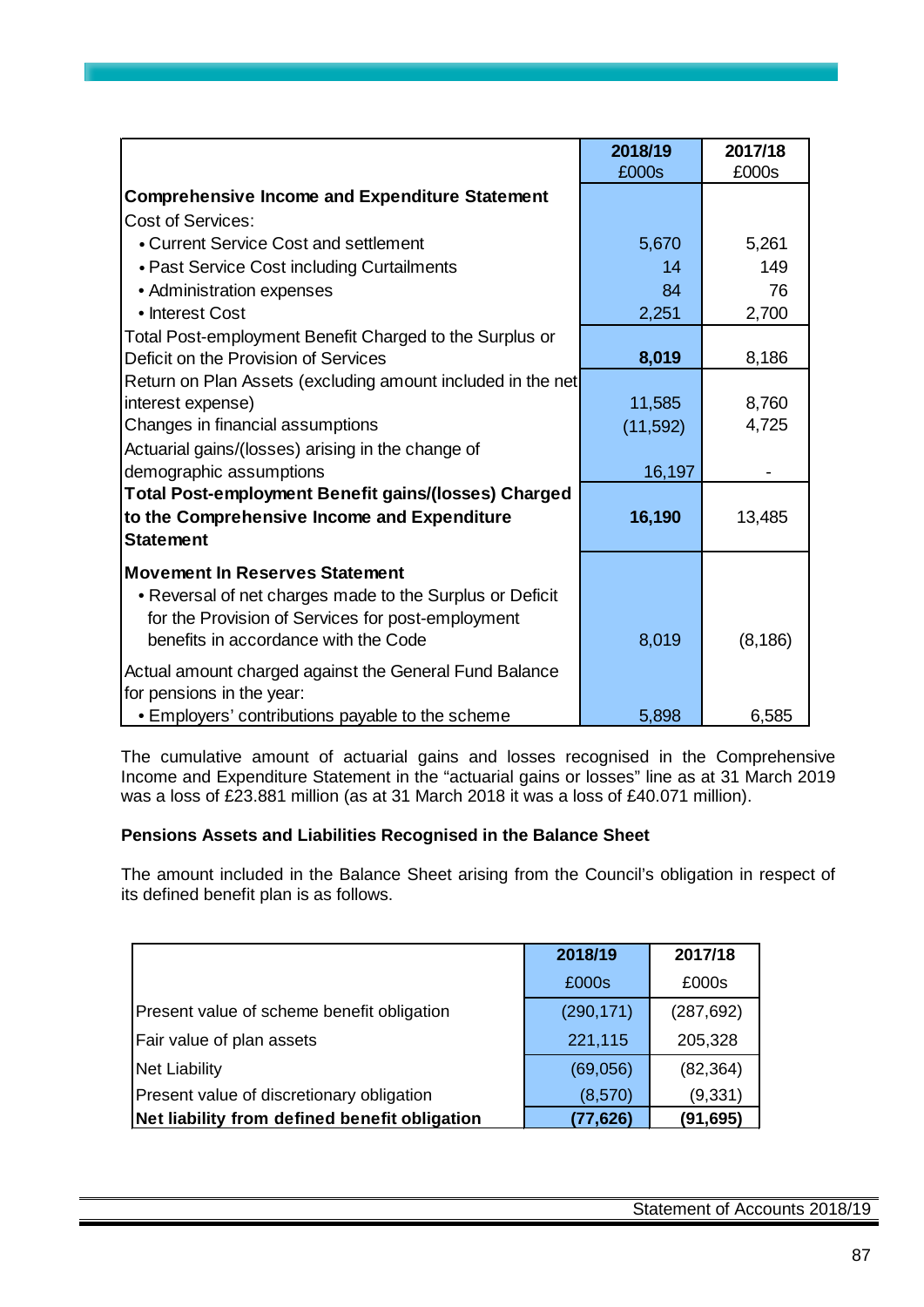|                                                                                     | 2018/19   | 2017/18  |
|-------------------------------------------------------------------------------------|-----------|----------|
|                                                                                     | £000s     | £000s    |
| <b>Comprehensive Income and Expenditure Statement</b>                               |           |          |
| <b>Cost of Services:</b>                                                            |           |          |
| • Current Service Cost and settlement                                               | 5,670     | 5,261    |
| • Past Service Cost including Curtailments                                          | 14        | 149      |
| • Administration expenses                                                           | 84        | 76       |
| • Interest Cost                                                                     | 2,251     | 2,700    |
| Total Post-employment Benefit Charged to the Surplus or                             |           |          |
| Deficit on the Provision of Services                                                | 8,019     | 8,186    |
| Return on Plan Assets (excluding amount included in the net                         |           |          |
| interest expense)                                                                   | 11,585    | 8,760    |
| Changes in financial assumptions                                                    | (11, 592) | 4,725    |
| Actuarial gains/(losses) arising in the change of                                   |           |          |
| demographic assumptions                                                             | 16,197    |          |
| <b>Total Post-employment Benefit gains/(losses) Charged</b>                         |           |          |
| to the Comprehensive Income and Expenditure                                         | 16,190    | 13,485   |
| <b>Statement</b>                                                                    |           |          |
| Movement In Reserves Statement                                                      |           |          |
| • Reversal of net charges made to the Surplus or Deficit                            |           |          |
| for the Provision of Services for post-employment                                   |           |          |
| benefits in accordance with the Code                                                | 8,019     | (8, 186) |
|                                                                                     |           |          |
| Actual amount charged against the General Fund Balance<br>for pensions in the year: |           |          |
| • Employers' contributions payable to the scheme                                    | 5,898     | 6,585    |

The cumulative amount of actuarial gains and losses recognised in the Comprehensive Income and Expenditure Statement in the "actuarial gains or losses" line as at 31 March 2019 was a loss of £23.881 million (as at 31 March 2018 it was a loss of £40.071 million).

# **Pensions Assets and Liabilities Recognised in the Balance Sheet**

The amount included in the Balance Sheet arising from the Council's obligation in respect of its defined benefit plan is as follows.

|                                               | 2018/19    | 2017/18    |
|-----------------------------------------------|------------|------------|
|                                               | £000s      | £000s      |
| Present value of scheme benefit obligation    | (290, 171) | (287, 692) |
| Fair value of plan assets                     | 221,115    | 205,328    |
| Net Liability                                 | (69,056)   | (82, 364)  |
| Present value of discretionary obligation     | (8,570)    | (9, 331)   |
| Net liability from defined benefit obligation | (77, 626)  | (91, 695)  |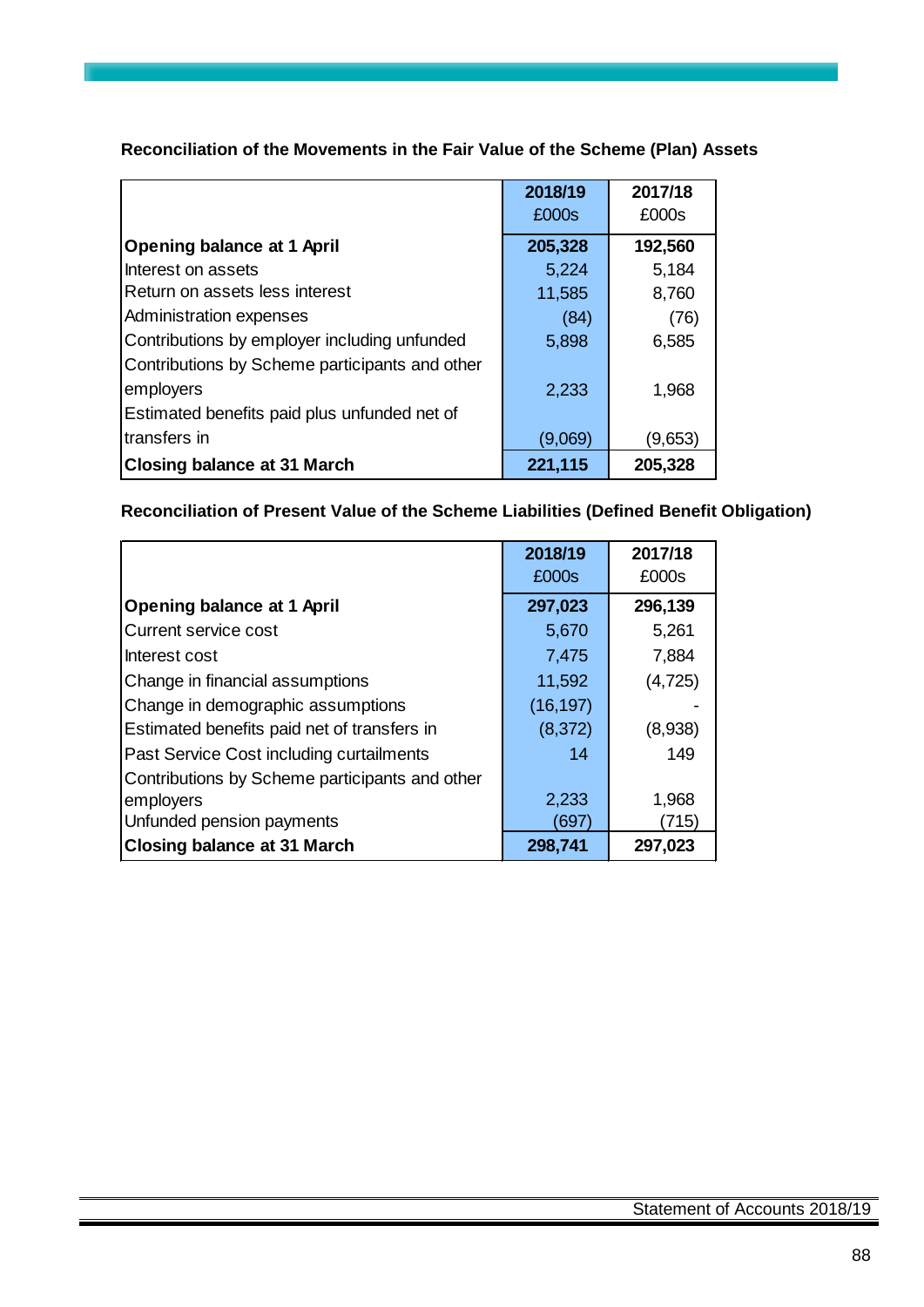|                                                | 2018/19 | 2017/18 |
|------------------------------------------------|---------|---------|
|                                                | £000s   | £000s   |
| <b>Opening balance at 1 April</b>              | 205,328 | 192,560 |
| Interest on assets                             | 5,224   | 5,184   |
| Return on assets less interest                 | 11,585  | 8,760   |
| Administration expenses                        | (84)    | (76)    |
| Contributions by employer including unfunded   | 5,898   | 6,585   |
| Contributions by Scheme participants and other |         |         |
| employers                                      | 2,233   | 1,968   |
| Estimated benefits paid plus unfunded net of   |         |         |
| transfers in                                   | (9,069) | (9,653) |
| <b>Closing balance at 31 March</b>             | 221,115 | 205,328 |

# **Reconciliation of the Movements in the Fair Value of the Scheme (Plan) Assets**

# **Reconciliation of Present Value of the Scheme Liabilities (Defined Benefit Obligation)**

|                                                | 2018/19   | 2017/18 |
|------------------------------------------------|-----------|---------|
|                                                | £000s     | £000s   |
| <b>Opening balance at 1 April</b>              | 297,023   | 296,139 |
| Current service cost                           | 5,670     | 5,261   |
| Ilnterest cost                                 | 7,475     | 7,884   |
| Change in financial assumptions                | 11,592    | (4,725) |
| Change in demographic assumptions              | (16, 197) |         |
| Estimated benefits paid net of transfers in    | (8, 372)  | (8,938) |
| Past Service Cost including curtailments       | 14        | 149     |
| Contributions by Scheme participants and other |           |         |
| employers                                      | 2,233     | 1,968   |
| Unfunded pension payments                      | (697)     | (715)   |
| <b>Closing balance at 31 March</b>             | 298,741   | 297,023 |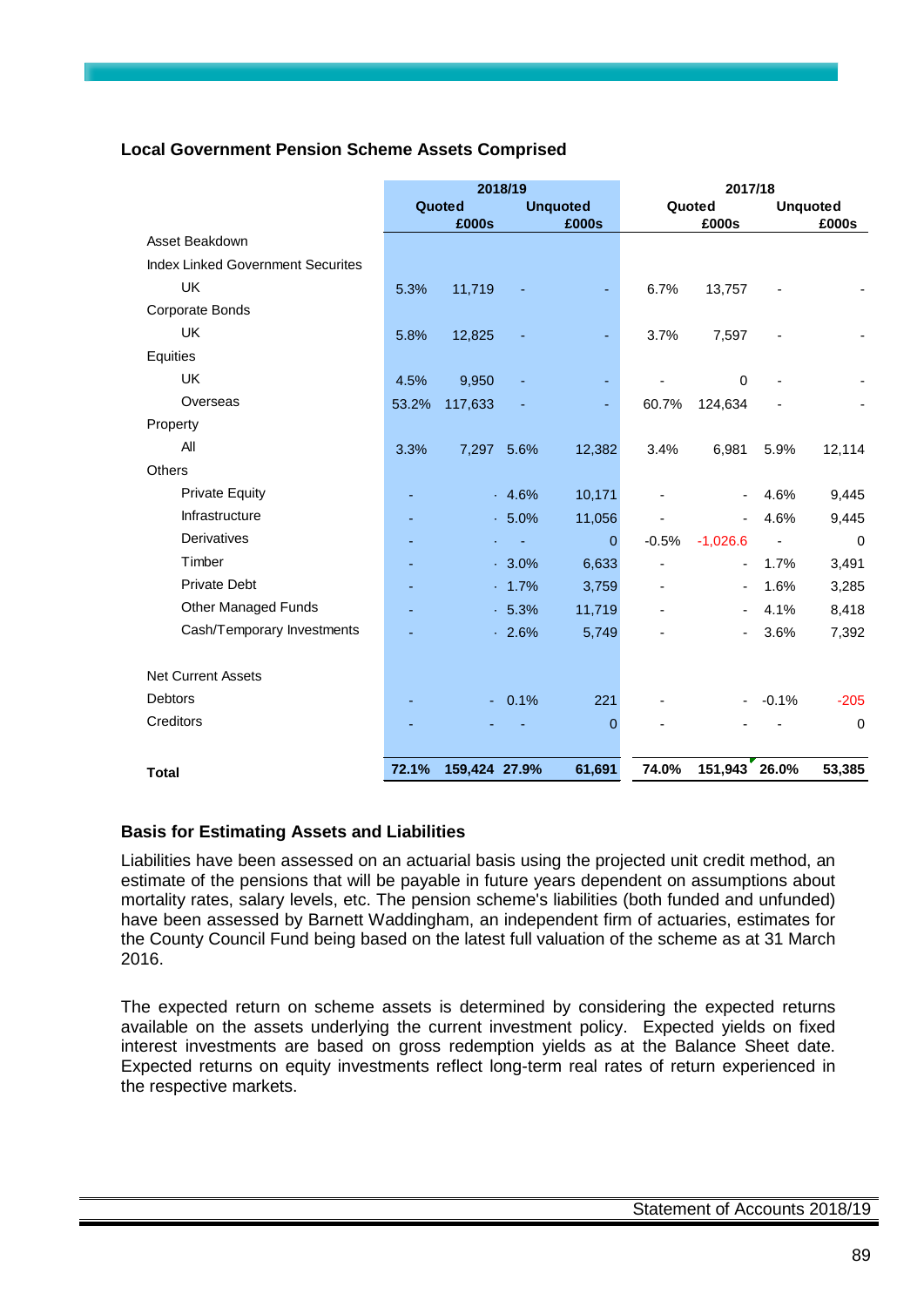# **Local Government Pension Scheme Assets Comprised**

|                                          | 2018/19 |               | 2017/18 |                 |         |                          |                          |                 |
|------------------------------------------|---------|---------------|---------|-----------------|---------|--------------------------|--------------------------|-----------------|
|                                          |         | Quoted        |         | <b>Unquoted</b> |         | Quoted                   |                          | <b>Unquoted</b> |
| Asset Beakdown                           |         | £000s         |         | £000s           |         | £000s                    |                          | £000s           |
| <b>Index Linked Government Securites</b> |         |               |         |                 |         |                          |                          |                 |
|                                          |         |               |         |                 |         |                          |                          |                 |
| <b>UK</b>                                | 5.3%    | 11,719        |         |                 | 6.7%    | 13,757                   |                          |                 |
| Corporate Bonds                          |         |               |         |                 |         |                          |                          |                 |
| <b>UK</b>                                | 5.8%    | 12,825        |         |                 | 3.7%    | 7,597                    |                          |                 |
| Equities                                 |         |               |         |                 |         |                          |                          |                 |
| <b>UK</b>                                | 4.5%    | 9,950         |         |                 |         | $\Omega$                 |                          |                 |
| Overseas                                 | 53.2%   | 117,633       |         |                 | 60.7%   | 124,634                  |                          |                 |
| Property                                 |         |               |         |                 |         |                          |                          |                 |
| All                                      | 3.3%    | 7,297 5.6%    |         | 12,382          | 3.4%    | 6,981                    | 5.9%                     | 12,114          |
| <b>Others</b>                            |         |               |         |                 |         |                          |                          |                 |
| <b>Private Equity</b>                    |         |               | $-4.6%$ | 10,171          |         |                          | 4.6%                     | 9,445           |
| Infrastructure                           |         |               | $-5.0%$ | 11,056          |         |                          | 4.6%                     | 9,445           |
| <b>Derivatives</b>                       |         |               |         | $\mathbf{0}$    | $-0.5%$ | $-1,026.6$               | $\overline{\phantom{a}}$ | $\mathbf 0$     |
| Timber                                   |         |               | $-3.0%$ | 6,633           | ä,      | $\blacksquare$           | 1.7%                     | 3,491           |
| <b>Private Debt</b>                      |         |               | $-1.7%$ | 3,759           |         | $\overline{\phantom{a}}$ | 1.6%                     | 3,285           |
| <b>Other Managed Funds</b>               |         |               | $-5.3%$ | 11,719          |         | $\overline{\phantom{a}}$ | 4.1%                     | 8,418           |
| Cash/Temporary Investments               |         |               | $-2.6%$ | 5,749           |         |                          | 3.6%                     | 7,392           |
| <b>Net Current Assets</b>                |         |               |         |                 |         |                          |                          |                 |
| <b>Debtors</b>                           |         |               | $-0.1%$ | 221             |         |                          | $-0.1%$                  | $-205$          |
| Creditors                                |         |               |         | $\overline{0}$  |         |                          |                          | $\mathbf 0$     |
| <b>Total</b>                             | 72.1%   | 159,424 27.9% |         | 61,691          | 74.0%   | 151,943 26.0%            |                          | 53,385          |

#### **Basis for Estimating Assets and Liabilities**

Liabilities have been assessed on an actuarial basis using the projected unit credit method, an estimate of the pensions that will be payable in future years dependent on assumptions about mortality rates, salary levels, etc. The pension scheme's liabilities (both funded and unfunded) have been assessed by Barnett Waddingham, an independent firm of actuaries, estimates for the County Council Fund being based on the latest full valuation of the scheme as at 31 March 2016.

The expected return on scheme assets is determined by considering the expected returns available on the assets underlying the current investment policy. Expected yields on fixed interest investments are based on gross redemption yields as at the Balance Sheet date. Expected returns on equity investments reflect long-term real rates of return experienced in the respective markets.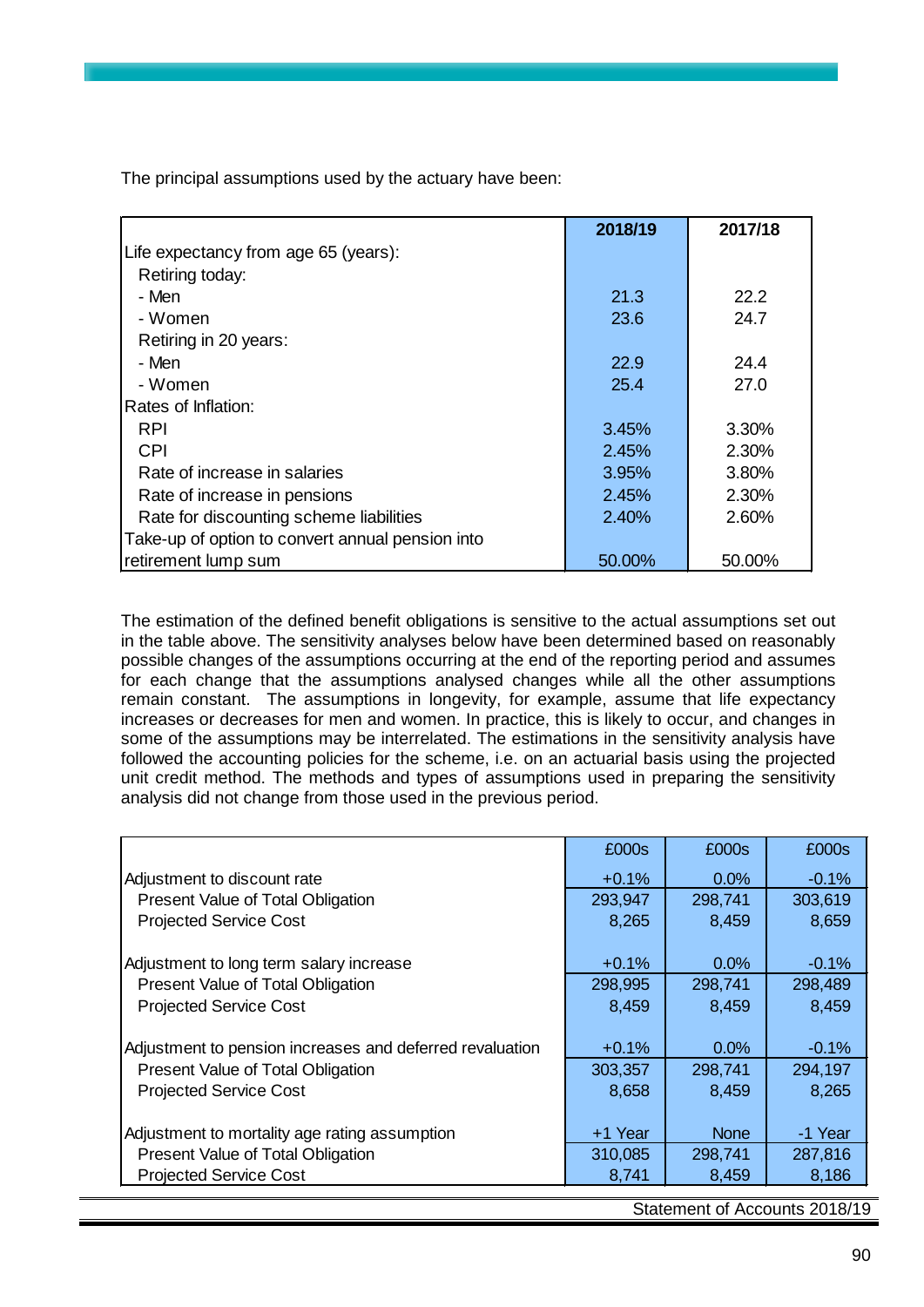The principal assumptions used by the actuary have been:

|                                                  | 2018/19 | 2017/18 |
|--------------------------------------------------|---------|---------|
| Life expectancy from age 65 (years):             |         |         |
| Retiring today:                                  |         |         |
| - Men                                            | 21.3    | 22.2    |
| - Women                                          | 23.6    | 24.7    |
| Retiring in 20 years:                            |         |         |
| - Men                                            | 22.9    | 24.4    |
| - Women                                          | 25.4    | 27.0    |
| Rates of Inflation:                              |         |         |
| <b>RPI</b>                                       | 3.45%   | 3.30%   |
| <b>CPI</b>                                       | 2.45%   | 2.30%   |
| Rate of increase in salaries                     | 3.95%   | 3.80%   |
| Rate of increase in pensions                     | 2.45%   | 2.30%   |
| Rate for discounting scheme liabilities          | 2.40%   | 2.60%   |
| Take-up of option to convert annual pension into |         |         |
| retirement lump sum                              | 50.00%  | 50.00%  |

The estimation of the defined benefit obligations is sensitive to the actual assumptions set out in the table above. The sensitivity analyses below have been determined based on reasonably possible changes of the assumptions occurring at the end of the reporting period and assumes for each change that the assumptions analysed changes while all the other assumptions remain constant. The assumptions in longevity, for example, assume that life expectancy increases or decreases for men and women. In practice, this is likely to occur, and changes in some of the assumptions may be interrelated. The estimations in the sensitivity analysis have followed the accounting policies for the scheme, i.e. on an actuarial basis using the projected unit credit method. The methods and types of assumptions used in preparing the sensitivity analysis did not change from those used in the previous period.

|                                                          | £000s   | £000s       | £000s                                          |
|----------------------------------------------------------|---------|-------------|------------------------------------------------|
| Adjustment to discount rate                              | $+0.1%$ | $0.0\%$     | $-0.1\%$                                       |
| Present Value of Total Obligation                        | 293,947 | 298,741     | 303,619                                        |
| <b>Projected Service Cost</b>                            | 8,265   | 8,459       | 8,659                                          |
|                                                          |         |             |                                                |
| Adjustment to long term salary increase                  | $+0.1%$ | $0.0\%$     | $-0.1%$                                        |
| Present Value of Total Obligation                        | 298,995 | 298,741     | 298,489                                        |
| <b>Projected Service Cost</b>                            | 8,459   | 8,459       | 8,459                                          |
|                                                          |         |             |                                                |
| Adjustment to pension increases and deferred revaluation | $+0.1%$ | 0.0%        | $-0.1%$                                        |
| Present Value of Total Obligation                        | 303,357 | 298,741     | 294,197                                        |
| <b>Projected Service Cost</b>                            | 8,658   | 8,459       | 8,265                                          |
|                                                          |         |             |                                                |
| Adjustment to mortality age rating assumption            | +1 Year | <b>None</b> | -1 Year                                        |
| Present Value of Total Obligation                        | 310,085 | 298,741     | 287,816                                        |
| <b>Projected Service Cost</b>                            | 8,741   | 8,459       | 8,186                                          |
|                                                          |         |             | $Q(t-1)$ $\cdots$ $L(t)$ $\Delta t = 0.040140$ |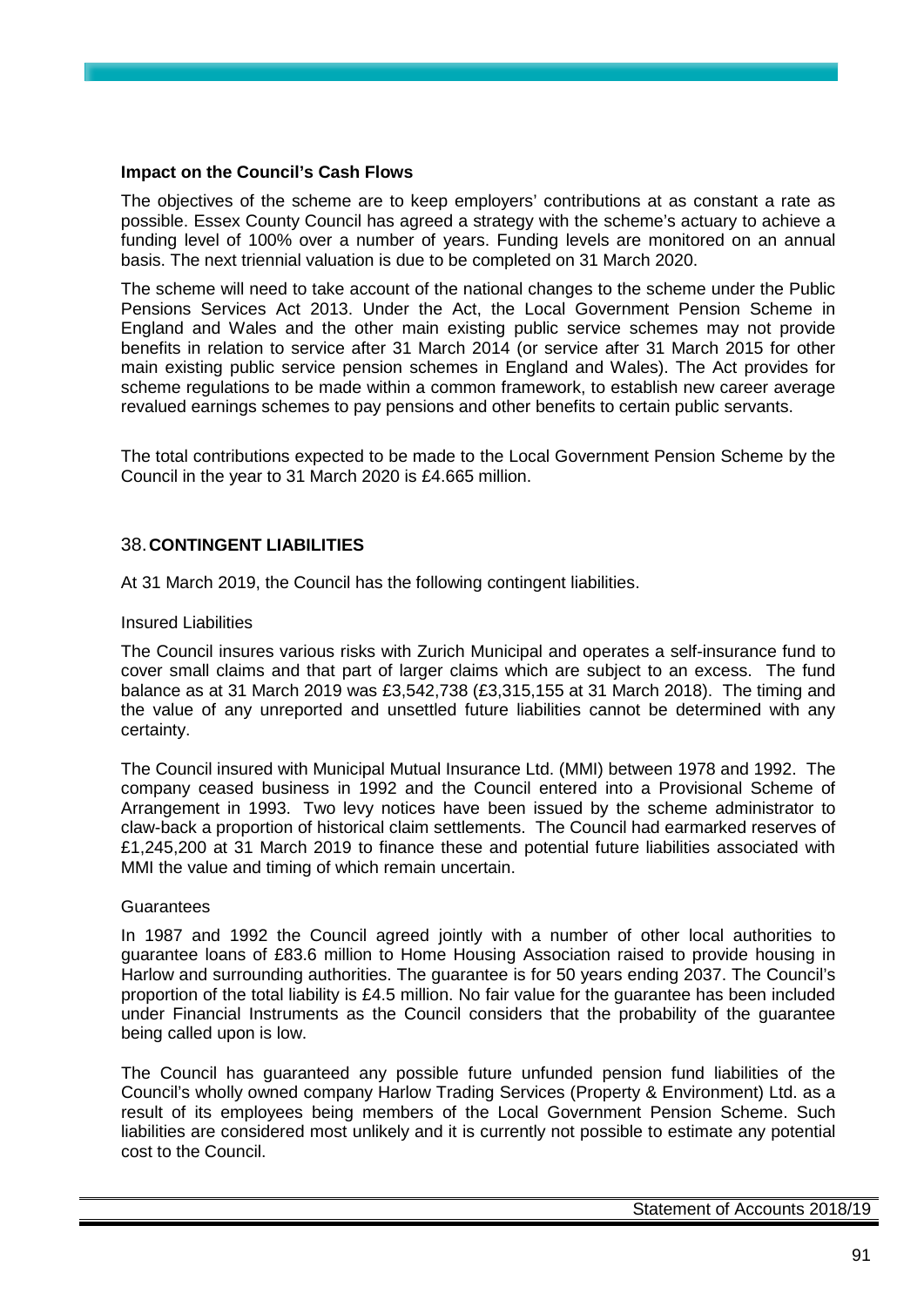#### **Impact on the Council's Cash Flows**

The objectives of the scheme are to keep employers' contributions at as constant a rate as possible. Essex County Council has agreed a strategy with the scheme's actuary to achieve a funding level of 100% over a number of years. Funding levels are monitored on an annual basis. The next triennial valuation is due to be completed on 31 March 2020.

The scheme will need to take account of the national changes to the scheme under the Public Pensions Services Act 2013. Under the Act, the Local Government Pension Scheme in England and Wales and the other main existing public service schemes may not provide benefits in relation to service after 31 March 2014 (or service after 31 March 2015 for other main existing public service pension schemes in England and Wales). The Act provides for scheme regulations to be made within a common framework, to establish new career average revalued earnings schemes to pay pensions and other benefits to certain public servants.

The total contributions expected to be made to the Local Government Pension Scheme by the Council in the year to 31 March 2020 is £4.665 million.

#### 38.**CONTINGENT LIABILITIES**

At 31 March 2019, the Council has the following contingent liabilities.

#### Insured Liabilities

The Council insures various risks with Zurich Municipal and operates a self-insurance fund to cover small claims and that part of larger claims which are subject to an excess. The fund balance as at 31 March 2019 was £3,542,738 (£3,315,155 at 31 March 2018). The timing and the value of any unreported and unsettled future liabilities cannot be determined with any certainty.

The Council insured with Municipal Mutual Insurance Ltd. (MMI) between 1978 and 1992. The company ceased business in 1992 and the Council entered into a Provisional Scheme of Arrangement in 1993. Two levy notices have been issued by the scheme administrator to claw-back a proportion of historical claim settlements. The Council had earmarked reserves of £1,245,200 at 31 March 2019 to finance these and potential future liabilities associated with MMI the value and timing of which remain uncertain.

#### **Guarantees**

In 1987 and 1992 the Council agreed jointly with a number of other local authorities to guarantee loans of £83.6 million to Home Housing Association raised to provide housing in Harlow and surrounding authorities. The guarantee is for 50 years ending 2037. The Council's proportion of the total liability is £4.5 million. No fair value for the guarantee has been included under Financial Instruments as the Council considers that the probability of the guarantee being called upon is low.

The Council has guaranteed any possible future unfunded pension fund liabilities of the Council's wholly owned company Harlow Trading Services (Property & Environment) Ltd. as a result of its employees being members of the Local Government Pension Scheme. Such liabilities are considered most unlikely and it is currently not possible to estimate any potential cost to the Council.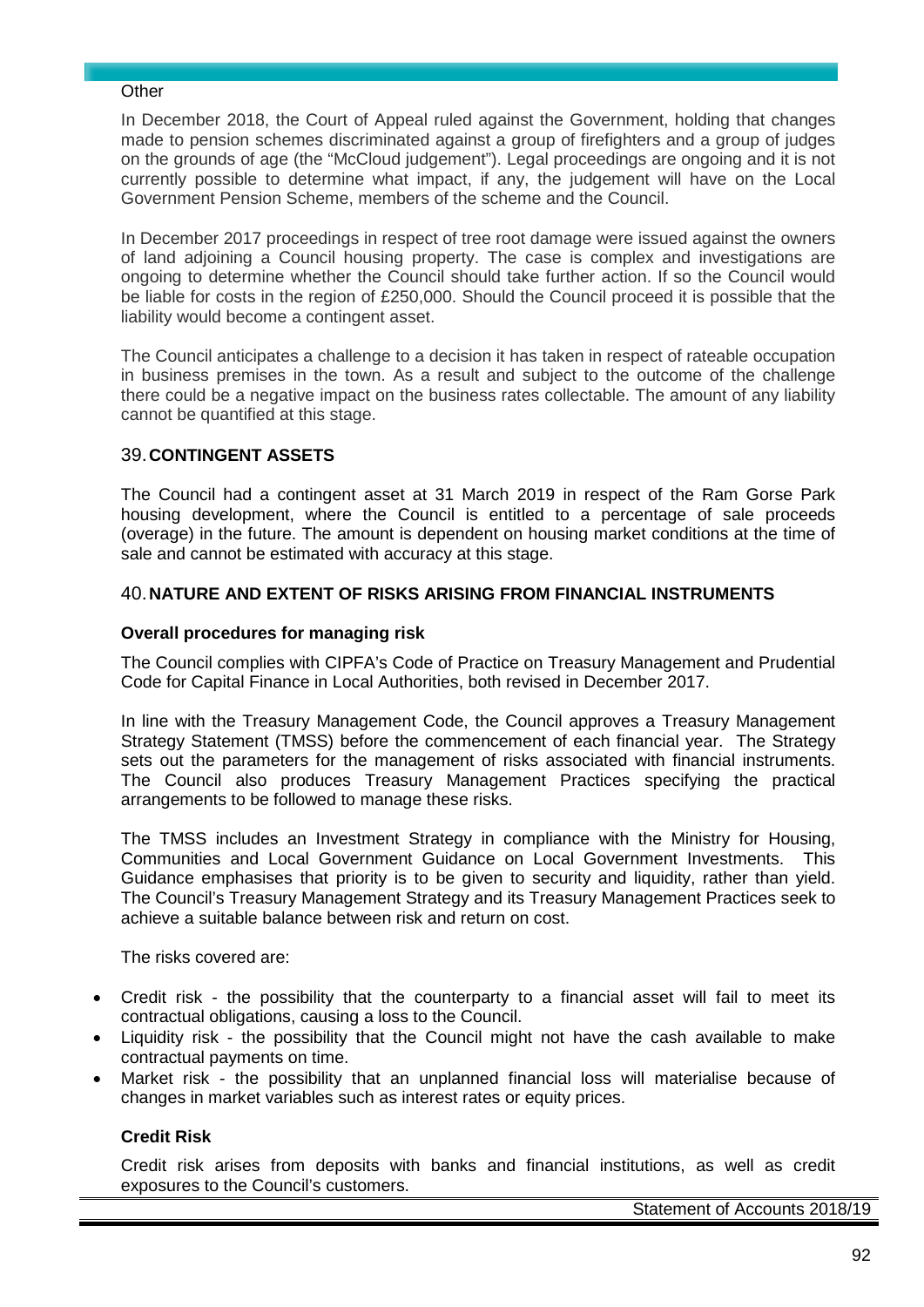#### **Other**

In December 2018, the Court of Appeal ruled against the Government, holding that changes made to pension schemes discriminated against a group of firefighters and a group of judges on the grounds of age (the "McCloud judgement"). Legal proceedings are ongoing and it is not currently possible to determine what impact, if any, the judgement will have on the Local Government Pension Scheme, members of the scheme and the Council.

In December 2017 proceedings in respect of tree root damage were issued against the owners of land adjoining a Council housing property. The case is complex and investigations are ongoing to determine whether the Council should take further action. If so the Council would be liable for costs in the region of £250,000. Should the Council proceed it is possible that the liability would become a contingent asset.

The Council anticipates a challenge to a decision it has taken in respect of rateable occupation in business premises in the town. As a result and subject to the outcome of the challenge there could be a negative impact on the business rates collectable. The amount of any liability cannot be quantified at this stage.

# 39.**CONTINGENT ASSETS**

The Council had a contingent asset at 31 March 2019 in respect of the Ram Gorse Park housing development, where the Council is entitled to a percentage of sale proceeds (overage) in the future. The amount is dependent on housing market conditions at the time of sale and cannot be estimated with accuracy at this stage.

#### 40.**NATURE AND EXTENT OF RISKS ARISING FROM FINANCIAL INSTRUMENTS**

#### **Overall procedures for managing risk**

The Council complies with CIPFA's Code of Practice on Treasury Management and Prudential Code for Capital Finance in Local Authorities, both revised in December 2017.

In line with the Treasury Management Code, the Council approves a Treasury Management Strategy Statement (TMSS) before the commencement of each financial year. The Strategy sets out the parameters for the management of risks associated with financial instruments. The Council also produces Treasury Management Practices specifying the practical arrangements to be followed to manage these risks.

The TMSS includes an Investment Strategy in compliance with the Ministry for Housing, Communities and Local Government Guidance on Local Government Investments. This Guidance emphasises that priority is to be given to security and liquidity, rather than yield. The Council's Treasury Management Strategy and its Treasury Management Practices seek to achieve a suitable balance between risk and return on cost.

The risks covered are:

- Credit risk the possibility that the counterparty to a financial asset will fail to meet its contractual obligations, causing a loss to the Council.
- Liquidity risk the possibility that the Council might not have the cash available to make contractual payments on time.
- Market risk the possibility that an unplanned financial loss will materialise because of changes in market variables such as interest rates or equity prices.

#### **Credit Risk**

Credit risk arises from deposits with banks and financial institutions, as well as credit exposures to the Council's customers.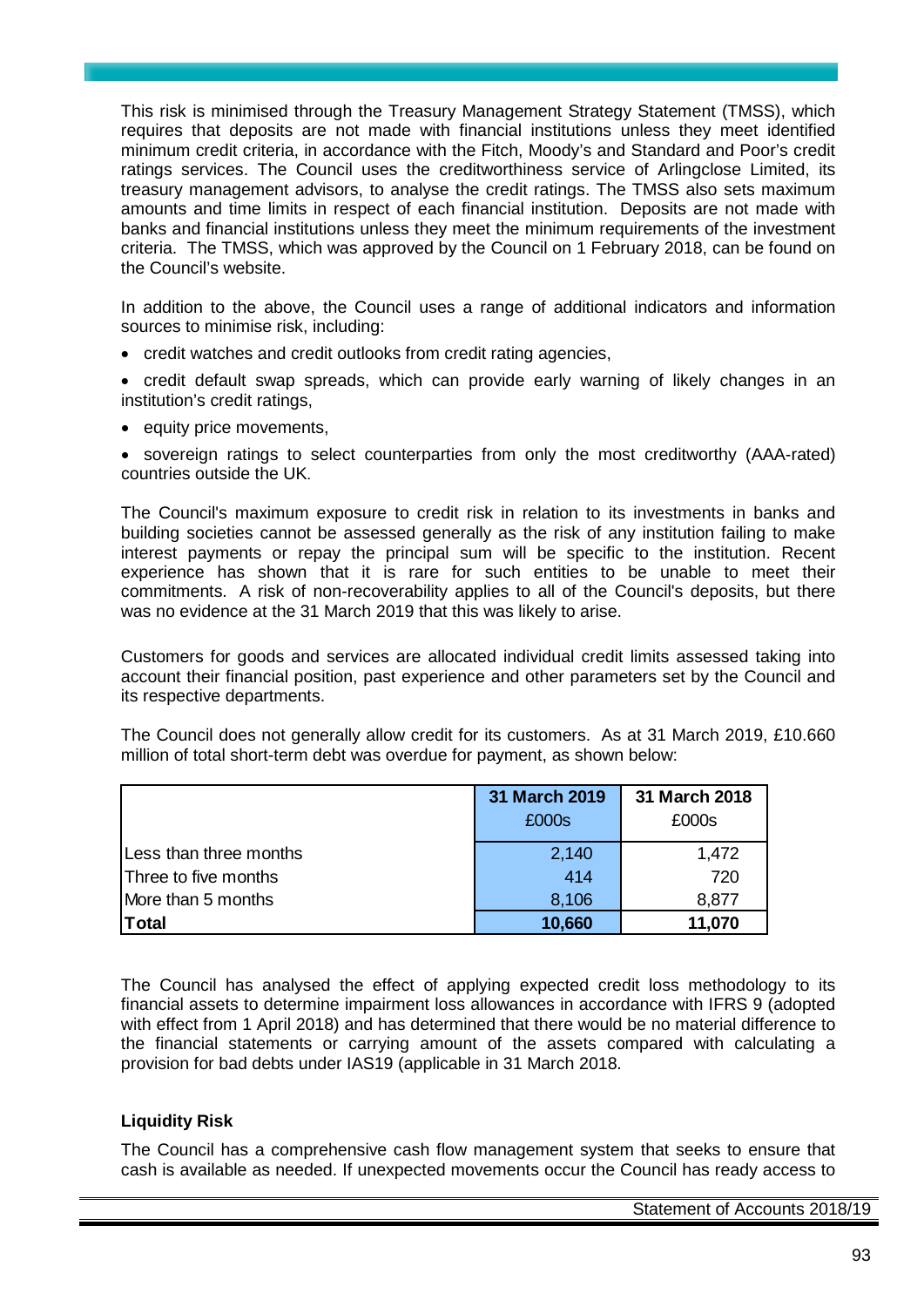This risk is minimised through the Treasury Management Strategy Statement (TMSS), which requires that deposits are not made with financial institutions unless they meet identified minimum credit criteria, in accordance with the Fitch, Moody's and Standard and Poor's credit ratings services. The Council uses the creditworthiness service of Arlingclose Limited, its treasury management advisors, to analyse the credit ratings. The TMSS also sets maximum amounts and time limits in respect of each financial institution. Deposits are not made with banks and financial institutions unless they meet the minimum requirements of the investment criteria. The TMSS, which was approved by the Council on 1 February 2018, can be found on the Council's website.

In addition to the above, the Council uses a range of additional indicators and information sources to minimise risk, including:

• credit watches and credit outlooks from credit rating agencies,

• credit default swap spreads, which can provide early warning of likely changes in an institution's credit ratings,

• equity price movements,

• sovereign ratings to select counterparties from only the most creditworthy (AAA-rated) countries outside the UK.

The Council's maximum exposure to credit risk in relation to its investments in banks and building societies cannot be assessed generally as the risk of any institution failing to make interest payments or repay the principal sum will be specific to the institution. Recent experience has shown that it is rare for such entities to be unable to meet their commitments. A risk of non-recoverability applies to all of the Council's deposits, but there was no evidence at the 31 March 2019 that this was likely to arise.

Customers for goods and services are allocated individual credit limits assessed taking into account their financial position, past experience and other parameters set by the Council and its respective departments.

The Council does not generally allow credit for its customers. As at 31 March 2019, £10.660 million of total short-term debt was overdue for payment, as shown below:

|                        | 31 March 2019 | 31 March 2018 |  |
|------------------------|---------------|---------------|--|
|                        | £000s         | £000s         |  |
| Less than three months | 2,140         | 1,472         |  |
| Three to five months   | 414           | 720           |  |
| More than 5 months     | 8,106         | 8,877         |  |
| <b>Total</b>           | 10,660        | 11,070        |  |

The Council has analysed the effect of applying expected credit loss methodology to its financial assets to determine impairment loss allowances in accordance with IFRS 9 (adopted with effect from 1 April 2018) and has determined that there would be no material difference to the financial statements or carrying amount of the assets compared with calculating a provision for bad debts under IAS19 (applicable in 31 March 2018.

#### **Liquidity Risk**

The Council has a comprehensive cash flow management system that seeks to ensure that cash is available as needed. If unexpected movements occur the Council has ready access to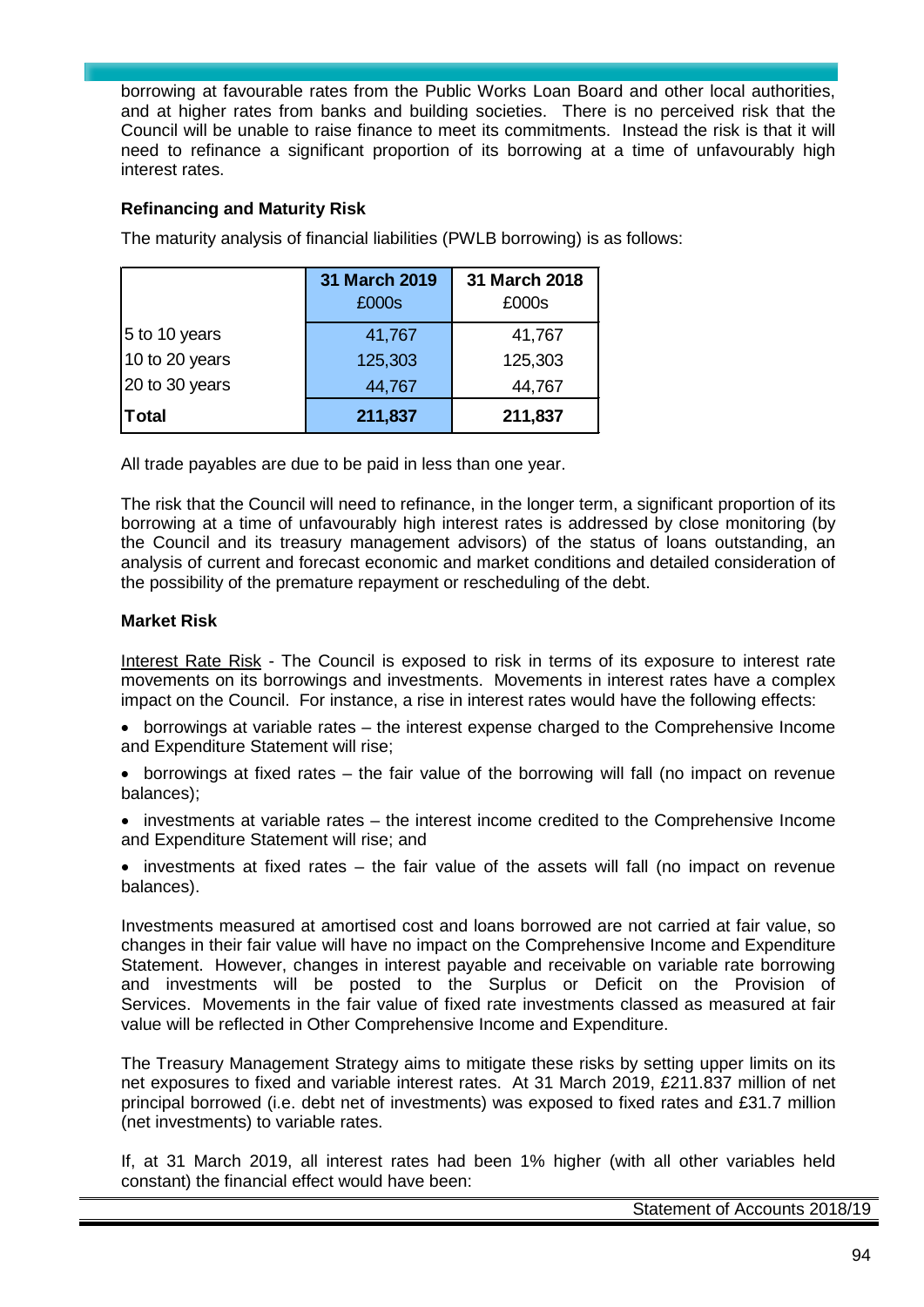borrowing at favourable rates from the Public Works Loan Board and other local authorities, and at higher rates from banks and building societies. There is no perceived risk that the Council will be unable to raise finance to meet its commitments. Instead the risk is that it will need to refinance a significant proportion of its borrowing at a time of unfavourably high interest rates.

# **Refinancing and Maturity Risk**

The maturity analysis of financial liabilities (PWLB borrowing) is as follows:

|                | 31 March 2019<br>£000s | 31 March 2018<br>£000s |
|----------------|------------------------|------------------------|
| 5 to 10 years  | 41,767                 | 41,767                 |
| 10 to 20 years | 125,303                | 125,303                |
| 20 to 30 years | 44,767                 | 44,767                 |
| <b>Total</b>   | 211,837                | 211,837                |

All trade payables are due to be paid in less than one year.

The risk that the Council will need to refinance, in the longer term, a significant proportion of its borrowing at a time of unfavourably high interest rates is addressed by close monitoring (by the Council and its treasury management advisors) of the status of loans outstanding, an analysis of current and forecast economic and market conditions and detailed consideration of the possibility of the premature repayment or rescheduling of the debt.

# **Market Risk**

Interest Rate Risk - The Council is exposed to risk in terms of its exposure to interest rate movements on its borrowings and investments. Movements in interest rates have a complex impact on the Council. For instance, a rise in interest rates would have the following effects:

- borrowings at variable rates the interest expense charged to the Comprehensive Income and Expenditure Statement will rise;
- borrowings at fixed rates the fair value of the borrowing will fall (no impact on revenue balances);
- investments at variable rates the interest income credited to the Comprehensive Income and Expenditure Statement will rise; and
- investments at fixed rates the fair value of the assets will fall (no impact on revenue balances).

Investments measured at amortised cost and loans borrowed are not carried at fair value, so changes in their fair value will have no impact on the Comprehensive Income and Expenditure Statement. However, changes in interest payable and receivable on variable rate borrowing and investments will be posted to the Surplus or Deficit on the Provision of Services. Movements in the fair value of fixed rate investments classed as measured at fair value will be reflected in Other Comprehensive Income and Expenditure.

The Treasury Management Strategy aims to mitigate these risks by setting upper limits on its net exposures to fixed and variable interest rates. At 31 March 2019, £211.837 million of net principal borrowed (i.e. debt net of investments) was exposed to fixed rates and £31.7 million (net investments) to variable rates.

If, at 31 March 2019, all interest rates had been 1% higher (with all other variables held constant) the financial effect would have been: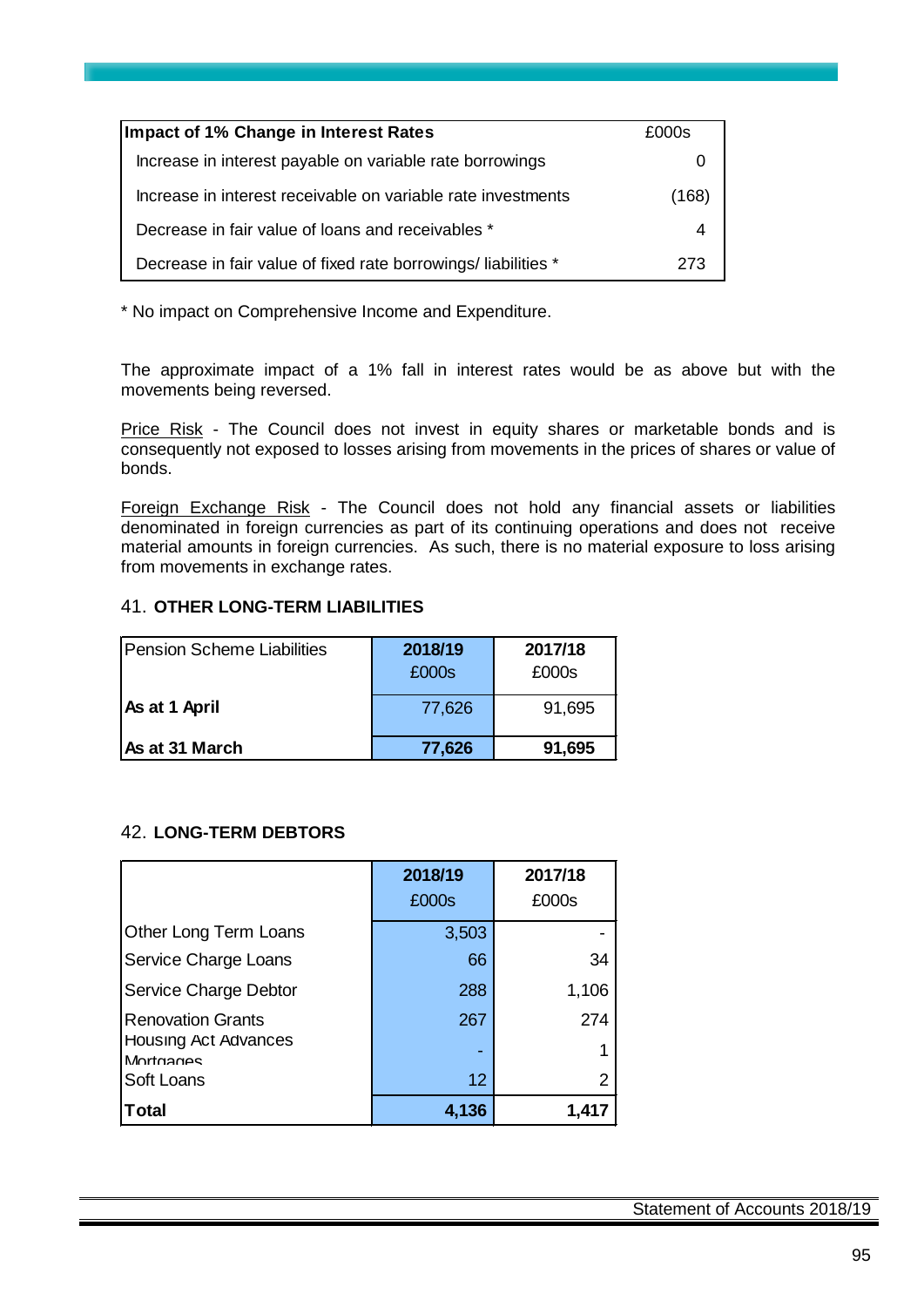| Impact of 1% Change in Interest Rates                         | £000s |
|---------------------------------------------------------------|-------|
| Increase in interest payable on variable rate borrowings      | O     |
| Increase in interest receivable on variable rate investments  | (168) |
| Decrease in fair value of loans and receivables *             | 4     |
| Decrease in fair value of fixed rate borrowings/liabilities * | 273   |

\* No impact on Comprehensive Income and Expenditure.

The approximate impact of a 1% fall in interest rates would be as above but with the movements being reversed.

Price Risk - The Council does not invest in equity shares or marketable bonds and is consequently not exposed to losses arising from movements in the prices of shares or value of bonds.

Foreign Exchange Risk - The Council does not hold any financial assets or liabilities denominated in foreign currencies as part of its continuing operations and does not receive material amounts in foreign currencies. As such, there is no material exposure to loss arising from movements in exchange rates.

# 41. **OTHER LONG-TERM LIABILITIES**

| <b>Pension Scheme Liabilities</b> | 2018/19<br>£000s | 2017/18<br>£000s |
|-----------------------------------|------------------|------------------|
| As at 1 April                     | 77,626           | 91,695           |
| As at 31 March                    | 77,626           | 91,695           |

# 42. **LONG-TERM DEBTORS**

|                                          | 2018/19 | 2017/18 |
|------------------------------------------|---------|---------|
|                                          | £000s   | £000s   |
| Other Long Term Loans                    | 3,503   |         |
| Service Charge Loans                     | 66      | 34      |
| Service Charge Debtor                    | 288     | 1,106   |
| <b>Renovation Grants</b>                 | 267     | 274     |
| <b>Housing Act Advances</b><br>Mortasage |         |         |
| Soft Loans                               | 12      |         |
| <b>Total</b>                             | 4,136   |         |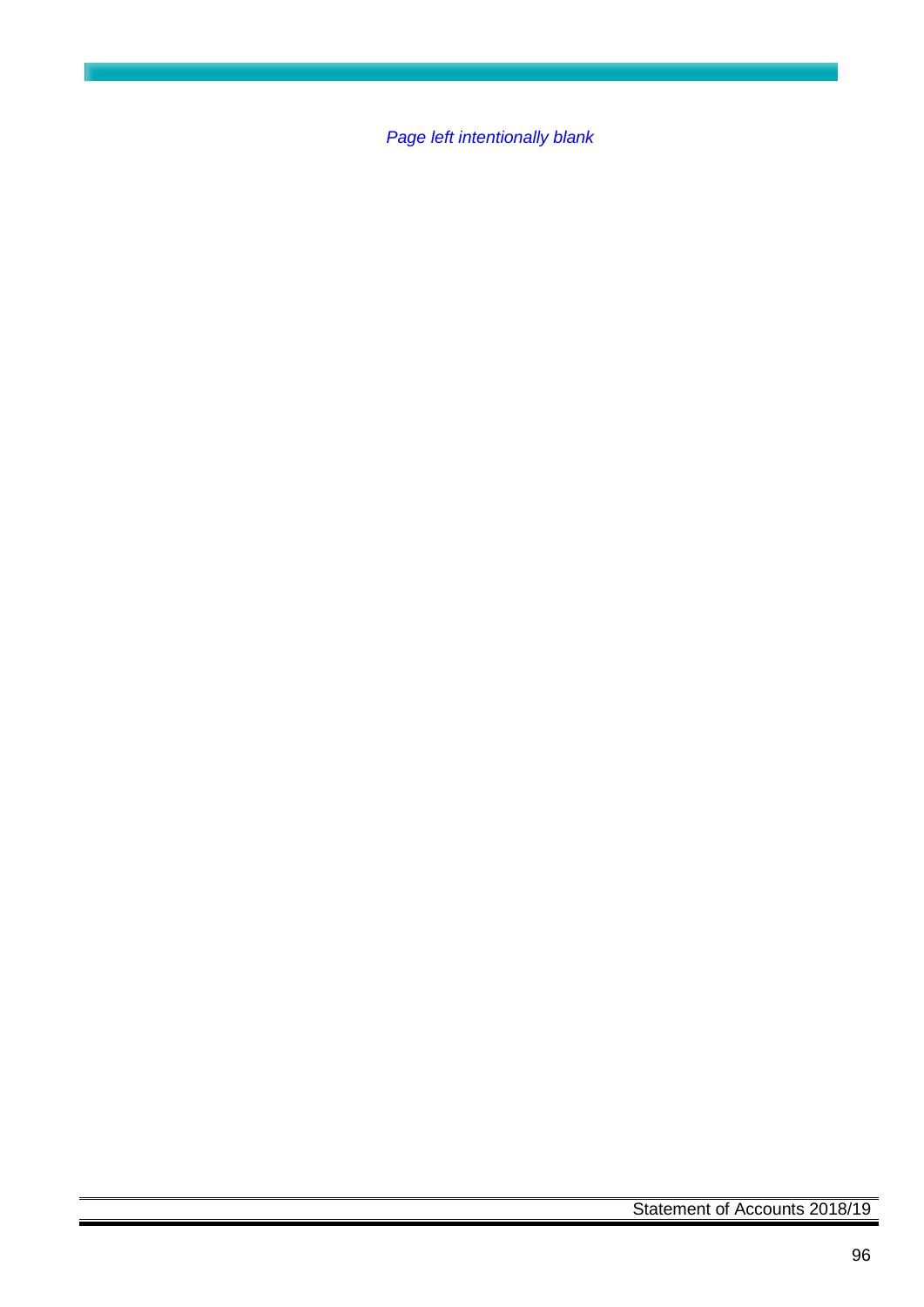*Page left intentionally blank*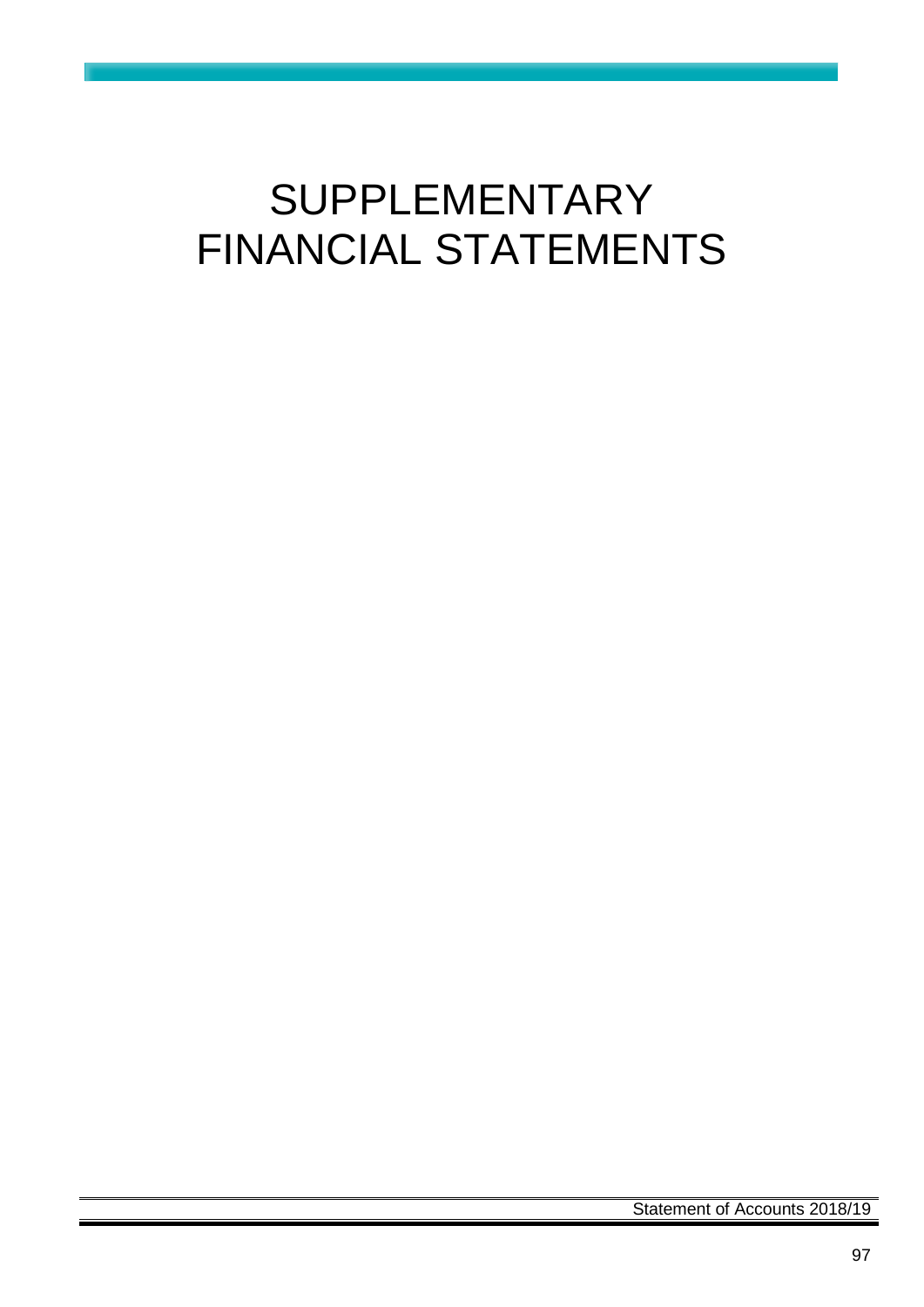# SUPPLEMENTARY FINANCIAL STATEMENTS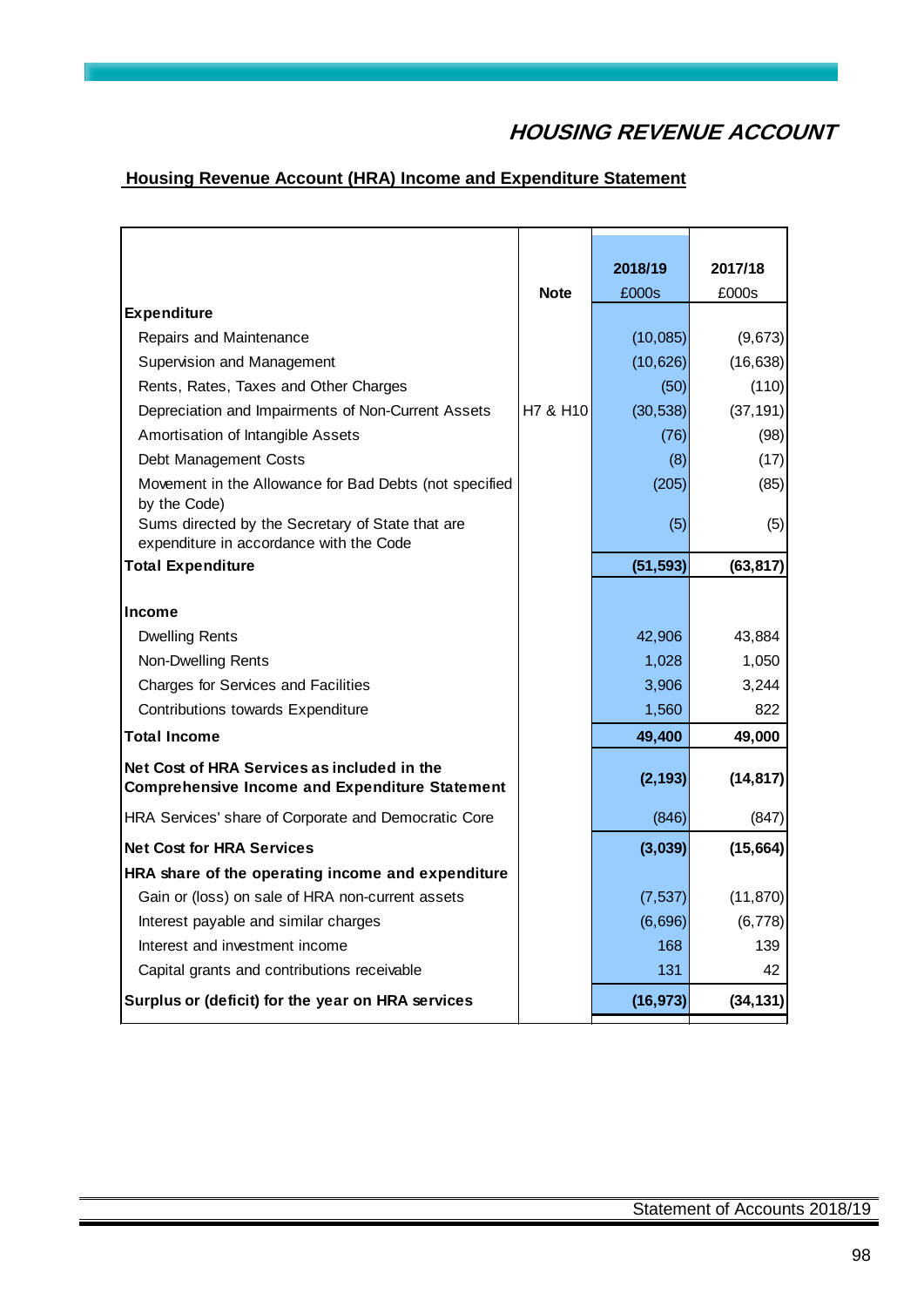# **HOUSING REVENUE ACCOUNT**

# **Housing Revenue Account (HRA) Income and Expenditure Statement**

|                                                                                                      |             | 2018/19   | 2017/18   |
|------------------------------------------------------------------------------------------------------|-------------|-----------|-----------|
|                                                                                                      | <b>Note</b> | £000s     | £000s     |
| <b>Expenditure</b>                                                                                   |             |           |           |
| Repairs and Maintenance                                                                              |             | (10,085)  | (9,673)   |
| Supervision and Management                                                                           |             | (10, 626) | (16, 638) |
| Rents, Rates, Taxes and Other Charges                                                                |             | (50)      | (110)     |
| Depreciation and Impairments of Non-Current Assets                                                   | H7 & H10    | (30, 538) | (37, 191) |
| Amortisation of Intangible Assets                                                                    |             | (76)      | (98)      |
| Debt Management Costs                                                                                |             | (8)       | (17)      |
| Movement in the Allowance for Bad Debts (not specified<br>by the Code)                               |             | (205)     | (85)      |
| Sums directed by the Secretary of State that are<br>expenditure in accordance with the Code          |             | (5)       | (5)       |
| <b>Total Expenditure</b>                                                                             |             | (51, 593) | (63, 817) |
|                                                                                                      |             |           |           |
| <b>Income</b>                                                                                        |             |           |           |
| <b>Dwelling Rents</b>                                                                                |             | 42,906    | 43,884    |
| Non-Dwelling Rents                                                                                   |             | 1,028     | 1,050     |
| Charges for Services and Facilities                                                                  |             | 3,906     | 3,244     |
| Contributions towards Expenditure                                                                    |             | 1,560     | 822       |
| <b>Total Income</b>                                                                                  |             | 49,400    | 49,000    |
| Net Cost of HRA Services as included in the<br><b>Comprehensive Income and Expenditure Statement</b> |             | (2, 193)  | (14, 817) |
| HRA Services' share of Corporate and Democratic Core                                                 |             | (846)     | (847)     |
| <b>Net Cost for HRA Services</b>                                                                     |             | (3,039)   | (15, 664) |
| HRA share of the operating income and expenditure                                                    |             |           |           |
| Gain or (loss) on sale of HRA non-current assets                                                     |             | (7, 537)  | (11, 870) |
| Interest payable and similar charges                                                                 |             | (6,696)   | (6, 778)  |
| Interest and investment income                                                                       |             | 168       | 139       |
| Capital grants and contributions receivable                                                          |             | 131       | 42        |
| Surplus or (deficit) for the year on HRA services                                                    |             | (16, 973) | (34, 131) |
|                                                                                                      |             |           |           |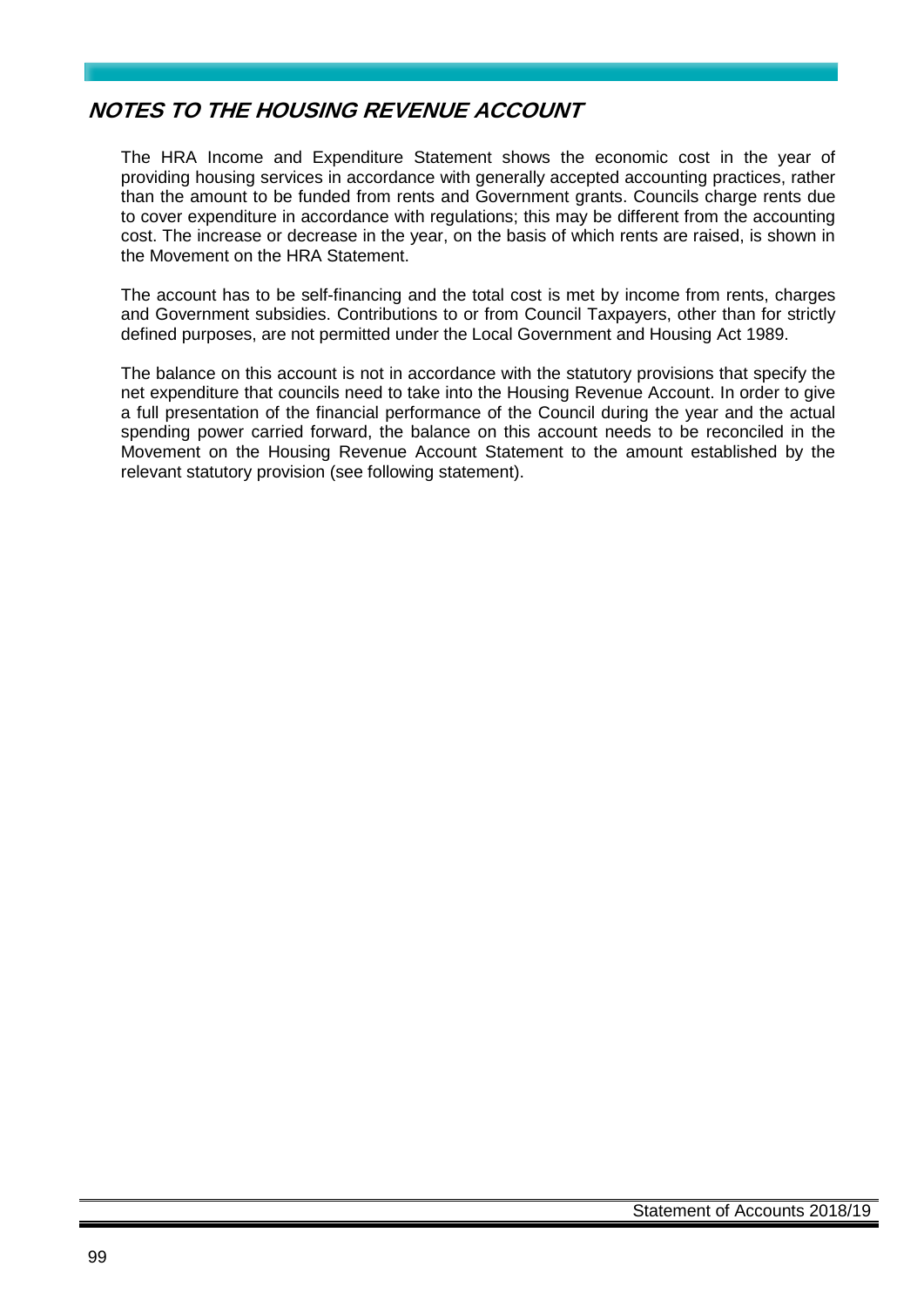The HRA Income and Expenditure Statement shows the economic cost in the year of providing housing services in accordance with generally accepted accounting practices, rather than the amount to be funded from rents and Government grants. Councils charge rents due to cover expenditure in accordance with regulations; this may be different from the accounting cost. The increase or decrease in the year, on the basis of which rents are raised, is shown in the Movement on the HRA Statement.

The account has to be self-financing and the total cost is met by income from rents, charges and Government subsidies. Contributions to or from Council Taxpayers, other than for strictly defined purposes, are not permitted under the Local Government and Housing Act 1989.

The balance on this account is not in accordance with the statutory provisions that specify the net expenditure that councils need to take into the Housing Revenue Account. In order to give a full presentation of the financial performance of the Council during the year and the actual spending power carried forward, the balance on this account needs to be reconciled in the Movement on the Housing Revenue Account Statement to the amount established by the relevant statutory provision (see following statement).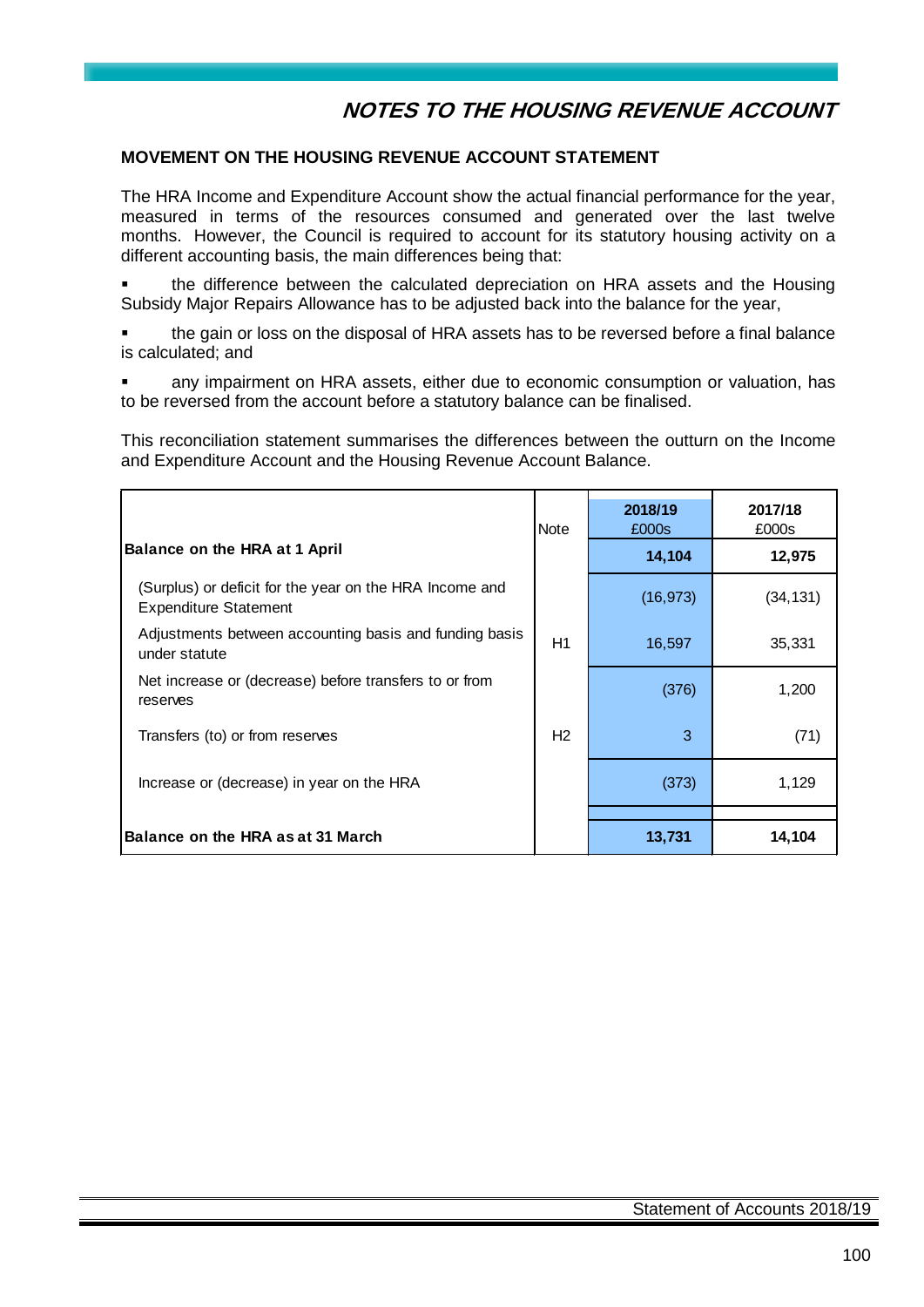#### **MOVEMENT ON THE HOUSING REVENUE ACCOUNT STATEMENT**

The HRA Income and Expenditure Account show the actual financial performance for the year, measured in terms of the resources consumed and generated over the last twelve months. However, the Council is required to account for its statutory housing activity on a different accounting basis, the main differences being that:

 the difference between the calculated depreciation on HRA assets and the Housing Subsidy Major Repairs Allowance has to be adjusted back into the balance for the year,

 the gain or loss on the disposal of HRA assets has to be reversed before a final balance is calculated; and

 any impairment on HRA assets, either due to economic consumption or valuation, has to be reversed from the account before a statutory balance can be finalised.

This reconciliation statement summarises the differences between the outturn on the Income and Expenditure Account and the Housing Revenue Account Balance.

| Balance on the HRA at 1 April                                                           | <b>Note</b>    | 2018/19<br>£000s<br>14,104 | 2017/18<br>£000s<br>12,975 |
|-----------------------------------------------------------------------------------------|----------------|----------------------------|----------------------------|
| (Surplus) or deficit for the year on the HRA Income and<br><b>Expenditure Statement</b> |                | (16, 973)                  | (34, 131)                  |
| Adjustments between accounting basis and funding basis<br>under statute                 | H1             | 16,597                     | 35,331                     |
| Net increase or (decrease) before transfers to or from<br>reserves                      |                | (376)                      | 1,200                      |
| Transfers (to) or from reserves                                                         | H <sub>2</sub> | 3                          | (71)                       |
| Increase or (decrease) in year on the HRA                                               |                | (373)                      | 1,129                      |
|                                                                                         |                |                            |                            |
| Balance on the HRA as at 31 March                                                       |                | 13,731                     | 14,104                     |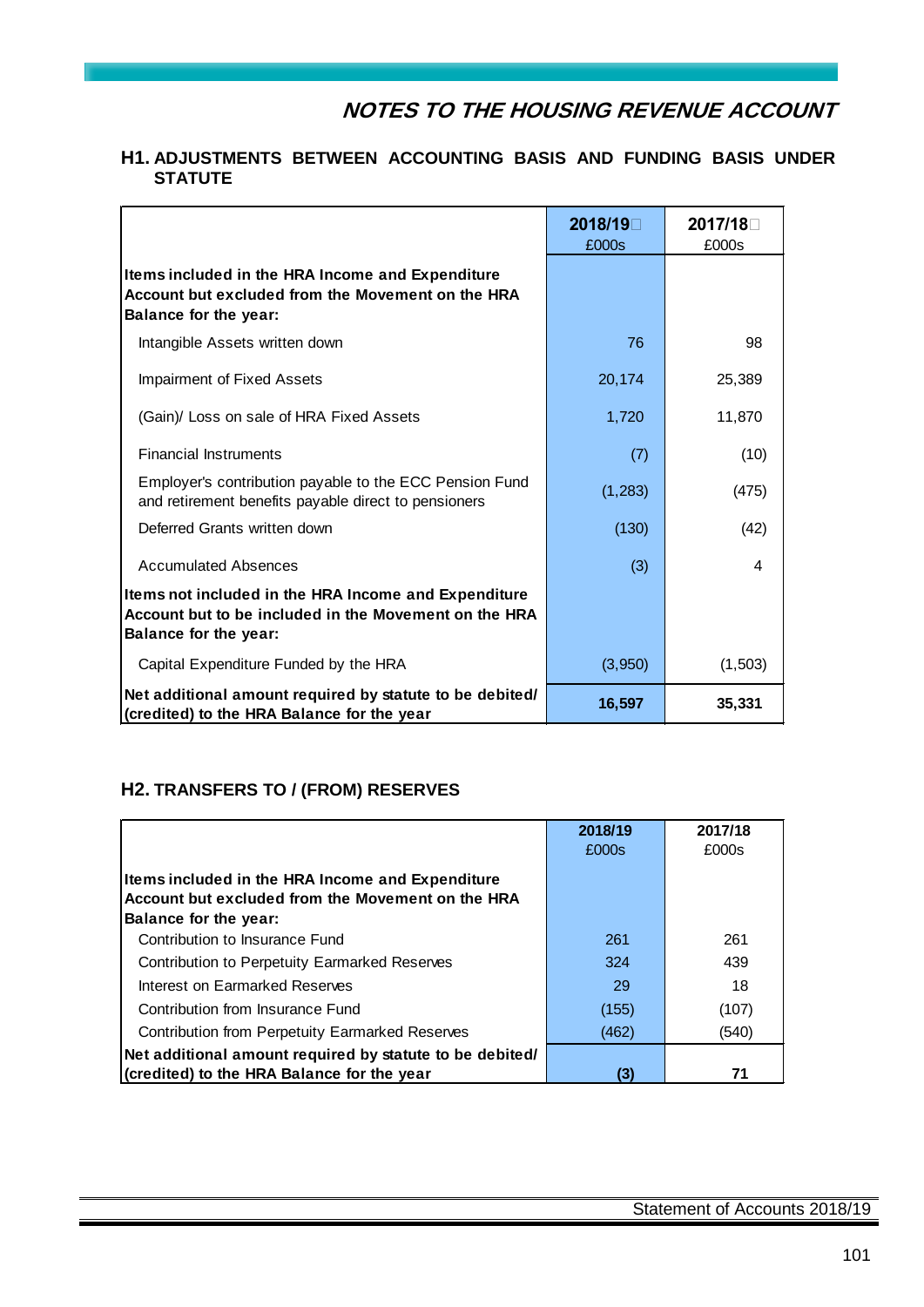# **H1. ADJUSTMENTS BETWEEN ACCOUNTING BASIS AND FUNDING BASIS UNDER STATUTE**

|                                                                                                                                        | 2018/19<br>£000s | 2017/18<br>£000s |
|----------------------------------------------------------------------------------------------------------------------------------------|------------------|------------------|
| Items included in the HRA Income and Expenditure<br>Account but excluded from the Movement on the HRA<br>Balance for the year:         |                  |                  |
| Intangible Assets written down                                                                                                         | 76               | 98               |
| Impairment of Fixed Assets                                                                                                             | 20,174           | 25,389           |
| (Gain)/ Loss on sale of HRA Fixed Assets                                                                                               | 1,720            | 11,870           |
| <b>Financial Instruments</b>                                                                                                           | (7)              | (10)             |
| Employer's contribution payable to the ECC Pension Fund<br>and retirement benefits payable direct to pensioners                        | (1, 283)         | (475)            |
| Deferred Grants written down                                                                                                           | (130)            | (42)             |
| <b>Accumulated Absences</b>                                                                                                            | (3)              | 4                |
| Items not included in the HRA Income and Expenditure<br>Account but to be included in the Movement on the HRA<br>Balance for the year: |                  |                  |
| Capital Expenditure Funded by the HRA                                                                                                  | (3,950)          | (1,503)          |
| Net additional amount required by statute to be debited/<br>(credited) to the HRA Balance for the year                                 | 16,597           | 35,331           |

# **H2. TRANSFERS TO / (FROM) RESERVES**

|                                                          | 2018/19 | 2017/18 |
|----------------------------------------------------------|---------|---------|
|                                                          | £000s   | £000s   |
| Items included in the HRA Income and Expenditure         |         |         |
| Account but excluded from the Movement on the HRA        |         |         |
| Balance for the year:                                    |         |         |
| Contribution to Insurance Fund                           | 261     | 261     |
| <b>Contribution to Perpetuity Earmarked Reserves</b>     | 324     | 439     |
| Interest on Earmarked Reserves                           | 29      | 18      |
| Contribution from Insurance Fund                         | (155)   | (107)   |
| Contribution from Perpetuity Earmarked Reserves          | (462)   | (540)   |
| Net additional amount required by statute to be debited/ |         |         |
| (credited) to the HRA Balance for the year               | (3)     | 71      |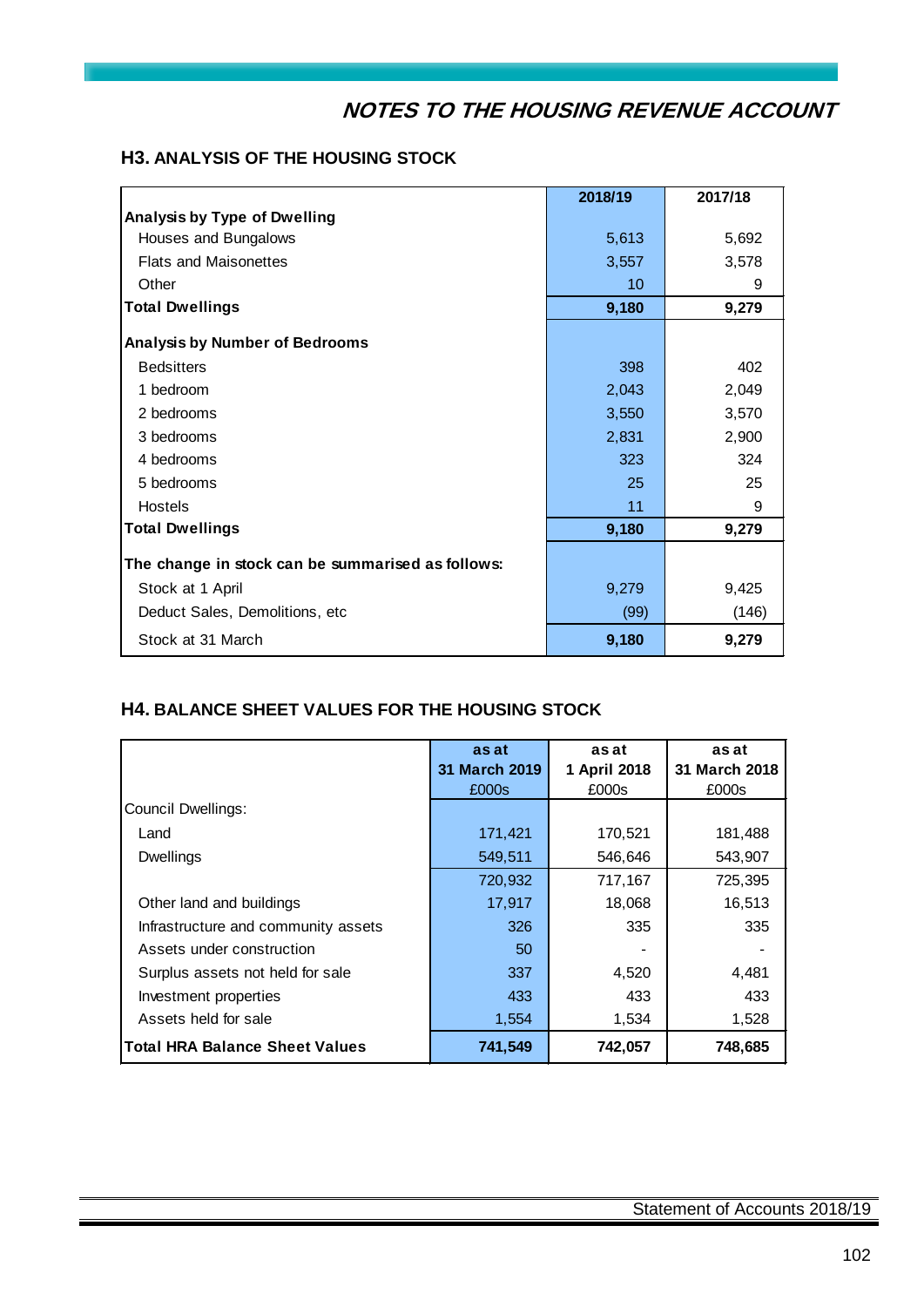#### **H3. ANALYSIS OF THE HOUSING STOCK**

|                                                   | 2018/19 | 2017/18 |
|---------------------------------------------------|---------|---------|
| <b>Analysis by Type of Dwelling</b>               |         |         |
| Houses and Bungalows                              | 5,613   | 5,692   |
| <b>Flats and Maisonettes</b>                      | 3,557   | 3,578   |
| Other                                             | 10      | 9       |
| <b>Total Dwellings</b>                            | 9,180   | 9,279   |
| <b>Analysis by Number of Bedrooms</b>             |         |         |
| <b>Bedsitters</b>                                 | 398     | 402     |
| 1 bedroom                                         | 2,043   | 2,049   |
| 2 bedrooms                                        | 3,550   | 3,570   |
| 3 bedrooms                                        | 2,831   | 2,900   |
| 4 bedrooms                                        | 323     | 324     |
| 5 bedrooms                                        | 25      | 25      |
| Hostels                                           | 11      | 9       |
| <b>Total Dwellings</b>                            | 9,180   | 9,279   |
| The change in stock can be summarised as follows: |         |         |
| Stock at 1 April                                  | 9,279   | 9,425   |
| Deduct Sales, Demolitions, etc.                   | (99)    | (146)   |
| Stock at 31 March                                 | 9,180   | 9,279   |

# **H4. BALANCE SHEET VALUES FOR THE HOUSING STOCK**

|                                       | as at         | as at        | as at         |
|---------------------------------------|---------------|--------------|---------------|
|                                       | 31 March 2019 | 1 April 2018 | 31 March 2018 |
|                                       | £000s         | £000s        | £000s         |
| Council Dwellings:                    |               |              |               |
| Land                                  | 171,421       | 170,521      | 181,488       |
| <b>Dwellings</b>                      | 549,511       | 546,646      | 543,907       |
|                                       | 720,932       | 717,167      | 725,395       |
| Other land and buildings              | 17,917        | 18,068       | 16,513        |
| Infrastructure and community assets   | 326           | 335          | 335           |
| Assets under construction             | 50            |              |               |
| Surplus assets not held for sale      | 337           | 4,520        | 4,481         |
| Investment properties                 | 433           | 433          | 433           |
| Assets held for sale                  | 1,554         | 1,534        | 1,528         |
| <b>Total HRA Balance Sheet Values</b> | 741,549       | 742,057      | 748,685       |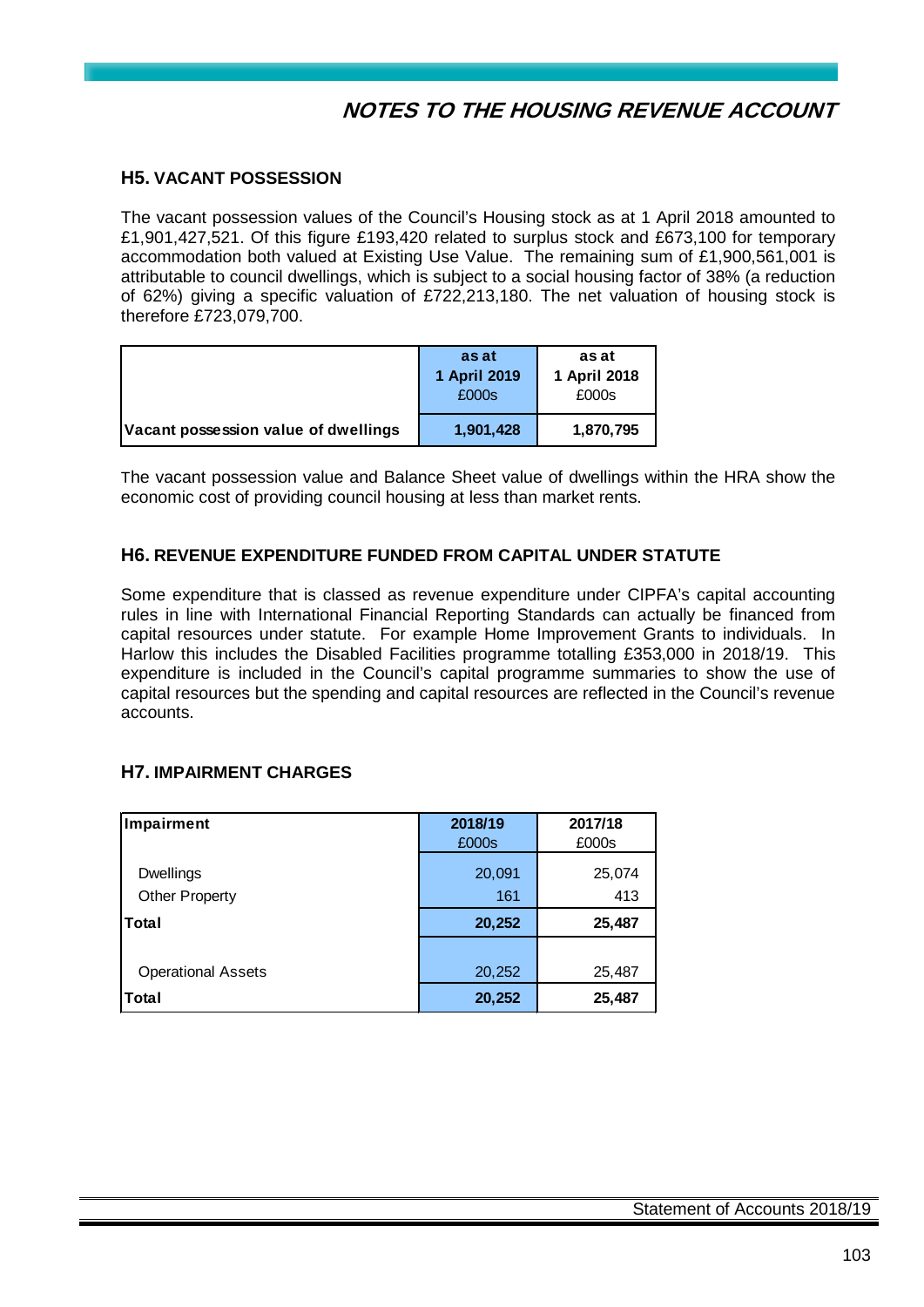## **H5. VACANT POSSESSION**

The vacant possession values of the Council's Housing stock as at 1 April 2018 amounted to £1,901,427,521. Of this figure £193,420 related to surplus stock and £673,100 for temporary accommodation both valued at Existing Use Value. The remaining sum of £1,900,561,001 is attributable to council dwellings, which is subject to a social housing factor of 38% (a reduction of 62%) giving a specific valuation of £722,213,180. The net valuation of housing stock is therefore £723,079,700.

|                                      | as at<br>1 April 2019<br>£000s | as at<br>1 April 2018<br>£000s |
|--------------------------------------|--------------------------------|--------------------------------|
| Vacant possession value of dwellings | 1,901,428                      | 1,870,795                      |

The vacant possession value and Balance Sheet value of dwellings within the HRA show the economic cost of providing council housing at less than market rents.

#### **H6. REVENUE EXPENDITURE FUNDED FROM CAPITAL UNDER STATUTE**

Some expenditure that is classed as revenue expenditure under CIPFA's capital accounting rules in line with International Financial Reporting Standards can actually be financed from capital resources under statute. For example Home Improvement Grants to individuals. In Harlow this includes the Disabled Facilities programme totalling £353,000 in 2018/19. This expenditure is included in the Council's capital programme summaries to show the use of capital resources but the spending and capital resources are reflected in the Council's revenue accounts.

#### **H7. IMPAIRMENT CHARGES**

| Impairment                | 2018/19 | 2017/18 |
|---------------------------|---------|---------|
|                           | £000s   | £000s   |
| <b>Dwellings</b>          | 20,091  | 25,074  |
| Other Property            | 161     | 413     |
| Total                     | 20,252  | 25,487  |
|                           |         |         |
| <b>Operational Assets</b> | 20,252  | 25,487  |
| <b>Total</b>              | 20,252  | 25,487  |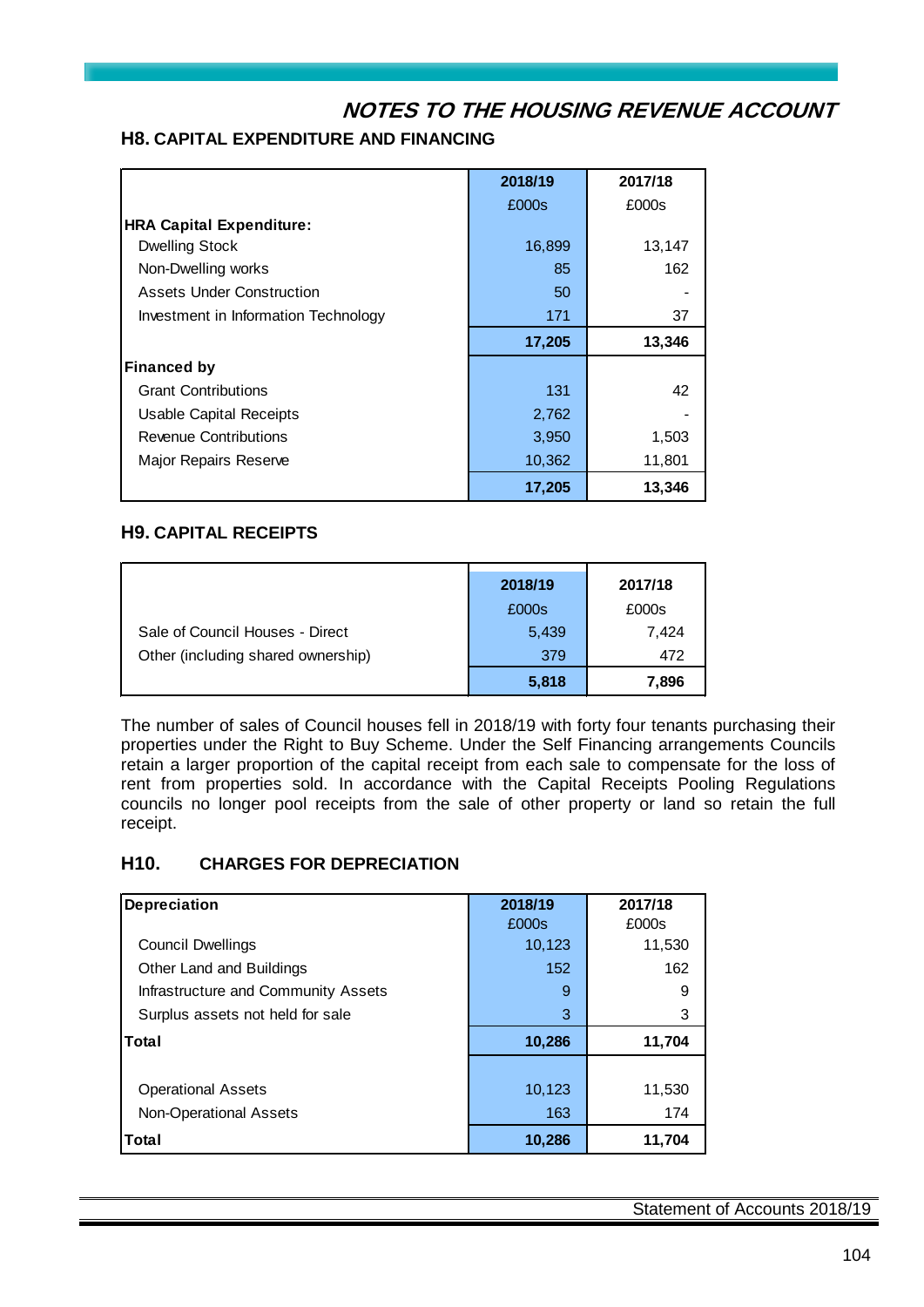# **H8. CAPITAL EXPENDITURE AND FINANCING**

|                                      | 2018/19 | 2017/18 |
|--------------------------------------|---------|---------|
|                                      | £000s   | £000s   |
| <b>HRA Capital Expenditure:</b>      |         |         |
| <b>Dwelling Stock</b>                | 16,899  | 13,147  |
| Non-Dwelling works                   | 85      | 162     |
| <b>Assets Under Construction</b>     | 50      |         |
| Investment in Information Technology | 171     | 37      |
|                                      | 17,205  | 13,346  |
| <b>Financed by</b>                   |         |         |
| <b>Grant Contributions</b>           | 131     | 42      |
| <b>Usable Capital Receipts</b>       | 2,762   |         |
| Revenue Contributions                | 3,950   | 1,503   |
| Major Repairs Reserve                | 10,362  | 11,801  |
|                                      | 17,205  | 13,346  |

# **H9. CAPITAL RECEIPTS**

|                                    | 2018/19 | 2017/18 |
|------------------------------------|---------|---------|
|                                    | £000s   | £000s   |
| Sale of Council Houses - Direct    | 5,439   | 7,424   |
| Other (including shared ownership) | 379     | 472     |
|                                    | 5,818   | 7,896   |

The number of sales of Council houses fell in 2018/19 with forty four tenants purchasing their properties under the Right to Buy Scheme. Under the Self Financing arrangements Councils retain a larger proportion of the capital receipt from each sale to compensate for the loss of rent from properties sold. In accordance with the Capital Receipts Pooling Regulations councils no longer pool receipts from the sale of other property or land so retain the full receipt.

# **H10. CHARGES FOR DEPRECIATION**

| <b>Depreciation</b>                 | 2018/19 | 2017/18 |
|-------------------------------------|---------|---------|
|                                     | £000s   | £000s   |
| <b>Council Dwellings</b>            | 10,123  | 11,530  |
| Other Land and Buildings            | 152     | 162     |
| Infrastructure and Community Assets | 9       | 9       |
| Surplus assets not held for sale    | 3       | 3       |
| Total                               | 10,286  | 11,704  |
|                                     |         |         |
| <b>Operational Assets</b>           | 10,123  | 11,530  |
| Non-Operational Assets              | 163     | 174     |
| <b>Total</b>                        | 10,286  | 11,704  |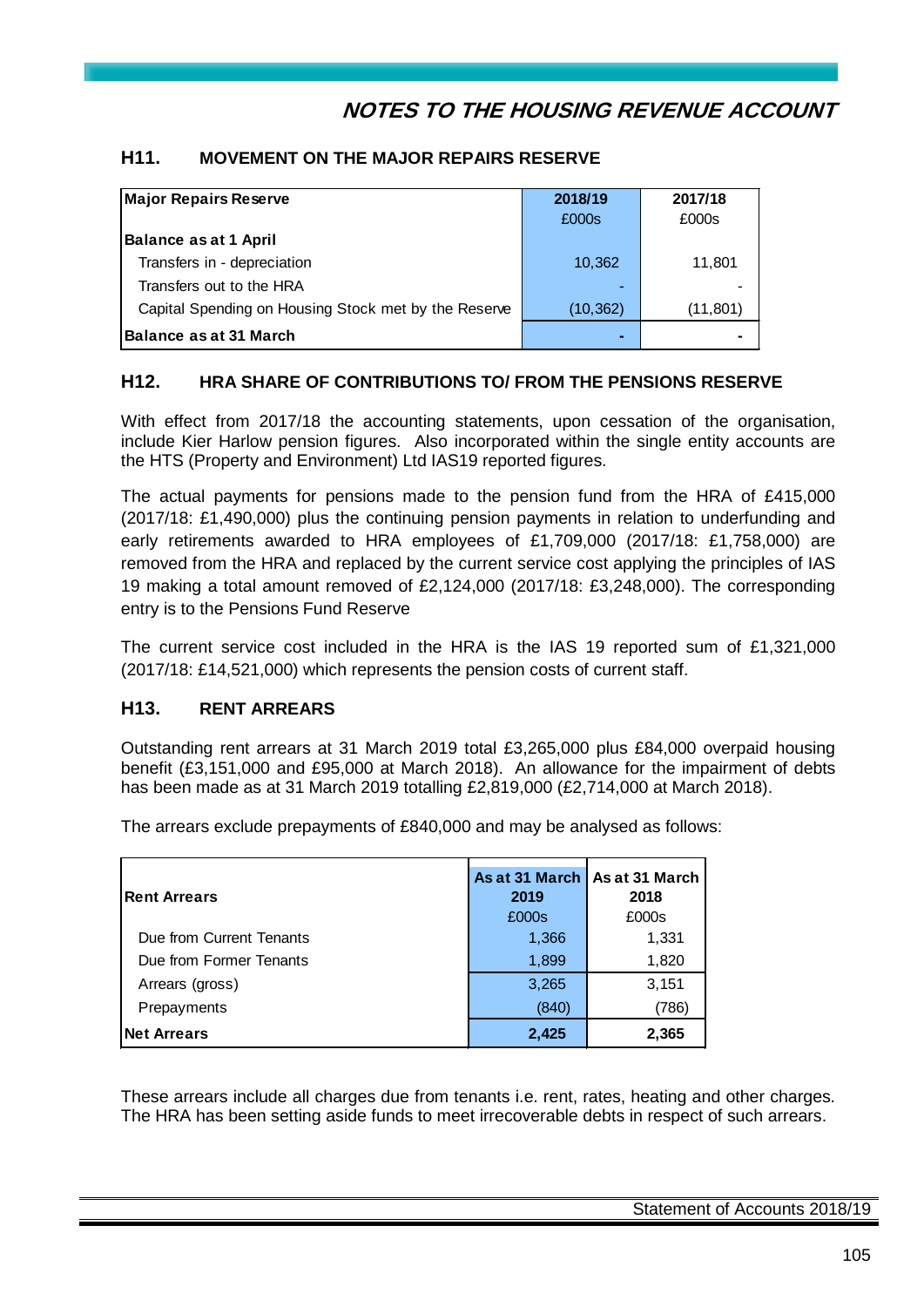# **H11. MOVEMENT ON THE MAJOR REPAIRS RESERVE**

| <b>Major Repairs Reserve</b>                         | 2018/19                  | 2017/18  |
|------------------------------------------------------|--------------------------|----------|
|                                                      | £000s                    | £000s    |
| <b>Balance as at 1 April</b>                         |                          |          |
| Transfers in - depreciation                          | 10,362                   | 11,801   |
| Transfers out to the HRA                             | $\overline{\phantom{a}}$ |          |
| Capital Spending on Housing Stock met by the Reserve | (10,362)                 | (11,801) |
| <b>Balance as at 31 March</b>                        |                          |          |

# **H12. HRA SHARE OF CONTRIBUTIONS TO/ FROM THE PENSIONS RESERVE**

With effect from 2017/18 the accounting statements, upon cessation of the organisation, include Kier Harlow pension figures. Also incorporated within the single entity accounts are the HTS (Property and Environment) Ltd IAS19 reported figures.

The actual payments for pensions made to the pension fund from the HRA of £415,000 (2017/18: £1,490,000) plus the continuing pension payments in relation to underfunding and early retirements awarded to HRA employees of £1,709,000 (2017/18: £1,758,000) are removed from the HRA and replaced by the current service cost applying the principles of IAS 19 making a total amount removed of £2,124,000 (2017/18: £3,248,000). The corresponding entry is to the Pensions Fund Reserve

The current service cost included in the HRA is the IAS 19 reported sum of £1,321,000 (2017/18: £14,521,000) which represents the pension costs of current staff.

# **H13. RENT ARREARS**

Outstanding rent arrears at 31 March 2019 total £3,265,000 plus £84,000 overpaid housing benefit (£3,151,000 and £95,000 at March 2018). An allowance for the impairment of debts has been made as at 31 March 2019 totalling £2,819,000 (£2,714,000 at March 2018).

The arrears exclude prepayments of £840,000 and may be analysed as follows:

| <b>Rent Arrears</b>      | 2019<br>£000s | As at 31 March   As at 31 March<br>2018<br>£000s |
|--------------------------|---------------|--------------------------------------------------|
| Due from Current Tenants | 1,366         | 1,331                                            |
| Due from Former Tenants  | 1,899         | 1,820                                            |
| Arrears (gross)          | 3,265         | 3,151                                            |
| Prepayments              | (840)         | (786)                                            |
| <b>Net Arrears</b>       | 2,425         | 2,365                                            |

These arrears include all charges due from tenants i.e. rent, rates, heating and other charges. The HRA has been setting aside funds to meet irrecoverable debts in respect of such arrears.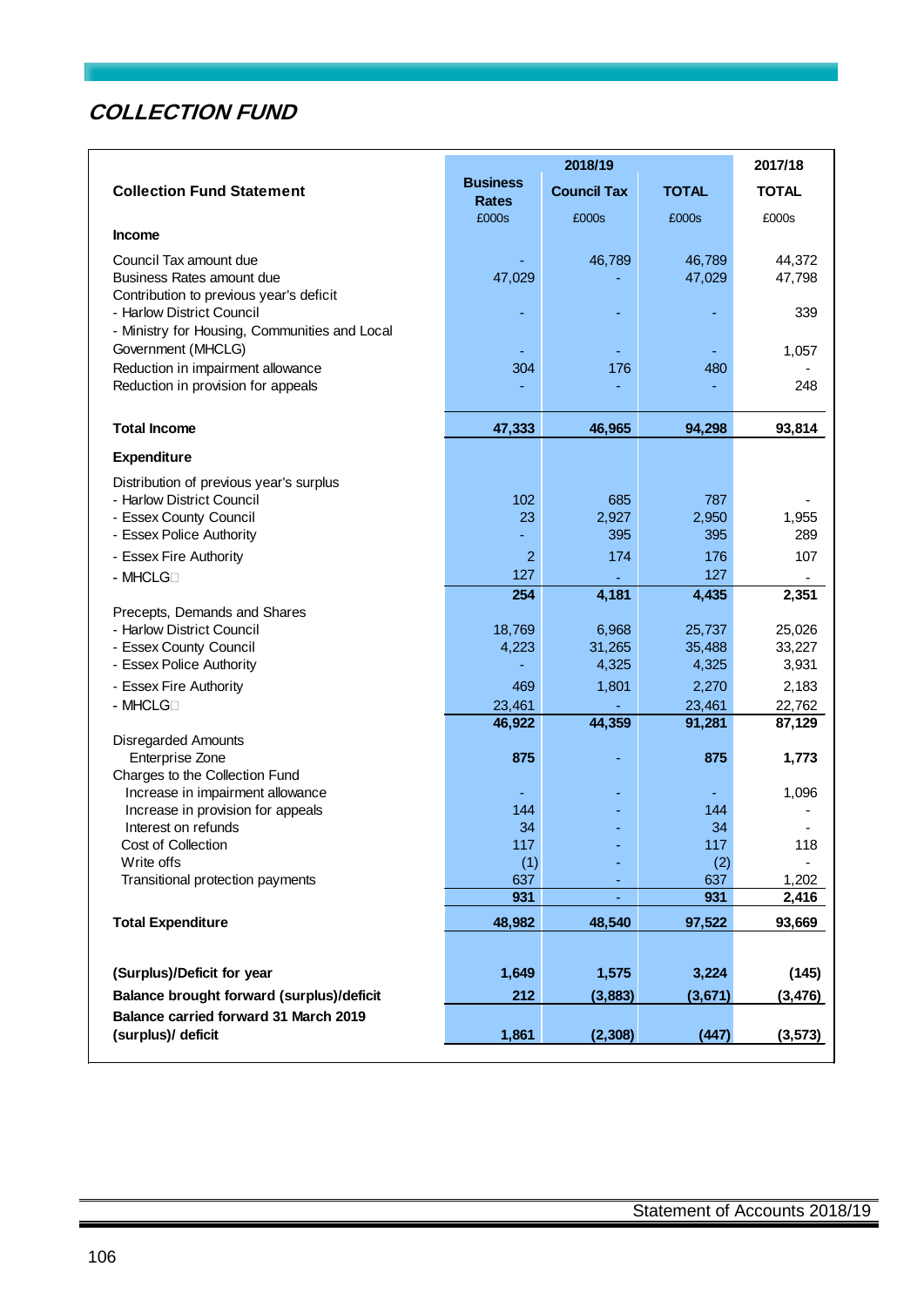# **COLLECTION FUND**

|                                                                    | 2018/19               |                    |                  |                  |  |
|--------------------------------------------------------------------|-----------------------|--------------------|------------------|------------------|--|
| <b>Collection Fund Statement</b>                                   | <b>Business</b>       | <b>Council Tax</b> | <b>TOTAL</b>     | <b>TOTAL</b>     |  |
|                                                                    | <b>Rates</b><br>£000s | £000s              | £000s            | £000s            |  |
| <b>Income</b>                                                      |                       |                    |                  |                  |  |
| Council Tax amount due                                             |                       | 46,789             | 46,789           | 44,372           |  |
| Business Rates amount due                                          | 47,029                |                    | 47,029           | 47,798           |  |
| Contribution to previous year's deficit                            |                       |                    |                  |                  |  |
| - Harlow District Council                                          |                       |                    |                  | 339              |  |
| - Ministry for Housing, Communities and Local                      |                       |                    |                  |                  |  |
| Government (MHCLG)                                                 |                       |                    |                  | 1,057            |  |
| Reduction in impairment allowance                                  | 304                   | 176                | 480              |                  |  |
| Reduction in provision for appeals                                 |                       |                    |                  | 248              |  |
| <b>Total Income</b>                                                | 47,333                | 46,965             | 94,298           | 93,814           |  |
| <b>Expenditure</b>                                                 |                       |                    |                  |                  |  |
| Distribution of previous year's surplus                            |                       |                    |                  |                  |  |
| - Harlow District Council                                          | 102                   | 685                | 787              |                  |  |
| - Essex County Council                                             | 23                    | 2,927              | 2,950            | 1,955            |  |
| - Essex Police Authority                                           |                       | 395                | 395              | 289              |  |
| - Essex Fire Authority                                             | $\overline{2}$        | 174                | 176              | 107              |  |
| - MHCLG⊡                                                           | 127                   |                    | 127              |                  |  |
|                                                                    | 254                   | 4,181              | 4,435            | 2,351            |  |
| Precepts, Demands and Shares                                       |                       |                    |                  |                  |  |
| - Harlow District Council<br>- Essex County Council                | 18,769<br>4,223       | 6,968<br>31,265    | 25,737<br>35,488 | 25,026<br>33,227 |  |
| - Essex Police Authority                                           |                       | 4,325              | 4,325            | 3,931            |  |
| - Essex Fire Authority                                             | 469                   | 1,801              | 2,270            | 2,183            |  |
| - MHCLG⊡                                                           | 23,461                |                    | 23,461           | 22,762           |  |
|                                                                    | 46,922                | 44,359             | 91,281           | 87,129           |  |
| <b>Disregarded Amounts</b>                                         |                       |                    |                  |                  |  |
| <b>Enterprise Zone</b>                                             | 875                   |                    | 875              | 1,773            |  |
| Charges to the Collection Fund<br>Increase in impairment allowance |                       |                    |                  | 1,096            |  |
| Increase in provision for appeals                                  | 144                   |                    | 144              |                  |  |
| Interest on refunds                                                | 34                    |                    | 34               |                  |  |
| Cost of Collection                                                 | 117                   |                    | 117              | 118              |  |
| Write offs                                                         | (1)                   |                    | (2)              |                  |  |
| Transitional protection payments                                   | 637<br>931            |                    | 637<br>931       | 1,202<br>2,416   |  |
|                                                                    |                       |                    |                  |                  |  |
| <b>Total Expenditure</b>                                           | 48,982                | 48,540             | 97,522           | 93,669           |  |
|                                                                    |                       |                    |                  |                  |  |
| (Surplus)/Deficit for year                                         | 1,649                 | 1,575              | 3,224            | (145)            |  |
| Balance brought forward (surplus)/deficit                          | 212                   | (3,883)            | (3,671)          | (3, 476)         |  |
| Balance carried forward 31 March 2019                              |                       |                    |                  |                  |  |
| (surplus)/ deficit                                                 | 1,861                 | (2, 308)           | (447)            | (3, 573)         |  |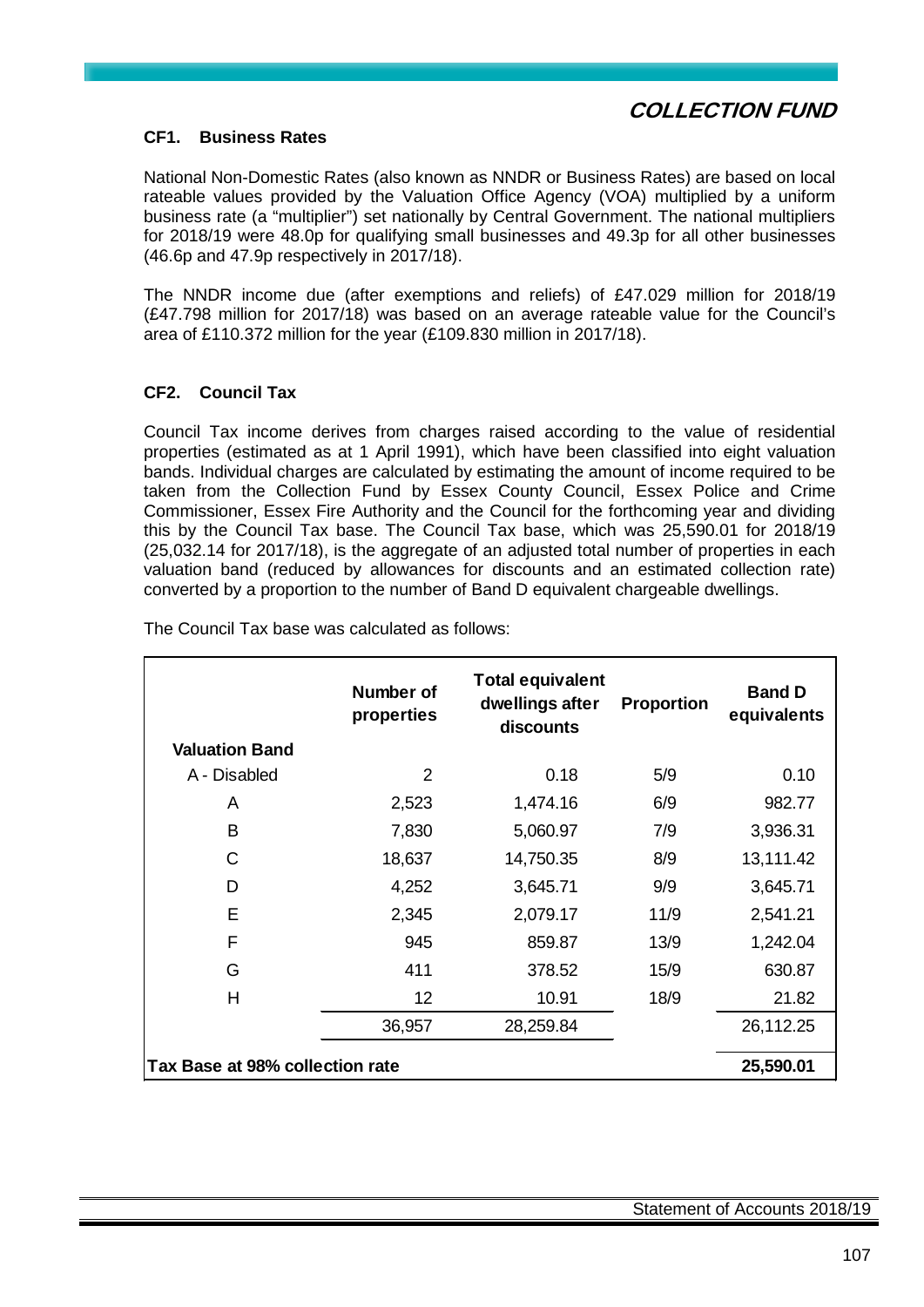# **COLLECTION FUND**

### **CF1. Business Rates**

National Non-Domestic Rates (also known as NNDR or Business Rates) are based on local rateable values provided by the Valuation Office Agency (VOA) multiplied by a uniform business rate (a "multiplier") set nationally by Central Government. The national multipliers for 2018/19 were 48.0p for qualifying small businesses and 49.3p for all other businesses (46.6p and 47.9p respectively in 2017/18).

The NNDR income due (after exemptions and reliefs) of £47.029 million for 2018/19 (£47.798 million for 2017/18) was based on an average rateable value for the Council's area of £110.372 million for the year (£109.830 million in 2017/18).

# **CF2. Council Tax**

Council Tax income derives from charges raised according to the value of residential properties (estimated as at 1 April 1991), which have been classified into eight valuation bands. Individual charges are calculated by estimating the amount of income required to be taken from the Collection Fund by Essex County Council, Essex Police and Crime Commissioner, Essex Fire Authority and the Council for the forthcoming year and dividing this by the Council Tax base. The Council Tax base, which was 25,590.01 for 2018/19 (25,032.14 for 2017/18), is the aggregate of an adjusted total number of properties in each valuation band (reduced by allowances for discounts and an estimated collection rate) converted by a proportion to the number of Band D equivalent chargeable dwellings.

|                                 | Number of<br>properties | <b>Total equivalent</b><br>dwellings after<br>discounts | <b>Proportion</b> | <b>Band D</b><br>equivalents |
|---------------------------------|-------------------------|---------------------------------------------------------|-------------------|------------------------------|
| <b>Valuation Band</b>           |                         |                                                         |                   |                              |
| A - Disabled                    | $\overline{2}$          | 0.18                                                    | 5/9               | 0.10                         |
| A                               | 2,523                   | 1,474.16                                                | 6/9               | 982.77                       |
| B                               | 7,830                   | 5,060.97                                                | 7/9               | 3,936.31                     |
| C                               | 18,637                  | 14,750.35                                               | 8/9               | 13,111.42                    |
| D                               | 4,252                   | 3,645.71                                                | 9/9               | 3,645.71                     |
| E                               | 2,345                   | 2,079.17                                                | 11/9              | 2,541.21                     |
| $\mathsf{F}$                    | 945                     | 859.87                                                  | 13/9              | 1,242.04                     |
| G                               | 411                     | 378.52                                                  | 15/9              | 630.87                       |
| H                               | 12                      | 10.91                                                   | 18/9              | 21.82                        |
|                                 | 36,957                  | 28,259.84                                               |                   | 26,112.25                    |
| Tax Base at 98% collection rate |                         |                                                         |                   | 25,590.01                    |

The Council Tax base was calculated as follows: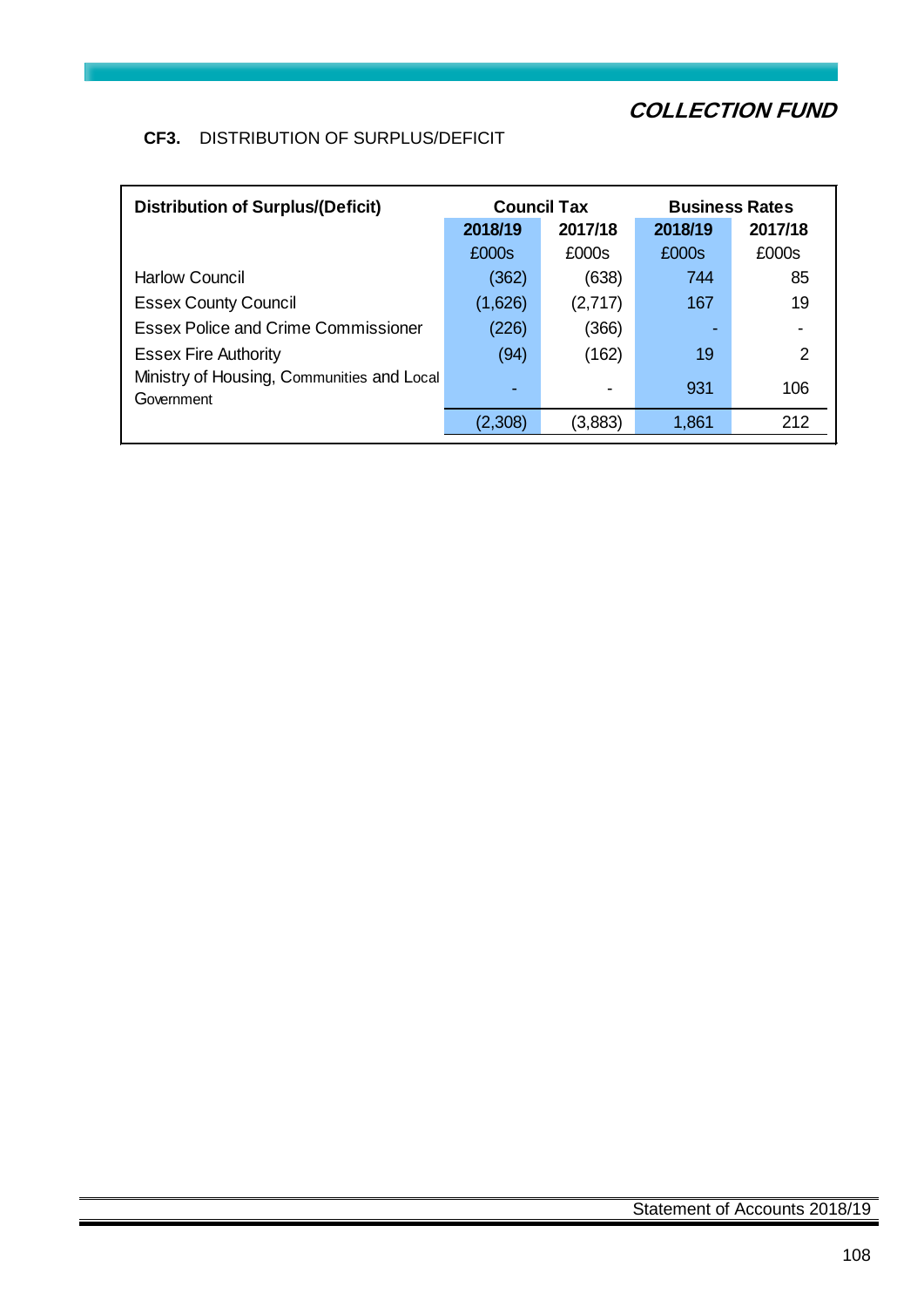# **COLLECTION FUND**

# **CF3.** DISTRIBUTION OF SURPLUS/DEFICIT

| <b>Distribution of Surplus/(Deficit)</b>                 | <b>Council Tax</b> |         | <b>Business Rates</b> |         |
|----------------------------------------------------------|--------------------|---------|-----------------------|---------|
|                                                          | 2018/19            | 2017/18 | 2018/19               | 2017/18 |
|                                                          | £000s              | £000s   | £000s                 | £000s   |
| <b>Harlow Council</b>                                    | (362)              | (638)   | 744                   | 85      |
| <b>Essex County Council</b>                              | (1,626)            | (2,717) | 167                   | 19      |
| <b>Essex Police and Crime Commissioner</b>               | (226)              | (366)   |                       |         |
| <b>Essex Fire Authority</b>                              | (94)               | (162)   | 19                    | 2       |
| Ministry of Housing, Communities and Local<br>Government |                    |         | 931                   | 106     |
|                                                          | (2,308)            | (3,883) | 1,861                 | 212     |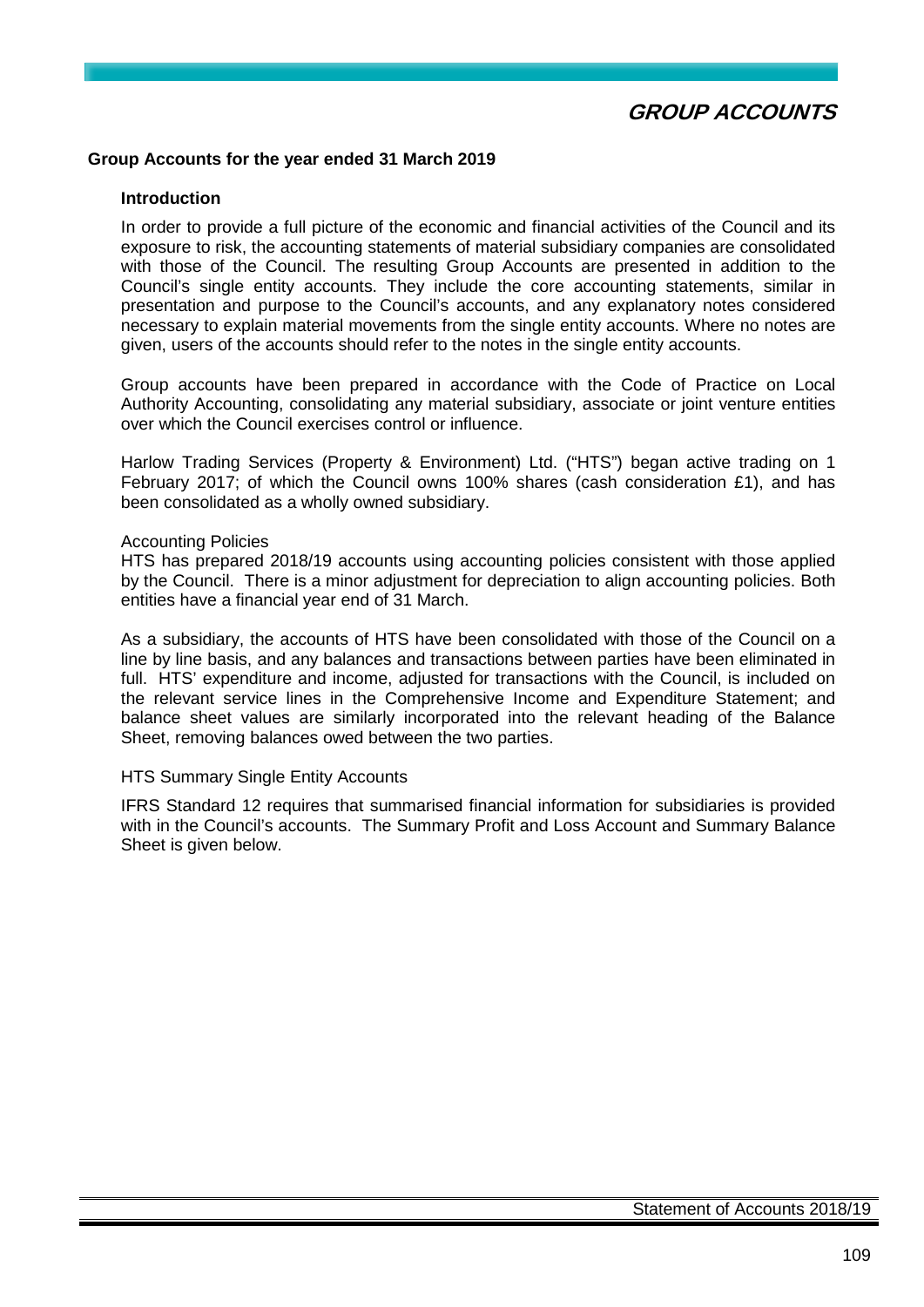#### **Group Accounts for the year ended 31 March 2019**

#### **Introduction**

In order to provide a full picture of the economic and financial activities of the Council and its exposure to risk, the accounting statements of material subsidiary companies are consolidated with those of the Council. The resulting Group Accounts are presented in addition to the Council's single entity accounts. They include the core accounting statements, similar in presentation and purpose to the Council's accounts, and any explanatory notes considered necessary to explain material movements from the single entity accounts. Where no notes are given, users of the accounts should refer to the notes in the single entity accounts.

Group accounts have been prepared in accordance with the Code of Practice on Local Authority Accounting, consolidating any material subsidiary, associate or joint venture entities over which the Council exercises control or influence.

Harlow Trading Services (Property & Environment) Ltd. ("HTS") began active trading on 1 February 2017; of which the Council owns 100% shares (cash consideration £1), and has been consolidated as a wholly owned subsidiary.

#### Accounting Policies

HTS has prepared 2018/19 accounts using accounting policies consistent with those applied by the Council. There is a minor adjustment for depreciation to align accounting policies. Both entities have a financial year end of 31 March.

As a subsidiary, the accounts of HTS have been consolidated with those of the Council on a line by line basis, and any balances and transactions between parties have been eliminated in full. HTS' expenditure and income, adjusted for transactions with the Council, is included on the relevant service lines in the Comprehensive Income and Expenditure Statement; and balance sheet values are similarly incorporated into the relevant heading of the Balance Sheet, removing balances owed between the two parties.

#### HTS Summary Single Entity Accounts

IFRS Standard 12 requires that summarised financial information for subsidiaries is provided with in the Council's accounts. The Summary Profit and Loss Account and Summary Balance Sheet is given below.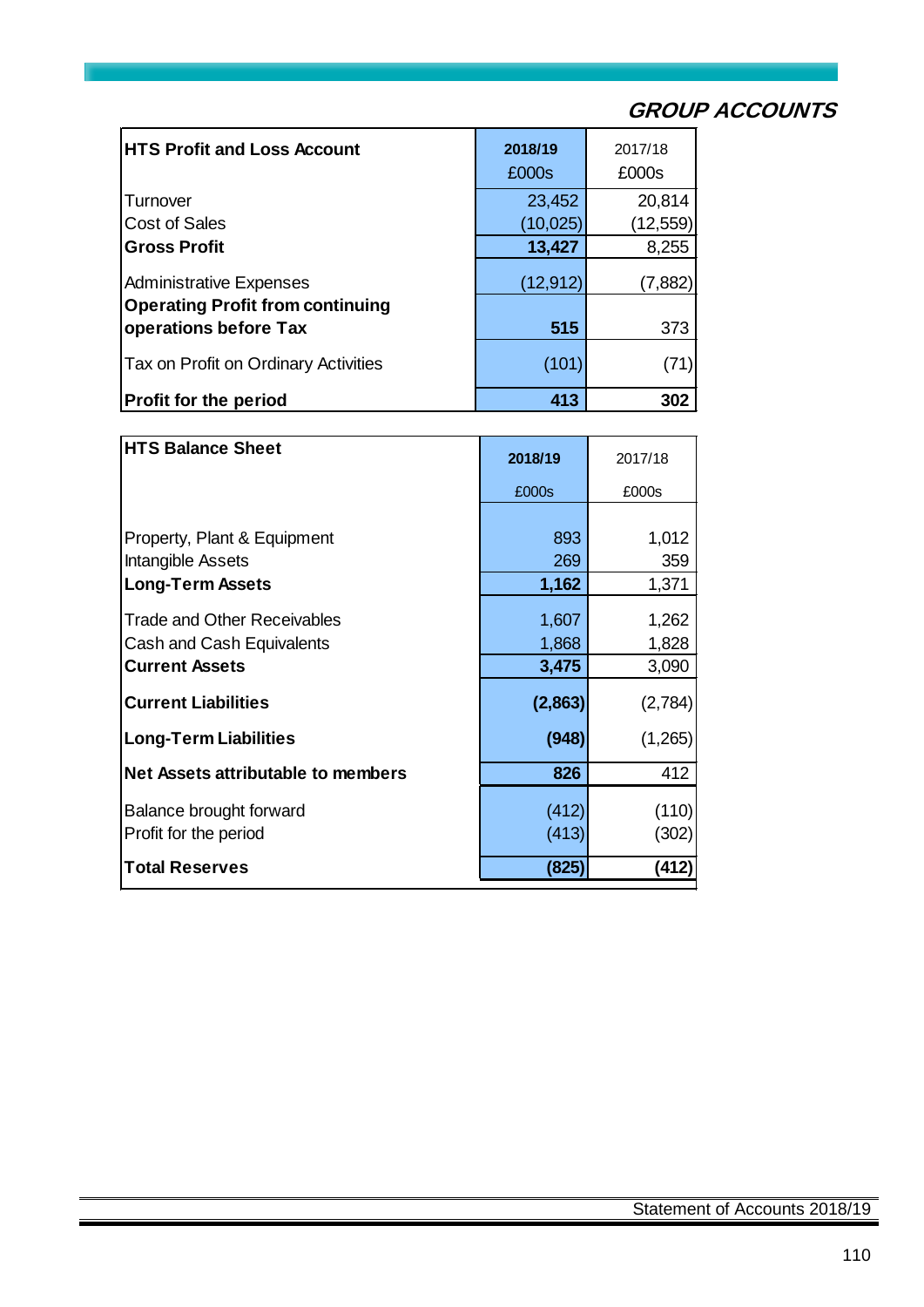| <b>HTS Profit and Loss Account</b>                               | 2018/19   | 2017/18  |
|------------------------------------------------------------------|-----------|----------|
|                                                                  | £000s     | £000s    |
| Turnover                                                         | 23,452    | 20,814   |
| <b>Cost of Sales</b>                                             | (10, 025) | (12,559) |
| <b>Gross Profit</b>                                              | 13,427    | 8,255    |
| <b>Administrative Expenses</b>                                   | (12, 912) | (7,882)  |
| <b>Operating Profit from continuing</b><br>operations before Tax | 515       | 373      |
| Tax on Profit on Ordinary Activities                             | (101)     |          |
| <b>Profit for the period</b>                                     | 413       | 302      |

| <b>HTS Balance Sheet</b>           | 2018/19 | 2017/18 |  |
|------------------------------------|---------|---------|--|
|                                    | £000s   | £000s   |  |
|                                    |         |         |  |
| Property, Plant & Equipment        | 893     | 1,012   |  |
| Intangible Assets                  | 269     | 359     |  |
| <b>Long-Term Assets</b>            | 1,162   | 1,371   |  |
| <b>Trade and Other Receivables</b> | 1,607   | 1,262   |  |
| Cash and Cash Equivalents          | 1,868   | 1,828   |  |
| <b>Current Assets</b>              | 3,475   | 3,090   |  |
| <b>Current Liabilities</b>         | (2,863) | (2,784) |  |
| <b>Long-Term Liabilities</b>       | (948)   | (1,265) |  |
| Net Assets attributable to members | 826     | 412     |  |
| Balance brought forward            | (412)   | (110)   |  |
| Profit for the period              | (413)   | (302)   |  |
| <b>Total Reserves</b>              | (825)   | (412)   |  |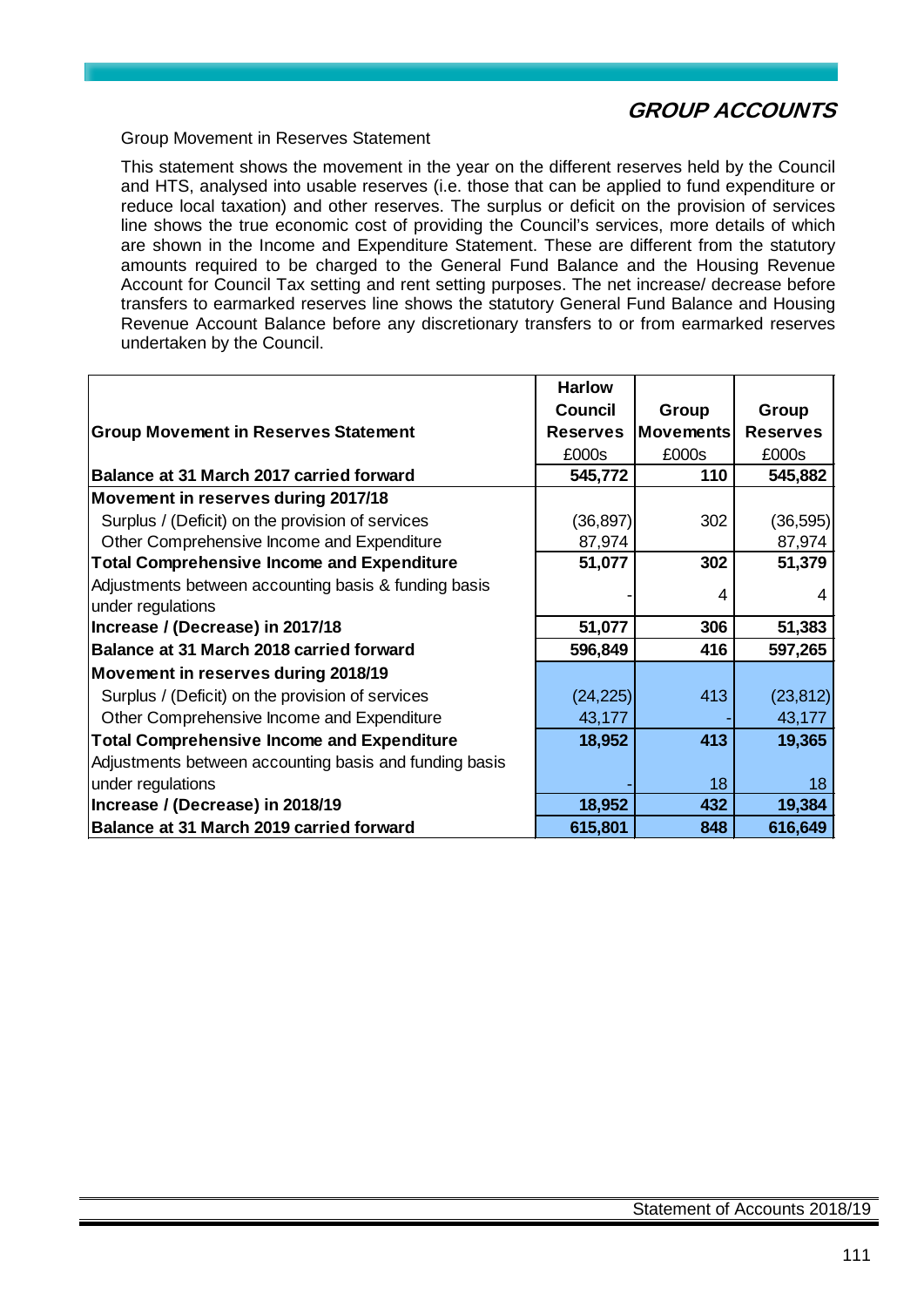#### Group Movement in Reserves Statement

This statement shows the movement in the year on the different reserves held by the Council and HTS, analysed into usable reserves (i.e. those that can be applied to fund expenditure or reduce local taxation) and other reserves. The surplus or deficit on the provision of services line shows the true economic cost of providing the Council's services, more details of which are shown in the Income and Expenditure Statement. These are different from the statutory amounts required to be charged to the General Fund Balance and the Housing Revenue Account for Council Tax setting and rent setting purposes. The net increase/ decrease before transfers to earmarked reserves line shows the statutory General Fund Balance and Housing Revenue Account Balance before any discretionary transfers to or from earmarked reserves undertaken by the Council.

|                                                        | <b>Harlow</b>   |           |                 |
|--------------------------------------------------------|-----------------|-----------|-----------------|
|                                                        | Council         | Group     | Group           |
| <b>Group Movement in Reserves Statement</b>            | <b>Reserves</b> | Movements | <b>Reserves</b> |
|                                                        | £000s           | £000s     | £000s           |
| Balance at 31 March 2017 carried forward               | 545,772         | 110       | 545,882         |
| Movement in reserves during 2017/18                    |                 |           |                 |
| Surplus / (Deficit) on the provision of services       | (36, 897)       | 302       | (36, 595)       |
| Other Comprehensive Income and Expenditure             | 87,974          |           | 87,974          |
| <b>Total Comprehensive Income and Expenditure</b>      | 51,077          | 302       | 51,379          |
| Adjustments between accounting basis & funding basis   |                 | 4         | 4               |
| under regulations                                      |                 |           |                 |
| Increase / (Decrease) in 2017/18                       | 51,077          | 306       | 51,383          |
| Balance at 31 March 2018 carried forward               | 596,849         | 416       | 597,265         |
| Movement in reserves during 2018/19                    |                 |           |                 |
| Surplus / (Deficit) on the provision of services       | (24, 225)       | 413       | (23, 812)       |
| Other Comprehensive Income and Expenditure             | 43,177          |           | 43,177          |
| <b>Total Comprehensive Income and Expenditure</b>      | 18,952          | 413       | 19,365          |
| Adjustments between accounting basis and funding basis |                 |           |                 |
| under regulations                                      |                 | 18        | 18              |
| Increase / (Decrease) in 2018/19                       | 18,952          | 432       | 19,384          |
| Balance at 31 March 2019 carried forward               | 615,801         | 848       | 616,649         |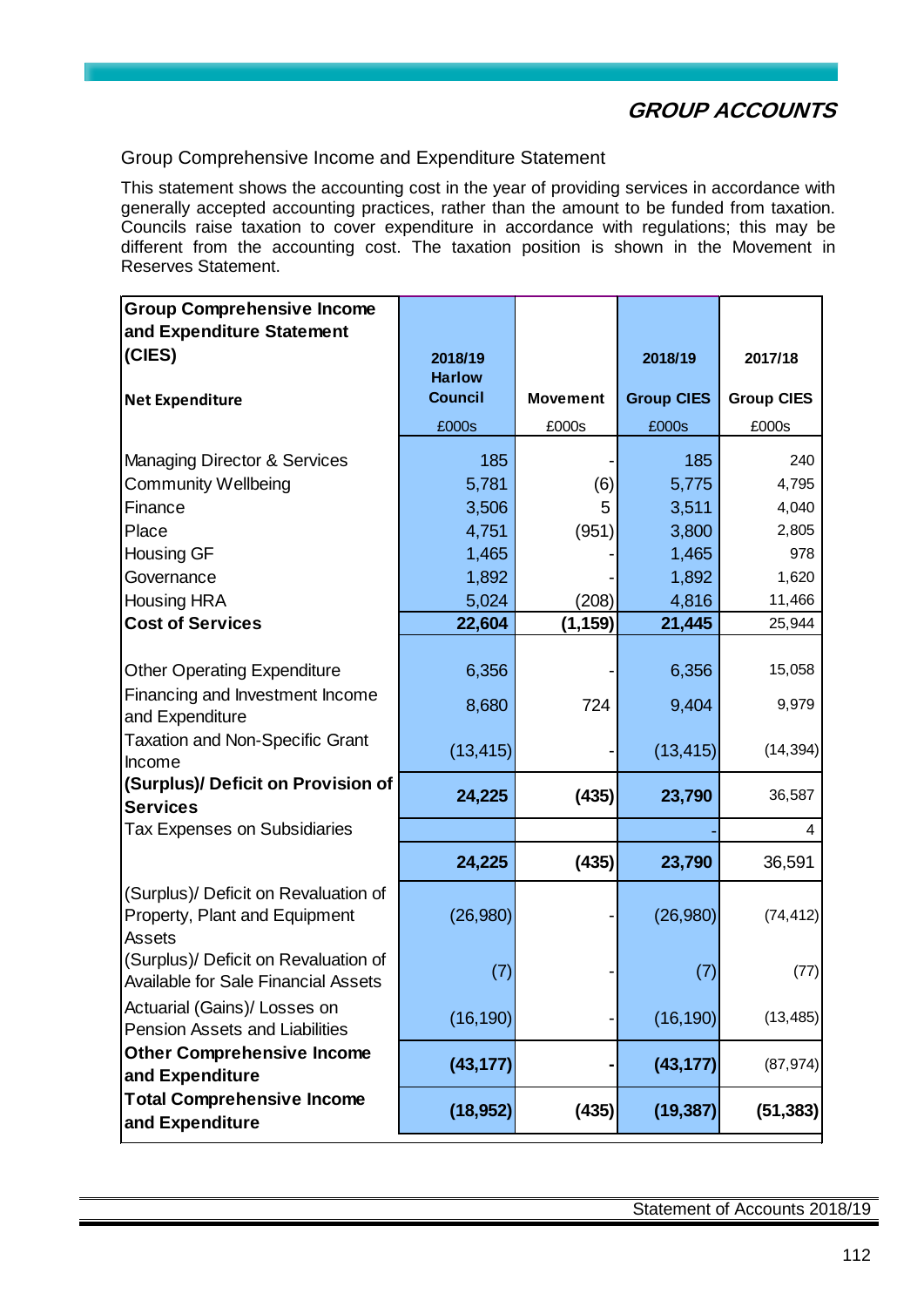#### Group Comprehensive Income and Expenditure Statement

This statement shows the accounting cost in the year of providing services in accordance with generally accepted accounting practices, rather than the amount to be funded from taxation. Councils raise taxation to cover expenditure in accordance with regulations; this may be different from the accounting cost. The taxation position is shown in the Movement in Reserves Statement.

| <b>Group Comprehensive Income</b>                                     |                |                 |                   |                   |
|-----------------------------------------------------------------------|----------------|-----------------|-------------------|-------------------|
| and Expenditure Statement                                             |                |                 |                   |                   |
| (CIES)                                                                | 2018/19        |                 | 2018/19           | 2017/18           |
|                                                                       | <b>Harlow</b>  |                 |                   |                   |
| <b>Net Expenditure</b>                                                | <b>Council</b> | <b>Movement</b> | <b>Group CIES</b> | <b>Group CIES</b> |
|                                                                       | £000s          | £000s           | £000s             | £000s             |
| <b>Managing Director &amp; Services</b>                               | 185            |                 | 185               | 240               |
| <b>Community Wellbeing</b>                                            | 5,781          | (6)             | 5,775             | 4,795             |
| Finance                                                               | 3,506          | 5               | 3,511             | 4,040             |
| Place                                                                 | 4,751          | (951)           | 3,800             | 2,805             |
| <b>Housing GF</b>                                                     | 1,465          |                 | 1,465             | 978               |
| Governance                                                            | 1,892          |                 | 1,892             | 1,620             |
| Housing HRA                                                           | 5,024          | (208)           | 4,816             | 11,466            |
| <b>Cost of Services</b>                                               | 22,604         | (1, 159)        | 21,445            | 25,944            |
|                                                                       |                |                 |                   |                   |
| <b>Other Operating Expenditure</b>                                    | 6,356          |                 | 6,356             | 15,058            |
| Financing and Investment Income                                       | 8,680          | 724             | 9,404             | 9,979             |
| and Expenditure                                                       |                |                 |                   |                   |
| <b>Taxation and Non-Specific Grant</b>                                | (13, 415)      |                 | (13, 415)         | (14, 394)         |
| <b>Income</b>                                                         |                |                 |                   |                   |
| (Surplus)/ Deficit on Provision of<br><b>Services</b>                 | 24,225         | (435)           | 23,790            | 36,587            |
| <b>Tax Expenses on Subsidiaries</b>                                   |                |                 |                   | 4                 |
|                                                                       | 24,225         | (435)           | 23,790            | 36,591            |
| (Surplus)/ Deficit on Revaluation of                                  |                |                 |                   |                   |
| Property, Plant and Equipment                                         | (26,980)       |                 | (26,980)          | (74, 412)         |
| Assets                                                                |                |                 |                   |                   |
| (Surplus)/ Deficit on Revaluation of                                  | (7)            |                 | (7)               | (77)              |
| <b>Available for Sale Financial Assets</b>                            |                |                 |                   |                   |
| Actuarial (Gains)/ Losses on<br><b>Pension Assets and Liabilities</b> | (16, 190)      |                 | (16, 190)         | (13, 485)         |
| <b>Other Comprehensive Income</b>                                     |                |                 |                   |                   |
| and Expenditure                                                       | (43, 177)      |                 | (43, 177)         | (87, 974)         |
| <b>Total Comprehensive Income</b><br>and Expenditure                  | (18, 952)      | (435)           | (19, 387)         | (51, 383)         |
|                                                                       |                |                 |                   |                   |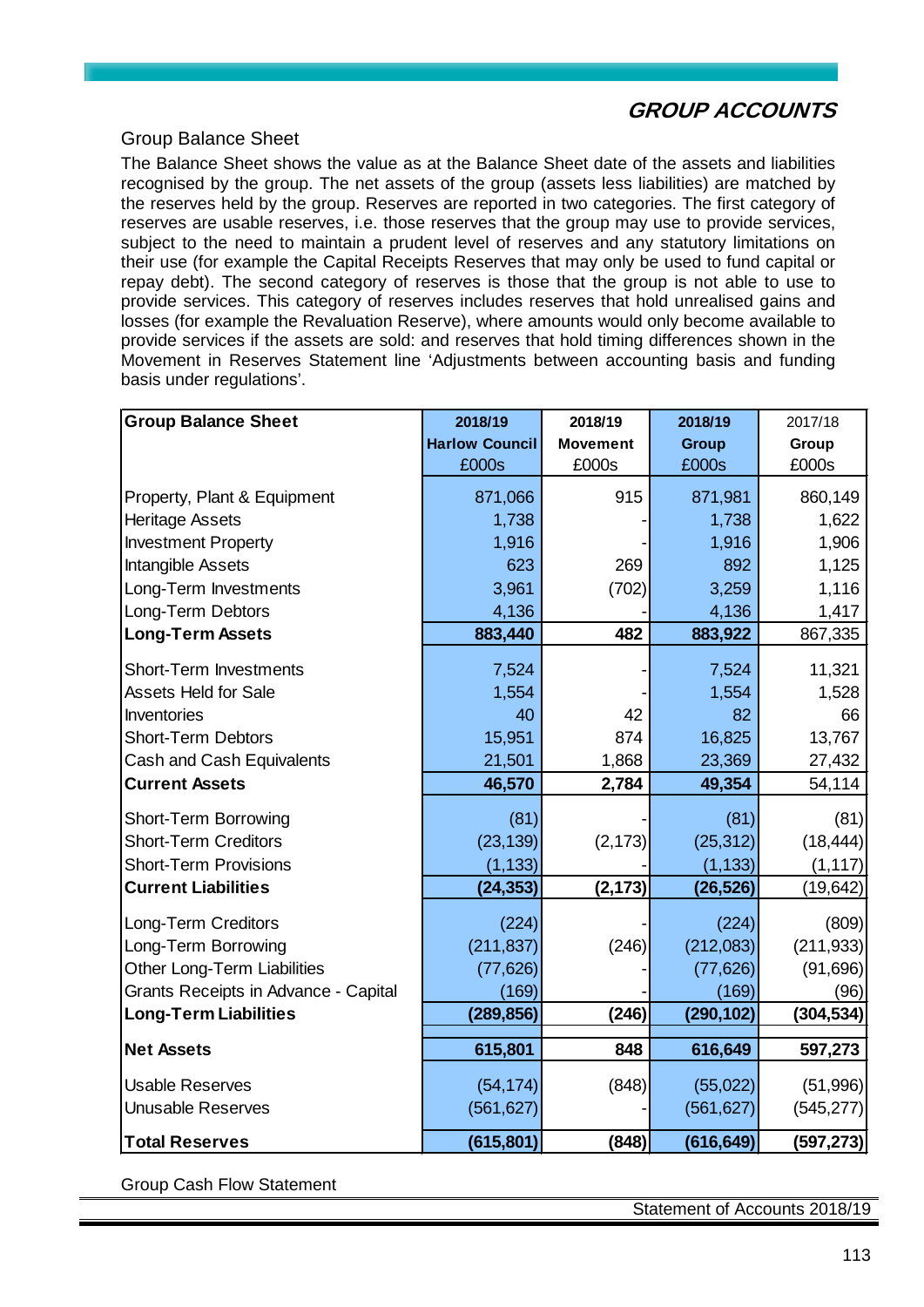#### Group Balance Sheet

The Balance Sheet shows the value as at the Balance Sheet date of the assets and liabilities recognised by the group. The net assets of the group (assets less liabilities) are matched by the reserves held by the group. Reserves are reported in two categories. The first category of reserves are usable reserves, i.e. those reserves that the group may use to provide services, subject to the need to maintain a prudent level of reserves and any statutory limitations on their use (for example the Capital Receipts Reserves that may only be used to fund capital or repay debt). The second category of reserves is those that the group is not able to use to provide services. This category of reserves includes reserves that hold unrealised gains and losses (for example the Revaluation Reserve), where amounts would only become available to provide services if the assets are sold: and reserves that hold timing differences shown in the Movement in Reserves Statement line 'Adjustments between accounting basis and funding basis under regulations'.

| <b>Group Balance Sheet</b>           | 2018/19               | 2018/19         | 2018/19      | 2017/18    |
|--------------------------------------|-----------------------|-----------------|--------------|------------|
|                                      | <b>Harlow Council</b> | <b>Movement</b> | <b>Group</b> | Group      |
|                                      | £000s                 | £000s           | £000s        | £000s      |
| Property, Plant & Equipment          | 871,066               | 915             | 871,981      | 860,149    |
| <b>Heritage Assets</b>               | 1,738                 |                 | 1,738        | 1,622      |
| <b>Investment Property</b>           | 1,916                 |                 | 1,916        | 1,906      |
| Intangible Assets                    | 623                   | 269             | 892          | 1,125      |
| Long-Term Investments                | 3,961                 | (702)           | 3,259        | 1,116      |
| Long-Term Debtors                    | 4,136                 |                 | 4,136        | 1,417      |
| <b>Long-Term Assets</b>              | 883,440               | 482             | 883,922      | 867,335    |
| <b>Short-Term Investments</b>        | 7,524                 |                 | 7,524        | 11,321     |
| <b>Assets Held for Sale</b>          | 1,554                 |                 | 1,554        | 1,528      |
| Inventories                          | 40                    | 42              | 82           | 66         |
| <b>Short-Term Debtors</b>            | 15,951                | 874             | 16,825       | 13,767     |
| Cash and Cash Equivalents            | 21,501                | 1,868           | 23,369       | 27,432     |
| <b>Current Assets</b>                | 46,570                | 2,784           | 49,354       | 54,114     |
| <b>Short-Term Borrowing</b>          | (81)                  |                 | (81)         | (81)       |
| <b>Short-Term Creditors</b>          | (23, 139)             | (2, 173)        | (25, 312)    | (18, 444)  |
| <b>Short-Term Provisions</b>         | (1, 133)              |                 | (1, 133)     | (1, 117)   |
| <b>Current Liabilities</b>           | (24, 353)             | (2, 173)        | (26, 526)    | (19, 642)  |
| Long-Term Creditors                  | (224)                 |                 | (224)        | (809)      |
| Long-Term Borrowing                  | (211, 837)            | (246)           | (212,083)    | (211, 933) |
| <b>Other Long-Term Liabilities</b>   | (77, 626)             |                 | (77, 626)    | (91, 696)  |
| Grants Receipts in Advance - Capital | (169)                 |                 | (169)        | (96)       |
| Long-Term Liabilities                | (289, 856)            | (246)           | (290, 102)   | (304, 534) |
| <b>Net Assets</b>                    | 615,801               | 848             | 616,649      | 597,273    |
|                                      |                       |                 |              |            |
| <b>Usable Reserves</b>               | (54, 174)             | (848)           | (55,022)     | (51,996)   |
| <b>Unusable Reserves</b>             | (561, 627)            |                 | (561, 627)   | (545, 277) |
| <b>Total Reserves</b>                | (615, 801)            | (848)           | (616, 649)   | (597, 273) |

Group Cash Flow Statement

Statement of Accounts 2018/19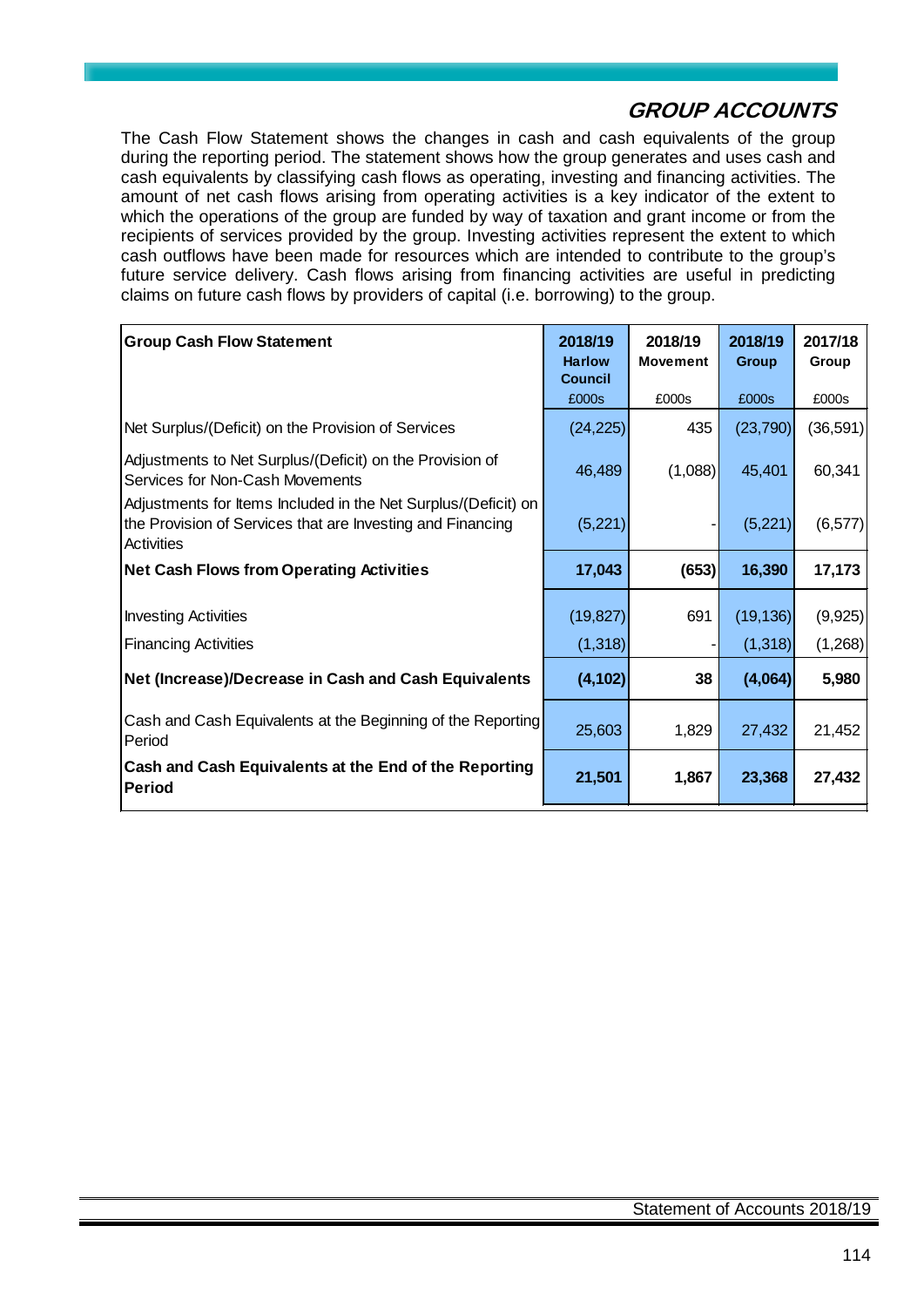The Cash Flow Statement shows the changes in cash and cash equivalents of the group during the reporting period. The statement shows how the group generates and uses cash and cash equivalents by classifying cash flows as operating, investing and financing activities. The amount of net cash flows arising from operating activities is a key indicator of the extent to which the operations of the group are funded by way of taxation and grant income or from the recipients of services provided by the group. Investing activities represent the extent to which cash outflows have been made for resources which are intended to contribute to the group's future service delivery. Cash flows arising from financing activities are useful in predicting claims on future cash flows by providers of capital (i.e. borrowing) to the group.

| <b>Group Cash Flow Statement</b>                                                                                                                  | 2018/19<br><b>Harlow</b><br><b>Council</b> | 2018/19<br><b>Movement</b> | 2018/19<br><b>Group</b> | 2017/18<br>Group |
|---------------------------------------------------------------------------------------------------------------------------------------------------|--------------------------------------------|----------------------------|-------------------------|------------------|
|                                                                                                                                                   | £000s                                      | £000s                      | £000s                   | £000s            |
| Net Surplus/(Deficit) on the Provision of Services                                                                                                | (24, 225)                                  | 435                        | (23, 790)               | (36,591)         |
| Adjustments to Net Surplus/(Deficit) on the Provision of<br>Services for Non-Cash Movements                                                       | 46,489                                     | (1,088)                    | 45,401                  | 60,341           |
| Adjustments for Items Included in the Net Surplus/(Deficit) on<br>the Provision of Services that are Investing and Financing<br><b>Activities</b> | (5,221)                                    |                            | (5,221)                 | (6, 577)         |
| <b>Net Cash Flows from Operating Activities</b>                                                                                                   | 17,043                                     | (653)                      | 16,390                  | 17,173           |
| <b>Investing Activities</b>                                                                                                                       | (19, 827)                                  | 691                        | (19, 136)               | (9,925)          |
| <b>Financing Activities</b>                                                                                                                       | (1, 318)                                   |                            | (1, 318)                | (1,268)          |
| Net (Increase)/Decrease in Cash and Cash Equivalents                                                                                              | (4, 102)                                   | 38                         | (4,064)                 | 5,980            |
| Cash and Cash Equivalents at the Beginning of the Reporting<br>Period                                                                             | 25,603                                     | 1,829                      | 27,432                  | 21,452           |
| Cash and Cash Equivalents at the End of the Reporting<br><b>Period</b>                                                                            | 21,501                                     | 1,867                      | 23,368                  | 27,432           |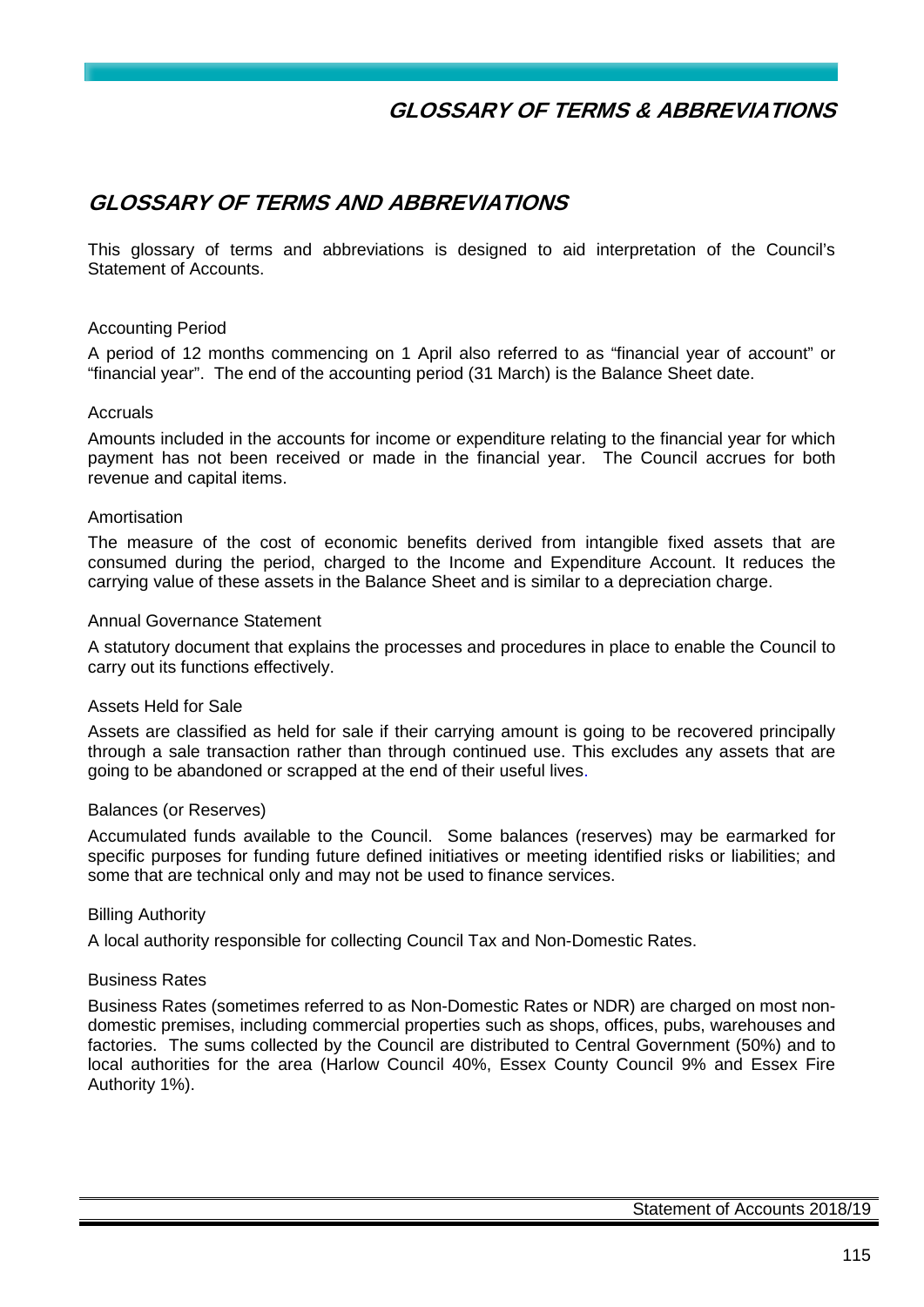### **GLOSSARY OF TERMS AND ABBREVIATIONS**

This glossary of terms and abbreviations is designed to aid interpretation of the Council's Statement of Accounts.

#### Accounting Period

A period of 12 months commencing on 1 April also referred to as "financial year of account" or "financial year". The end of the accounting period (31 March) is the Balance Sheet date.

#### Accruals

Amounts included in the accounts for income or expenditure relating to the financial year for which payment has not been received or made in the financial year. The Council accrues for both revenue and capital items.

#### Amortisation

The measure of the cost of economic benefits derived from intangible fixed assets that are consumed during the period, charged to the Income and Expenditure Account. It reduces the carrying value of these assets in the Balance Sheet and is similar to a depreciation charge.

#### Annual Governance Statement

A statutory document that explains the processes and procedures in place to enable the Council to carry out its functions effectively.

#### Assets Held for Sale

Assets are classified as held for sale if their carrying amount is going to be recovered principally through a sale transaction rather than through continued use. This excludes any assets that are going to be abandoned or scrapped at the end of their useful lives.

#### Balances (or Reserves)

Accumulated funds available to the Council. Some balances (reserves) may be earmarked for specific purposes for funding future defined initiatives or meeting identified risks or liabilities; and some that are technical only and may not be used to finance services.

#### Billing Authority

A local authority responsible for collecting Council Tax and Non-Domestic Rates.

#### Business Rates

Business Rates (sometimes referred to as Non-Domestic Rates or NDR) are charged on most nondomestic premises, including commercial properties such as shops, offices, pubs, warehouses and factories. The sums collected by the Council are distributed to Central Government (50%) and to local authorities for the area (Harlow Council 40%, Essex County Council 9% and Essex Fire Authority 1%).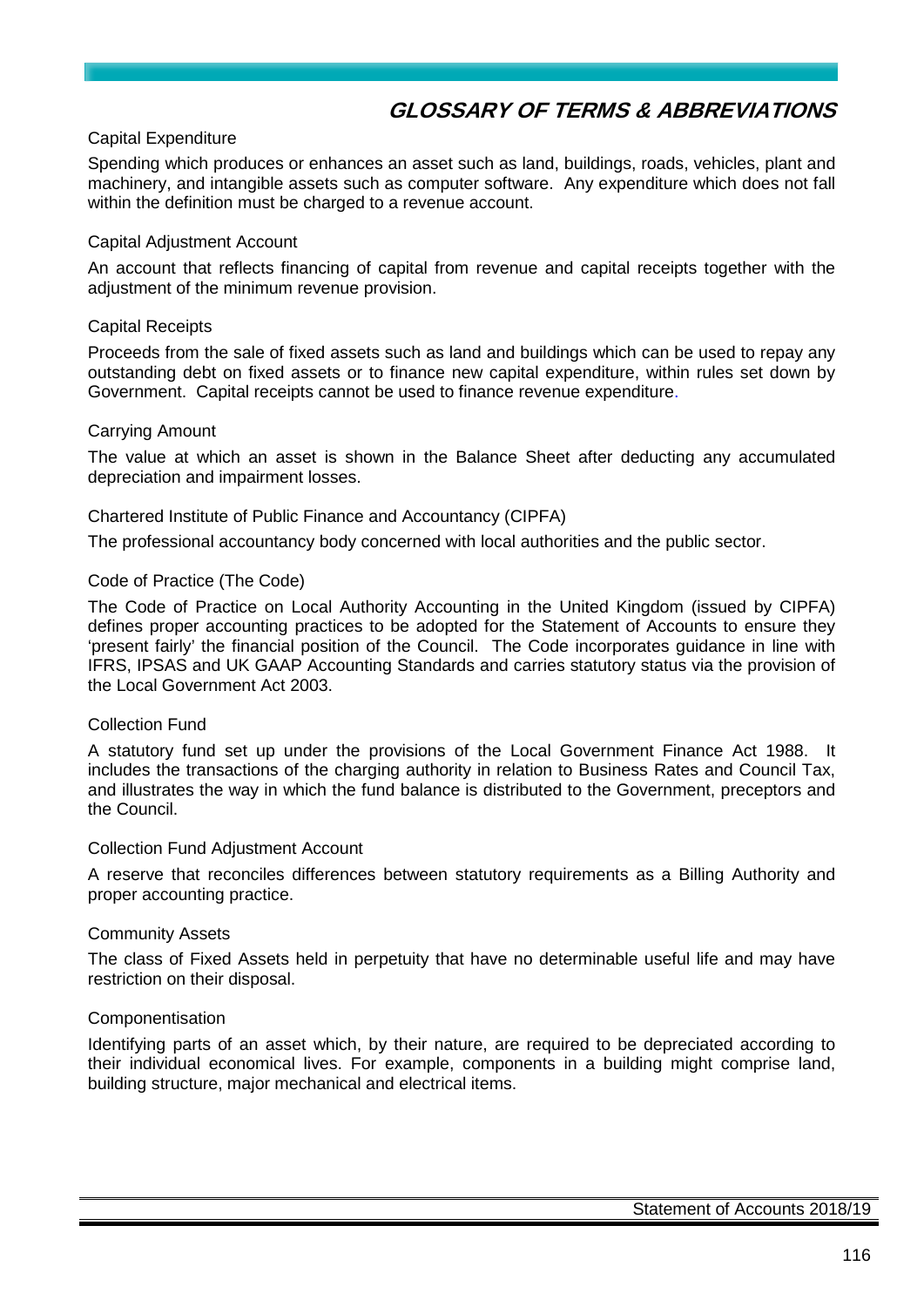#### Capital Expenditure

Spending which produces or enhances an asset such as land, buildings, roads, vehicles, plant and machinery, and intangible assets such as computer software. Any expenditure which does not fall within the definition must be charged to a revenue account.

#### Capital Adjustment Account

An account that reflects financing of capital from revenue and capital receipts together with the adjustment of the minimum revenue provision.

#### Capital Receipts

Proceeds from the sale of fixed assets such as land and buildings which can be used to repay any outstanding debt on fixed assets or to finance new capital expenditure, within rules set down by Government. Capital receipts cannot be used to finance revenue expenditure.

#### Carrying Amount

The value at which an asset is shown in the Balance Sheet after deducting any accumulated depreciation and impairment losses.

#### Chartered Institute of Public Finance and Accountancy (CIPFA)

The professional accountancy body concerned with local authorities and the public sector.

#### Code of Practice (The Code)

The Code of Practice on Local Authority Accounting in the United Kingdom (issued by CIPFA) defines proper accounting practices to be adopted for the Statement of Accounts to ensure they 'present fairly' the financial position of the Council. The Code incorporates guidance in line with IFRS, IPSAS and UK GAAP Accounting Standards and carries statutory status via the provision of the Local Government Act 2003.

#### Collection Fund

A statutory fund set up under the provisions of the Local Government Finance Act 1988. It includes the transactions of the charging authority in relation to Business Rates and Council Tax, and illustrates the way in which the fund balance is distributed to the Government, preceptors and the Council.

#### Collection Fund Adjustment Account

A reserve that reconciles differences between statutory requirements as a Billing Authority and proper accounting practice.

#### Community Assets

The class of Fixed Assets held in perpetuity that have no determinable useful life and may have restriction on their disposal.

#### Componentisation

Identifying parts of an asset which, by their nature, are required to be depreciated according to their individual economical lives. For example, components in a building might comprise land, building structure, major mechanical and electrical items.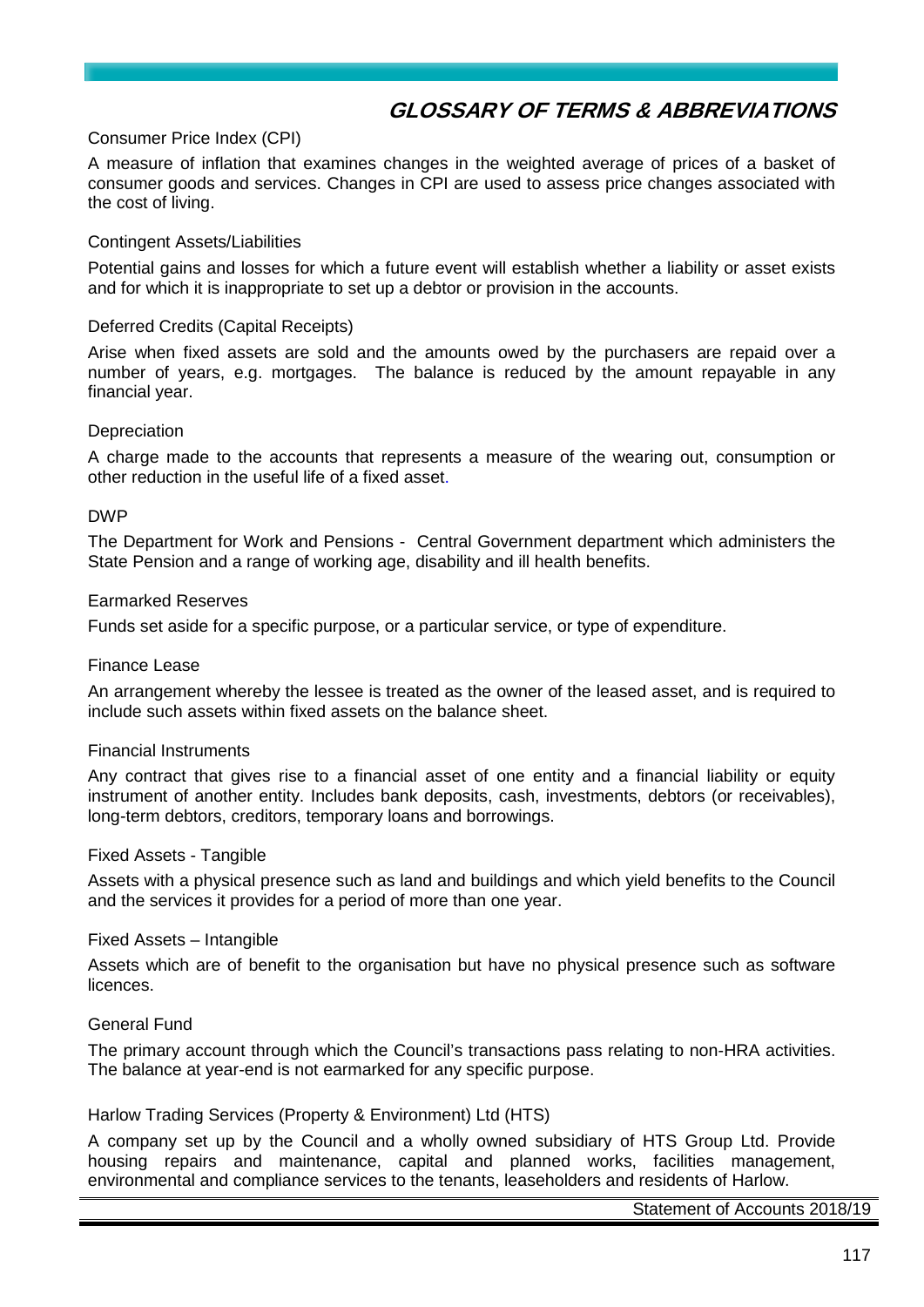#### Consumer Price Index (CPI)

A measure of inflation that examines changes in the weighted average of prices of a basket of consumer goods and services. Changes in CPI are used to assess price changes associated with the cost of living.

#### Contingent Assets/Liabilities

Potential gains and losses for which a future event will establish whether a liability or asset exists and for which it is inappropriate to set up a debtor or provision in the accounts.

#### Deferred Credits (Capital Receipts)

Arise when fixed assets are sold and the amounts owed by the purchasers are repaid over a number of years, e.g. mortgages. The balance is reduced by the amount repayable in any financial year.

#### **Depreciation**

A charge made to the accounts that represents a measure of the wearing out, consumption or other reduction in the useful life of a fixed asset.

#### DWP

The Department for Work and Pensions - Central Government department which administers the State Pension and a range of working age, disability and ill health benefits.

#### Earmarked Reserves

Funds set aside for a specific purpose, or a particular service, or type of expenditure.

#### Finance Lease

An arrangement whereby the lessee is treated as the owner of the leased asset, and is required to include such assets within fixed assets on the balance sheet.

#### Financial Instruments

Any contract that gives rise to a financial asset of one entity and a financial liability or equity instrument of another entity. Includes bank deposits, cash, investments, debtors (or receivables), long-term debtors, creditors, temporary loans and borrowings.

#### Fixed Assets - Tangible

Assets with a physical presence such as land and buildings and which yield benefits to the Council and the services it provides for a period of more than one year.

#### Fixed Assets – Intangible

Assets which are of benefit to the organisation but have no physical presence such as software licences.

#### General Fund

The primary account through which the Council's transactions pass relating to non-HRA activities. The balance at year-end is not earmarked for any specific purpose.

#### Harlow Trading Services (Property & Environment) Ltd (HTS)

A company set up by the Council and a wholly owned subsidiary of HTS Group Ltd. Provide housing repairs and maintenance, capital and planned works, facilities management, environmental and compliance services to the tenants, leaseholders and residents of Harlow.

Statement of Accounts 2018/19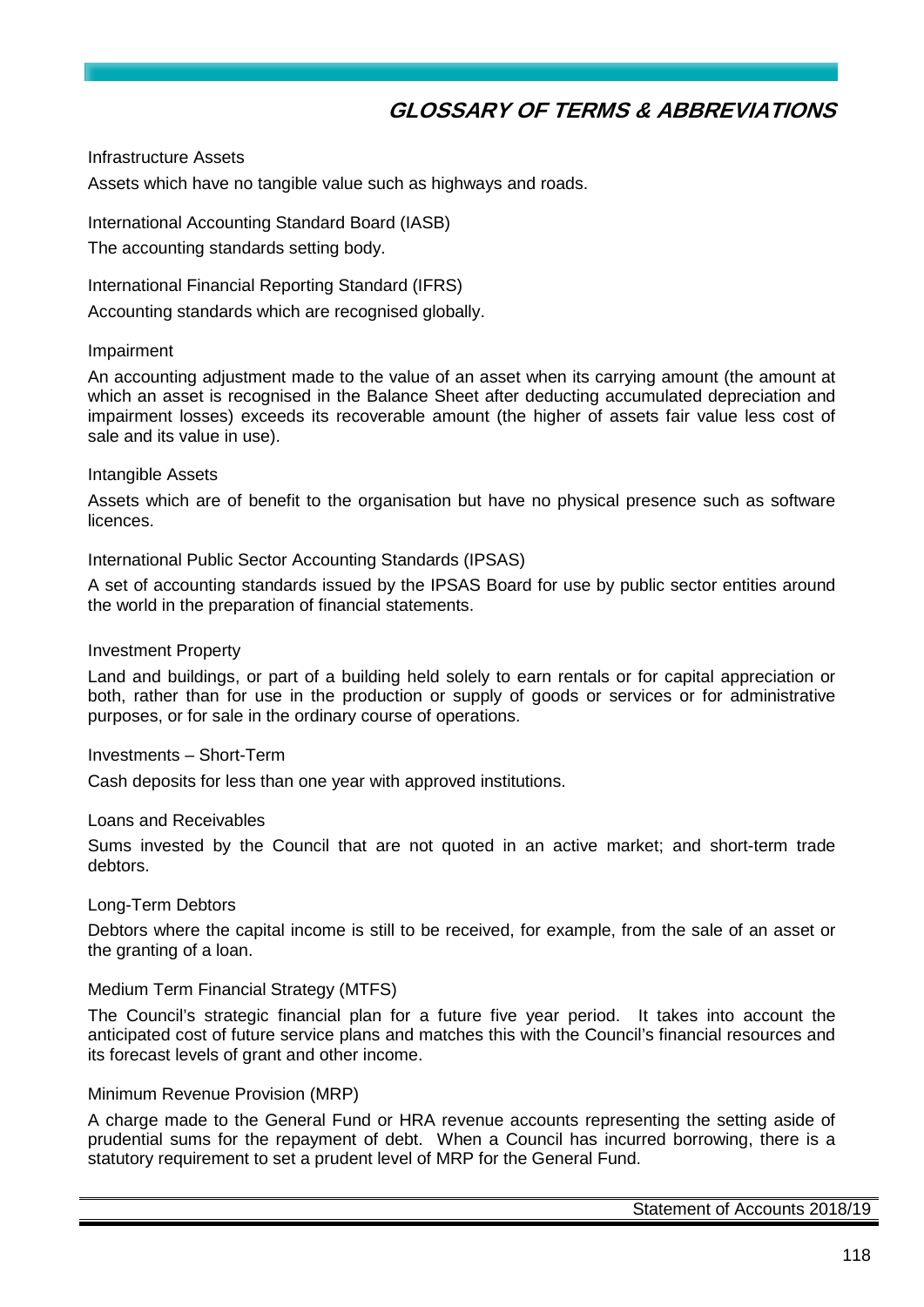#### Infrastructure Assets

Assets which have no tangible value such as highways and roads.

International Accounting Standard Board (IASB)

The accounting standards setting body.

International Financial Reporting Standard (IFRS)

Accounting standards which are recognised globally.

#### Impairment

An accounting adjustment made to the value of an asset when its carrying amount (the amount at which an asset is recognised in the Balance Sheet after deducting accumulated depreciation and impairment losses) exceeds its recoverable amount (the higher of assets fair value less cost of sale and its value in use).

#### Intangible Assets

Assets which are of benefit to the organisation but have no physical presence such as software licences.

#### International Public Sector Accounting Standards (IPSAS)

A set of accounting standards issued by the IPSAS Board for use by public sector entities around the world in the preparation of financial statements.

#### Investment Property

Land and buildings, or part of a building held solely to earn rentals or for capital appreciation or both, rather than for use in the production or supply of goods or services or for administrative purposes, or for sale in the ordinary course of operations.

#### Investments – Short-Term

Cash deposits for less than one year with approved institutions.

#### Loans and Receivables

Sums invested by the Council that are not quoted in an active market; and short-term trade debtors.

#### Long-Term Debtors

Debtors where the capital income is still to be received, for example, from the sale of an asset or the granting of a loan.

#### Medium Term Financial Strategy (MTFS)

The Council's strategic financial plan for a future five year period. It takes into account the anticipated cost of future service plans and matches this with the Council's financial resources and its forecast levels of grant and other income.

#### Minimum Revenue Provision (MRP)

A charge made to the General Fund or HRA revenue accounts representing the setting aside of prudential sums for the repayment of debt. When a Council has incurred borrowing, there is a statutory requirement to set a prudent level of MRP for the General Fund.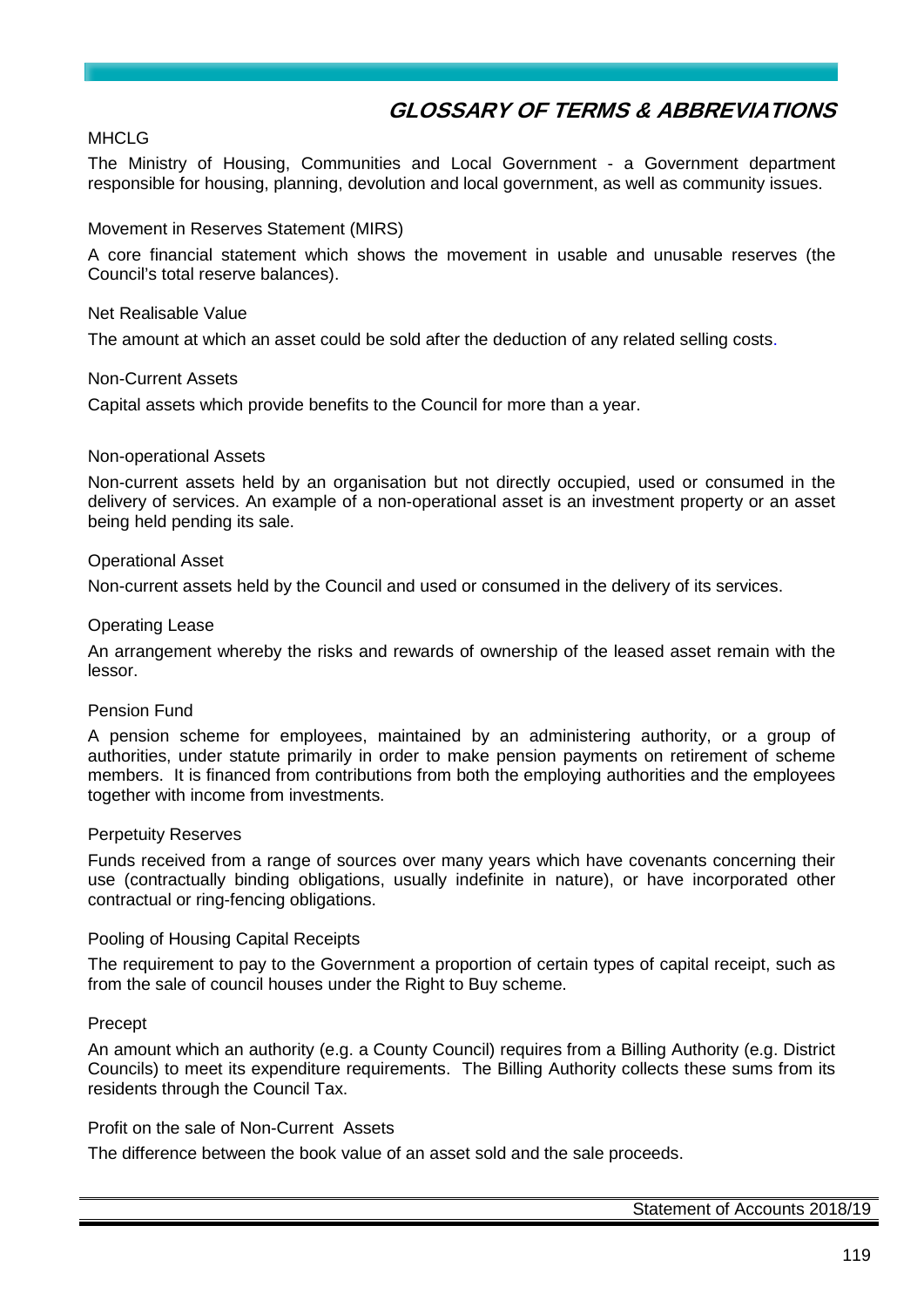#### MHCLG

The Ministry of Housing, Communities and Local Government - a Government department responsible for housing, planning, devolution and local government, as well as community issues.

#### Movement in Reserves Statement (MIRS)

A core financial statement which shows the movement in usable and unusable reserves (the Council's total reserve balances).

#### Net Realisable Value

The amount at which an asset could be sold after the deduction of any related selling costs.

#### Non-Current Assets

Capital assets which provide benefits to the Council for more than a year.

#### Non-operational Assets

Non-current assets held by an organisation but not directly occupied, used or consumed in the delivery of services. An example of a non-operational asset is an investment property or an asset being held pending its sale.

#### Operational Asset

Non-current assets held by the Council and used or consumed in the delivery of its services.

#### Operating Lease

An arrangement whereby the risks and rewards of ownership of the leased asset remain with the lessor.

#### Pension Fund

A pension scheme for employees, maintained by an administering authority, or a group of authorities, under statute primarily in order to make pension payments on retirement of scheme members. It is financed from contributions from both the employing authorities and the employees together with income from investments.

#### Perpetuity Reserves

Funds received from a range of sources over many years which have covenants concerning their use (contractually binding obligations, usually indefinite in nature), or have incorporated other contractual or ring-fencing obligations.

#### Pooling of Housing Capital Receipts

The requirement to pay to the Government a proportion of certain types of capital receipt, such as from the sale of council houses under the Right to Buy scheme.

#### Precept

An amount which an authority (e.g. a County Council) requires from a Billing Authority (e.g. District Councils) to meet its expenditure requirements. The Billing Authority collects these sums from its residents through the Council Tax.

#### Profit on the sale of Non-Current Assets

The difference between the book value of an asset sold and the sale proceeds.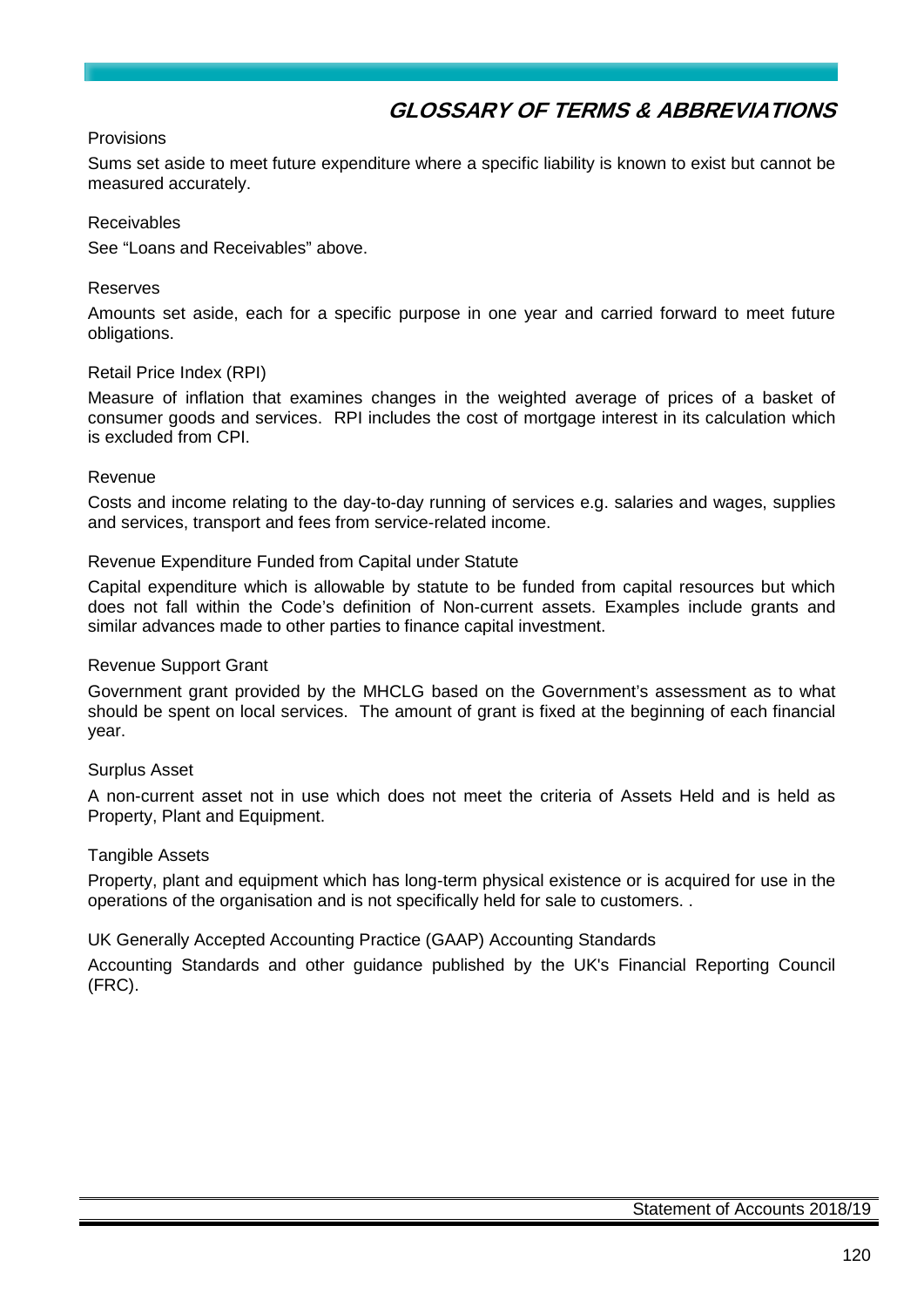#### **Provisions**

Sums set aside to meet future expenditure where a specific liability is known to exist but cannot be measured accurately.

#### Receivables

See "Loans and Receivables" above.

#### Reserves

Amounts set aside, each for a specific purpose in one year and carried forward to meet future obligations.

#### Retail Price Index (RPI)

Measure of inflation that examines changes in the weighted average of prices of a basket of consumer goods and services. RPI includes the cost of mortgage interest in its calculation which is excluded from CPI.

#### Revenue

Costs and income relating to the day-to-day running of services e.g. salaries and wages, supplies and services, transport and fees from service-related income.

#### Revenue Expenditure Funded from Capital under Statute

Capital expenditure which is allowable by statute to be funded from capital resources but which does not fall within the Code's definition of Non-current assets. Examples include grants and similar advances made to other parties to finance capital investment.

#### Revenue Support Grant

Government grant provided by the MHCLG based on the Government's assessment as to what should be spent on local services. The amount of grant is fixed at the beginning of each financial year.

#### Surplus Asset

A non-current asset not in use which does not meet the criteria of Assets Held and is held as Property, Plant and Equipment.

#### Tangible Assets

Property, plant and equipment which has long-term physical existence or is acquired for use in the operations of the organisation and is not specifically held for sale to customers. .

#### UK Generally Accepted Accounting Practice (GAAP) Accounting Standards

Accounting Standards and other guidance published by the UK's Financial Reporting Council (FRC).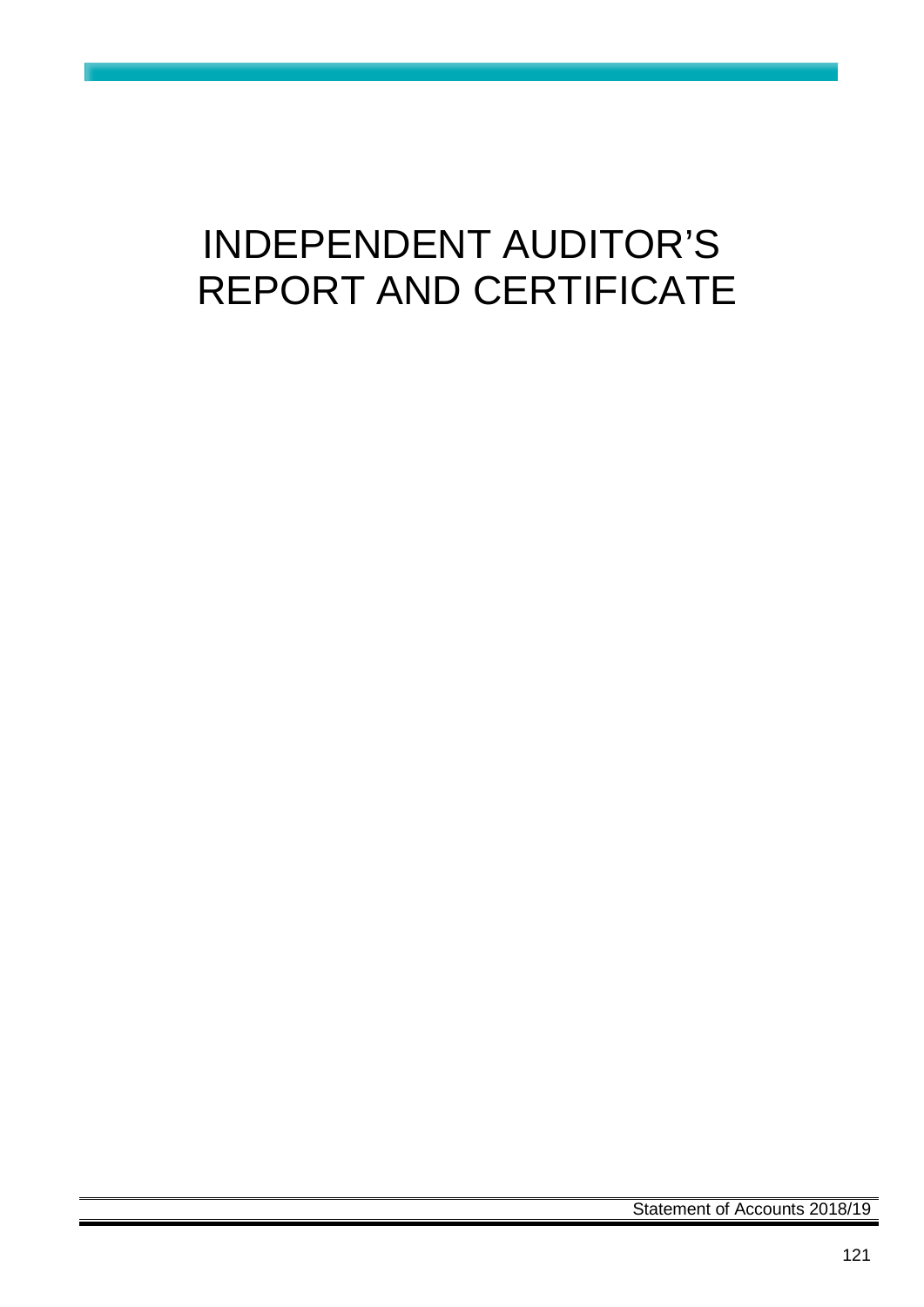# INDEPENDENT AUDITOR'S REPORT AND CERTIFICATE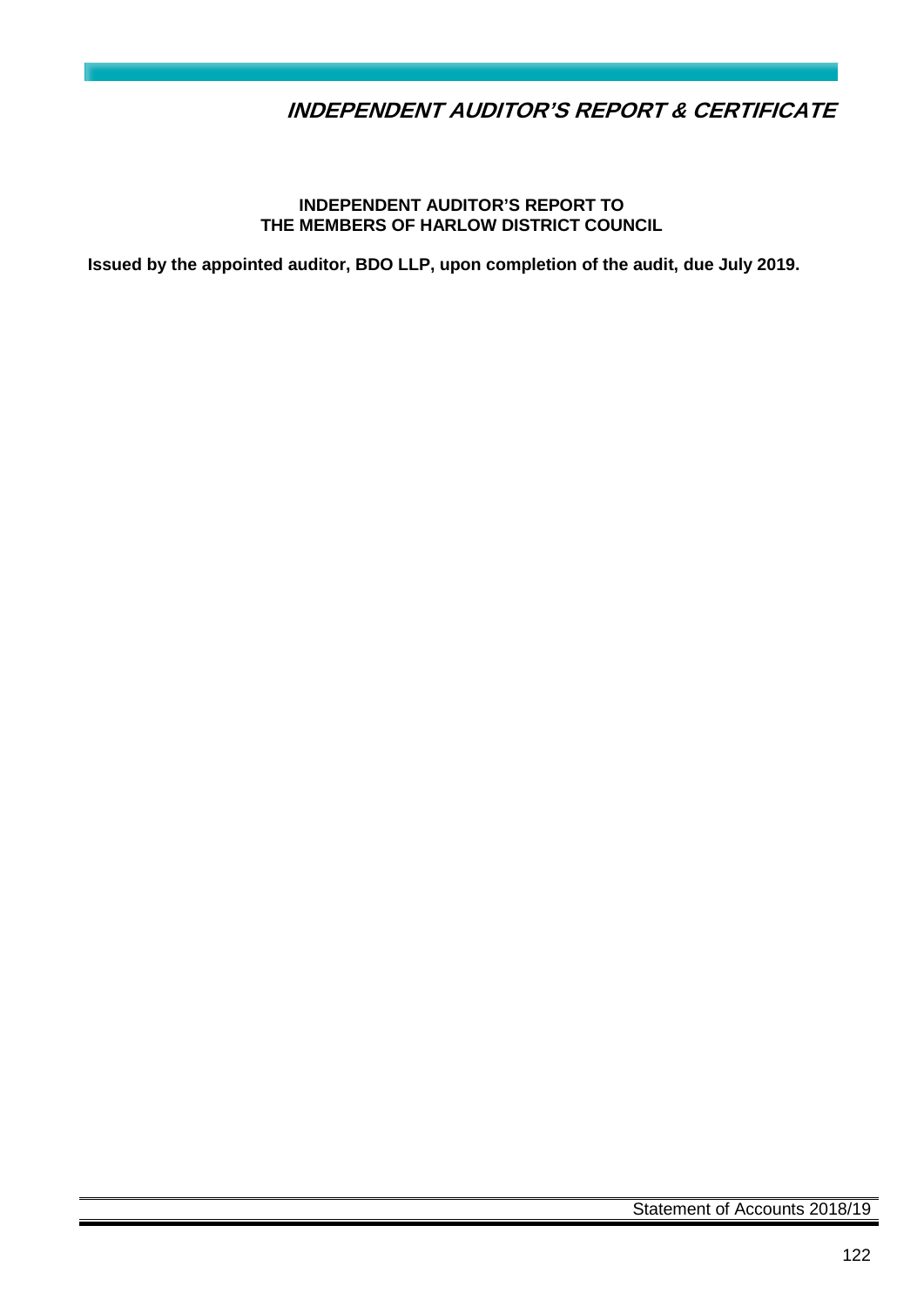## **INDEPENDENT AUDITOR'S REPORT & CERTIFICATE**

#### **INDEPENDENT AUDITOR'S REPORT TO THE MEMBERS OF HARLOW DISTRICT COUNCIL**

**Issued by the appointed auditor, BDO LLP, upon completion of the audit, due July 2019.**

Statement of Accounts 2018/19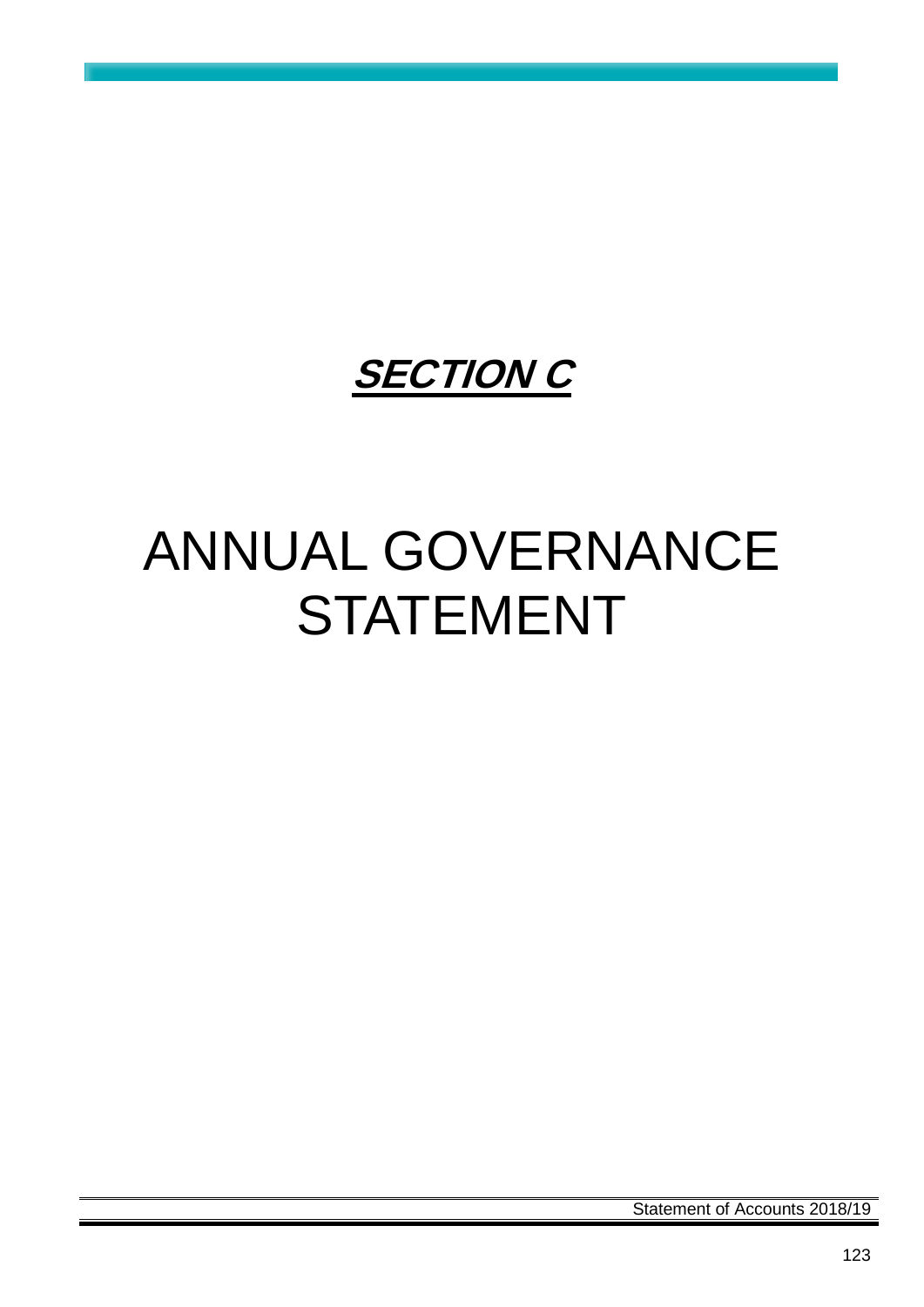# **SECTION C**

# ANNUAL GOVERNANCE STATEMENT

Statement of Accounts 2018/19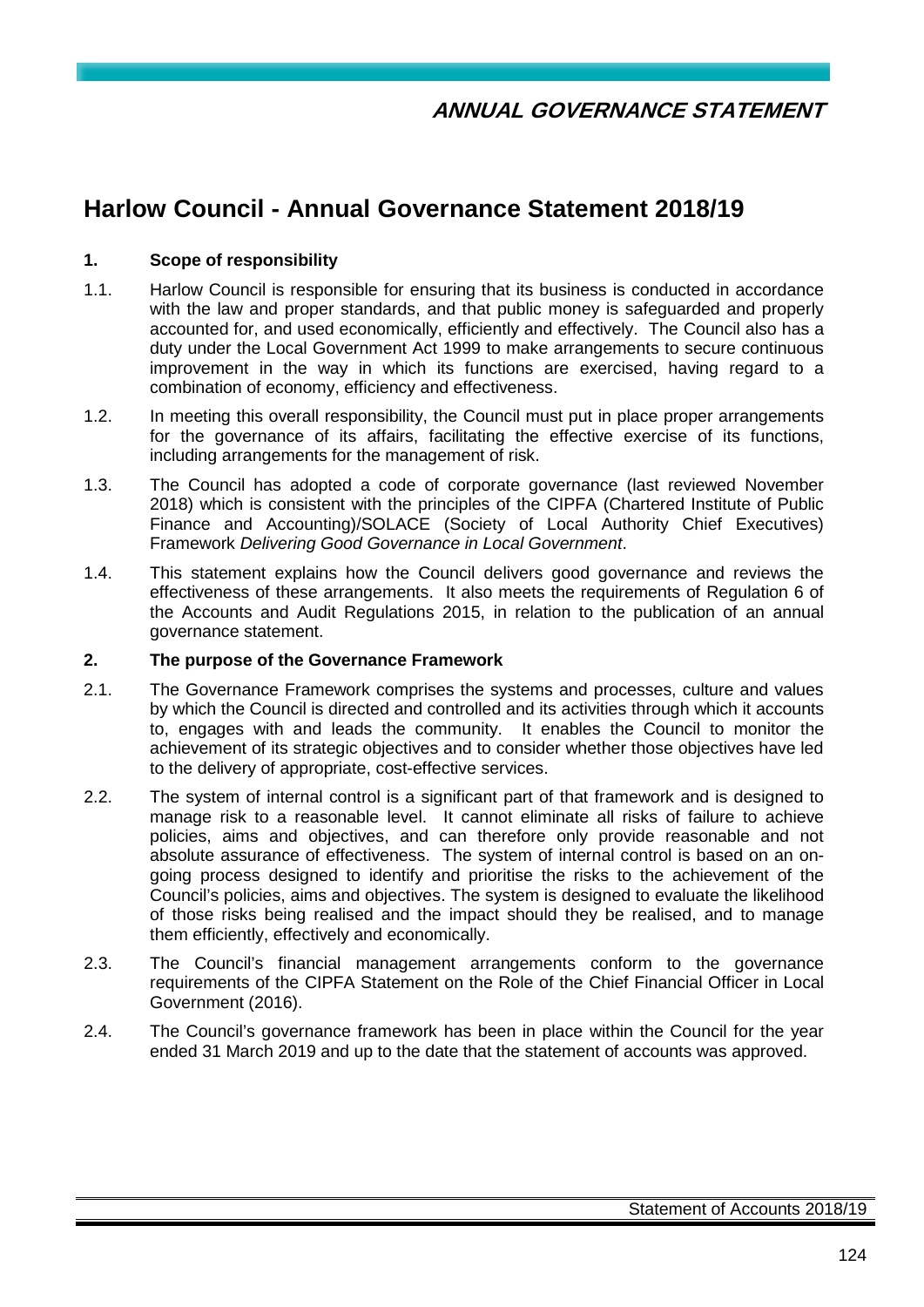## **Harlow Council - Annual Governance Statement 2018/19**

#### **1. Scope of responsibility**

- 1.1. Harlow Council is responsible for ensuring that its business is conducted in accordance with the law and proper standards, and that public money is safeguarded and properly accounted for, and used economically, efficiently and effectively. The Council also has a duty under the Local Government Act 1999 to make arrangements to secure continuous improvement in the way in which its functions are exercised, having regard to a combination of economy, efficiency and effectiveness.
- 1.2. In meeting this overall responsibility, the Council must put in place proper arrangements for the governance of its affairs, facilitating the effective exercise of its functions, including arrangements for the management of risk.
- 1.3. The Council has adopted a code of corporate governance (last reviewed November 2018) which is consistent with the principles of the CIPFA (Chartered Institute of Public Finance and Accounting)/SOLACE (Society of Local Authority Chief Executives) Framework *Delivering Good Governance in Local Government*.
- 1.4. This statement explains how the Council delivers good governance and reviews the effectiveness of these arrangements. It also meets the requirements of Regulation 6 of the Accounts and Audit Regulations 2015, in relation to the publication of an annual governance statement.

#### **2. The purpose of the Governance Framework**

- 2.1. The Governance Framework comprises the systems and processes, culture and values by which the Council is directed and controlled and its activities through which it accounts to, engages with and leads the community. It enables the Council to monitor the achievement of its strategic objectives and to consider whether those objectives have led to the delivery of appropriate, cost-effective services.
- 2.2. The system of internal control is a significant part of that framework and is designed to manage risk to a reasonable level. It cannot eliminate all risks of failure to achieve policies, aims and objectives, and can therefore only provide reasonable and not absolute assurance of effectiveness. The system of internal control is based on an ongoing process designed to identify and prioritise the risks to the achievement of the Council's policies, aims and objectives. The system is designed to evaluate the likelihood of those risks being realised and the impact should they be realised, and to manage them efficiently, effectively and economically.
- 2.3. The Council's financial management arrangements conform to the governance requirements of the CIPFA Statement on the Role of the Chief Financial Officer in Local Government (2016).
- 2.4. The Council's governance framework has been in place within the Council for the year ended 31 March 2019 and up to the date that the statement of accounts was approved.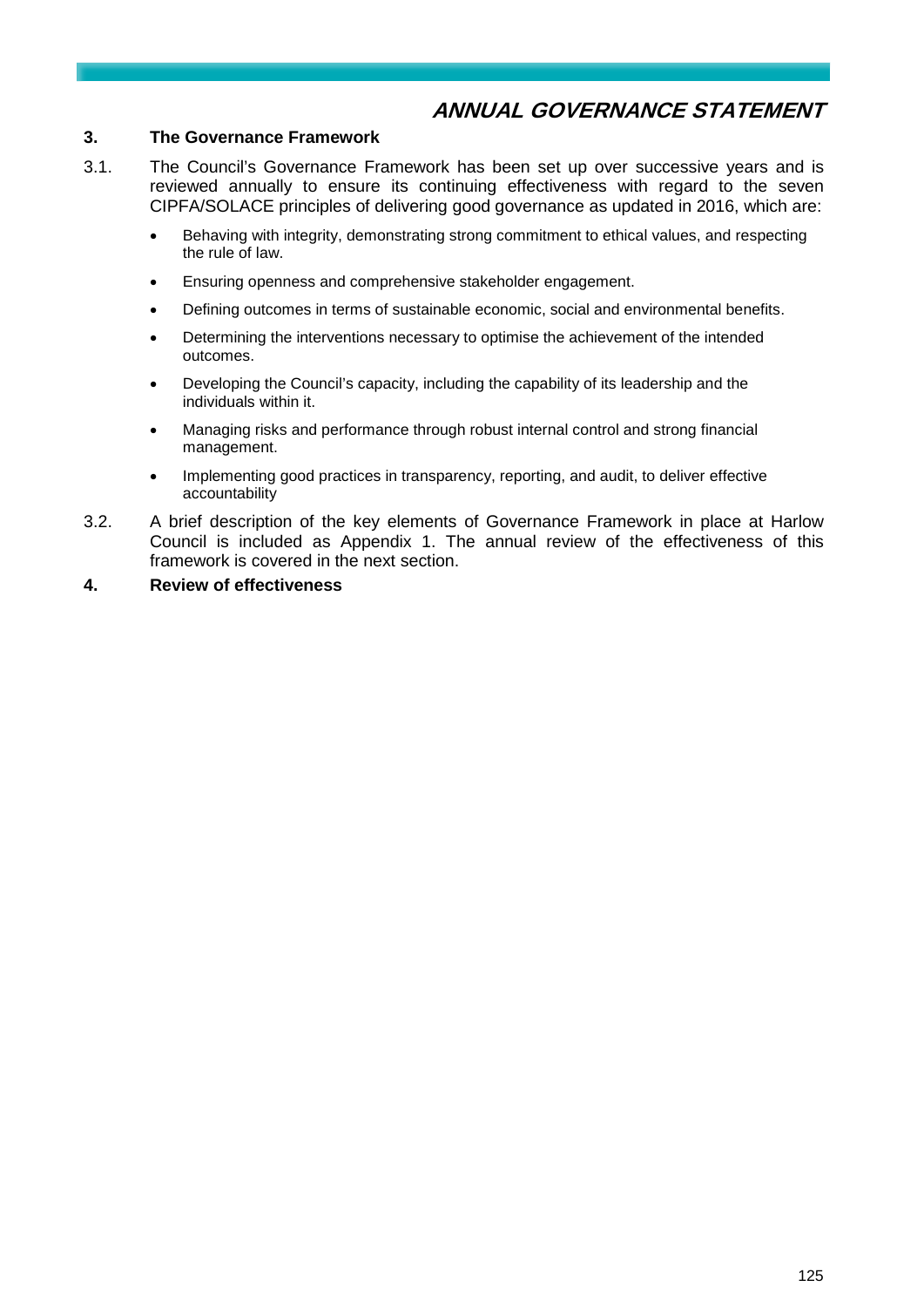#### **3. The Governance Framework**

- 3.1. The Council's Governance Framework has been set up over successive years and is reviewed annually to ensure its continuing effectiveness with regard to the seven CIPFA/SOLACE principles of delivering good governance as updated in 2016, which are:
	- Behaving with integrity, demonstrating strong commitment to ethical values, and respecting the rule of law.
	- Ensuring openness and comprehensive stakeholder engagement.
	- Defining outcomes in terms of sustainable economic, social and environmental benefits.
	- Determining the interventions necessary to optimise the achievement of the intended outcomes.
	- Developing the Council's capacity, including the capability of its leadership and the individuals within it.
	- Managing risks and performance through robust internal control and strong financial management.
	- Implementing good practices in transparency, reporting, and audit, to deliver effective accountability
- 3.2. A brief description of the key elements of Governance Framework in place at Harlow Council is included as Appendix 1. The annual review of the effectiveness of this framework is covered in the next section.

#### **4. Review of effectiveness**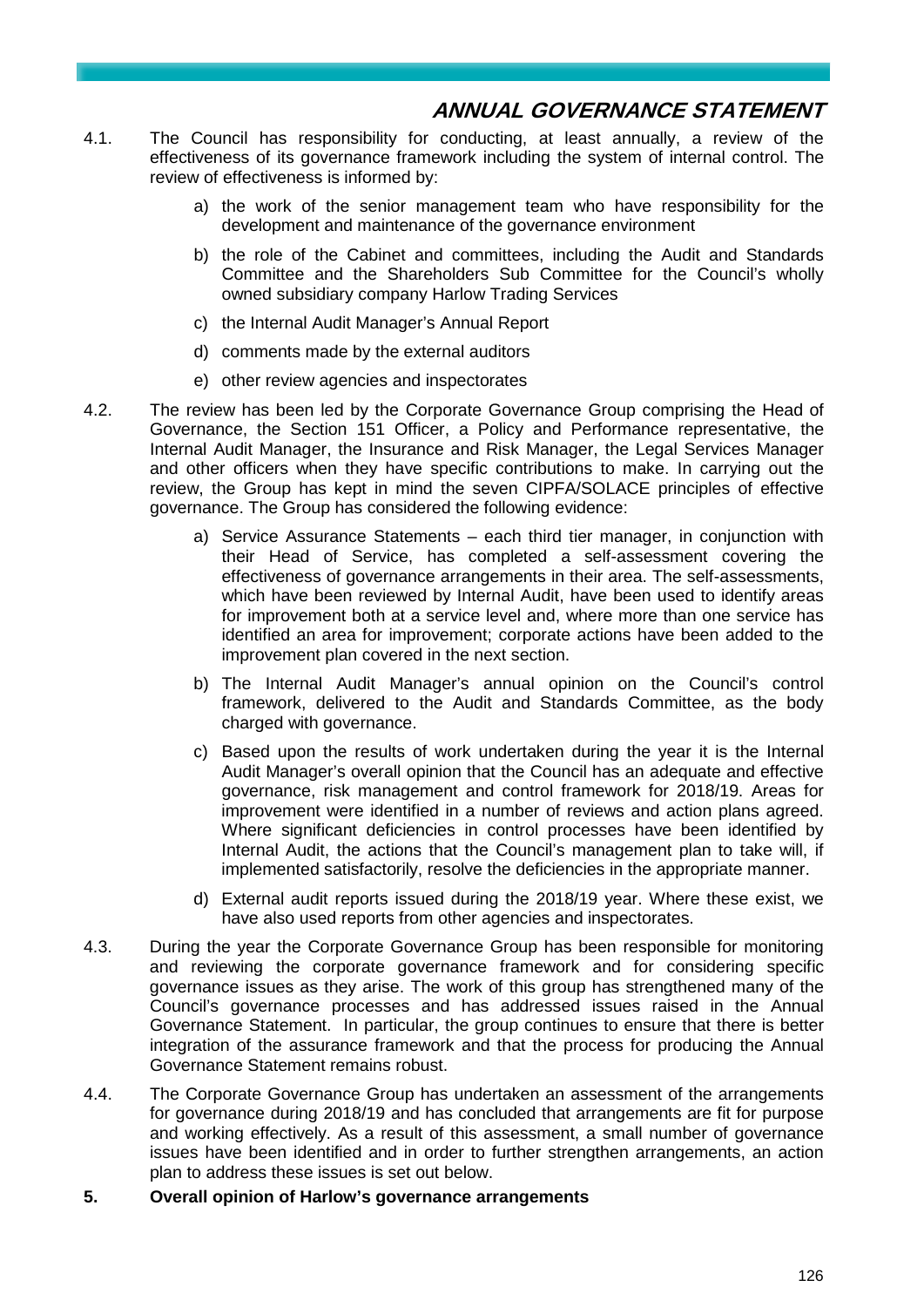- 4.1. The Council has responsibility for conducting, at least annually, a review of the effectiveness of its governance framework including the system of internal control. The review of effectiveness is informed by:
	- a) the work of the senior management team who have responsibility for the development and maintenance of the governance environment
	- b) the role of the Cabinet and committees, including the Audit and Standards Committee and the Shareholders Sub Committee for the Council's wholly owned subsidiary company Harlow Trading Services
	- c) the Internal Audit Manager's Annual Report
	- d) comments made by the external auditors
	- e) other review agencies and inspectorates
- 4.2. The review has been led by the Corporate Governance Group comprising the Head of Governance, the Section 151 Officer, a Policy and Performance representative, the Internal Audit Manager, the Insurance and Risk Manager, the Legal Services Manager and other officers when they have specific contributions to make. In carrying out the review, the Group has kept in mind the seven CIPFA/SOLACE principles of effective governance. The Group has considered the following evidence:
	- a) Service Assurance Statements each third tier manager, in conjunction with their Head of Service, has completed a self-assessment covering the effectiveness of governance arrangements in their area. The self-assessments, which have been reviewed by Internal Audit, have been used to identify areas for improvement both at a service level and, where more than one service has identified an area for improvement; corporate actions have been added to the improvement plan covered in the next section.
	- b) The Internal Audit Manager's annual opinion on the Council's control framework, delivered to the Audit and Standards Committee, as the body charged with governance.
	- c) Based upon the results of work undertaken during the year it is the Internal Audit Manager's overall opinion that the Council has an adequate and effective governance, risk management and control framework for 2018/19. Areas for improvement were identified in a number of reviews and action plans agreed. Where significant deficiencies in control processes have been identified by Internal Audit, the actions that the Council's management plan to take will, if implemented satisfactorily, resolve the deficiencies in the appropriate manner.
	- d) External audit reports issued during the 2018/19 year. Where these exist, we have also used reports from other agencies and inspectorates.
- 4.3. During the year the Corporate Governance Group has been responsible for monitoring and reviewing the corporate governance framework and for considering specific governance issues as they arise. The work of this group has strengthened many of the Council's governance processes and has addressed issues raised in the Annual Governance Statement. In particular, the group continues to ensure that there is better integration of the assurance framework and that the process for producing the Annual Governance Statement remains robust.
- 4.4. The Corporate Governance Group has undertaken an assessment of the arrangements for governance during 2018/19 and has concluded that arrangements are fit for purpose and working effectively. As a result of this assessment, a small number of governance issues have been identified and in order to further strengthen arrangements, an action plan to address these issues is set out below.
- **5. Overall opinion of Harlow's governance arrangements**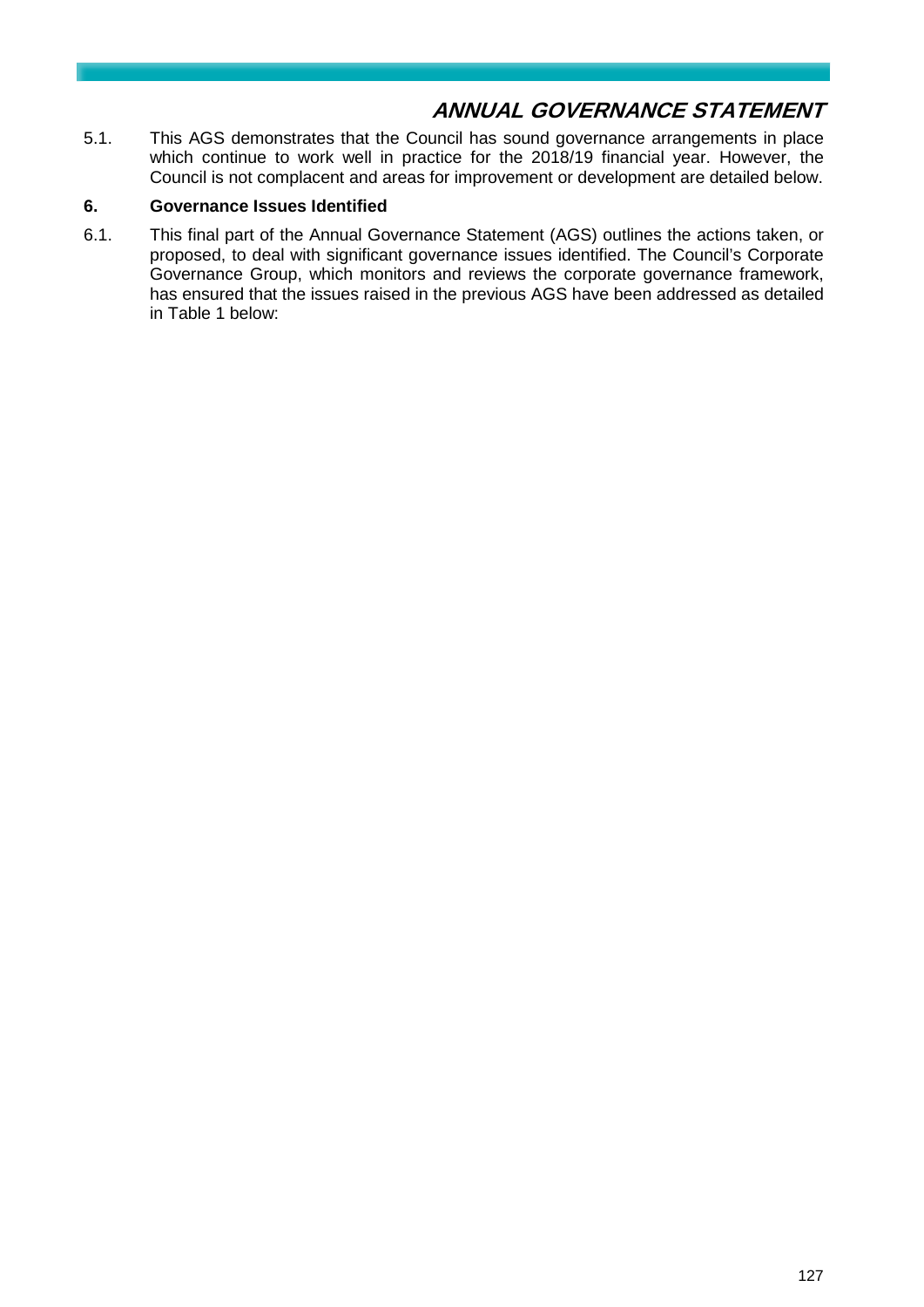5.1. This AGS demonstrates that the Council has sound governance arrangements in place which continue to work well in practice for the 2018/19 financial year. However, the Council is not complacent and areas for improvement or development are detailed below.

#### **6. Governance Issues Identified**

6.1. This final part of the Annual Governance Statement (AGS) outlines the actions taken, or proposed, to deal with significant governance issues identified. The Council's Corporate Governance Group, which monitors and reviews the corporate governance framework, has ensured that the issues raised in the previous AGS have been addressed as detailed in Table 1 below: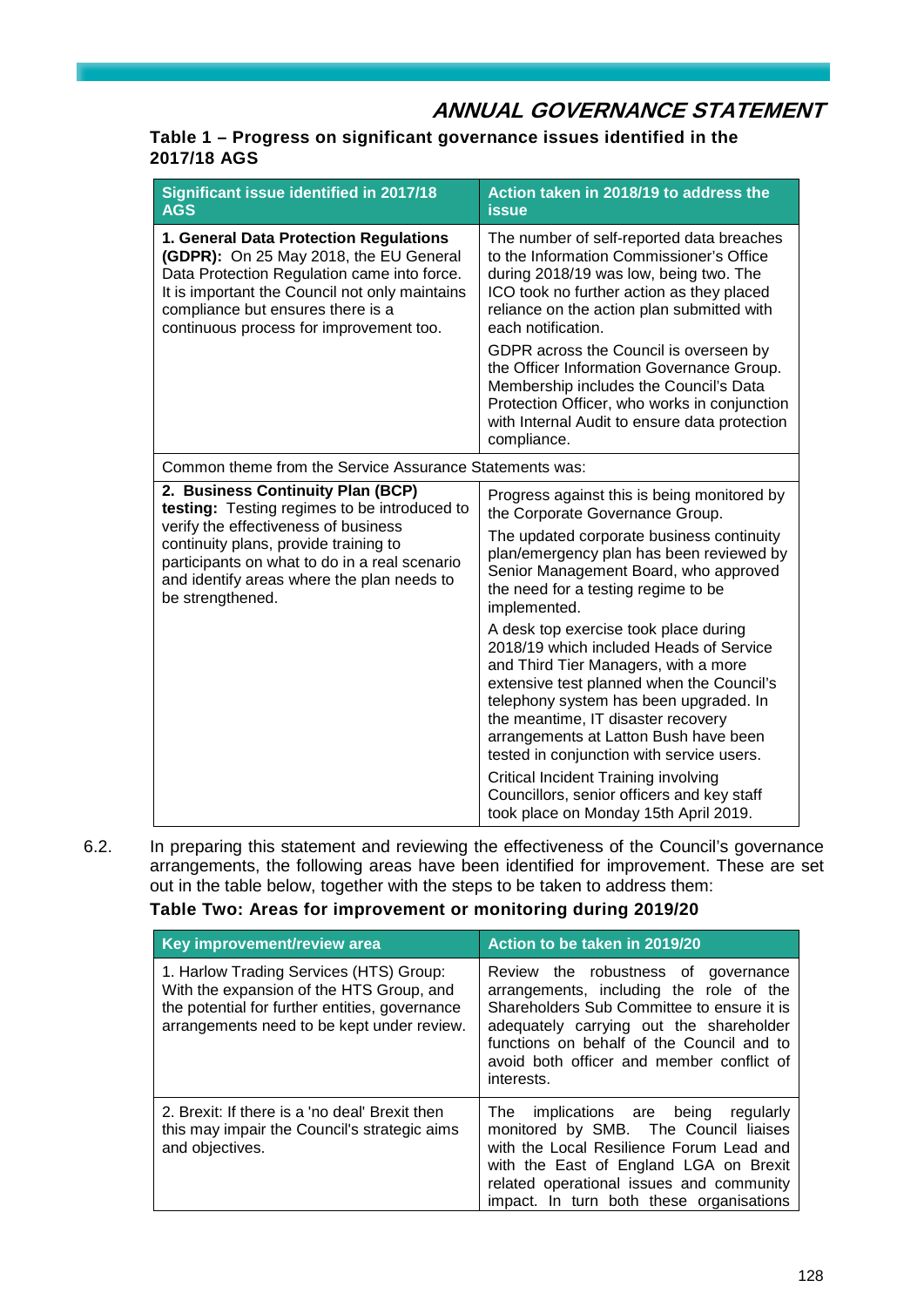| Table 1 – Progress on significant governance issues identified in the |  |
|-----------------------------------------------------------------------|--|
| 2017/18 AGS                                                           |  |

| Significant issue identified in 2017/18                 | Action taken in 2018/19 to address the                                                                                                                                                                                                                                                                                                      |
|---------------------------------------------------------|---------------------------------------------------------------------------------------------------------------------------------------------------------------------------------------------------------------------------------------------------------------------------------------------------------------------------------------------|
| <b>AGS</b>                                              | <b>issue</b>                                                                                                                                                                                                                                                                                                                                |
| 1. General Data Protection Regulations                  | The number of self-reported data breaches                                                                                                                                                                                                                                                                                                   |
| (GDPR): On 25 May 2018, the EU General                  | to the Information Commissioner's Office                                                                                                                                                                                                                                                                                                    |
| Data Protection Regulation came into force.             | during 2018/19 was low, being two. The                                                                                                                                                                                                                                                                                                      |
| It is important the Council not only maintains          | ICO took no further action as they placed                                                                                                                                                                                                                                                                                                   |
| compliance but ensures there is a                       | reliance on the action plan submitted with                                                                                                                                                                                                                                                                                                  |
| continuous process for improvement too.                 | each notification.                                                                                                                                                                                                                                                                                                                          |
|                                                         | GDPR across the Council is overseen by<br>the Officer Information Governance Group.<br>Membership includes the Council's Data<br>Protection Officer, who works in conjunction<br>with Internal Audit to ensure data protection<br>compliance.                                                                                               |
| Common theme from the Service Assurance Statements was: |                                                                                                                                                                                                                                                                                                                                             |
| 2. Business Continuity Plan (BCP)                       | Progress against this is being monitored by                                                                                                                                                                                                                                                                                                 |
| testing: Testing regimes to be introduced to            | the Corporate Governance Group.                                                                                                                                                                                                                                                                                                             |
| verify the effectiveness of business                    | The updated corporate business continuity                                                                                                                                                                                                                                                                                                   |
| continuity plans, provide training to                   | plan/emergency plan has been reviewed by                                                                                                                                                                                                                                                                                                    |
| participants on what to do in a real scenario           | Senior Management Board, who approved                                                                                                                                                                                                                                                                                                       |
| and identify areas where the plan needs to              | the need for a testing regime to be                                                                                                                                                                                                                                                                                                         |
| be strengthened.                                        | implemented.                                                                                                                                                                                                                                                                                                                                |
|                                                         | A desk top exercise took place during<br>2018/19 which included Heads of Service<br>and Third Tier Managers, with a more<br>extensive test planned when the Council's<br>telephony system has been upgraded. In<br>the meantime, IT disaster recovery<br>arrangements at Latton Bush have been<br>tested in conjunction with service users. |
|                                                         | <b>Critical Incident Training involving</b><br>Councillors, senior officers and key staff<br>took place on Monday 15th April 2019.                                                                                                                                                                                                          |

6.2. In preparing this statement and reviewing the effectiveness of the Council's governance arrangements, the following areas have been identified for improvement. These are set out in the table below, together with the steps to be taken to address them:

#### **Table Two: Areas for improvement or monitoring during 2019/20**

| Key improvement/review area                                                                                                                                                         | Action to be taken in 2019/20                                                                                                                                                                                                                                                   |
|-------------------------------------------------------------------------------------------------------------------------------------------------------------------------------------|---------------------------------------------------------------------------------------------------------------------------------------------------------------------------------------------------------------------------------------------------------------------------------|
| 1. Harlow Trading Services (HTS) Group:<br>With the expansion of the HTS Group, and<br>the potential for further entities, governance<br>arrangements need to be kept under review. | Review the robustness of governance<br>arrangements, including the role of the<br>Shareholders Sub Committee to ensure it is<br>adequately carrying out the shareholder<br>functions on behalf of the Council and to<br>avoid both officer and member conflict of<br>interests. |
| 2. Brexit: If there is a 'no deal' Brexit then<br>this may impair the Council's strategic aims<br>and objectives.                                                                   | implications are being regularly<br>The .<br>monitored by SMB. The Council liaises<br>with the Local Resilience Forum Lead and<br>with the East of England LGA on Brexit<br>related operational issues and community<br>impact. In turn both these organisations                |